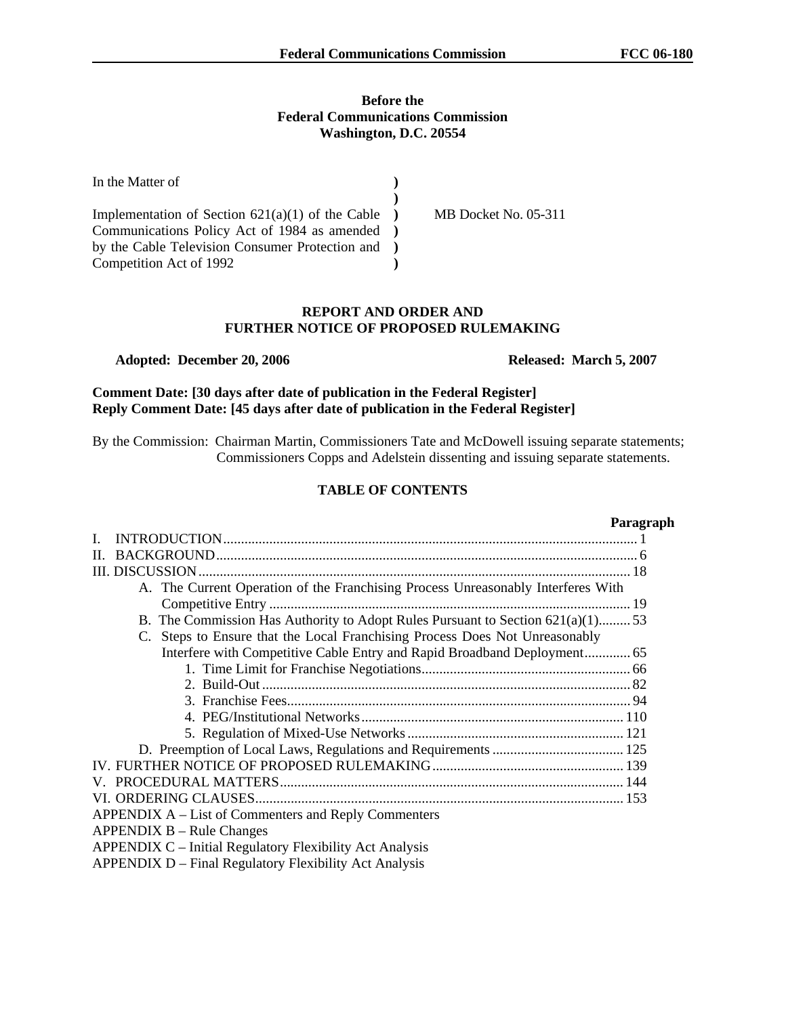## **Before the Federal Communications Commission Washington, D.C. 20554**

| In the Matter of                                                 |                      |
|------------------------------------------------------------------|----------------------|
|                                                                  |                      |
| Implementation of Section $621(a)(1)$ of the Cable $\rightarrow$ | MB Docket No. 05-311 |
| Communications Policy Act of 1984 as amended )                   |                      |
| by the Cable Television Consumer Protection and )                |                      |
| Competition Act of 1992                                          |                      |

## **REPORT AND ORDER AND FURTHER NOTICE OF PROPOSED RULEMAKING**

#### **Adopted: December 20, 2006 Released: March 5, 2007**

**Comment Date: [30 days after date of publication in the Federal Register] Reply Comment Date: [45 days after date of publication in the Federal Register]**

By the Commission: Chairman Martin, Commissioners Tate and McDowell issuing separate statements; Commissioners Copps and Adelstein dissenting and issuing separate statements.

# **TABLE OF CONTENTS**

#### **Paragraph**

| Н.                                                                                |
|-----------------------------------------------------------------------------------|
|                                                                                   |
| A. The Current Operation of the Franchising Process Unreasonably Interferes With  |
|                                                                                   |
| B. The Commission Has Authority to Adopt Rules Pursuant to Section $621(a)(1)$ 53 |
| C. Steps to Ensure that the Local Franchising Process Does Not Unreasonably       |
| Interfere with Competitive Cable Entry and Rapid Broadband Deployment 65          |
|                                                                                   |
|                                                                                   |
|                                                                                   |
|                                                                                   |
|                                                                                   |
|                                                                                   |
|                                                                                   |
|                                                                                   |
|                                                                                   |
| APPENDIX A – List of Commenters and Reply Commenters                              |
| $APPENDIX B - Rule Changes$                                                       |
| APPENDIX C – Initial Regulatory Flexibility Act Analysis                          |

APPENDIX D – Final Regulatory Flexibility Act Analysis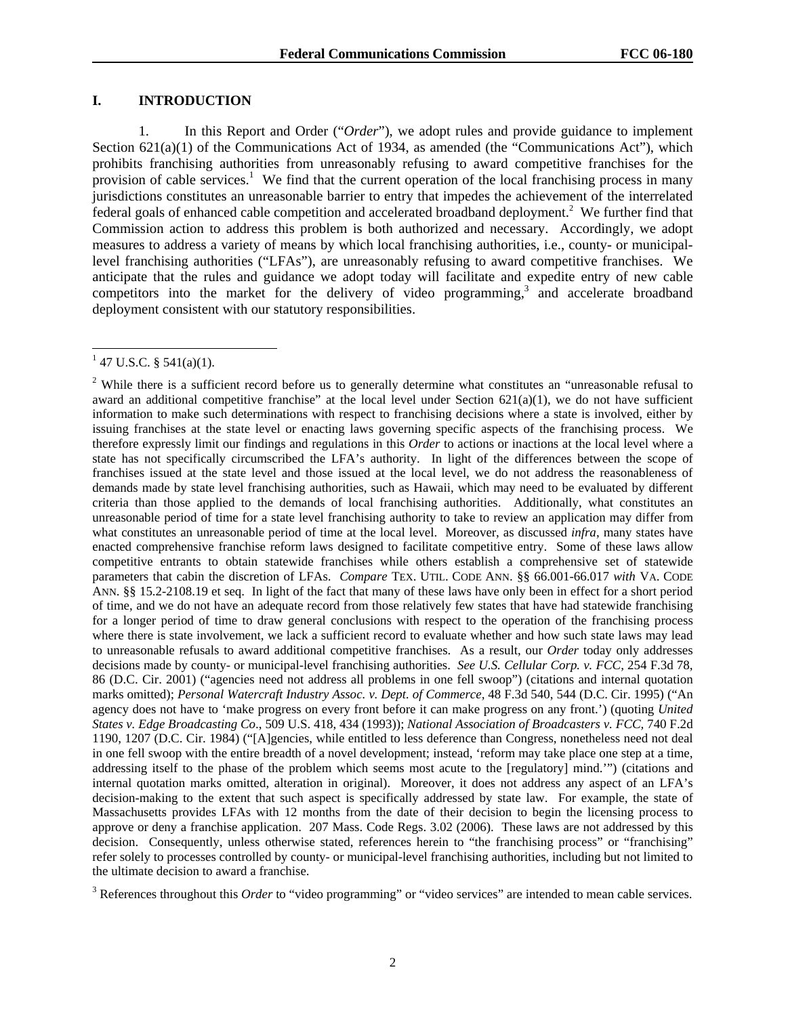### **I. INTRODUCTION**

1. In this Report and Order ("*Order*"), we adopt rules and provide guidance to implement Section  $621(a)(1)$  of the Communications Act of 1934, as amended (the "Communications Act"), which prohibits franchising authorities from unreasonably refusing to award competitive franchises for the provision of cable services.<sup>1</sup> We find that the current operation of the local franchising process in many jurisdictions constitutes an unreasonable barrier to entry that impedes the achievement of the interrelated federal goals of enhanced cable competition and accelerated broadband deployment.<sup>2</sup> We further find that Commission action to address this problem is both authorized and necessary. Accordingly, we adopt measures to address a variety of means by which local franchising authorities, i.e., county- or municipallevel franchising authorities ("LFAs"), are unreasonably refusing to award competitive franchises. We anticipate that the rules and guidance we adopt today will facilitate and expedite entry of new cable competitors into the market for the delivery of video programming, $3$  and accelerate broadband deployment consistent with our statutory responsibilities.

l

 $1$  47 U.S.C. § 541(a)(1).

<sup>&</sup>lt;sup>2</sup> While there is a sufficient record before us to generally determine what constitutes an "unreasonable refusal to award an additional competitive franchise" at the local level under Section  $621(a)(1)$ , we do not have sufficient information to make such determinations with respect to franchising decisions where a state is involved, either by issuing franchises at the state level or enacting laws governing specific aspects of the franchising process. We therefore expressly limit our findings and regulations in this *Order* to actions or inactions at the local level where a state has not specifically circumscribed the LFA's authority. In light of the differences between the scope of franchises issued at the state level and those issued at the local level, we do not address the reasonableness of demands made by state level franchising authorities, such as Hawaii, which may need to be evaluated by different criteria than those applied to the demands of local franchising authorities. Additionally, what constitutes an unreasonable period of time for a state level franchising authority to take to review an application may differ from what constitutes an unreasonable period of time at the local level. Moreover, as discussed *infra*, many states have enacted comprehensive franchise reform laws designed to facilitate competitive entry. Some of these laws allow competitive entrants to obtain statewide franchises while others establish a comprehensive set of statewide parameters that cabin the discretion of LFAs. *Compare* TEX. UTIL. CODE ANN. §§ 66.001-66.017 *with* VA. CODE ANN. §§ 15.2-2108.19 et seq. In light of the fact that many of these laws have only been in effect for a short period of time, and we do not have an adequate record from those relatively few states that have had statewide franchising for a longer period of time to draw general conclusions with respect to the operation of the franchising process where there is state involvement, we lack a sufficient record to evaluate whether and how such state laws may lead to unreasonable refusals to award additional competitive franchises. As a result, our *Order* today only addresses decisions made by county- or municipal-level franchising authorities. *See U.S. Cellular Corp. v. FCC*, 254 F.3d 78, 86 (D.C. Cir. 2001) ("agencies need not address all problems in one fell swoop") (citations and internal quotation marks omitted); *Personal Watercraft Industry Assoc. v. Dept. of Commerce,* 48 F.3d 540, 544 (D.C. Cir. 1995) ("An agency does not have to 'make progress on every front before it can make progress on any front.') (quoting *United States v. Edge Broadcasting Co*., 509 U.S. 418, 434 (1993)); *National Association of Broadcasters v. FCC,* 740 F.2d 1190, 1207 (D.C. Cir. 1984) ("[A]gencies, while entitled to less deference than Congress, nonetheless need not deal in one fell swoop with the entire breadth of a novel development; instead, 'reform may take place one step at a time, addressing itself to the phase of the problem which seems most acute to the [regulatory] mind.'") (citations and internal quotation marks omitted, alteration in original). Moreover, it does not address any aspect of an LFA's decision-making to the extent that such aspect is specifically addressed by state law. For example, the state of Massachusetts provides LFAs with 12 months from the date of their decision to begin the licensing process to approve or deny a franchise application. 207 Mass. Code Regs. 3.02 (2006). These laws are not addressed by this decision. Consequently, unless otherwise stated, references herein to "the franchising process" or "franchising" refer solely to processes controlled by county- or municipal-level franchising authorities, including but not limited to the ultimate decision to award a franchise.

<sup>&</sup>lt;sup>3</sup> References throughout this *Order* to "video programming" or "video services" are intended to mean cable services.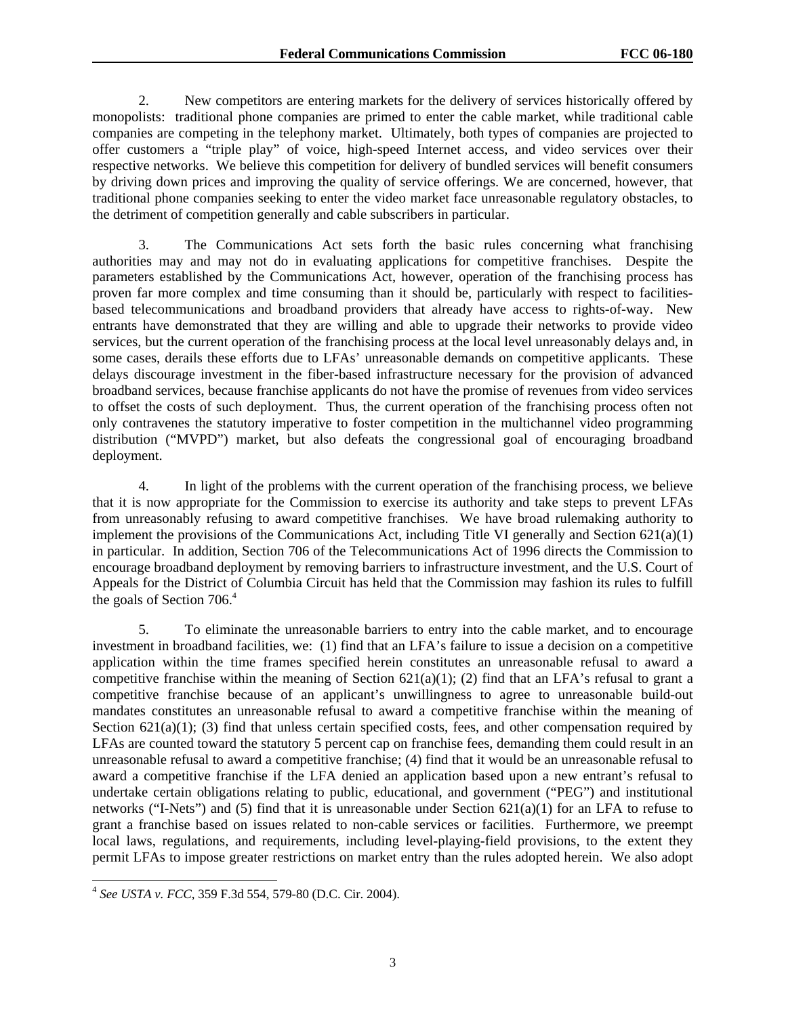2. New competitors are entering markets for the delivery of services historically offered by monopolists: traditional phone companies are primed to enter the cable market, while traditional cable companies are competing in the telephony market. Ultimately, both types of companies are projected to offer customers a "triple play" of voice, high-speed Internet access, and video services over their respective networks. We believe this competition for delivery of bundled services will benefit consumers by driving down prices and improving the quality of service offerings. We are concerned, however, that traditional phone companies seeking to enter the video market face unreasonable regulatory obstacles, to the detriment of competition generally and cable subscribers in particular.

3. The Communications Act sets forth the basic rules concerning what franchising authorities may and may not do in evaluating applications for competitive franchises. Despite the parameters established by the Communications Act, however, operation of the franchising process has proven far more complex and time consuming than it should be, particularly with respect to facilitiesbased telecommunications and broadband providers that already have access to rights-of-way. New entrants have demonstrated that they are willing and able to upgrade their networks to provide video services, but the current operation of the franchising process at the local level unreasonably delays and, in some cases, derails these efforts due to LFAs' unreasonable demands on competitive applicants. These delays discourage investment in the fiber-based infrastructure necessary for the provision of advanced broadband services, because franchise applicants do not have the promise of revenues from video services to offset the costs of such deployment. Thus, the current operation of the franchising process often not only contravenes the statutory imperative to foster competition in the multichannel video programming distribution ("MVPD") market, but also defeats the congressional goal of encouraging broadband deployment.

4. In light of the problems with the current operation of the franchising process, we believe that it is now appropriate for the Commission to exercise its authority and take steps to prevent LFAs from unreasonably refusing to award competitive franchises. We have broad rulemaking authority to implement the provisions of the Communications Act, including Title VI generally and Section  $621(a)(1)$ in particular. In addition, Section 706 of the Telecommunications Act of 1996 directs the Commission to encourage broadband deployment by removing barriers to infrastructure investment, and the U.S. Court of Appeals for the District of Columbia Circuit has held that the Commission may fashion its rules to fulfill the goals of Section  $706<sup>4</sup>$ 

5. To eliminate the unreasonable barriers to entry into the cable market, and to encourage investment in broadband facilities, we: (1) find that an LFA's failure to issue a decision on a competitive application within the time frames specified herein constitutes an unreasonable refusal to award a competitive franchise within the meaning of Section 621(a)(1); (2) find that an LFA's refusal to grant a competitive franchise because of an applicant's unwillingness to agree to unreasonable build-out mandates constitutes an unreasonable refusal to award a competitive franchise within the meaning of Section  $621(a)(1)$ ; (3) find that unless certain specified costs, fees, and other compensation required by LFAs are counted toward the statutory 5 percent cap on franchise fees, demanding them could result in an unreasonable refusal to award a competitive franchise; (4) find that it would be an unreasonable refusal to award a competitive franchise if the LFA denied an application based upon a new entrant's refusal to undertake certain obligations relating to public, educational, and government ("PEG") and institutional networks ("I-Nets") and (5) find that it is unreasonable under Section  $621(a)(1)$  for an LFA to refuse to grant a franchise based on issues related to non-cable services or facilities. Furthermore, we preempt local laws, regulations, and requirements, including level-playing-field provisions, to the extent they permit LFAs to impose greater restrictions on market entry than the rules adopted herein. We also adopt

l

<sup>4</sup> *See USTA v. FCC*, 359 F.3d 554, 579-80 (D.C. Cir. 2004).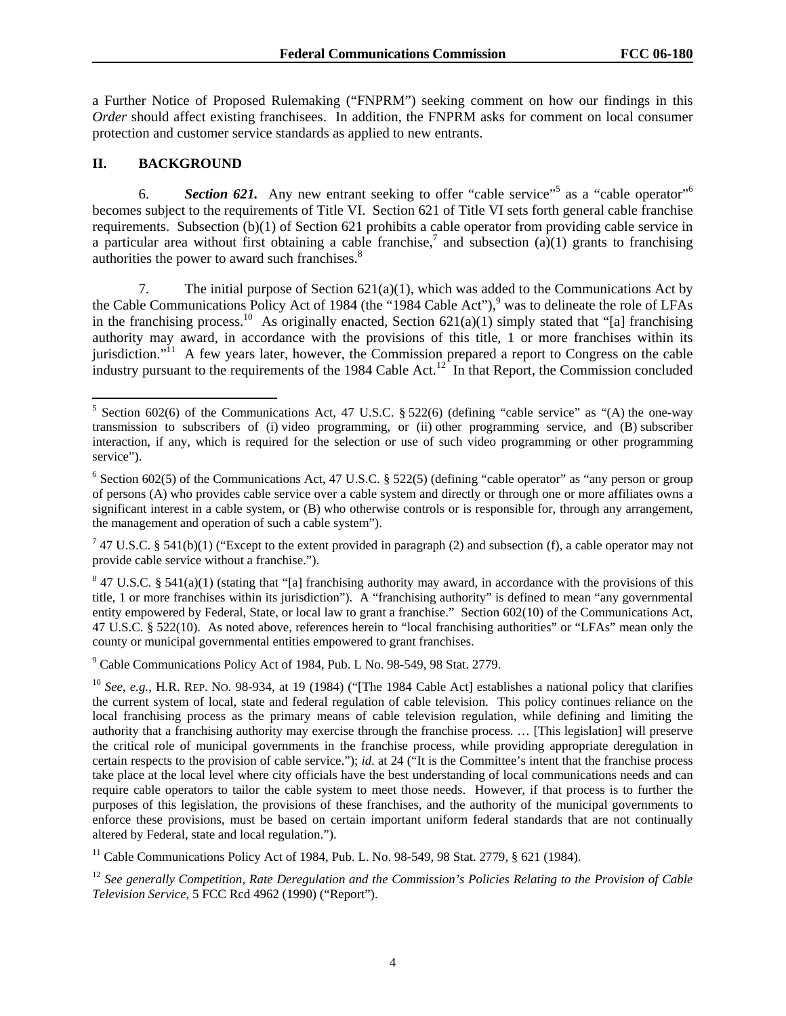a Further Notice of Proposed Rulemaking ("FNPRM") seeking comment on how our findings in this *Order* should affect existing franchisees. In addition, the FNPRM asks for comment on local consumer protection and customer service standards as applied to new entrants.

## **II. BACKGROUND**

l

6. **Section 621.** Any new entrant seeking to offer "cable service"<sup>5</sup> as a "cable operator"<sup>6</sup> becomes subject to the requirements of Title VI. Section 621 of Title VI sets forth general cable franchise requirements. Subsection (b)(1) of Section 621 prohibits a cable operator from providing cable service in a particular area without first obtaining a cable franchise,<sup>7</sup> and subsection (a)(1) grants to franchising authorities the power to award such franchises.<sup>8</sup>

7. The initial purpose of Section 621(a)(1), which was added to the Communications Act by the Cable Communications Policy Act of 1984 (the "1984 Cable Act"),<sup>9</sup> was to delineate the role of LFAs in the franchising process.<sup>10</sup> As originally enacted, Section  $621(a)(1)$  simply stated that "[a] franchising authority may award, in accordance with the provisions of this title, 1 or more franchises within its jurisdiction."<sup>11</sup> A few years later, however, the Commission prepared a report to Congress on the cable industry pursuant to the requirements of the 1984 Cable Act.<sup>12</sup> In that Report, the Commission concluded

<sup>7</sup> 47 U.S.C. § 541(b)(1) ("Except to the extent provided in paragraph (2) and subsection (f), a cable operator may not provide cable service without a franchise.").

<sup>9</sup> Cable Communications Policy Act of 1984, Pub. L No. 98-549, 98 Stat. 2779.

<sup>11</sup> Cable Communications Policy Act of 1984, Pub. L. No. 98-549, 98 Stat. 2779,  $\frac{8}{2}$  621 (1984).

<sup>&</sup>lt;sup>5</sup> Section 602(6) of the Communications Act, 47 U.S.C. § 522(6) (defining "cable service" as "(A) the one-way transmission to subscribers of (i) video programming, or (ii) other programming service, and (B) subscriber interaction, if any, which is required for the selection or use of such video programming or other programming service").

<sup>&</sup>lt;sup>6</sup> Section 602(5) of the Communications Act, 47 U.S.C. § 522(5) (defining "cable operator" as "any person or group of persons (A) who provides cable service over a cable system and directly or through one or more affiliates owns a significant interest in a cable system, or (B) who otherwise controls or is responsible for, through any arrangement, the management and operation of such a cable system").

 $8$  47 U.S.C. § 541(a)(1) (stating that "[a] franchising authority may award, in accordance with the provisions of this title, 1 or more franchises within its jurisdiction"). A "franchising authority" is defined to mean "any governmental entity empowered by Federal, State, or local law to grant a franchise." Section 602(10) of the Communications Act, 47 U.S.C. § 522(10). As noted above, references herein to "local franchising authorities" or "LFAs" mean only the county or municipal governmental entities empowered to grant franchises.

<sup>10</sup> *See*, *e.g.*, H.R. REP. NO. 98-934, at 19 (1984) ("[The 1984 Cable Act] establishes a national policy that clarifies the current system of local, state and federal regulation of cable television. This policy continues reliance on the local franchising process as the primary means of cable television regulation, while defining and limiting the authority that a franchising authority may exercise through the franchise process. … [This legislation] will preserve the critical role of municipal governments in the franchise process, while providing appropriate deregulation in certain respects to the provision of cable service."); *id*. at 24 ("It is the Committee's intent that the franchise process take place at the local level where city officials have the best understanding of local communications needs and can require cable operators to tailor the cable system to meet those needs. However, if that process is to further the purposes of this legislation, the provisions of these franchises, and the authority of the municipal governments to enforce these provisions, must be based on certain important uniform federal standards that are not continually altered by Federal, state and local regulation.").

<sup>12</sup> *See generally Competition, Rate Deregulation and the Commission's Policies Relating to the Provision of Cable Television Service*, 5 FCC Rcd 4962 (1990) ("Report").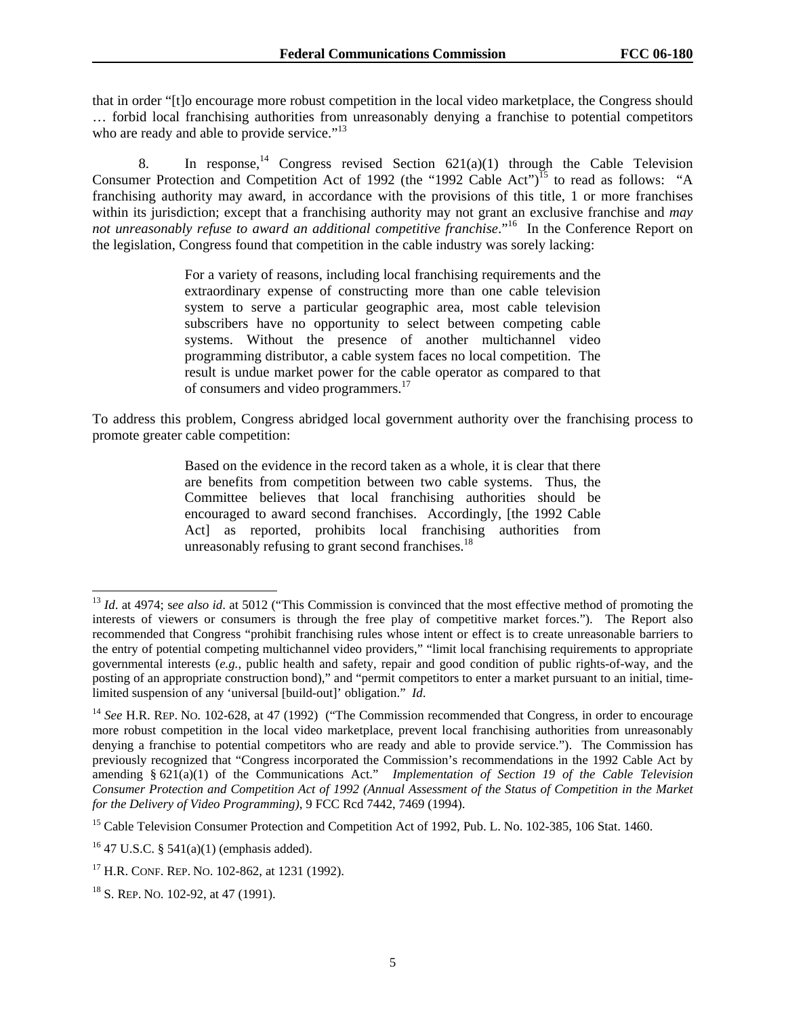that in order "[t]o encourage more robust competition in the local video marketplace, the Congress should … forbid local franchising authorities from unreasonably denying a franchise to potential competitors who are ready and able to provide service."<sup>13</sup>

8. In response,<sup>14</sup> Congress revised Section  $621(a)(1)$  through the Cable Television Consumer Protection and Competition Act of 1992 (the "1992 Cable Act")<sup>15</sup> to read as follows: "A franchising authority may award, in accordance with the provisions of this title, 1 or more franchises within its jurisdiction; except that a franchising authority may not grant an exclusive franchise and *may* not unreasonably refuse to award an additional competitive franchise."<sup>16</sup> In the Conference Report on the legislation, Congress found that competition in the cable industry was sorely lacking:

> For a variety of reasons, including local franchising requirements and the extraordinary expense of constructing more than one cable television system to serve a particular geographic area, most cable television subscribers have no opportunity to select between competing cable systems. Without the presence of another multichannel video programming distributor, a cable system faces no local competition. The result is undue market power for the cable operator as compared to that of consumers and video programmers.<sup>17</sup>

To address this problem, Congress abridged local government authority over the franchising process to promote greater cable competition:

> Based on the evidence in the record taken as a whole, it is clear that there are benefits from competition between two cable systems. Thus, the Committee believes that local franchising authorities should be encouraged to award second franchises. Accordingly, [the 1992 Cable Act] as reported, prohibits local franchising authorities from unreasonably refusing to grant second franchises. $^{18}$

l

<sup>&</sup>lt;sup>13</sup> *Id.* at 4974; see also id. at 5012 ("This Commission is convinced that the most effective method of promoting the interests of viewers or consumers is through the free play of competitive market forces."). The Report also recommended that Congress "prohibit franchising rules whose intent or effect is to create unreasonable barriers to the entry of potential competing multichannel video providers," "limit local franchising requirements to appropriate governmental interests (*e.g.*, public health and safety, repair and good condition of public rights-of-way, and the posting of an appropriate construction bond)," and "permit competitors to enter a market pursuant to an initial, timelimited suspension of any 'universal [build-out]' obligation." *Id*.

<sup>&</sup>lt;sup>14</sup> *See* H.R. REP. NO. 102-628, at 47 (1992) ("The Commission recommended that Congress, in order to encourage more robust competition in the local video marketplace, prevent local franchising authorities from unreasonably denying a franchise to potential competitors who are ready and able to provide service."). The Commission has previously recognized that "Congress incorporated the Commission's recommendations in the 1992 Cable Act by amending § 621(a)(1) of the Communications Act." *Implementation of Section 19 of the Cable Television Consumer Protection and Competition Act of 1992 (Annual Assessment of the Status of Competition in the Market for the Delivery of Video Programming)*, 9 FCC Rcd 7442, 7469 (1994).

<sup>&</sup>lt;sup>15</sup> Cable Television Consumer Protection and Competition Act of 1992, Pub. L. No. 102-385, 106 Stat. 1460.

<sup>&</sup>lt;sup>16</sup> 47 U.S.C. § 541(a)(1) (emphasis added).

<sup>17</sup> H.R. CONF. REP. NO. 102-862, at 1231 (1992).

<sup>&</sup>lt;sup>18</sup> S. REP. No. 102-92, at 47 (1991).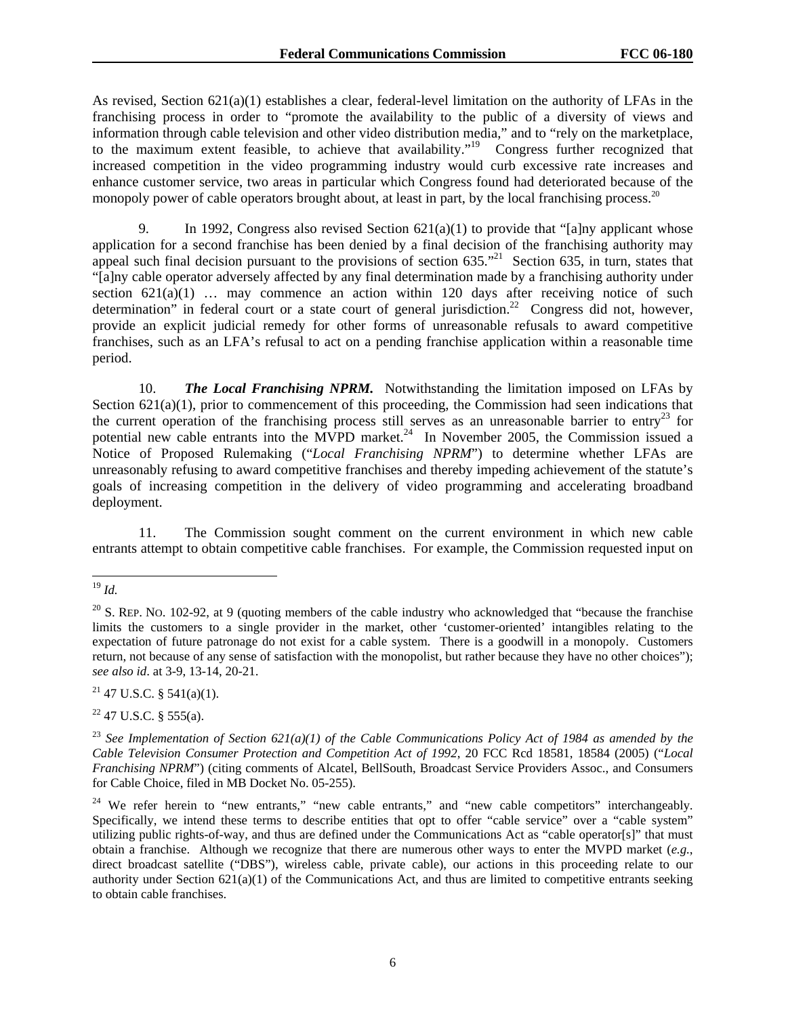As revised, Section 621(a)(1) establishes a clear, federal-level limitation on the authority of LFAs in the franchising process in order to "promote the availability to the public of a diversity of views and information through cable television and other video distribution media," and to "rely on the marketplace, to the maximum extent feasible, to achieve that availability."<sup>19</sup> Congress further recognized that increased competition in the video programming industry would curb excessive rate increases and enhance customer service, two areas in particular which Congress found had deteriorated because of the monopoly power of cable operators brought about, at least in part, by the local franchising process.<sup>20</sup>

9. In 1992, Congress also revised Section  $621(a)(1)$  to provide that "[a]ny applicant whose application for a second franchise has been denied by a final decision of the franchising authority may appeal such final decision pursuant to the provisions of section 635.<sup>"21</sup> Section 635, in turn, states that "[a]ny cable operator adversely affected by any final determination made by a franchising authority under section  $621(a)(1)$  ... may commence an action within 120 days after receiving notice of such determination" in federal court or a state court of general jurisdiction.<sup>22</sup> Congress did not, however, provide an explicit judicial remedy for other forms of unreasonable refusals to award competitive franchises, such as an LFA's refusal to act on a pending franchise application within a reasonable time period.

10. *The Local Franchising NPRM.* Notwithstanding the limitation imposed on LFAs by Section 621(a)(1), prior to commencement of this proceeding, the Commission had seen indications that the current operation of the franchising process still serves as an unreasonable barrier to entry<sup>23</sup> for potential new cable entrants into the MVPD market.<sup>24</sup> In November 2005, the Commission issued a Notice of Proposed Rulemaking ("*Local Franchising NPRM*") to determine whether LFAs are unreasonably refusing to award competitive franchises and thereby impeding achievement of the statute's goals of increasing competition in the delivery of video programming and accelerating broadband deployment.

11. The Commission sought comment on the current environment in which new cable entrants attempt to obtain competitive cable franchises. For example, the Commission requested input on

 $21$  47 U.S.C. § 541(a)(1).

 $22$  47 U.S.C. § 555(a).

l <sup>19</sup> *Id.* 

 $^{20}$  S. REP. No. 102-92, at 9 (quoting members of the cable industry who acknowledged that "because the franchise" limits the customers to a single provider in the market, other 'customer-oriented' intangibles relating to the expectation of future patronage do not exist for a cable system. There is a goodwill in a monopoly. Customers return, not because of any sense of satisfaction with the monopolist, but rather because they have no other choices"); *see also id*. at 3-9, 13-14, 20-21.

<sup>&</sup>lt;sup>23</sup> See Implementation of Section  $62I(a)(1)$  of the Cable Communications Policy Act of 1984 as amended by the *Cable Television Consumer Protection and Competition Act of 1992*, 20 FCC Rcd 18581, 18584 (2005) ("*Local Franchising NPRM*") (citing comments of Alcatel, BellSouth, Broadcast Service Providers Assoc., and Consumers for Cable Choice, filed in MB Docket No. 05-255).

<sup>&</sup>lt;sup>24</sup> We refer herein to "new entrants," "new cable entrants," and "new cable competitors" interchangeably. Specifically, we intend these terms to describe entities that opt to offer "cable service" over a "cable system" utilizing public rights-of-way, and thus are defined under the Communications Act as "cable operator[s]" that must obtain a franchise. Although we recognize that there are numerous other ways to enter the MVPD market (*e.g.*, direct broadcast satellite ("DBS"), wireless cable, private cable), our actions in this proceeding relate to our authority under Section  $621(a)(1)$  of the Communications Act, and thus are limited to competitive entrants seeking to obtain cable franchises.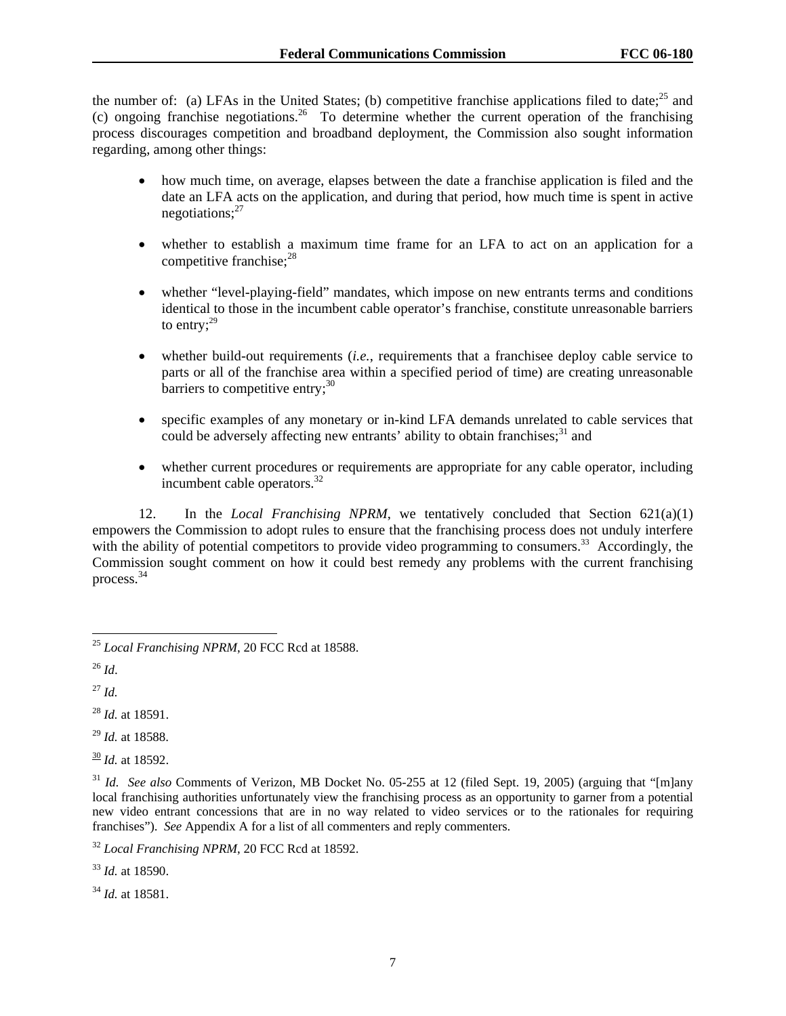the number of: (a) LFAs in the United States; (b) competitive franchise applications filed to date;  $^{25}$  and (c) ongoing franchise negotiations.<sup>26</sup> To determine whether the current operation of the franchising process discourages competition and broadband deployment, the Commission also sought information regarding, among other things:

- how much time, on average, elapses between the date a franchise application is filed and the date an LFA acts on the application, and during that period, how much time is spent in active negotiations; $^{27}$
- whether to establish a maximum time frame for an LFA to act on an application for a competitive franchise: $28$
- whether "level-playing-field" mandates, which impose on new entrants terms and conditions identical to those in the incumbent cable operator's franchise, constitute unreasonable barriers to entry; $^{29}$
- whether build-out requirements *(i.e., requirements that a franchisee deploy cable service to* parts or all of the franchise area within a specified period of time) are creating unreasonable barriers to competitive entry; $30$
- specific examples of any monetary or in-kind LFA demands unrelated to cable services that could be adversely affecting new entrants' ability to obtain franchises; $31$  and
- whether current procedures or requirements are appropriate for any cable operator, including incumbent cable operators. $32$

12. In the *Local Franchising NPRM*, we tentatively concluded that Section 621(a)(1) empowers the Commission to adopt rules to ensure that the franchising process does not unduly interfere with the ability of potential competitors to provide video programming to consumers.<sup>33</sup> Accordingly, the Commission sought comment on how it could best remedy any problems with the current franchising process.<sup>34</sup>

l

<sup>27</sup> *Id.*

<sup>28</sup> *Id.* at 18591.

<sup>29</sup> *Id.* at 18588.

 $\frac{30}{1}$ *Id.* at 18592.

<sup>33</sup> *Id.* at 18590.

<sup>34</sup> *Id.* at 18581.

<sup>25</sup> *Local Franchising NPRM*, 20 FCC Rcd at 18588.

 $^{26}$  *Id.* 

<sup>&</sup>lt;sup>31</sup> *Id. See also* Comments of Verizon, MB Docket No. 05-255 at 12 (filed Sept. 19, 2005) (arguing that "[m]any local franchising authorities unfortunately view the franchising process as an opportunity to garner from a potential new video entrant concessions that are in no way related to video services or to the rationales for requiring franchises"). *See* Appendix A for a list of all commenters and reply commenters.

<sup>32</sup> *Local Franchising NPRM*, 20 FCC Rcd at 18592.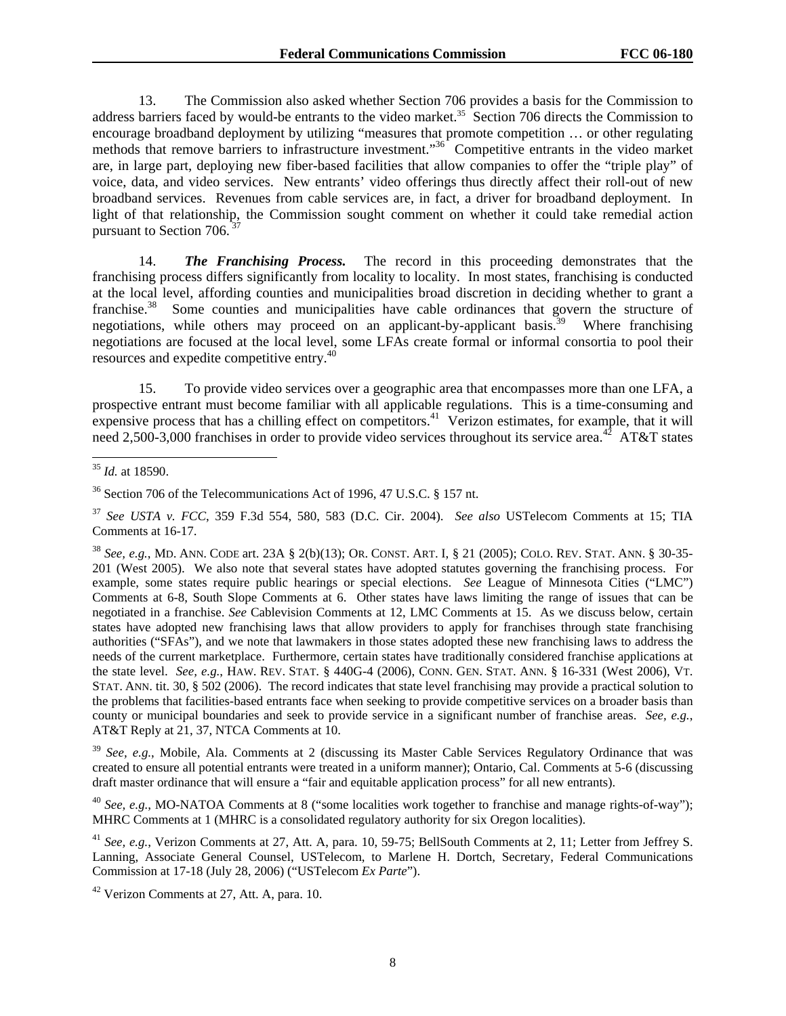13. The Commission also asked whether Section 706 provides a basis for the Commission to address barriers faced by would-be entrants to the video market.<sup>35</sup> Section 706 directs the Commission to encourage broadband deployment by utilizing "measures that promote competition … or other regulating methods that remove barriers to infrastructure investment."<sup>36</sup> Competitive entrants in the video market are, in large part, deploying new fiber-based facilities that allow companies to offer the "triple play" of voice, data, and video services. New entrants' video offerings thus directly affect their roll-out of new broadband services. Revenues from cable services are, in fact, a driver for broadband deployment. In light of that relationship, the Commission sought comment on whether it could take remedial action pursuant to Section 706.

14. *The Franchising Process.* The record in this proceeding demonstrates that the franchising process differs significantly from locality to locality. In most states, franchising is conducted at the local level, affording counties and municipalities broad discretion in deciding whether to grant a franchise.<sup>38</sup> Some counties and municipalities have cable ordinances that govern the structure of negotiations, while others may proceed on an applicant-by-applicant basis.<sup>39</sup> Where franchising negotiations are focused at the local level, some LFAs create formal or informal consortia to pool their resources and expedite competitive entry.40

15. To provide video services over a geographic area that encompasses more than one LFA, a prospective entrant must become familiar with all applicable regulations. This is a time-consuming and expensive process that has a chilling effect on competitors.<sup>41</sup> Verizon estimates, for example, that it will need 2,500-3,000 franchises in order to provide video services throughout its service area.<sup>42</sup> AT&T states

<sup>38</sup> *See, e.g.*, MD. ANN. CODE art. 23A § 2(b)(13); OR. CONST. ART. I, § 21 (2005); COLO. REV. STAT. ANN. § 30-35- 201 (West 2005). We also note that several states have adopted statutes governing the franchising process. For example, some states require public hearings or special elections. *See* League of Minnesota Cities ("LMC") Comments at 6-8, South Slope Comments at 6. Other states have laws limiting the range of issues that can be negotiated in a franchise. *See* Cablevision Comments at 12, LMC Comments at 15. As we discuss below, certain states have adopted new franchising laws that allow providers to apply for franchises through state franchising authorities ("SFAs"), and we note that lawmakers in those states adopted these new franchising laws to address the needs of the current marketplace. Furthermore, certain states have traditionally considered franchise applications at the state level. *See, e.g.*, HAW. REV. STAT. § 440G-4 (2006), CONN. GEN. STAT. ANN. § 16-331 (West 2006), VT. STAT. ANN. tit. 30, § 502 (2006). The record indicates that state level franchising may provide a practical solution to the problems that facilities-based entrants face when seeking to provide competitive services on a broader basis than county or municipal boundaries and seek to provide service in a significant number of franchise areas. *See, e.g.*, AT&T Reply at 21, 37, NTCA Comments at 10.

<sup>39</sup> *See, e.g.*, Mobile, Ala. Comments at 2 (discussing its Master Cable Services Regulatory Ordinance that was created to ensure all potential entrants were treated in a uniform manner); Ontario, Cal. Comments at 5-6 (discussing draft master ordinance that will ensure a "fair and equitable application process" for all new entrants).

<sup>40</sup> *See, e.g.*, MO-NATOA Comments at 8 ("some localities work together to franchise and manage rights-of-way"); MHRC Comments at 1 (MHRC is a consolidated regulatory authority for six Oregon localities).

<sup>41</sup> *See, e.g.*, Verizon Comments at 27, Att. A, para. 10, 59-75; BellSouth Comments at 2, 11; Letter from Jeffrey S. Lanning, Associate General Counsel, USTelecom, to Marlene H. Dortch, Secretary, Federal Communications Commission at 17-18 (July 28, 2006) ("USTelecom *Ex Parte*").

 $\overline{\phantom{a}}$ <sup>35</sup> *Id.* at 18590.

<sup>&</sup>lt;sup>36</sup> Section 706 of the Telecommunications Act of 1996, 47 U.S.C. § 157 nt.

<sup>37</sup> *See USTA v. FCC*, 359 F.3d 554, 580, 583 (D.C. Cir. 2004). *See also* USTelecom Comments at 15; TIA Comments at 16-17.

<sup>42</sup> Verizon Comments at 27, Att. A, para. 10.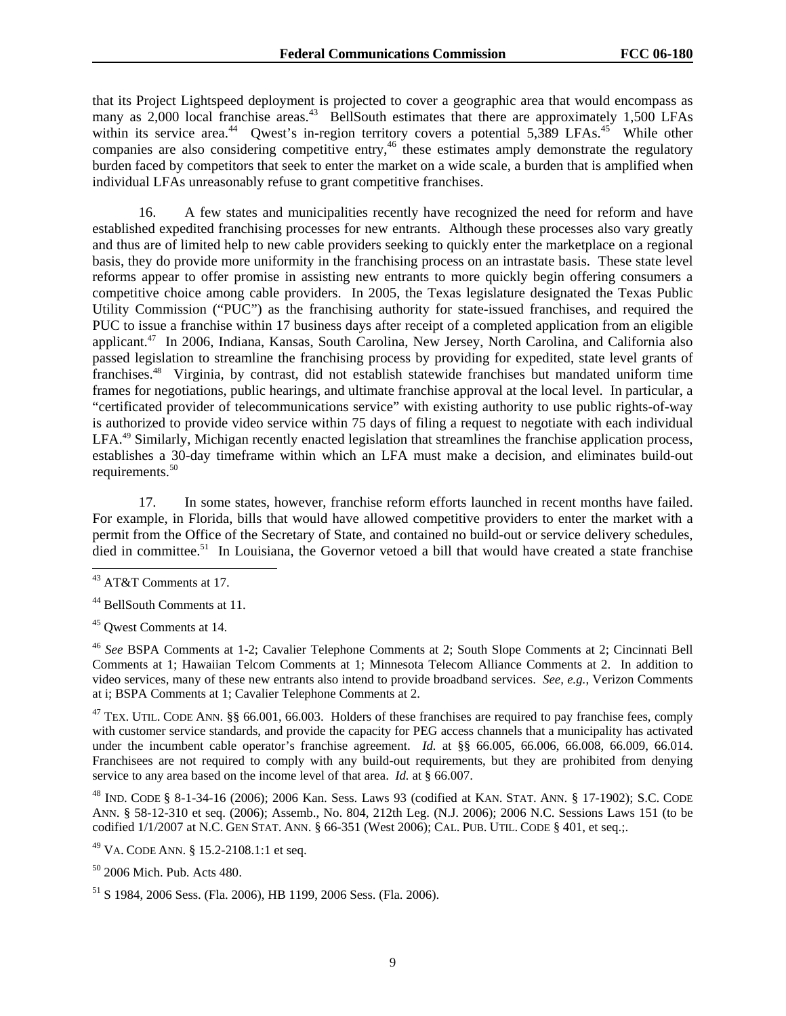that its Project Lightspeed deployment is projected to cover a geographic area that would encompass as many as 2,000 local franchise areas.<sup>43</sup> BellSouth estimates that there are approximately 1,500 LFAs within its service area.<sup>44</sup> Qwest's in-region territory covers a potential  $5,389$  LFAs.<sup>45</sup> While other companies are also considering competitive entry,<sup>46</sup> these estimates amply demonstrate the regulatory burden faced by competitors that seek to enter the market on a wide scale, a burden that is amplified when individual LFAs unreasonably refuse to grant competitive franchises.

16. A few states and municipalities recently have recognized the need for reform and have established expedited franchising processes for new entrants. Although these processes also vary greatly and thus are of limited help to new cable providers seeking to quickly enter the marketplace on a regional basis, they do provide more uniformity in the franchising process on an intrastate basis. These state level reforms appear to offer promise in assisting new entrants to more quickly begin offering consumers a competitive choice among cable providers. In 2005, the Texas legislature designated the Texas Public Utility Commission ("PUC") as the franchising authority for state-issued franchises, and required the PUC to issue a franchise within 17 business days after receipt of a completed application from an eligible applicant.47 In 2006, Indiana, Kansas, South Carolina, New Jersey, North Carolina, and California also passed legislation to streamline the franchising process by providing for expedited, state level grants of franchises.48 Virginia, by contrast, did not establish statewide franchises but mandated uniform time frames for negotiations, public hearings, and ultimate franchise approval at the local level. In particular, a "certificated provider of telecommunications service" with existing authority to use public rights-of-way is authorized to provide video service within 75 days of filing a request to negotiate with each individual LFA.<sup>49</sup> Similarly, Michigan recently enacted legislation that streamlines the franchise application process, establishes a 30-day timeframe within which an LFA must make a decision, and eliminates build-out requirements.<sup>50</sup>

17. In some states, however, franchise reform efforts launched in recent months have failed. For example, in Florida, bills that would have allowed competitive providers to enter the market with a permit from the Office of the Secretary of State, and contained no build-out or service delivery schedules, died in committee.<sup>51</sup> In Louisiana, the Governor vetoed a bill that would have created a state franchise

-

<sup>43</sup> AT&T Comments at 17.

<sup>44</sup> BellSouth Comments at 11.

<sup>45</sup> Qwest Comments at 14.

<sup>46</sup> *See* BSPA Comments at 1-2; Cavalier Telephone Comments at 2; South Slope Comments at 2; Cincinnati Bell Comments at 1; Hawaiian Telcom Comments at 1; Minnesota Telecom Alliance Comments at 2. In addition to video services, many of these new entrants also intend to provide broadband services. *See, e.g.*, Verizon Comments at i; BSPA Comments at 1; Cavalier Telephone Comments at 2.

<sup>&</sup>lt;sup>47</sup> TEX. UTIL. CODE ANN. §§ 66.001, 66.003. Holders of these franchises are required to pay franchise fees, comply with customer service standards, and provide the capacity for PEG access channels that a municipality has activated under the incumbent cable operator's franchise agreement. *Id.* at §§ 66.005, 66.006, 66.008, 66.009, 66.014. Franchisees are not required to comply with any build-out requirements, but they are prohibited from denying service to any area based on the income level of that area. *Id.* at § 66.007.

<sup>48</sup> IND. CODE § 8-1-34-16 (2006); 2006 Kan. Sess. Laws 93 (codified at KAN. STAT. ANN. § 17-1902); S.C. CODE ANN. § 58-12-310 et seq. (2006); Assemb., No. 804, 212th Leg. (N.J. 2006); 2006 N.C. Sessions Laws 151 (to be codified 1/1/2007 at N.C. GEN STAT. ANN. § 66-351 (West 2006); CAL. PUB. UTIL. CODE § 401, et seq.;.

<sup>49</sup> VA. CODE ANN. § 15.2-2108.1:1 et seq.

<sup>50 2006</sup> Mich. Pub. Acts 480.

<sup>51</sup> S 1984, 2006 Sess. (Fla. 2006), HB 1199, 2006 Sess. (Fla. 2006).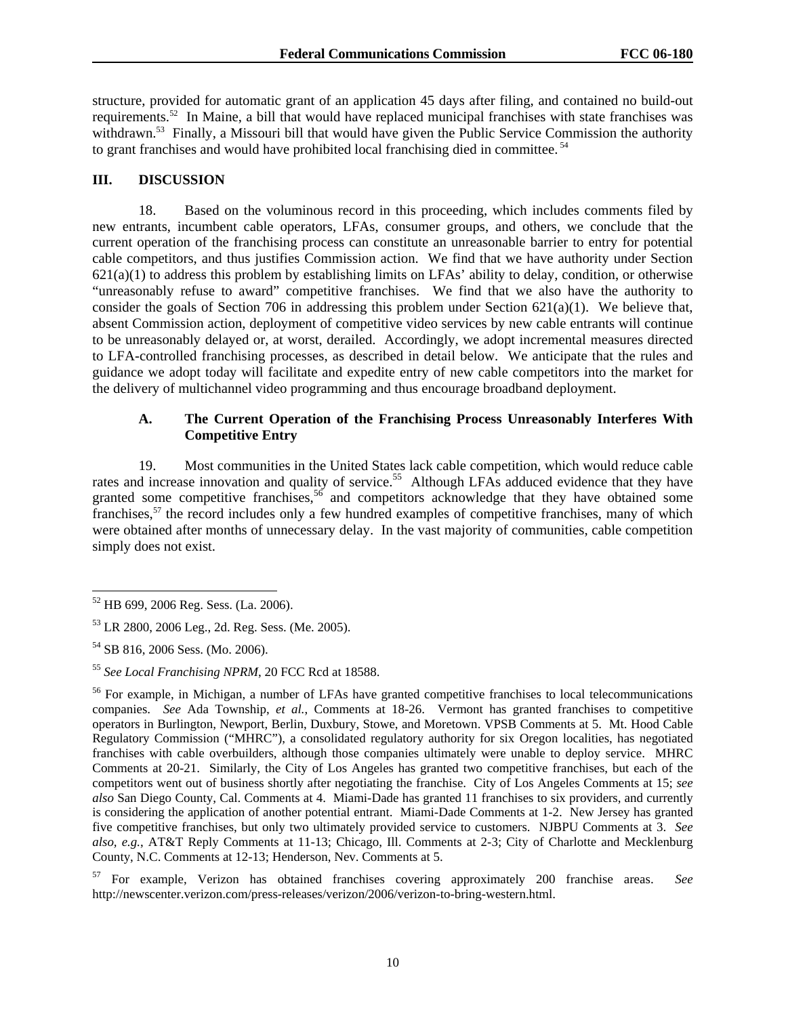structure, provided for automatic grant of an application 45 days after filing, and contained no build-out requirements.52 In Maine, a bill that would have replaced municipal franchises with state franchises was withdrawn.<sup>53</sup> Finally, a Missouri bill that would have given the Public Service Commission the authority to grant franchises and would have prohibited local franchising died in committee. 54

# **III. DISCUSSION**

18. Based on the voluminous record in this proceeding, which includes comments filed by new entrants, incumbent cable operators, LFAs, consumer groups, and others, we conclude that the current operation of the franchising process can constitute an unreasonable barrier to entry for potential cable competitors, and thus justifies Commission action. We find that we have authority under Section  $621(a)(1)$  to address this problem by establishing limits on LFAs' ability to delay, condition, or otherwise "unreasonably refuse to award" competitive franchises. We find that we also have the authority to consider the goals of Section 706 in addressing this problem under Section  $621(a)(1)$ . We believe that, absent Commission action, deployment of competitive video services by new cable entrants will continue to be unreasonably delayed or, at worst, derailed. Accordingly, we adopt incremental measures directed to LFA-controlled franchising processes, as described in detail below. We anticipate that the rules and guidance we adopt today will facilitate and expedite entry of new cable competitors into the market for the delivery of multichannel video programming and thus encourage broadband deployment.

# **A. The Current Operation of the Franchising Process Unreasonably Interferes With Competitive Entry**

19. Most communities in the United States lack cable competition, which would reduce cable rates and increase innovation and quality of service.<sup>55</sup> Although LFAs adduced evidence that they have granted some competitive franchises,  $56$  and competitors acknowledge that they have obtained some franchises,57 the record includes only a few hundred examples of competitive franchises, many of which were obtained after months of unnecessary delay. In the vast majority of communities, cable competition simply does not exist.

l 52 HB 699, 2006 Reg. Sess. (La. 2006).

<sup>53</sup> LR 2800, 2006 Leg., 2d. Reg. Sess. (Me. 2005).

<sup>54</sup> SB 816, 2006 Sess. (Mo. 2006).

<sup>55</sup> *See Local Franchising NPRM*, 20 FCC Rcd at 18588.

<sup>&</sup>lt;sup>56</sup> For example, in Michigan, a number of LFAs have granted competitive franchises to local telecommunications companies. *See* Ada Township, *et al.*, Comments at 18-26. Vermont has granted franchises to competitive operators in Burlington, Newport, Berlin, Duxbury, Stowe, and Moretown. VPSB Comments at 5. Mt. Hood Cable Regulatory Commission ("MHRC"), a consolidated regulatory authority for six Oregon localities, has negotiated franchises with cable overbuilders, although those companies ultimately were unable to deploy service. MHRC Comments at 20-21. Similarly, the City of Los Angeles has granted two competitive franchises, but each of the competitors went out of business shortly after negotiating the franchise. City of Los Angeles Comments at 15; *see also* San Diego County, Cal. Comments at 4. Miami-Dade has granted 11 franchises to six providers, and currently is considering the application of another potential entrant. Miami-Dade Comments at 1-2. New Jersey has granted five competitive franchises, but only two ultimately provided service to customers. NJBPU Comments at 3. *See also, e.g.*, AT&T Reply Comments at 11-13; Chicago, Ill. Comments at 2-3; City of Charlotte and Mecklenburg County, N.C. Comments at 12-13; Henderson, Nev. Comments at 5.

<sup>57</sup> For example, Verizon has obtained franchises covering approximately 200 franchise areas. *See* http://newscenter.verizon.com/press-releases/verizon/2006/verizon-to-bring-western.html.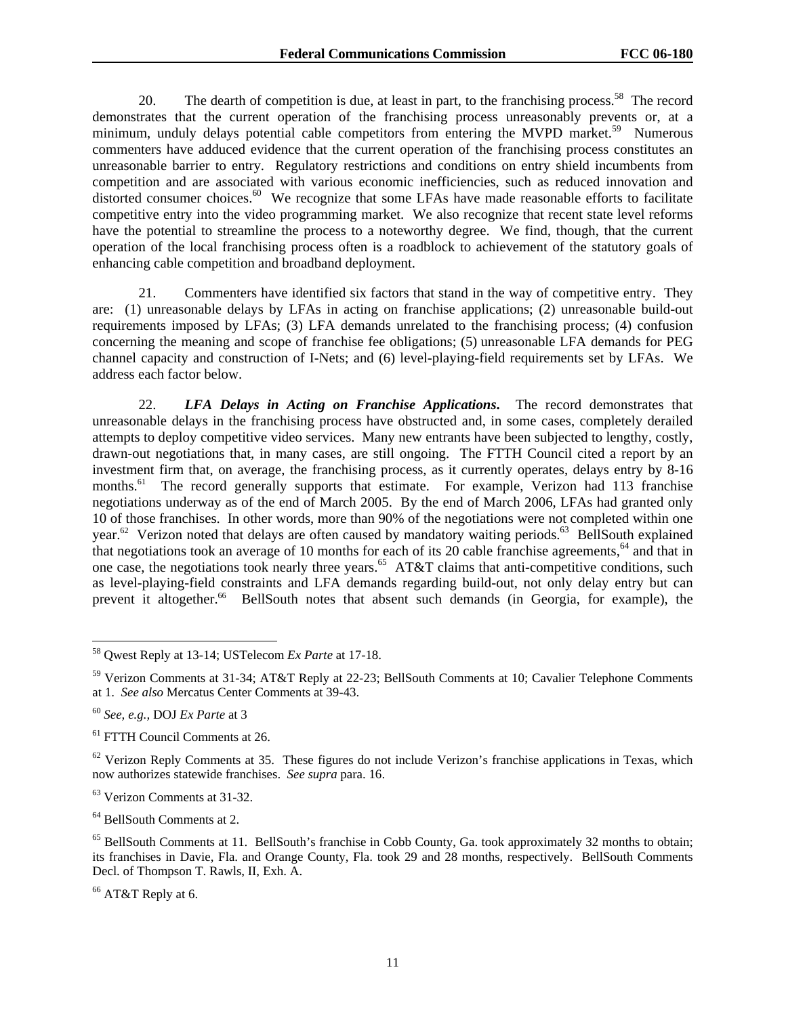20. The dearth of competition is due, at least in part, to the franchising process.<sup>58</sup> The record demonstrates that the current operation of the franchising process unreasonably prevents or, at a minimum, unduly delays potential cable competitors from entering the MVPD market.<sup>59</sup> Numerous commenters have adduced evidence that the current operation of the franchising process constitutes an unreasonable barrier to entry. Regulatory restrictions and conditions on entry shield incumbents from competition and are associated with various economic inefficiencies, such as reduced innovation and distorted consumer choices.<sup>60</sup> We recognize that some LFAs have made reasonable efforts to facilitate competitive entry into the video programming market. We also recognize that recent state level reforms have the potential to streamline the process to a noteworthy degree. We find, though, that the current operation of the local franchising process often is a roadblock to achievement of the statutory goals of enhancing cable competition and broadband deployment.

21. Commenters have identified six factors that stand in the way of competitive entry. They are: (1) unreasonable delays by LFAs in acting on franchise applications; (2) unreasonable build-out requirements imposed by LFAs; (3) LFA demands unrelated to the franchising process; (4) confusion concerning the meaning and scope of franchise fee obligations; (5) unreasonable LFA demands for PEG channel capacity and construction of I-Nets; and (6) level-playing-field requirements set by LFAs. We address each factor below.

22. *LFA Delays in Acting on Franchise Applications***.** The record demonstrates that unreasonable delays in the franchising process have obstructed and, in some cases, completely derailed attempts to deploy competitive video services. Many new entrants have been subjected to lengthy, costly, drawn-out negotiations that, in many cases, are still ongoing. The FTTH Council cited a report by an investment firm that, on average, the franchising process, as it currently operates, delays entry by 8-16 months.<sup>61</sup> The record generally supports that estimate. For example, Verizon had 113 franchise negotiations underway as of the end of March 2005. By the end of March 2006, LFAs had granted only 10 of those franchises. In other words, more than 90% of the negotiations were not completed within one year.<sup>62</sup> Verizon noted that delays are often caused by mandatory waiting periods.<sup>63</sup> BellSouth explained that negotiations took an average of 10 months for each of its 20 cable franchise agreements,<sup>64</sup> and that in one case, the negotiations took nearly three years.<sup>65</sup> AT&T claims that anti-competitive conditions, such as level-playing-field constraints and LFA demands regarding build-out, not only delay entry but can prevent it altogether.<sup>66</sup> BellSouth notes that absent such demands (in Georgia, for example), the

1

64 BellSouth Comments at 2.

<sup>58</sup> Qwest Reply at 13-14; USTelecom *Ex Parte* at 17-18.

<sup>59</sup> Verizon Comments at 31-34; AT&T Reply at 22-23; BellSouth Comments at 10; Cavalier Telephone Comments at 1. *See also* Mercatus Center Comments at 39-43.

<sup>60</sup> *See, e.g.,* DOJ *Ex Parte* at 3

<sup>61</sup> FTTH Council Comments at 26.

 $62$  Verizon Reply Comments at 35. These figures do not include Verizon's franchise applications in Texas, which now authorizes statewide franchises. *See supra* para. 16.

<sup>63</sup> Verizon Comments at 31-32.

<sup>&</sup>lt;sup>65</sup> BellSouth Comments at 11. BellSouth's franchise in Cobb County, Ga. took approximately 32 months to obtain; its franchises in Davie, Fla. and Orange County, Fla. took 29 and 28 months, respectively. BellSouth Comments Decl. of Thompson T. Rawls, II, Exh. A.

<sup>66</sup> AT&T Reply at 6.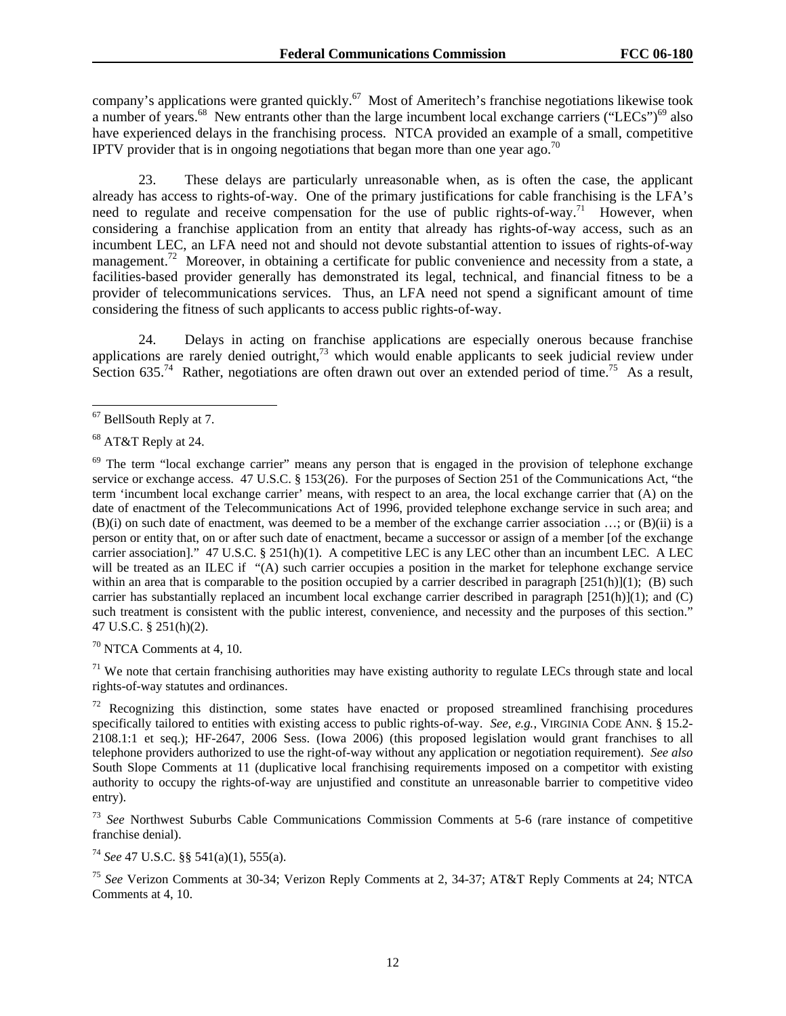company's applications were granted quickly.67 Most of Ameritech's franchise negotiations likewise took a number of years.<sup>68</sup> New entrants other than the large incumbent local exchange carriers ("LECs")<sup>69</sup> also have experienced delays in the franchising process. NTCA provided an example of a small, competitive IPTV provider that is in ongoing negotiations that began more than one year ago.<sup>70</sup>

23. These delays are particularly unreasonable when, as is often the case, the applicant already has access to rights-of-way. One of the primary justifications for cable franchising is the LFA's need to regulate and receive compensation for the use of public rights-of-way.<sup>71</sup> However, when considering a franchise application from an entity that already has rights-of-way access, such as an incumbent LEC, an LFA need not and should not devote substantial attention to issues of rights-of-way management.<sup>72</sup> Moreover, in obtaining a certificate for public convenience and necessity from a state, a facilities-based provider generally has demonstrated its legal, technical, and financial fitness to be a provider of telecommunications services. Thus, an LFA need not spend a significant amount of time considering the fitness of such applicants to access public rights-of-way.

24. Delays in acting on franchise applications are especially onerous because franchise applications are rarely denied outright, $73$  which would enable applicants to seek judicial review under Section 635.<sup>74</sup> Rather, negotiations are often drawn out over an extended period of time.<sup>75</sup> As a result,

 $70$  NTCA Comments at 4, 10.

 $71$  We note that certain franchising authorities may have existing authority to regulate LECs through state and local rights-of-way statutes and ordinances.

 $72$  Recognizing this distinction, some states have enacted or proposed streamlined franchising procedures specifically tailored to entities with existing access to public rights-of-way. *See, e.g.*, VIRGINIA CODE ANN. § 15.2- 2108.1:1 et seq.); HF-2647, 2006 Sess. (Iowa 2006) (this proposed legislation would grant franchises to all telephone providers authorized to use the right-of-way without any application or negotiation requirement). *See also*  South Slope Comments at 11 (duplicative local franchising requirements imposed on a competitor with existing authority to occupy the rights-of-way are unjustified and constitute an unreasonable barrier to competitive video entry).

<sup>73</sup> *See* Northwest Suburbs Cable Communications Commission Comments at 5-6 (rare instance of competitive franchise denial).

<sup>74</sup> *See* 47 U.S.C. §§ 541(a)(1), 555(a).

<sup>75</sup> *See* Verizon Comments at 30-34; Verizon Reply Comments at 2, 34-37; AT&T Reply Comments at 24; NTCA Comments at 4, 10.

l  $67$  BellSouth Reply at 7.

<sup>68</sup> AT&T Reply at 24.

 $69$  The term "local exchange carrier" means any person that is engaged in the provision of telephone exchange service or exchange access. 47 U.S.C. § 153(26). For the purposes of Section 251 of the Communications Act, "the term 'incumbent local exchange carrier' means, with respect to an area, the local exchange carrier that (A) on the date of enactment of the Telecommunications Act of 1996, provided telephone exchange service in such area; and (B)(i) on such date of enactment, was deemed to be a member of the exchange carrier association …; or (B)(ii) is a person or entity that, on or after such date of enactment, became a successor or assign of a member [of the exchange carrier association]." 47 U.S.C. § 251(h)(1). A competitive LEC is any LEC other than an incumbent LEC. A LEC will be treated as an ILEC if "(A) such carrier occupies a position in the market for telephone exchange service within an area that is comparable to the position occupied by a carrier described in paragraph  $[251(h)](1)$ ; (B) such carrier has substantially replaced an incumbent local exchange carrier described in paragraph  $[251(h)](1)$ ; and  $(C)$ such treatment is consistent with the public interest, convenience, and necessity and the purposes of this section." 47 U.S.C. § 251(h)(2).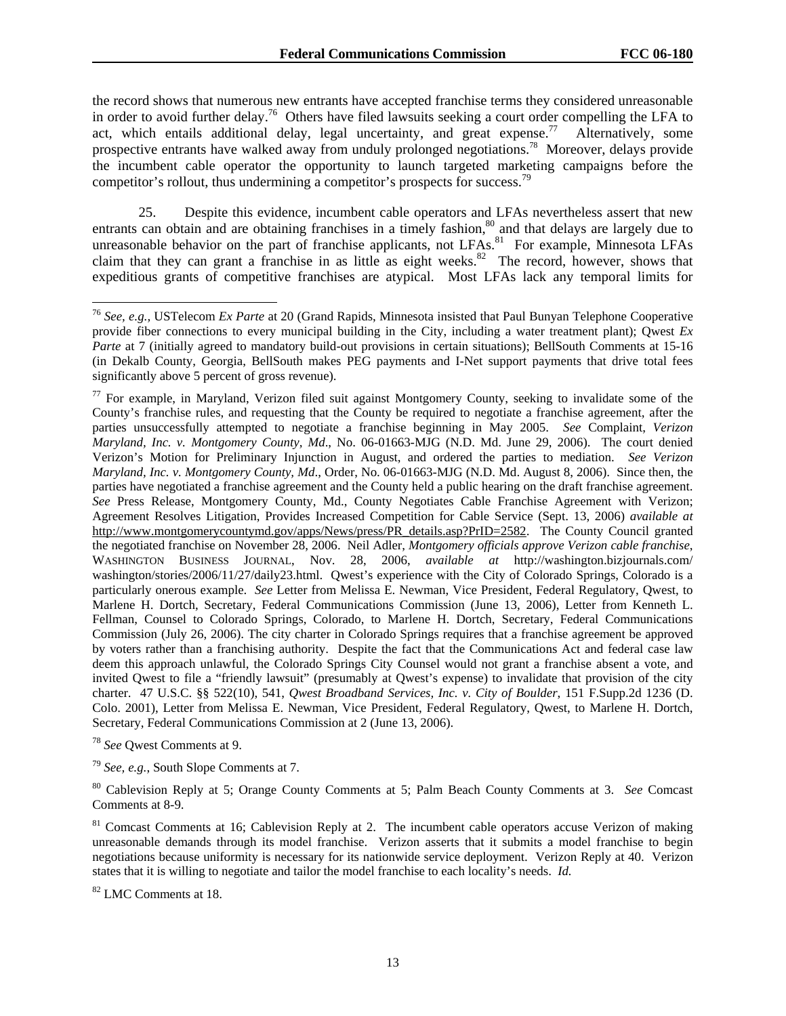the record shows that numerous new entrants have accepted franchise terms they considered unreasonable in order to avoid further delay.<sup>76</sup> Others have filed lawsuits seeking a court order compelling the LFA to act, which entails additional delay, legal uncertainty, and great expense.<sup>77</sup> Alternatively, some prospective entrants have walked away from unduly prolonged negotiations.78 Moreover, delays provide the incumbent cable operator the opportunity to launch targeted marketing campaigns before the competitor's rollout, thus undermining a competitor's prospects for success.<sup>79</sup>

25. Despite this evidence, incumbent cable operators and LFAs nevertheless assert that new entrants can obtain and are obtaining franchises in a timely fashion,<sup>80</sup> and that delays are largely due to unreasonable behavior on the part of franchise applicants, not LFAs.<sup>81</sup> For example, Minnesota LFAs claim that they can grant a franchise in as little as eight weeks. $82$  The record, however, shows that expeditious grants of competitive franchises are atypical. Most LFAs lack any temporal limits for

<sup>78</sup> *See* Qwest Comments at 9.

l

<sup>79</sup> *See, e.g.*, South Slope Comments at 7.

80 Cablevision Reply at 5; Orange County Comments at 5; Palm Beach County Comments at 3. *See* Comcast Comments at 8-9.

<sup>81</sup> Comcast Comments at 16; Cablevision Reply at 2. The incumbent cable operators accuse Verizon of making unreasonable demands through its model franchise. Verizon asserts that it submits a model franchise to begin negotiations because uniformity is necessary for its nationwide service deployment. Verizon Reply at 40. Verizon states that it is willing to negotiate and tailor the model franchise to each locality's needs. *Id.* 

<sup>82</sup> LMC Comments at 18.

<sup>76</sup> *See, e.g.,* USTelecom *Ex Parte* at 20 (Grand Rapids, Minnesota insisted that Paul Bunyan Telephone Cooperative provide fiber connections to every municipal building in the City, including a water treatment plant); Qwest *Ex Parte* at 7 (initially agreed to mandatory build-out provisions in certain situations); BellSouth Comments at 15-16 (in Dekalb County, Georgia, BellSouth makes PEG payments and I-Net support payments that drive total fees significantly above 5 percent of gross revenue).

 $77$  For example, in Maryland, Verizon filed suit against Montgomery County, seeking to invalidate some of the County's franchise rules, and requesting that the County be required to negotiate a franchise agreement, after the parties unsuccessfully attempted to negotiate a franchise beginning in May 2005. *See* Complaint, *Verizon Maryland, Inc. v. Montgomery County, Md*., No. 06-01663-MJG (N.D. Md. June 29, 2006). The court denied Verizon's Motion for Preliminary Injunction in August, and ordered the parties to mediation. *See Verizon Maryland, Inc. v. Montgomery County, Md*., Order, No. 06-01663-MJG (N.D. Md. August 8, 2006). Since then, the parties have negotiated a franchise agreement and the County held a public hearing on the draft franchise agreement. *See* Press Release, Montgomery County, Md., County Negotiates Cable Franchise Agreement with Verizon; Agreement Resolves Litigation, Provides Increased Competition for Cable Service (Sept. 13, 2006) *available at*  http://www.montgomerycountymd.gov/apps/News/press/PR\_details.asp?PrID=2582. The County Council granted the negotiated franchise on November 28, 2006. Neil Adler, *Montgomery officials approve Verizon cable franchise*, WASHINGTON BUSINESS JOURNAL, Nov. 28, 2006, *available at* http://washington.bizjournals.com/ washington/stories/2006/11/27/daily23.html. Qwest's experience with the City of Colorado Springs, Colorado is a particularly onerous example. *See* Letter from Melissa E. Newman, Vice President, Federal Regulatory, Qwest, to Marlene H. Dortch, Secretary, Federal Communications Commission (June 13, 2006), Letter from Kenneth L. Fellman, Counsel to Colorado Springs, Colorado, to Marlene H. Dortch, Secretary, Federal Communications Commission (July 26, 2006). The city charter in Colorado Springs requires that a franchise agreement be approved by voters rather than a franchising authority. Despite the fact that the Communications Act and federal case law deem this approach unlawful, the Colorado Springs City Counsel would not grant a franchise absent a vote, and invited Qwest to file a "friendly lawsuit" (presumably at Qwest's expense) to invalidate that provision of the city charter. 47 U.S.C. §§ 522(10), 541, *Qwest Broadband Services, Inc. v. City of Boulder*, 151 F.Supp.2d 1236 (D. Colo. 2001), Letter from Melissa E. Newman, Vice President, Federal Regulatory, Qwest, to Marlene H. Dortch, Secretary, Federal Communications Commission at 2 (June 13, 2006).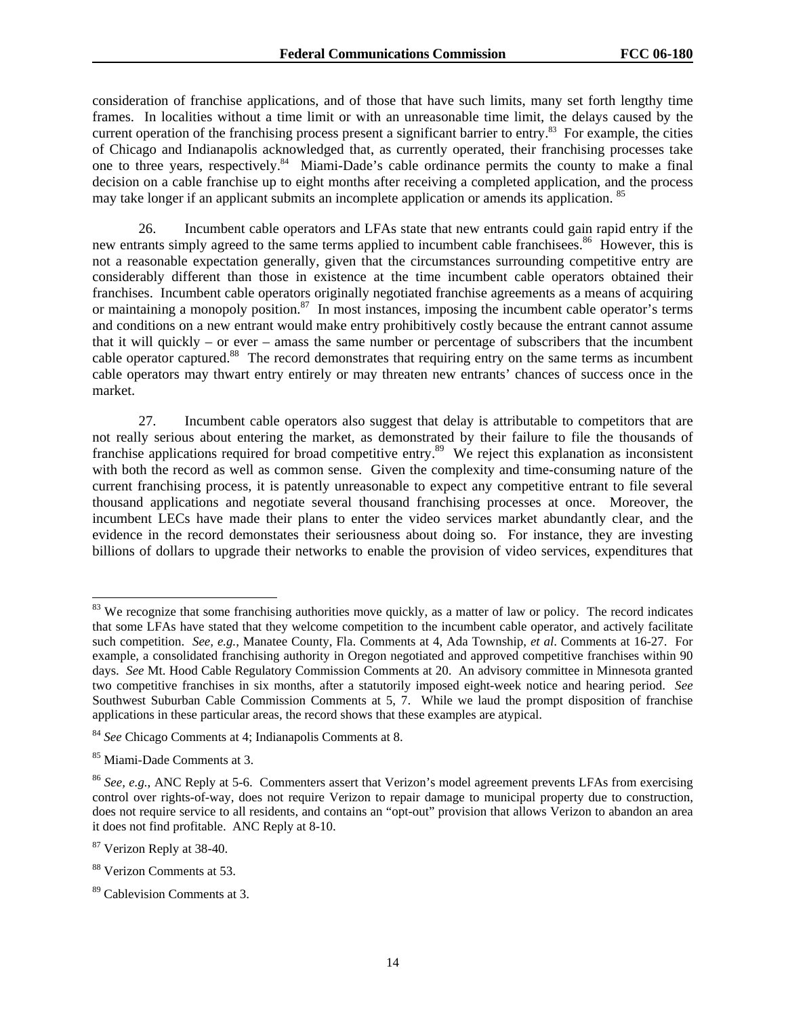consideration of franchise applications, and of those that have such limits, many set forth lengthy time frames. In localities without a time limit or with an unreasonable time limit, the delays caused by the current operation of the franchising process present a significant barrier to entry.<sup>83</sup> For example, the cities of Chicago and Indianapolis acknowledged that, as currently operated, their franchising processes take one to three years, respectively.<sup>84</sup> Miami-Dade's cable ordinance permits the county to make a final decision on a cable franchise up to eight months after receiving a completed application, and the process may take longer if an applicant submits an incomplete application or amends its application. <sup>85</sup>

26. Incumbent cable operators and LFAs state that new entrants could gain rapid entry if the new entrants simply agreed to the same terms applied to incumbent cable franchisees.<sup>86</sup> However, this is not a reasonable expectation generally, given that the circumstances surrounding competitive entry are considerably different than those in existence at the time incumbent cable operators obtained their franchises. Incumbent cable operators originally negotiated franchise agreements as a means of acquiring or maintaining a monopoly position.<sup>87</sup> In most instances, imposing the incumbent cable operator's terms and conditions on a new entrant would make entry prohibitively costly because the entrant cannot assume that it will quickly – or ever – amass the same number or percentage of subscribers that the incumbent cable operator captured.<sup>88</sup> The record demonstrates that requiring entry on the same terms as incumbent cable operators may thwart entry entirely or may threaten new entrants' chances of success once in the market.

27. Incumbent cable operators also suggest that delay is attributable to competitors that are not really serious about entering the market, as demonstrated by their failure to file the thousands of franchise applications required for broad competitive entry.<sup>89</sup> We reject this explanation as inconsistent with both the record as well as common sense. Given the complexity and time-consuming nature of the current franchising process, it is patently unreasonable to expect any competitive entrant to file several thousand applications and negotiate several thousand franchising processes at once. Moreover, the incumbent LECs have made their plans to enter the video services market abundantly clear, and the evidence in the record demonstates their seriousness about doing so. For instance, they are investing billions of dollars to upgrade their networks to enable the provision of video services, expenditures that

l

<sup>&</sup>lt;sup>83</sup> We recognize that some franchising authorities move quickly, as a matter of law or policy. The record indicates that some LFAs have stated that they welcome competition to the incumbent cable operator, and actively facilitate such competition. *See, e.g.*, Manatee County, Fla. Comments at 4, Ada Township, *et al*. Comments at 16-27. For example, a consolidated franchising authority in Oregon negotiated and approved competitive franchises within 90 days. *See* Mt. Hood Cable Regulatory Commission Comments at 20. An advisory committee in Minnesota granted two competitive franchises in six months, after a statutorily imposed eight-week notice and hearing period. *See* Southwest Suburban Cable Commission Comments at 5, 7. While we laud the prompt disposition of franchise applications in these particular areas, the record shows that these examples are atypical.

<sup>84</sup> *See* Chicago Comments at 4; Indianapolis Comments at 8.

<sup>85</sup> Miami-Dade Comments at 3.

<sup>86</sup> *See, e.g.*, ANC Reply at 5-6. Commenters assert that Verizon's model agreement prevents LFAs from exercising control over rights-of-way, does not require Verizon to repair damage to municipal property due to construction, does not require service to all residents, and contains an "opt-out" provision that allows Verizon to abandon an area it does not find profitable. ANC Reply at 8-10.

<sup>87</sup> Verizon Reply at 38-40.

<sup>88</sup> Verizon Comments at 53.

<sup>89</sup> Cablevision Comments at 3.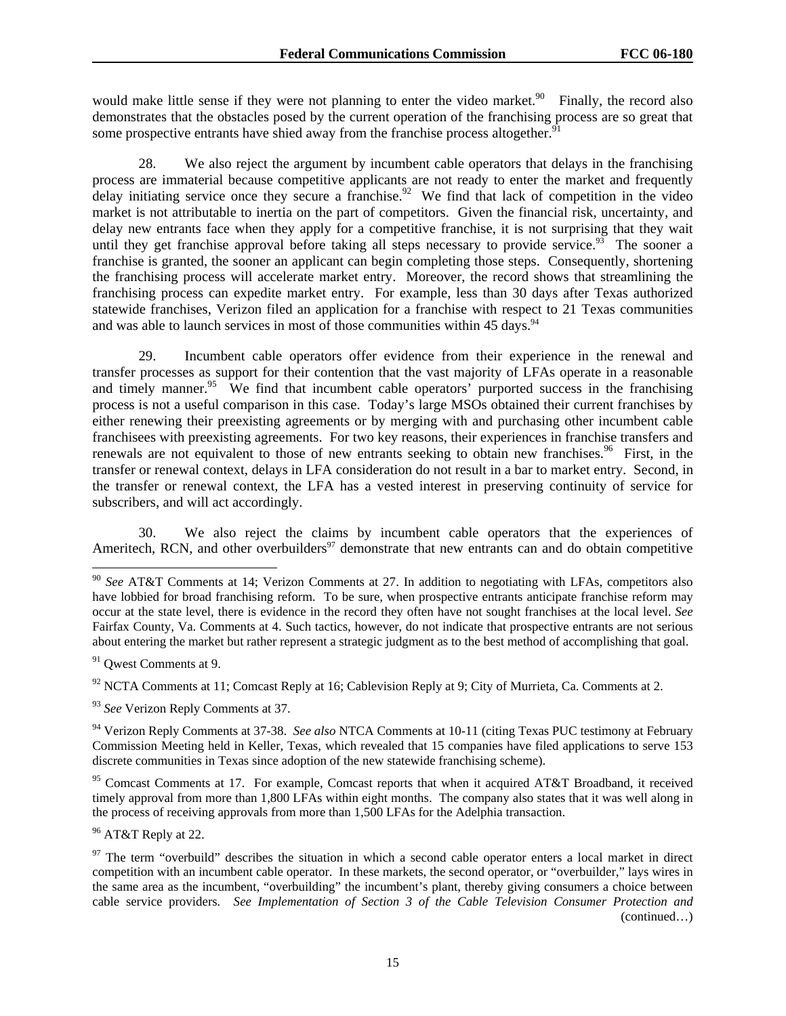would make little sense if they were not planning to enter the video market.<sup>90</sup> Finally, the record also demonstrates that the obstacles posed by the current operation of the franchising process are so great that some prospective entrants have shied away from the franchise process altogether.<sup>91</sup>

28. We also reject the argument by incumbent cable operators that delays in the franchising process are immaterial because competitive applicants are not ready to enter the market and frequently delay initiating service once they secure a franchise.<sup>92</sup> We find that lack of competition in the video market is not attributable to inertia on the part of competitors. Given the financial risk, uncertainty, and delay new entrants face when they apply for a competitive franchise, it is not surprising that they wait until they get franchise approval before taking all steps necessary to provide service.<sup>93</sup> The sooner a franchise is granted, the sooner an applicant can begin completing those steps. Consequently, shortening the franchising process will accelerate market entry. Moreover, the record shows that streamlining the franchising process can expedite market entry. For example, less than 30 days after Texas authorized statewide franchises, Verizon filed an application for a franchise with respect to 21 Texas communities and was able to launch services in most of those communities within 45 days.<sup>94</sup>

29. Incumbent cable operators offer evidence from their experience in the renewal and transfer processes as support for their contention that the vast majority of LFAs operate in a reasonable and timely manner.<sup>95</sup> We find that incumbent cable operators' purported success in the franchising process is not a useful comparison in this case. Today's large MSOs obtained their current franchises by either renewing their preexisting agreements or by merging with and purchasing other incumbent cable franchisees with preexisting agreements. For two key reasons, their experiences in franchise transfers and renewals are not equivalent to those of new entrants seeking to obtain new franchises.<sup>96</sup> First, in the transfer or renewal context, delays in LFA consideration do not result in a bar to market entry. Second, in the transfer or renewal context, the LFA has a vested interest in preserving continuity of service for subscribers, and will act accordingly.

30. We also reject the claims by incumbent cable operators that the experiences of Ameritech, RCN, and other overbuilders<sup>97</sup> demonstrate that new entrants can and do obtain competitive

l

<sup>93</sup> See Verizon Reply Comments at 37.

94 Verizon Reply Comments at 37-38. *See also* NTCA Comments at 10-11 (citing Texas PUC testimony at February Commission Meeting held in Keller, Texas, which revealed that 15 companies have filed applications to serve 153 discrete communities in Texas since adoption of the new statewide franchising scheme).

<sup>95</sup> Comcast Comments at 17. For example, Comcast reports that when it acquired AT&T Broadband, it received timely approval from more than 1,800 LFAs within eight months. The company also states that it was well along in the process of receiving approvals from more than 1,500 LFAs for the Adelphia transaction.

<sup>96</sup> AT&T Reply at 22.

<sup>90</sup> *See* AT&T Comments at 14; Verizon Comments at 27. In addition to negotiating with LFAs, competitors also have lobbied for broad franchising reform. To be sure, when prospective entrants anticipate franchise reform may occur at the state level, there is evidence in the record they often have not sought franchises at the local level. *See* Fairfax County, Va. Comments at 4. Such tactics, however, do not indicate that prospective entrants are not serious about entering the market but rather represent a strategic judgment as to the best method of accomplishing that goal.

<sup>&</sup>lt;sup>91</sup> Qwest Comments at 9.

 $92$  NCTA Comments at 11; Comcast Reply at 16; Cablevision Reply at 9; City of Murrieta, Ca. Comments at 2.

 $97$  The term "overbuild" describes the situation in which a second cable operator enters a local market in direct competition with an incumbent cable operator. In these markets, the second operator, or "overbuilder," lays wires in the same area as the incumbent, "overbuilding" the incumbent's plant, thereby giving consumers a choice between cable service providers*. See Implementation of Section 3 of the Cable Television Consumer Protection and*  (continued…)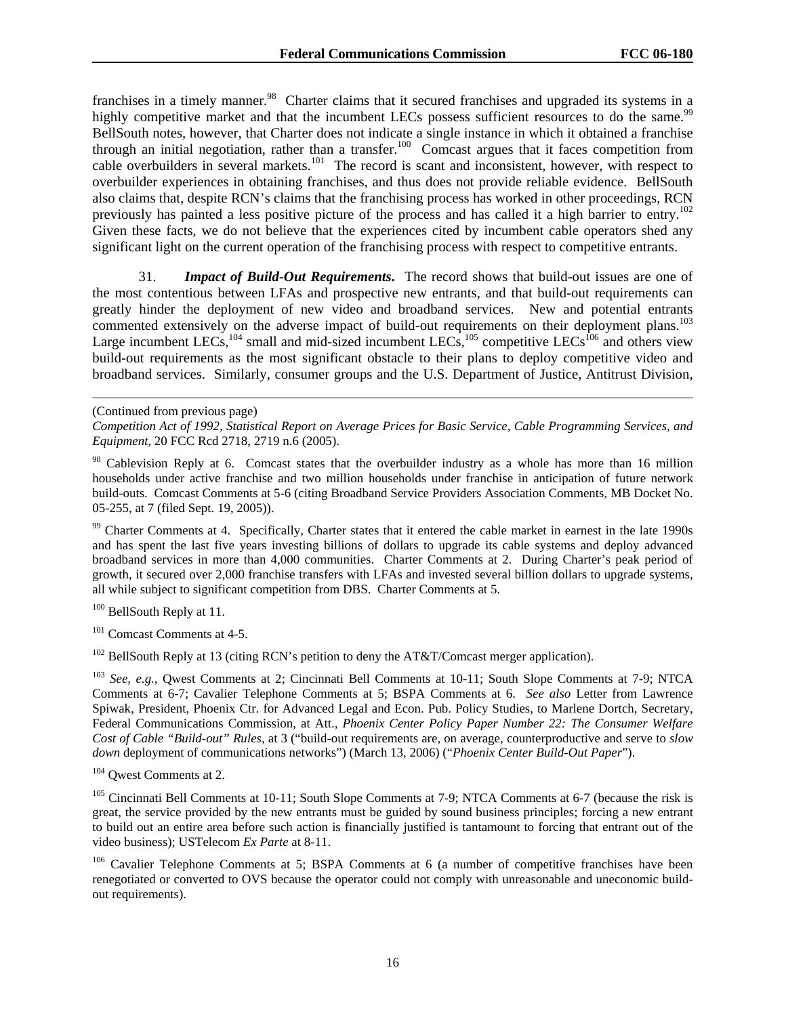franchises in a timely manner.<sup>98</sup> Charter claims that it secured franchises and upgraded its systems in a highly competitive market and that the incumbent LECs possess sufficient resources to do the same.<sup>99</sup> BellSouth notes, however, that Charter does not indicate a single instance in which it obtained a franchise through an initial negotiation, rather than a transfer.<sup>100</sup> Comcast argues that it faces competition from cable overbuilders in several markets.<sup>101</sup> The record is scant and inconsistent, however, with respect to overbuilder experiences in obtaining franchises, and thus does not provide reliable evidence. BellSouth also claims that, despite RCN's claims that the franchising process has worked in other proceedings, RCN previously has painted a less positive picture of the process and has called it a high barrier to entry.<sup>102</sup> Given these facts, we do not believe that the experiences cited by incumbent cable operators shed any significant light on the current operation of the franchising process with respect to competitive entrants.

31. *Impact of Build-Out Requirements***.** The record shows that build-out issues are one of the most contentious between LFAs and prospective new entrants, and that build-out requirements can greatly hinder the deployment of new video and broadband services. New and potential entrants commented extensively on the adverse impact of build-out requirements on their deployment plans.<sup>103</sup> Large incumbent LECs,<sup>104</sup> small and mid-sized incumbent LECs,<sup>105</sup> competitive LECs<sup>106</sup> and others view build-out requirements as the most significant obstacle to their plans to deploy competitive video and broadband services. Similarly, consumer groups and the U.S. Department of Justice, Antitrust Division,

 $\overline{a}$ 

<sup>99</sup> Charter Comments at 4. Specifically, Charter states that it entered the cable market in earnest in the late 1990s and has spent the last five years investing billions of dollars to upgrade its cable systems and deploy advanced broadband services in more than 4,000 communities. Charter Comments at 2. During Charter's peak period of growth, it secured over 2,000 franchise transfers with LFAs and invested several billion dollars to upgrade systems, all while subject to significant competition from DBS. Charter Comments at 5.

<sup>100</sup> BellSouth Reply at 11.

<sup>101</sup> Comcast Comments at 4-5.

 $102$  BellSouth Reply at 13 (citing RCN's petition to deny the AT&T/Comcast merger application).

<sup>103</sup> *See, e.g.*, Qwest Comments at 2; Cincinnati Bell Comments at 10-11; South Slope Comments at 7-9; NTCA Comments at 6-7; Cavalier Telephone Comments at 5; BSPA Comments at 6. *See also* Letter from Lawrence Spiwak, President, Phoenix Ctr. for Advanced Legal and Econ. Pub. Policy Studies, to Marlene Dortch, Secretary, Federal Communications Commission, at Att., *Phoenix Center Policy Paper Number 22: The Consumer Welfare Cost of Cable "Build-out" Rules*, at 3 ("build-out requirements are, on average, counterproductive and serve to *slow down* deployment of communications networks") (March 13, 2006) ("*Phoenix Center Build-Out Paper*").

104 Qwest Comments at 2.

<sup>105</sup> Cincinnati Bell Comments at 10-11; South Slope Comments at 7-9; NTCA Comments at 6-7 (because the risk is great, the service provided by the new entrants must be guided by sound business principles; forcing a new entrant to build out an entire area before such action is financially justified is tantamount to forcing that entrant out of the video business); USTelecom *Ex Parte* at 8-11.

<sup>106</sup> Cavalier Telephone Comments at 5; BSPA Comments at 6 (a number of competitive franchises have been renegotiated or converted to OVS because the operator could not comply with unreasonable and uneconomic buildout requirements).

<sup>(</sup>Continued from previous page)

*Competition Act of 1992, Statistical Report on Average Prices for Basic Service, Cable Programming Services, and Equipment*, 20 FCC Rcd 2718, 2719 n.6 (2005).

<sup>&</sup>lt;sup>98</sup> Cablevision Reply at 6. Comcast states that the overbuilder industry as a whole has more than 16 million households under active franchise and two million households under franchise in anticipation of future network build-outs. Comcast Comments at 5-6 (citing Broadband Service Providers Association Comments, MB Docket No. 05-255, at 7 (filed Sept. 19, 2005)).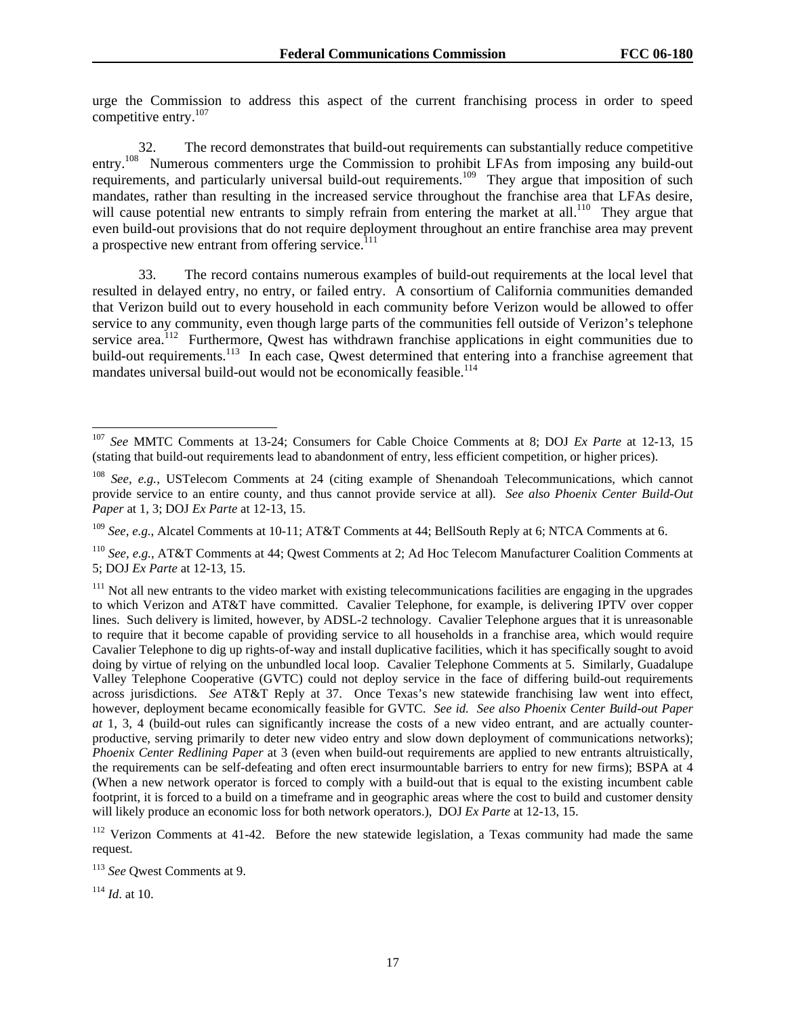urge the Commission to address this aspect of the current franchising process in order to speed competitive entry.107

32. The record demonstrates that build-out requirements can substantially reduce competitive entry.<sup>108</sup> Numerous commenters urge the Commission to prohibit LFAs from imposing any build-out requirements, and particularly universal build-out requirements.<sup>109</sup> They argue that imposition of such mandates, rather than resulting in the increased service throughout the franchise area that LFAs desire, will cause potential new entrants to simply refrain from entering the market at all.<sup>110</sup> They argue that even build-out provisions that do not require deployment throughout an entire franchise area may prevent a prospective new entrant from offering service.<sup> $111$ </sup>

33. The record contains numerous examples of build-out requirements at the local level that resulted in delayed entry, no entry, or failed entry. A consortium of California communities demanded that Verizon build out to every household in each community before Verizon would be allowed to offer service to any community, even though large parts of the communities fell outside of Verizon's telephone service area.<sup>112</sup> Furthermore, Qwest has withdrawn franchise applications in eight communities due to build-out requirements.<sup>113</sup> In each case, Qwest determined that entering into a franchise agreement that mandates universal build-out would not be economically feasible.<sup>114</sup>

<sup>109</sup> *See, e.g.*, Alcatel Comments at 10-11; AT&T Comments at 44; BellSouth Reply at 6; NTCA Comments at 6.

<sup>114</sup> *Id*. at 10.

l

<sup>107</sup> *See* MMTC Comments at 13-24; Consumers for Cable Choice Comments at 8; DOJ *Ex Parte* at 12-13, 15 (stating that build-out requirements lead to abandonment of entry, less efficient competition, or higher prices).

<sup>108</sup> *See, e.g.*, USTelecom Comments at 24 (citing example of Shenandoah Telecommunications, which cannot provide service to an entire county, and thus cannot provide service at all). *See also Phoenix Center Build-Out Paper* at 1, 3; DOJ *Ex Parte* at 12-13, 15.

<sup>110</sup> *See, e.g.*, AT&T Comments at 44; Qwest Comments at 2; Ad Hoc Telecom Manufacturer Coalition Comments at 5; DOJ *Ex Parte* at 12-13, 15.

 $111$  Not all new entrants to the video market with existing telecommunications facilities are engaging in the upgrades to which Verizon and AT&T have committed. Cavalier Telephone, for example, is delivering IPTV over copper lines. Such delivery is limited, however, by ADSL-2 technology. Cavalier Telephone argues that it is unreasonable to require that it become capable of providing service to all households in a franchise area, which would require Cavalier Telephone to dig up rights-of-way and install duplicative facilities, which it has specifically sought to avoid doing by virtue of relying on the unbundled local loop. Cavalier Telephone Comments at 5. Similarly, Guadalupe Valley Telephone Cooperative (GVTC) could not deploy service in the face of differing build-out requirements across jurisdictions. *See* AT&T Reply at 37. Once Texas's new statewide franchising law went into effect, however, deployment became economically feasible for GVTC. *See id. See also Phoenix Center Build-out Paper at* 1, 3, 4 (build-out rules can significantly increase the costs of a new video entrant, and are actually counterproductive, serving primarily to deter new video entry and slow down deployment of communications networks); *Phoenix Center Redlining Paper* at 3 (even when build-out requirements are applied to new entrants altruistically, the requirements can be self-defeating and often erect insurmountable barriers to entry for new firms); BSPA at 4 (When a new network operator is forced to comply with a build-out that is equal to the existing incumbent cable footprint, it is forced to a build on a timeframe and in geographic areas where the cost to build and customer density will likely produce an economic loss for both network operators.), DOJ *Ex Parte* at 12-13, 15.

<sup>&</sup>lt;sup>112</sup> Verizon Comments at 41-42. Before the new statewide legislation, a Texas community had made the same request.

<sup>113</sup> *See* Qwest Comments at 9.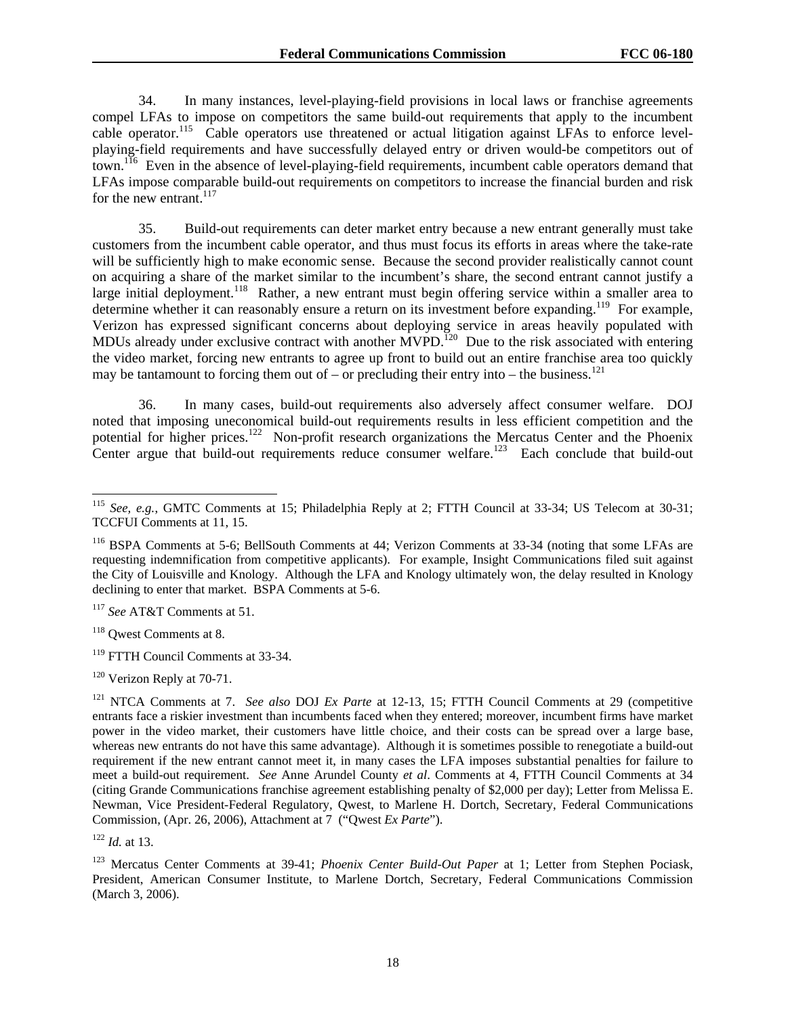34. In many instances, level-playing-field provisions in local laws or franchise agreements compel LFAs to impose on competitors the same build-out requirements that apply to the incumbent cable operator.<sup>115</sup> Cable operators use threatened or actual litigation against LFAs to enforce levelplaying-field requirements and have successfully delayed entry or driven would-be competitors out of town.<sup>116</sup> Even in the absence of level-playing-field requirements, incumbent cable operators demand that LFAs impose comparable build-out requirements on competitors to increase the financial burden and risk for the new entrant. $117$ 

35. Build-out requirements can deter market entry because a new entrant generally must take customers from the incumbent cable operator, and thus must focus its efforts in areas where the take-rate will be sufficiently high to make economic sense. Because the second provider realistically cannot count on acquiring a share of the market similar to the incumbent's share, the second entrant cannot justify a large initial deployment.<sup>118</sup> Rather, a new entrant must begin offering service within a smaller area to determine whether it can reasonably ensure a return on its investment before expanding.<sup>119</sup> For example, Verizon has expressed significant concerns about deploying service in areas heavily populated with MDUs already under exclusive contract with another  $MVPD$ .<sup>120</sup> Due to the risk associated with entering the video market, forcing new entrants to agree up front to build out an entire franchise area too quickly may be tantamount to forcing them out of – or precluding their entry into – the business.<sup>121</sup>

36. In many cases, build-out requirements also adversely affect consumer welfare. DOJ noted that imposing uneconomical build-out requirements results in less efficient competition and the potential for higher prices.<sup>122</sup> Non-profit research organizations the Mercatus Center and the Phoenix Center argue that build-out requirements reduce consumer welfare.<sup>123</sup> Each conclude that build-out

<sup>118</sup> Qwest Comments at 8.

<sup>119</sup> FTTH Council Comments at 33-34.

<sup>122</sup> *Id.* at 13.

 $\overline{\phantom{a}}$ <sup>115</sup> *See, e.g.*, GMTC Comments at 15; Philadelphia Reply at 2; FTTH Council at 33-34; US Telecom at 30-31; TCCFUI Comments at 11, 15.

<sup>116</sup> BSPA Comments at 5-6; BellSouth Comments at 44; Verizon Comments at 33-34 (noting that some LFAs are requesting indemnification from competitive applicants). For example, Insight Communications filed suit against the City of Louisville and Knology. Although the LFA and Knology ultimately won, the delay resulted in Knology declining to enter that market. BSPA Comments at 5-6.

<sup>117</sup> *See* AT&T Comments at 51.

<sup>&</sup>lt;sup>120</sup> Verizon Reply at 70-71.

<sup>121</sup> NTCA Comments at 7. *See also* DOJ *Ex Parte* at 12-13, 15; FTTH Council Comments at 29 (competitive entrants face a riskier investment than incumbents faced when they entered; moreover, incumbent firms have market power in the video market, their customers have little choice, and their costs can be spread over a large base, whereas new entrants do not have this same advantage). Although it is sometimes possible to renegotiate a build-out requirement if the new entrant cannot meet it, in many cases the LFA imposes substantial penalties for failure to meet a build-out requirement. *See* Anne Arundel County *et al*. Comments at 4, FTTH Council Comments at 34 (citing Grande Communications franchise agreement establishing penalty of \$2,000 per day); Letter from Melissa E. Newman, Vice President-Federal Regulatory, Qwest, to Marlene H. Dortch, Secretary, Federal Communications Commission, (Apr. 26, 2006), Attachment at 7 ("Qwest *Ex Parte*").

<sup>123</sup> Mercatus Center Comments at 39-41; *Phoenix Center Build-Out Paper* at 1; Letter from Stephen Pociask, President, American Consumer Institute, to Marlene Dortch, Secretary, Federal Communications Commission (March 3, 2006).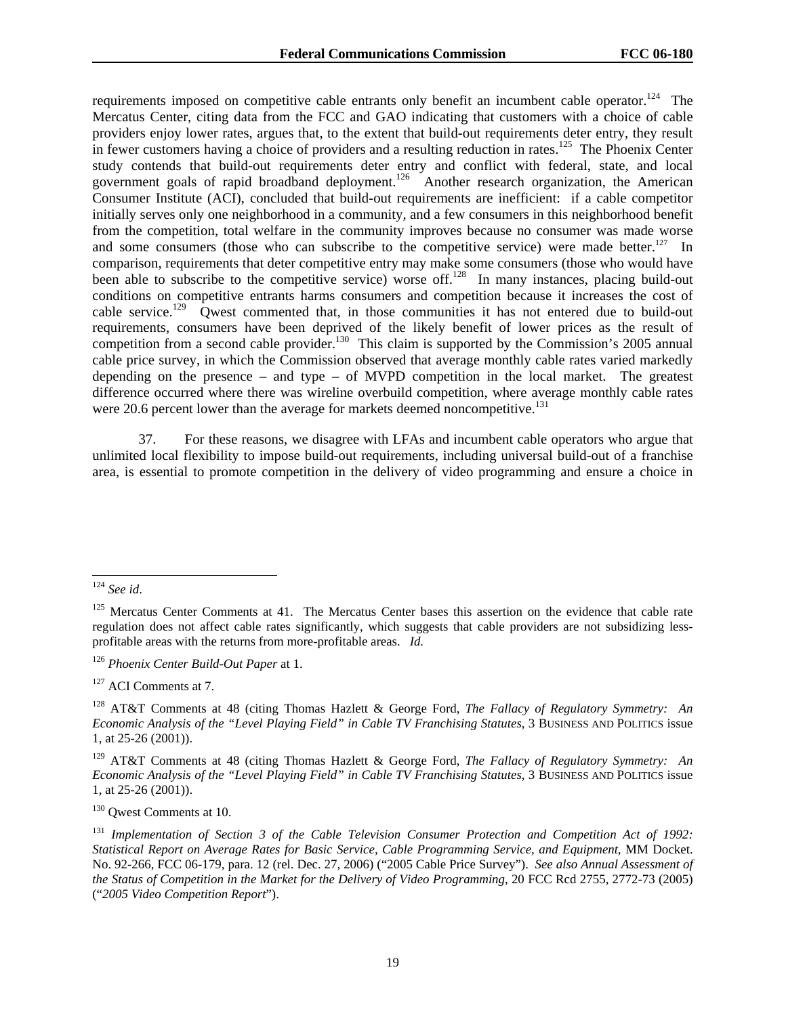requirements imposed on competitive cable entrants only benefit an incumbent cable operator.<sup>124</sup> The Mercatus Center, citing data from the FCC and GAO indicating that customers with a choice of cable providers enjoy lower rates, argues that, to the extent that build-out requirements deter entry, they result in fewer customers having a choice of providers and a resulting reduction in rates.<sup>125</sup> The Phoenix Center study contends that build-out requirements deter entry and conflict with federal, state, and local government goals of rapid broadband deployment.<sup>126</sup> Another research organization, the American Consumer Institute (ACI), concluded that build-out requirements are inefficient: if a cable competitor initially serves only one neighborhood in a community, and a few consumers in this neighborhood benefit from the competition, total welfare in the community improves because no consumer was made worse and some consumers (those who can subscribe to the competitive service) were made better.<sup>127</sup> In comparison, requirements that deter competitive entry may make some consumers (those who would have been able to subscribe to the competitive service) worse off.<sup>128</sup> In many instances, placing build-out been able to subscribe to the competitive service) worse off.<sup>128</sup> conditions on competitive entrants harms consumers and competition because it increases the cost of cable service.<sup>129</sup> Owest commented that, in those communities it has not entered due to build-out requirements, consumers have been deprived of the likely benefit of lower prices as the result of competition from a second cable provider.<sup>130</sup> This claim is supported by the Commission's 2005 annual cable price survey, in which the Commission observed that average monthly cable rates varied markedly depending on the presence – and type – of MVPD competition in the local market. The greatest difference occurred where there was wireline overbuild competition, where average monthly cable rates were 20.6 percent lower than the average for markets deemed noncompetitive.<sup>131</sup>

37. For these reasons, we disagree with LFAs and incumbent cable operators who argue that unlimited local flexibility to impose build-out requirements, including universal build-out of a franchise area, is essential to promote competition in the delivery of video programming and ensure a choice in

<sup>126</sup> *Phoenix Center Build-Out Paper* at 1.

<sup>127</sup> ACI Comments at 7.

129 AT&T Comments at 48 (citing Thomas Hazlett & George Ford, *The Fallacy of Regulatory Symmetry: An Economic Analysis of the "Level Playing Field" in Cable TV Franchising Statutes*, 3 BUSINESS AND POLITICS issue 1, at 25-26 (2001)).

<sup>130</sup> Qwest Comments at 10.

l <sup>124</sup> *See id*.

<sup>&</sup>lt;sup>125</sup> Mercatus Center Comments at 41. The Mercatus Center bases this assertion on the evidence that cable rate regulation does not affect cable rates significantly, which suggests that cable providers are not subsidizing lessprofitable areas with the returns from more-profitable areas. *Id.*

<sup>128</sup> AT&T Comments at 48 (citing Thomas Hazlett & George Ford, *The Fallacy of Regulatory Symmetry: An Economic Analysis of the "Level Playing Field" in Cable TV Franchising Statutes*, 3 BUSINESS AND POLITICS issue 1, at 25-26 (2001)).

<sup>131</sup> *Implementation of Section 3 of the Cable Television Consumer Protection and Competition Act of 1992: Statistical Report on Average Rates for Basic Service, Cable Programming Service, and Equipment*, MM Docket. No. 92-266, FCC 06-179, para. 12 (rel. Dec. 27, 2006) ("2005 Cable Price Survey"). *See also Annual Assessment of the Status of Competition in the Market for the Delivery of Video Programming*, 20 FCC Rcd 2755, 2772-73 (2005) ("*2005 Video Competition Report*").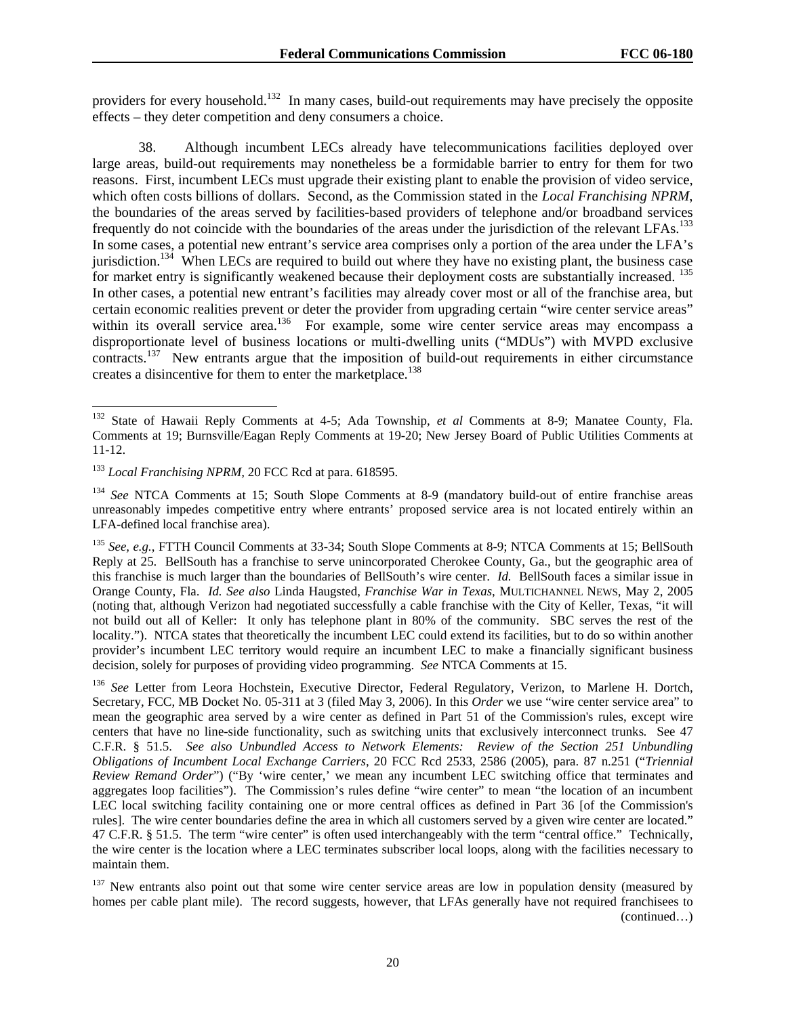providers for every household.<sup>132</sup> In many cases, build-out requirements may have precisely the opposite effects – they deter competition and deny consumers a choice.

38. Although incumbent LECs already have telecommunications facilities deployed over large areas, build-out requirements may nonetheless be a formidable barrier to entry for them for two reasons. First, incumbent LECs must upgrade their existing plant to enable the provision of video service, which often costs billions of dollars. Second, as the Commission stated in the *Local Franchising NPRM*, the boundaries of the areas served by facilities-based providers of telephone and/or broadband services frequently do not coincide with the boundaries of the areas under the jurisdiction of the relevant LFAs.<sup>133</sup> In some cases, a potential new entrant's service area comprises only a portion of the area under the LFA's jurisdiction.<sup>134</sup> When LECs are required to build out where they have no existing plant, the business case for market entry is significantly weakened because their deployment costs are substantially increased. <sup>135</sup> In other cases, a potential new entrant's facilities may already cover most or all of the franchise area, but certain economic realities prevent or deter the provider from upgrading certain "wire center service areas" within its overall service area.<sup>136</sup> For example, some wire center service areas may encompass a disproportionate level of business locations or multi-dwelling units ("MDUs") with MVPD exclusive contracts.<sup>137</sup> New entrants argue that the imposition of build-out requirements in either circumstance creates a disincentive for them to enter the marketplace.<sup>138</sup>

1

<sup>132</sup> State of Hawaii Reply Comments at 4-5; Ada Township, *et al* Comments at 8-9; Manatee County, Fla. Comments at 19; Burnsville/Eagan Reply Comments at 19-20; New Jersey Board of Public Utilities Comments at 11-12.

<sup>&</sup>lt;sup>133</sup> *Local Franchising NPRM*, 20 FCC Rcd at para. 618595.

<sup>134</sup> *See* NTCA Comments at 15; South Slope Comments at 8-9 (mandatory build-out of entire franchise areas unreasonably impedes competitive entry where entrants' proposed service area is not located entirely within an LFA-defined local franchise area).

<sup>135</sup> *See, e.g.*, FTTH Council Comments at 33-34; South Slope Comments at 8-9; NTCA Comments at 15; BellSouth Reply at 25. BellSouth has a franchise to serve unincorporated Cherokee County, Ga., but the geographic area of this franchise is much larger than the boundaries of BellSouth's wire center. *Id.* BellSouth faces a similar issue in Orange County, Fla. *Id. See also* Linda Haugsted, *Franchise War in Texas*, MULTICHANNEL NEWS, May 2, 2005 (noting that, although Verizon had negotiated successfully a cable franchise with the City of Keller, Texas, "it will not build out all of Keller: It only has telephone plant in 80% of the community. SBC serves the rest of the locality."). NTCA states that theoretically the incumbent LEC could extend its facilities, but to do so within another provider's incumbent LEC territory would require an incumbent LEC to make a financially significant business decision, solely for purposes of providing video programming. *See* NTCA Comments at 15.

<sup>136</sup> *See* Letter from Leora Hochstein, Executive Director, Federal Regulatory, Verizon, to Marlene H. Dortch, Secretary, FCC, MB Docket No. 05-311 at 3 (filed May 3, 2006). In this *Order* we use "wire center service area" to mean the geographic area served by a wire center as defined in Part 51 of the Commission's rules, except wire centers that have no line-side functionality, such as switching units that exclusively interconnect trunks*.* See 47 C.F.R. § 51.5. *See also Unbundled Access to Network Elements: Review of the Section 251 Unbundling Obligations of Incumbent Local Exchange Carriers*, 20 FCC Rcd 2533, 2586 (2005), para. 87 n.251 ("*Triennial Review Remand Order*") ("By 'wire center,' we mean any incumbent LEC switching office that terminates and aggregates loop facilities"). The Commission's rules define "wire center" to mean "the location of an incumbent LEC local switching facility containing one or more central offices as defined in Part 36 [of the Commission's rules]. The wire center boundaries define the area in which all customers served by a given wire center are located." 47 C.F.R. § 51.5. The term "wire center" is often used interchangeably with the term "central office." Technically, the wire center is the location where a LEC terminates subscriber local loops, along with the facilities necessary to maintain them.

<sup>&</sup>lt;sup>137</sup> New entrants also point out that some wire center service areas are low in population density (measured by homes per cable plant mile). The record suggests, however, that LFAs generally have not required franchisees to (continued…)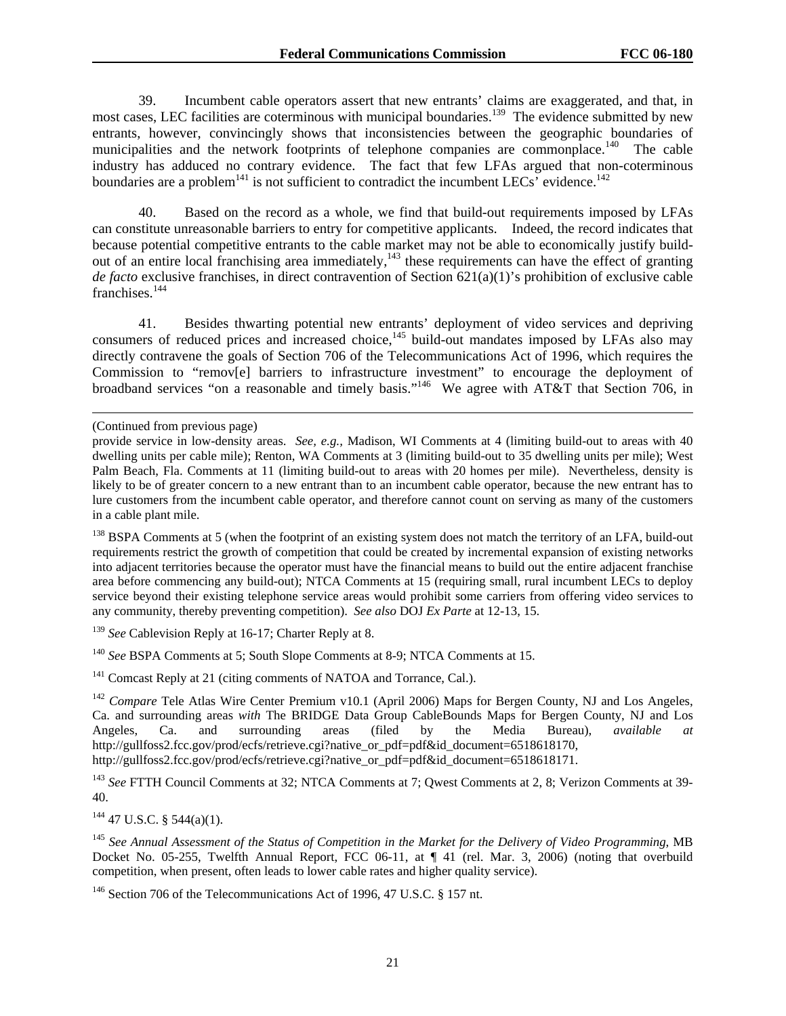39. Incumbent cable operators assert that new entrants' claims are exaggerated, and that, in most cases, LEC facilities are coterminous with municipal boundaries.<sup>139</sup> The evidence submitted by new entrants, however, convincingly shows that inconsistencies between the geographic boundaries of municipalities and the network footprints of telephone companies are commonplace.<sup>140</sup> The cable industry has adduced no contrary evidence. The fact that few LFAs argued that non-coterminous boundaries are a problem<sup>141</sup> is not sufficient to contradict the incumbent LECs' evidence.<sup>142</sup>

40. Based on the record as a whole, we find that build-out requirements imposed by LFAs can constitute unreasonable barriers to entry for competitive applicants. Indeed, the record indicates that because potential competitive entrants to the cable market may not be able to economically justify buildout of an entire local franchising area immediately, $143$  these requirements can have the effect of granting *de facto* exclusive franchises, in direct contravention of Section 621(a)(1)'s prohibition of exclusive cable franchises.<sup>144</sup>

41. Besides thwarting potential new entrants' deployment of video services and depriving consumers of reduced prices and increased choice, $^{145}$  build-out mandates imposed by LFAs also may directly contravene the goals of Section 706 of the Telecommunications Act of 1996, which requires the Commission to "remov[e] barriers to infrastructure investment" to encourage the deployment of broadband services "on a reasonable and timely basis."<sup>146</sup> We agree with AT&T that Section 706, in

 $\overline{a}$ 

<sup>138</sup> BSPA Comments at 5 (when the footprint of an existing system does not match the territory of an LFA, build-out requirements restrict the growth of competition that could be created by incremental expansion of existing networks into adjacent territories because the operator must have the financial means to build out the entire adjacent franchise area before commencing any build-out); NTCA Comments at 15 (requiring small, rural incumbent LECs to deploy service beyond their existing telephone service areas would prohibit some carriers from offering video services to any community, thereby preventing competition). *See also* DOJ *Ex Parte* at 12-13, 15.

<sup>139</sup> See Cablevision Reply at 16-17; Charter Reply at 8.

<sup>140</sup> *See* BSPA Comments at 5; South Slope Comments at 8-9; NTCA Comments at 15.

<sup>141</sup> Comcast Reply at 21 (citing comments of NATOA and Torrance, Cal.).

<sup>142</sup> *Compare* Tele Atlas Wire Center Premium v10.1 (April 2006) Maps for Bergen County, NJ and Los Angeles, Ca. and surrounding areas *with* The BRIDGE Data Group CableBounds Maps for Bergen County, NJ and Los Angeles, Ca. and surrounding areas (filed by the Media Bureau), *available at* http://gullfoss2.fcc.gov/prod/ecfs/retrieve.cgi?native\_or\_pdf=pdf&id\_document=6518618170, http://gullfoss2.fcc.gov/prod/ecfs/retrieve.cgi?native\_or\_pdf=pdf&id\_document=6518618171.

<sup>143</sup> See FTTH Council Comments at 32; NTCA Comments at 7; Qwest Comments at 2, 8; Verizon Comments at 39-40.

 $144$  47 U.S.C. § 544(a)(1).

<sup>145</sup> *See Annual Assessment of the Status of Competition in the Market for the Delivery of Video Programming*, MB Docket No. 05-255, Twelfth Annual Report, FCC 06-11, at ¶ 41 (rel. Mar. 3, 2006) (noting that overbuild competition, when present, often leads to lower cable rates and higher quality service).

<sup>146</sup> Section 706 of the Telecommunications Act of 1996, 47 U.S.C. § 157 nt.

<sup>(</sup>Continued from previous page)

provide service in low-density areas. *See, e.g.,* Madison, WI Comments at 4 (limiting build-out to areas with 40 dwelling units per cable mile); Renton, WA Comments at 3 (limiting build-out to 35 dwelling units per mile); West Palm Beach, Fla. Comments at 11 (limiting build-out to areas with 20 homes per mile). Nevertheless, density is likely to be of greater concern to a new entrant than to an incumbent cable operator, because the new entrant has to lure customers from the incumbent cable operator, and therefore cannot count on serving as many of the customers in a cable plant mile.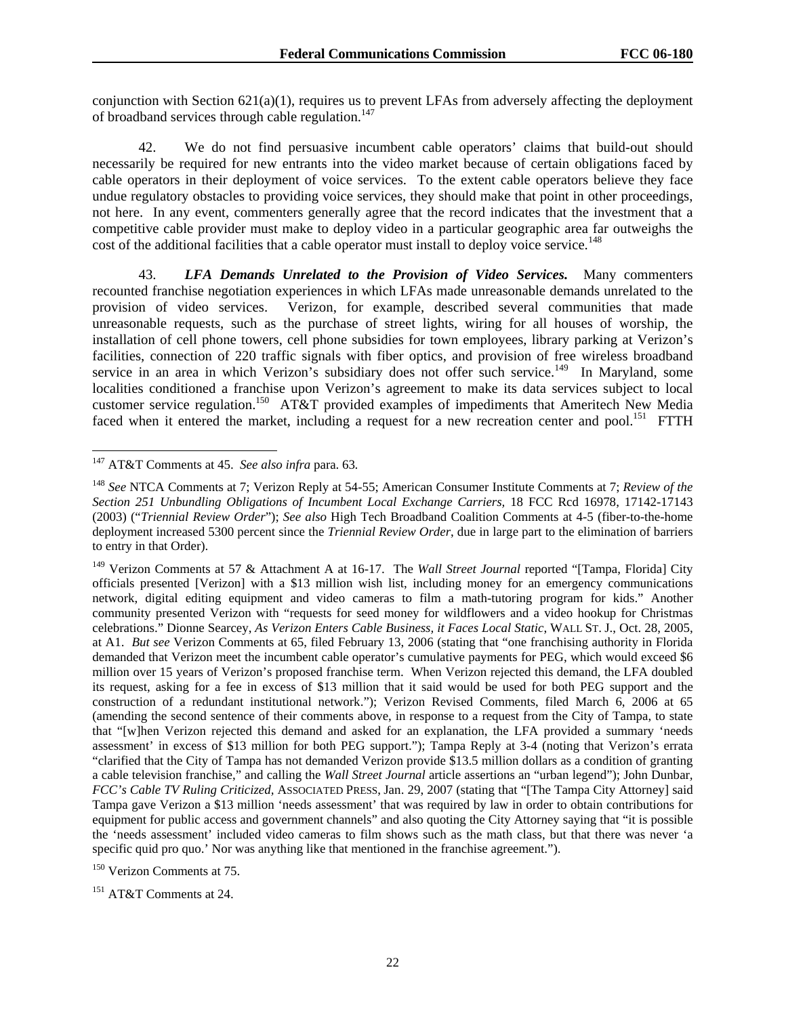conjunction with Section 621(a)(1), requires us to prevent LFAs from adversely affecting the deployment of broadband services through cable regulation. $147$ 

42. We do not find persuasive incumbent cable operators' claims that build-out should necessarily be required for new entrants into the video market because of certain obligations faced by cable operators in their deployment of voice services. To the extent cable operators believe they face undue regulatory obstacles to providing voice services, they should make that point in other proceedings, not here. In any event, commenters generally agree that the record indicates that the investment that a competitive cable provider must make to deploy video in a particular geographic area far outweighs the cost of the additional facilities that a cable operator must install to deploy voice service.<sup>148</sup>

43. *LFA Demands Unrelated to the Provision of Video Services.* Many commenters recounted franchise negotiation experiences in which LFAs made unreasonable demands unrelated to the provision of video services. Verizon, for example, described several communities that made unreasonable requests, such as the purchase of street lights, wiring for all houses of worship, the installation of cell phone towers, cell phone subsidies for town employees, library parking at Verizon's facilities, connection of 220 traffic signals with fiber optics, and provision of free wireless broadband service in an area in which Verizon's subsidiary does not offer such service.<sup>149</sup> In Maryland, some localities conditioned a franchise upon Verizon's agreement to make its data services subject to local customer service regulation.<sup>150</sup> AT&T provided examples of impediments that Ameritech New Media faced when it entered the market, including a request for a new recreation center and pool.<sup>151</sup> FTTH

1

<sup>150</sup> Verizon Comments at 75.

<sup>151</sup> AT&T Comments at 24.

<sup>147</sup> AT&T Comments at 45. *See also infra* para. 63*.* 

<sup>148</sup> *See* NTCA Comments at 7; Verizon Reply at 54-55; American Consumer Institute Comments at 7; *Review of the*  Section 251 Unbundling Obligations of Incumbent Local Exchange Carriers, 18 FCC Rcd 16978, 17142-17143 (2003) ("*Triennial Review Order*"); *See also* High Tech Broadband Coalition Comments at 4-5 (fiber-to-the-home deployment increased 5300 percent since the *Triennial Review Order*, due in large part to the elimination of barriers to entry in that Order).

<sup>149</sup> Verizon Comments at 57 & Attachment A at 16-17. The *Wall Street Journal* reported "[Tampa, Florida] City officials presented [Verizon] with a \$13 million wish list, including money for an emergency communications network, digital editing equipment and video cameras to film a math-tutoring program for kids." Another community presented Verizon with "requests for seed money for wildflowers and a video hookup for Christmas celebrations." Dionne Searcey, *As Verizon Enters Cable Business, it Faces Local Static*, WALL ST. J., Oct. 28, 2005, at A1. *But see* Verizon Comments at 65, filed February 13, 2006 (stating that "one franchising authority in Florida demanded that Verizon meet the incumbent cable operator's cumulative payments for PEG, which would exceed \$6 million over 15 years of Verizon's proposed franchise term. When Verizon rejected this demand, the LFA doubled its request, asking for a fee in excess of \$13 million that it said would be used for both PEG support and the construction of a redundant institutional network."); Verizon Revised Comments, filed March 6, 2006 at 65 (amending the second sentence of their comments above, in response to a request from the City of Tampa, to state that "[w]hen Verizon rejected this demand and asked for an explanation, the LFA provided a summary 'needs assessment' in excess of \$13 million for both PEG support."); Tampa Reply at 3-4 (noting that Verizon's errata "clarified that the City of Tampa has not demanded Verizon provide \$13.5 million dollars as a condition of granting a cable television franchise," and calling the *Wall Street Journal* article assertions an "urban legend"); John Dunbar*, FCC's Cable TV Ruling Criticized,* ASSOCIATED PRESS, Jan. 29, 2007 (stating that "[The Tampa City Attorney] said Tampa gave Verizon a \$13 million 'needs assessment' that was required by law in order to obtain contributions for equipment for public access and government channels" and also quoting the City Attorney saying that "it is possible the 'needs assessment' included video cameras to film shows such as the math class, but that there was never 'a specific quid pro quo.' Nor was anything like that mentioned in the franchise agreement.").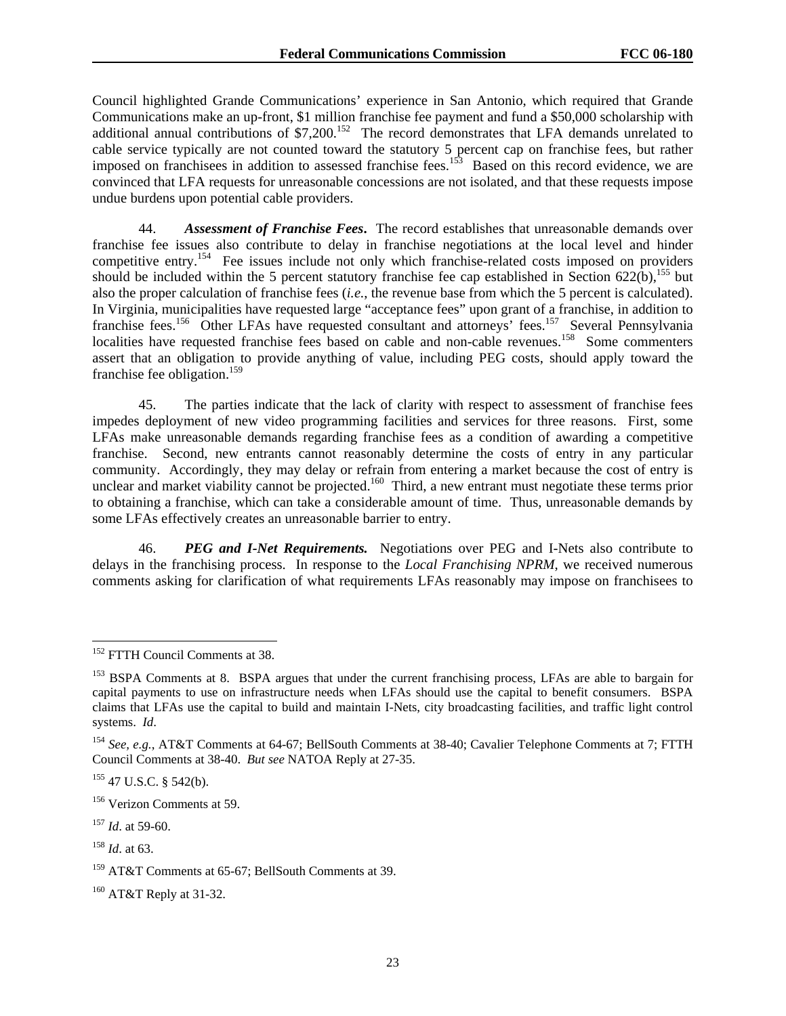Council highlighted Grande Communications' experience in San Antonio, which required that Grande Communications make an up-front, \$1 million franchise fee payment and fund a \$50,000 scholarship with additional annual contributions of \$7,200.<sup>152</sup> The record demonstrates that LFA demands unrelated to cable service typically are not counted toward the statutory 5 percent cap on franchise fees, but rather imposed on franchisees in addition to assessed franchise fees.<sup>153</sup> Based on this record evidence, we are convinced that LFA requests for unreasonable concessions are not isolated, and that these requests impose undue burdens upon potential cable providers.

44. *Assessment of Franchise Fees***.** The record establishes that unreasonable demands over franchise fee issues also contribute to delay in franchise negotiations at the local level and hinder competitive entry.<sup>154</sup> Fee issues include not only which franchise-related costs imposed on providers should be included within the 5 percent statutory franchise fee cap established in Section 622(b),<sup>155</sup> but also the proper calculation of franchise fees (*i.e.*, the revenue base from which the 5 percent is calculated). In Virginia, municipalities have requested large "acceptance fees" upon grant of a franchise, in addition to franchise fees.<sup>156</sup> Other LFAs have requested consultant and attorneys' fees.<sup>157</sup> Several Pennsylvania localities have requested franchise fees based on cable and non-cable revenues.<sup>158</sup> Some commenters assert that an obligation to provide anything of value, including PEG costs, should apply toward the franchise fee obligation.<sup>159</sup>

45. The parties indicate that the lack of clarity with respect to assessment of franchise fees impedes deployment of new video programming facilities and services for three reasons. First, some LFAs make unreasonable demands regarding franchise fees as a condition of awarding a competitive franchise. Second, new entrants cannot reasonably determine the costs of entry in any particular community. Accordingly, they may delay or refrain from entering a market because the cost of entry is unclear and market viability cannot be projected.<sup>160</sup> Third, a new entrant must negotiate these terms prior to obtaining a franchise, which can take a considerable amount of time. Thus, unreasonable demands by some LFAs effectively creates an unreasonable barrier to entry.

46. *PEG and I-Net Requirements.* Negotiations over PEG and I-Nets also contribute to delays in the franchising process. In response to the *Local Franchising NPRM*, we received numerous comments asking for clarification of what requirements LFAs reasonably may impose on franchisees to

1

<sup>&</sup>lt;sup>152</sup> FTTH Council Comments at 38.

<sup>&</sup>lt;sup>153</sup> BSPA Comments at 8. BSPA argues that under the current franchising process, LFAs are able to bargain for capital payments to use on infrastructure needs when LFAs should use the capital to benefit consumers. BSPA claims that LFAs use the capital to build and maintain I-Nets, city broadcasting facilities, and traffic light control systems. *Id*.

<sup>154</sup> *See, e.g.*, AT&T Comments at 64-67; BellSouth Comments at 38-40; Cavalier Telephone Comments at 7; FTTH Council Comments at 38-40. *But see* NATOA Reply at 27-35.

<sup>155 47</sup> U.S.C. § 542(b).

<sup>156</sup> Verizon Comments at 59.

<sup>157</sup> *Id*. at 59-60.

<sup>158</sup> *Id*. at 63.

<sup>159</sup> AT&T Comments at 65-67; BellSouth Comments at 39.

<sup>160</sup> AT&T Reply at 31-32.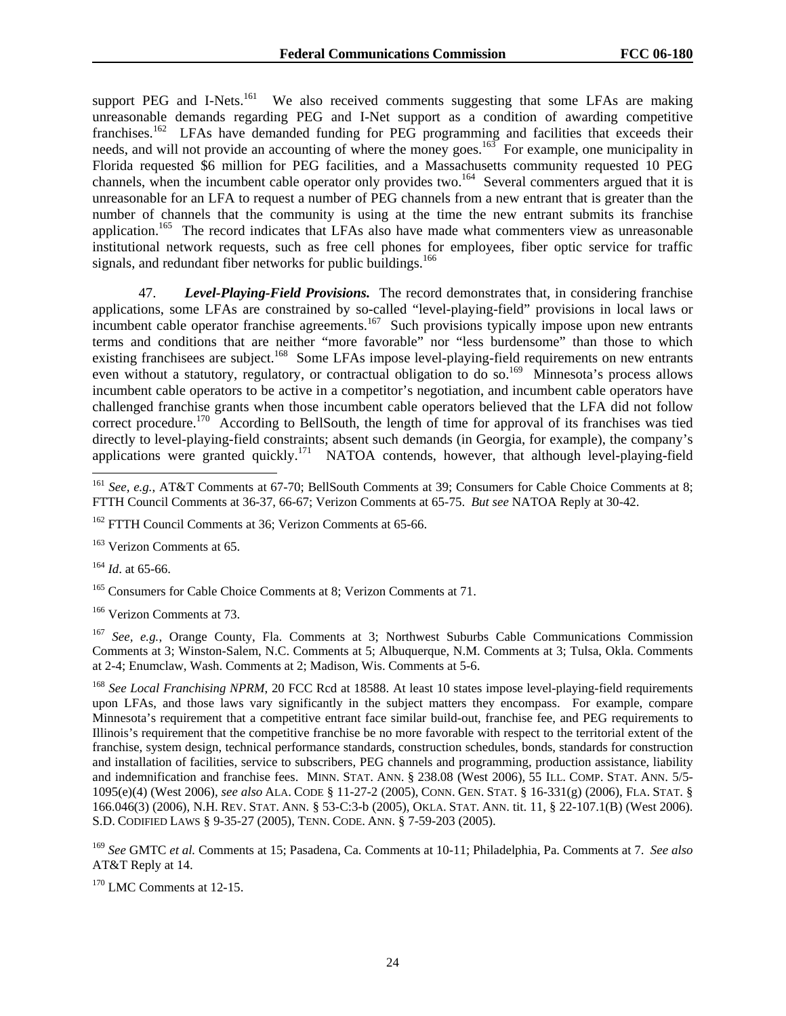support PEG and I-Nets.<sup>161</sup> We also received comments suggesting that some LFAs are making unreasonable demands regarding PEG and I-Net support as a condition of awarding competitive franchises.<sup>162</sup> LFAs have demanded funding for PEG programming and facilities that exceeds their needs, and will not provide an accounting of where the money goes.<sup>163</sup> For example, one municipality in Florida requested \$6 million for PEG facilities, and a Massachusetts community requested 10 PEG channels, when the incumbent cable operator only provides two.<sup>164</sup> Several commenters argued that it is unreasonable for an LFA to request a number of PEG channels from a new entrant that is greater than the number of channels that the community is using at the time the new entrant submits its franchise application.<sup>165</sup> The record indicates that LFAs also have made what commenters view as unreasonable institutional network requests, such as free cell phones for employees, fiber optic service for traffic signals, and redundant fiber networks for public buildings.<sup>166</sup>

47. *Level-Playing-Field Provisions.* The record demonstrates that, in considering franchise applications, some LFAs are constrained by so-called "level-playing-field" provisions in local laws or incumbent cable operator franchise agreements.<sup>167</sup> Such provisions typically impose upon new entrants terms and conditions that are neither "more favorable" nor "less burdensome" than those to which existing franchisees are subject.<sup>168</sup> Some LFAs impose level-playing-field requirements on new entrants even without a statutory, regulatory, or contractual obligation to do so.<sup>169</sup> Minnesota's process allows incumbent cable operators to be active in a competitor's negotiation, and incumbent cable operators have challenged franchise grants when those incumbent cable operators believed that the LFA did not follow correct procedure.<sup>170</sup> According to BellSouth, the length of time for approval of its franchises was tied directly to level-playing-field constraints; absent such demands (in Georgia, for example), the company's applications were granted quickly.<sup>171</sup> NATOA contends, however, that although level-playing-field

<sup>164</sup> *Id*. at 65-66.

-

<sup>165</sup> Consumers for Cable Choice Comments at 8; Verizon Comments at 71.

166 Verizon Comments at 73.

<sup>167</sup> *See, e.g.*, Orange County, Fla. Comments at 3; Northwest Suburbs Cable Communications Commission Comments at 3; Winston-Salem, N.C. Comments at 5; Albuquerque, N.M. Comments at 3; Tulsa, Okla. Comments at 2-4; Enumclaw, Wash. Comments at 2; Madison, Wis. Comments at 5-6.

<sup>168</sup> See Local Franchising NPRM, 20 FCC Rcd at 18588. At least 10 states impose level-playing-field requirements upon LFAs, and those laws vary significantly in the subject matters they encompass. For example, compare Minnesota's requirement that a competitive entrant face similar build-out, franchise fee, and PEG requirements to Illinois's requirement that the competitive franchise be no more favorable with respect to the territorial extent of the franchise, system design, technical performance standards, construction schedules, bonds, standards for construction and installation of facilities, service to subscribers, PEG channels and programming, production assistance, liability and indemnification and franchise fees. MINN. STAT. ANN. § 238.08 (West 2006), 55 ILL. COMP. STAT. ANN. 5/5- 1095(e)(4) (West 2006), *see also* ALA. CODE § 11-27-2 (2005), CONN. GEN. STAT. § 16-331(g) (2006), FLA. STAT. § 166.046(3) (2006), N.H. REV. STAT. ANN. § 53-C:3-b (2005), OKLA. STAT. ANN. tit. 11, § 22-107.1(B) (West 2006). S.D. CODIFIED LAWS § 9-35-27 (2005), TENN. CODE. ANN. § 7-59-203 (2005).

<sup>169</sup> *See* GMTC *et al.* Comments at 15; Pasadena, Ca. Comments at 10-11; Philadelphia, Pa. Comments at 7. *See also* AT&T Reply at 14.

<sup>170</sup> LMC Comments at 12-15.

<sup>161</sup> *See, e.g.*, AT&T Comments at 67-70; BellSouth Comments at 39; Consumers for Cable Choice Comments at 8; FTTH Council Comments at 36-37, 66-67; Verizon Comments at 65-75. *But see* NATOA Reply at 30-42.

<sup>&</sup>lt;sup>162</sup> FTTH Council Comments at 36; Verizon Comments at 65-66.

<sup>&</sup>lt;sup>163</sup> Verizon Comments at 65.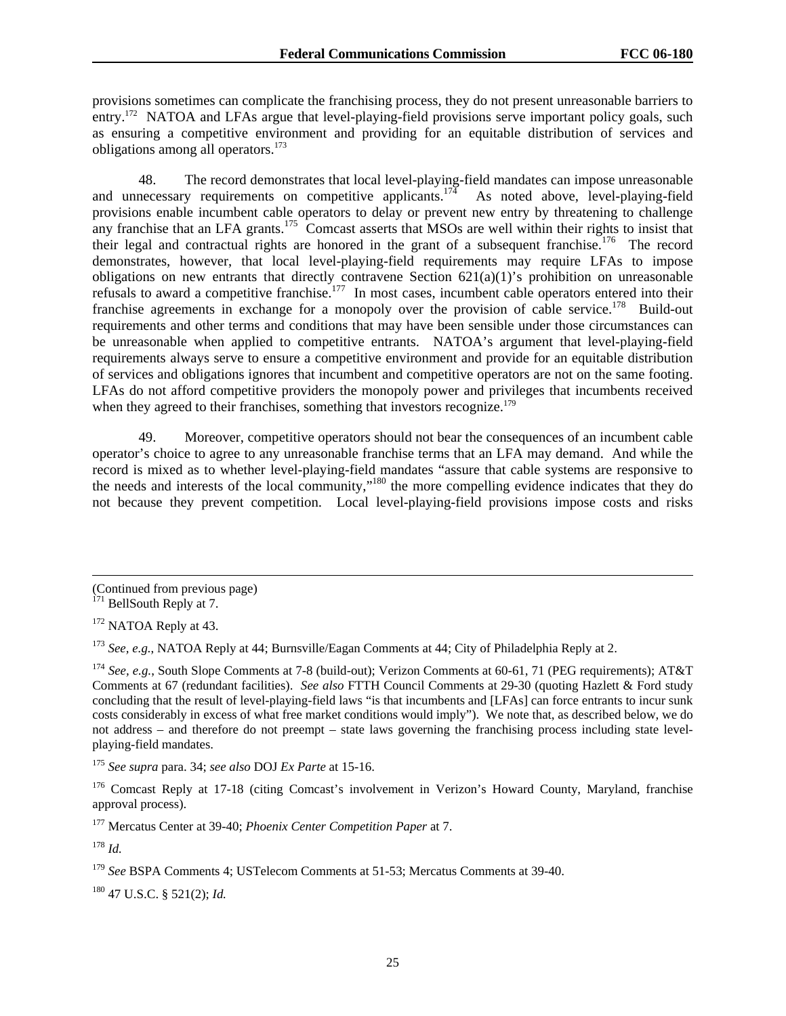provisions sometimes can complicate the franchising process, they do not present unreasonable barriers to entry.<sup>172</sup> NATOA and LFAs argue that level-playing-field provisions serve important policy goals, such as ensuring a competitive environment and providing for an equitable distribution of services and obligations among all operators.173

48. The record demonstrates that local level-playing-field mandates can impose unreasonable and unnecessary requirements on competitive applicants.<sup>174</sup> As noted above, level-playing-field provisions enable incumbent cable operators to delay or prevent new entry by threatening to challenge any franchise that an LFA grants.<sup>175</sup> Comcast asserts that MSOs are well within their rights to insist that their legal and contractual rights are honored in the grant of a subsequent franchise.<sup>176</sup> The record demonstrates, however, that local level-playing-field requirements may require LFAs to impose obligations on new entrants that directly contravene Section 621(a)(1)'s prohibition on unreasonable refusals to award a competitive franchise.<sup>177</sup> In most cases, incumbent cable operators entered into their franchise agreements in exchange for a monopoly over the provision of cable service.<sup>178</sup> Build-out requirements and other terms and conditions that may have been sensible under those circumstances can be unreasonable when applied to competitive entrants. NATOA's argument that level-playing-field requirements always serve to ensure a competitive environment and provide for an equitable distribution of services and obligations ignores that incumbent and competitive operators are not on the same footing. LFAs do not afford competitive providers the monopoly power and privileges that incumbents received when they agreed to their franchises, something that investors recognize.<sup>179</sup>

49. Moreover, competitive operators should not bear the consequences of an incumbent cable operator's choice to agree to any unreasonable franchise terms that an LFA may demand. And while the record is mixed as to whether level-playing-field mandates "assure that cable systems are responsive to the needs and interests of the local community,"<sup>180</sup> the more compelling evidence indicates that they do not because they prevent competition. Local level-playing-field provisions impose costs and risks

 $\overline{a}$ 

<sup>175</sup> *See supra* para. 34; *see also* DOJ *Ex Parte* at 15-16.

177 Mercatus Center at 39-40; *Phoenix Center Competition Paper* at 7.

<sup>178</sup> *Id.*

180 47 U.S.C. § 521(2); *Id.*

<sup>(</sup>Continued from previous page)

 $171$  BellSouth Reply at 7.

<sup>&</sup>lt;sup>172</sup> NATOA Reply at 43.

<sup>173</sup> *See, e.g.*, NATOA Reply at 44; Burnsville/Eagan Comments at 44; City of Philadelphia Reply at 2.

<sup>174</sup> *See, e.g.*, South Slope Comments at 7-8 (build-out); Verizon Comments at 60-61, 71 (PEG requirements); AT&T Comments at 67 (redundant facilities). *See also* FTTH Council Comments at 29-30 (quoting Hazlett & Ford study concluding that the result of level-playing-field laws "is that incumbents and [LFAs] can force entrants to incur sunk costs considerably in excess of what free market conditions would imply"). We note that, as described below, we do not address – and therefore do not preempt – state laws governing the franchising process including state levelplaying-field mandates.

<sup>&</sup>lt;sup>176</sup> Comcast Reply at 17-18 (citing Comcast's involvement in Verizon's Howard County, Maryland, franchise approval process).

<sup>179</sup> *See* BSPA Comments 4; USTelecom Comments at 51-53; Mercatus Comments at 39-40.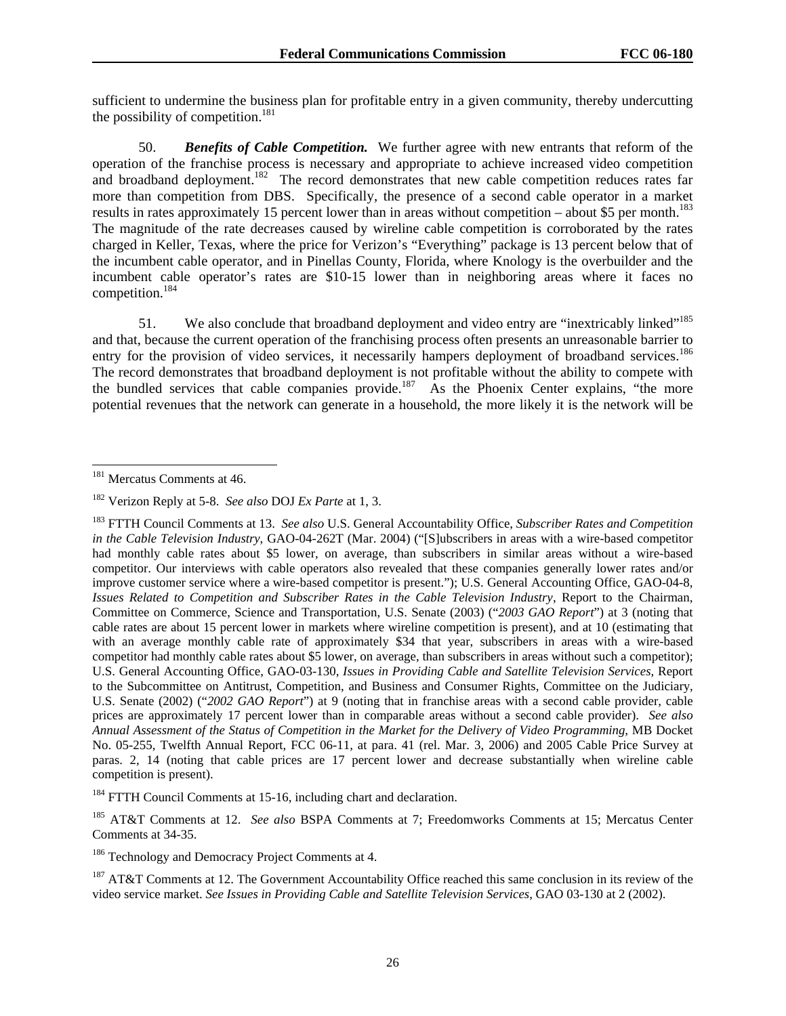sufficient to undermine the business plan for profitable entry in a given community, thereby undercutting the possibility of competition.<sup>181</sup>

50. *Benefits of Cable Competition.* We further agree with new entrants that reform of the operation of the franchise process is necessary and appropriate to achieve increased video competition and broadband deployment.<sup>182</sup> The record demonstrates that new cable competition reduces rates far more than competition from DBS. Specifically, the presence of a second cable operator in a market results in rates approximately 15 percent lower than in areas without competition – about \$5 per month.<sup>183</sup> The magnitude of the rate decreases caused by wireline cable competition is corroborated by the rates charged in Keller, Texas, where the price for Verizon's "Everything" package is 13 percent below that of the incumbent cable operator, and in Pinellas County, Florida, where Knology is the overbuilder and the incumbent cable operator's rates are \$10-15 lower than in neighboring areas where it faces no competition.184

51. We also conclude that broadband deployment and video entry are "inextricably linked"<sup>185</sup> and that, because the current operation of the franchising process often presents an unreasonable barrier to entry for the provision of video services, it necessarily hampers deployment of broadband services.<sup>186</sup> The record demonstrates that broadband deployment is not profitable without the ability to compete with the bundled services that cable companies provide.<sup>187</sup> As the Phoenix Center explains, "the more potential revenues that the network can generate in a household, the more likely it is the network will be

<sup>-</sup><sup>181</sup> Mercatus Comments at 46.

<sup>182</sup> Verizon Reply at 5-8. *See also* DOJ *Ex Parte* at 1, 3.

<sup>183</sup> FTTH Council Comments at 13. *See also* U.S. General Accountability Office, *Subscriber Rates and Competition in the Cable Television Industry*, GAO-04-262T (Mar. 2004) ("[S]ubscribers in areas with a wire-based competitor had monthly cable rates about \$5 lower, on average, than subscribers in similar areas without a wire-based competitor. Our interviews with cable operators also revealed that these companies generally lower rates and/or improve customer service where a wire-based competitor is present."); U.S. General Accounting Office, GAO-04-8, *Issues Related to Competition and Subscriber Rates in the Cable Television Industry*, Report to the Chairman, Committee on Commerce, Science and Transportation, U.S. Senate (2003) ("*2003 GAO Report*") at 3 (noting that cable rates are about 15 percent lower in markets where wireline competition is present), and at 10 (estimating that with an average monthly cable rate of approximately \$34 that year, subscribers in areas with a wire-based competitor had monthly cable rates about \$5 lower, on average, than subscribers in areas without such a competitor); U.S. General Accounting Office, GAO-03-130, *Issues in Providing Cable and Satellite Television Services*, Report to the Subcommittee on Antitrust, Competition, and Business and Consumer Rights, Committee on the Judiciary, U.S. Senate (2002) ("*2002 GAO Report*") at 9 (noting that in franchise areas with a second cable provider, cable prices are approximately 17 percent lower than in comparable areas without a second cable provider). *See also Annual Assessment of the Status of Competition in the Market for the Delivery of Video Programming*, MB Docket No. 05-255, Twelfth Annual Report, FCC 06-11, at para. 41 (rel. Mar. 3, 2006) and 2005 Cable Price Survey at paras. 2, 14 (noting that cable prices are 17 percent lower and decrease substantially when wireline cable competition is present).

<sup>&</sup>lt;sup>184</sup> FTTH Council Comments at 15-16, including chart and declaration.

<sup>185</sup> AT&T Comments at 12. *See also* BSPA Comments at 7; Freedomworks Comments at 15; Mercatus Center Comments at 34-35.

<sup>&</sup>lt;sup>186</sup> Technology and Democracy Project Comments at 4.

 $187$  AT&T Comments at 12. The Government Accountability Office reached this same conclusion in its review of the video service market. *See Issues in Providing Cable and Satellite Television Services*, GAO 03-130 at 2 (2002).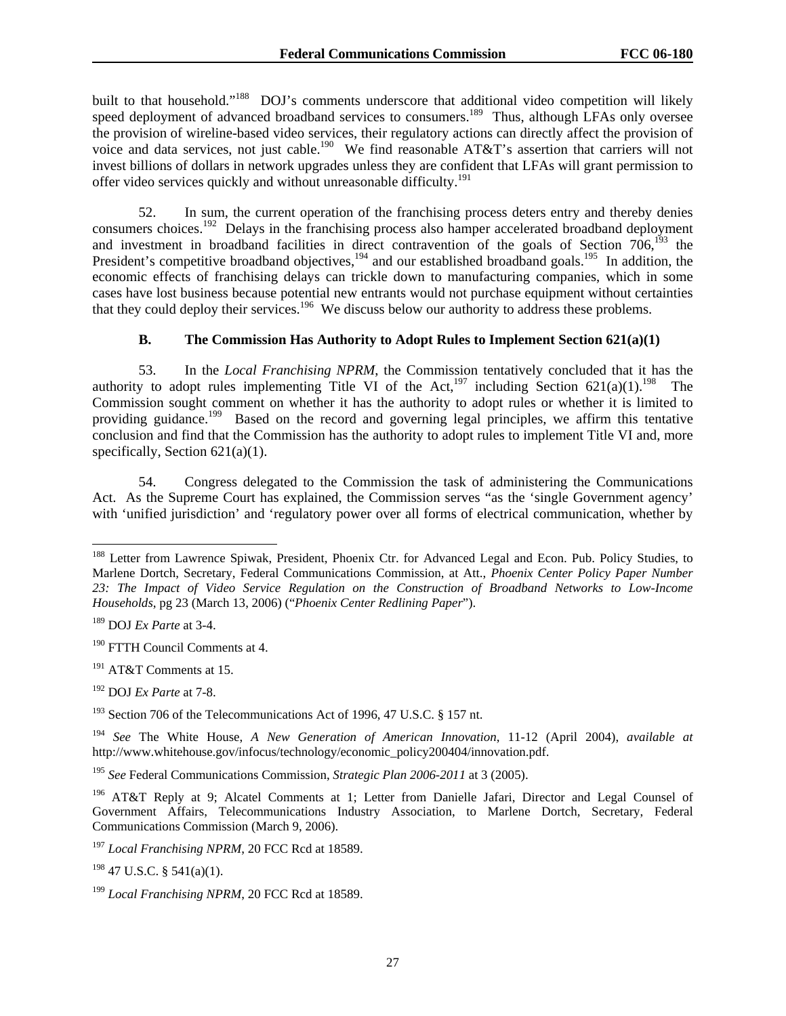built to that household."<sup>188</sup> DOJ's comments underscore that additional video competition will likely speed deployment of advanced broadband services to consumers.<sup>189</sup> Thus, although LFAs only oversee the provision of wireline-based video services, their regulatory actions can directly affect the provision of voice and data services, not just cable.<sup>190</sup> We find reasonable AT&T's assertion that carriers will not invest billions of dollars in network upgrades unless they are confident that LFAs will grant permission to offer video services quickly and without unreasonable difficulty.<sup>191</sup>

52. In sum, the current operation of the franchising process deters entry and thereby denies consumers choices.<sup>192</sup> Delays in the franchising process also hamper accelerated broadband deployment and investment in broadband facilities in direct contravention of the goals of Section 706,<sup>193</sup> the President's competitive broadband objectives,<sup>194</sup> and our established broadband goals.<sup>195</sup> In addition, the economic effects of franchising delays can trickle down to manufacturing companies, which in some cases have lost business because potential new entrants would not purchase equipment without certainties that they could deploy their services.<sup>196</sup> We discuss below our authority to address these problems.

## **B. The Commission Has Authority to Adopt Rules to Implement Section 621(a)(1)**

53. In the *Local Franchising NPRM*, the Commission tentatively concluded that it has the authority to adopt rules implementing Title VI of the Act,<sup>197</sup> including Section 621(a)(1).<sup>198</sup> The Commission sought comment on whether it has the authority to adopt rules or whether it is limited to providing guidance.<sup>199</sup> Based on the record and governing legal principles, we affirm this tentative conclusion and find that the Commission has the authority to adopt rules to implement Title VI and, more specifically, Section 621(a)(1).

54. Congress delegated to the Commission the task of administering the Communications Act. As the Supreme Court has explained, the Commission serves "as the 'single Government agency' with 'unified jurisdiction' and 'regulatory power over all forms of electrical communication, whether by

l

192 DOJ *Ex Parte* at 7-8.

<sup>&</sup>lt;sup>188</sup> Letter from Lawrence Spiwak, President, Phoenix Ctr. for Advanced Legal and Econ. Pub. Policy Studies, to Marlene Dortch, Secretary, Federal Communications Commission, at Att., *Phoenix Center Policy Paper Number 23: The Impact of Video Service Regulation on the Construction of Broadband Networks to Low-Income Households*, pg 23 (March 13, 2006) ("*Phoenix Center Redlining Paper*").

<sup>189</sup> DOJ *Ex Parte* at 3-4.

<sup>190</sup> FTTH Council Comments at 4.

<sup>&</sup>lt;sup>191</sup> AT&T Comments at 15.

<sup>&</sup>lt;sup>193</sup> Section 706 of the Telecommunications Act of 1996, 47 U.S.C. § 157 nt.

<sup>194</sup> *See* The White House, *A New Generation of American Innovation*, 11-12 (April 2004), *available at* http://www.whitehouse.gov/infocus/technology/economic\_policy200404/innovation.pdf.

<sup>195</sup> *See* Federal Communications Commission, *Strategic Plan 2006-2011* at 3 (2005).

<sup>196</sup> AT&T Reply at 9; Alcatel Comments at 1; Letter from Danielle Jafari, Director and Legal Counsel of Government Affairs, Telecommunications Industry Association, to Marlene Dortch, Secretary, Federal Communications Commission (March 9, 2006).

<sup>197</sup> *Local Franchising NPRM*, 20 FCC Rcd at 18589.

 $198$  47 U.S.C. § 541(a)(1).

<sup>199</sup> *Local Franchising NPRM*, 20 FCC Rcd at 18589.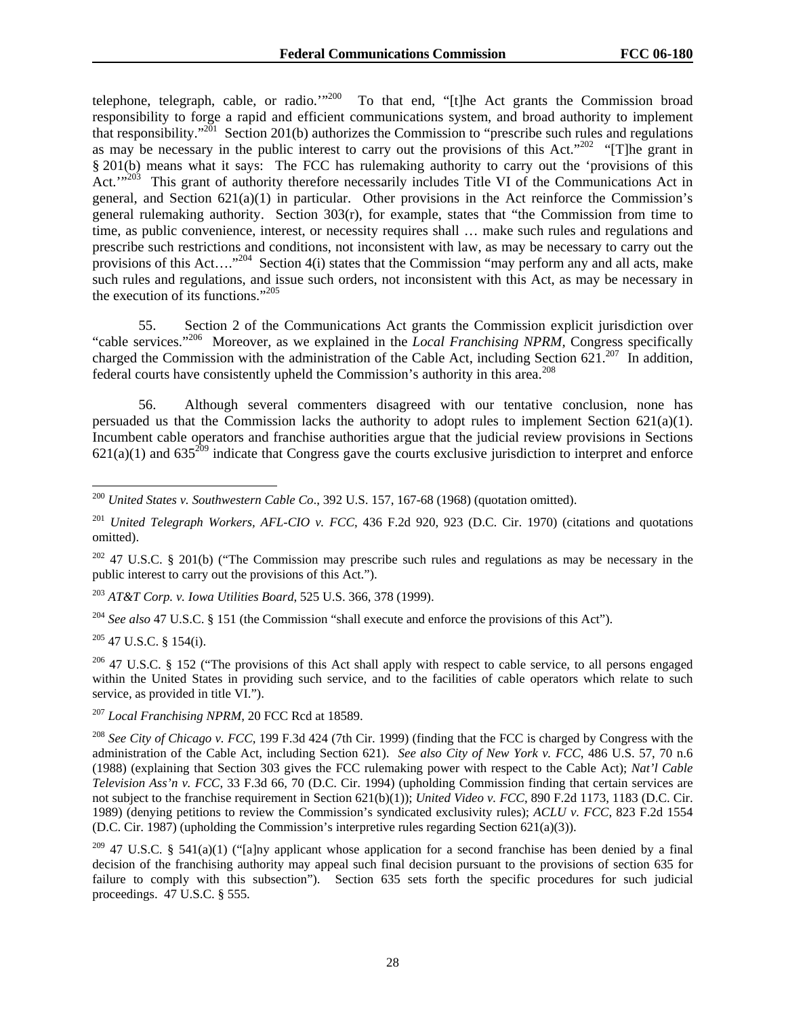telephone, telegraph, cable, or radio."<sup>200</sup> To that end, "[t]he Act grants the Commission broad responsibility to forge a rapid and efficient communications system, and broad authority to implement that responsibility."<sup>201</sup> Section 201(b) authorizes the Commission to "prescribe such rules and regulations" as may be necessary in the public interest to carry out the provisions of this Act."<sup>202</sup> "[T]he grant in § 201(b) means what it says: The FCC has rulemaking authority to carry out the 'provisions of this Act.'"<sup>203</sup> This grant of authority therefore necessarily includes Title VI of the Communications Act in general, and Section 621(a)(1) in particular. Other provisions in the Act reinforce the Commission's general rulemaking authority. Section  $303(r)$ , for example, states that "the Commission from time to time, as public convenience, interest, or necessity requires shall … make such rules and regulations and prescribe such restrictions and conditions, not inconsistent with law, as may be necessary to carry out the provisions of this Act....<sup>"204</sup> Section 4(i) states that the Commission "may perform any and all acts, make such rules and regulations, and issue such orders, not inconsistent with this Act, as may be necessary in the execution of its functions."205

55. Section 2 of the Communications Act grants the Commission explicit jurisdiction over "cable services."206 Moreover, as we explained in the *Local Franchising NPRM,* Congress specifically charged the Commission with the administration of the Cable Act, including Section  $621^{207}$  In addition, federal courts have consistently upheld the Commission's authority in this area.208

56. Although several commenters disagreed with our tentative conclusion, none has persuaded us that the Commission lacks the authority to adopt rules to implement Section  $621(a)(1)$ . Incumbent cable operators and franchise authorities argue that the judicial review provisions in Sections 621(a)(1) and 635<sup>209</sup> indicate that Congress gave the courts exclusive jurisdiction to interpret and enforce

<sup>203</sup> *AT&T Corp. v. Iowa Utilities Board*, 525 U.S. 366, 378 (1999).

<sup>204</sup> *See also* 47 U.S.C. § 151 (the Commission "shall execute and enforce the provisions of this Act").

 $205$  47 U.S.C. § 154(i).

 $206$  47 U.S.C. § 152 ("The provisions of this Act shall apply with respect to cable service, to all persons engaged within the United States in providing such service, and to the facilities of cable operators which relate to such service, as provided in title VI.").

<sup>207</sup> *Local Franchising NPRM*, 20 FCC Rcd at 18589.

<sup>208</sup> *See City of Chicago v. FCC,* 199 F.3d 424 (7th Cir. 1999) (finding that the FCC is charged by Congress with the administration of the Cable Act, including Section 621). *See also City of New York v. FCC*, 486 U.S. 57, 70 n.6 (1988) (explaining that Section 303 gives the FCC rulemaking power with respect to the Cable Act); *Nat'l Cable Television Ass'n v. FCC*, 33 F.3d 66, 70 (D.C. Cir. 1994) (upholding Commission finding that certain services are not subject to the franchise requirement in Section 621(b)(1)); *United Video v. FCC*, 890 F.2d 1173, 1183 (D.C. Cir. 1989) (denying petitions to review the Commission's syndicated exclusivity rules); *ACLU v. FCC*, 823 F.2d 1554 (D.C. Cir. 1987) (upholding the Commission's interpretive rules regarding Section 621(a)(3)).

<sup>209</sup> 47 U.S.C. § 541(a)(1) ("[a]ny applicant whose application for a second franchise has been denied by a final decision of the franchising authority may appeal such final decision pursuant to the provisions of section 635 for failure to comply with this subsection"). Section 635 sets forth the specific procedures for such judicial proceedings. 47 U.S.C. § 555.

 $\overline{a}$ <sup>200</sup> *United States v. Southwestern Cable Co*., 392 U.S. 157, 167-68 (1968) (quotation omitted).

<sup>201</sup> *United Telegraph Workers, AFL-CIO v. FCC*, 436 F.2d 920, 923 (D.C. Cir. 1970) (citations and quotations omitted).

 $202$  47 U.S.C. § 201(b) ("The Commission may prescribe such rules and regulations as may be necessary in the public interest to carry out the provisions of this Act.").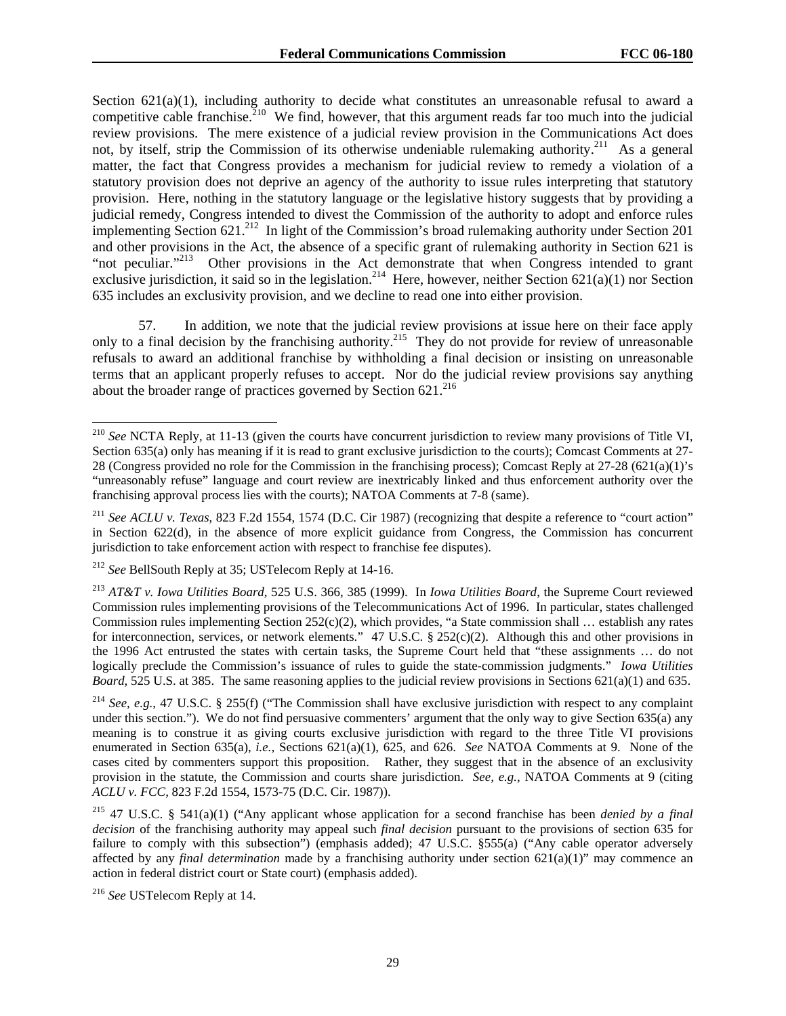Section 621(a)(1), including authority to decide what constitutes an unreasonable refusal to award a competitive cable franchise.<sup>210</sup> We find, however, that this argument reads far too much into the judicial review provisions. The mere existence of a judicial review provision in the Communications Act does not, by itself, strip the Commission of its otherwise undeniable rulemaking authority.<sup>211</sup> As a general matter, the fact that Congress provides a mechanism for judicial review to remedy a violation of a statutory provision does not deprive an agency of the authority to issue rules interpreting that statutory provision. Here, nothing in the statutory language or the legislative history suggests that by providing a judicial remedy, Congress intended to divest the Commission of the authority to adopt and enforce rules implementing Section  $621^{212}$  In light of the Commission's broad rulemaking authority under Section 201 and other provisions in the Act, the absence of a specific grant of rulemaking authority in Section 621 is "not peculiar."<sup>213</sup> Other provisions in the Act demonstrate that when Congress intended to grant exclusive jurisdiction, it said so in the legislation.<sup>214</sup> Here, however, neither Section 621(a)(1) nor Section 635 includes an exclusivity provision, and we decline to read one into either provision.

57. In addition, we note that the judicial review provisions at issue here on their face apply only to a final decision by the franchising authority.<sup>215</sup> They do not provide for review of unreasonable refusals to award an additional franchise by withholding a final decision or insisting on unreasonable terms that an applicant properly refuses to accept. Nor do the judicial review provisions say anything about the broader range of practices governed by Section  $621^{216}$ 

<sup>1</sup> <sup>210</sup> *See* NCTA Reply, at 11-13 (given the courts have concurrent jurisdiction to review many provisions of Title VI, Section 635(a) only has meaning if it is read to grant exclusive jurisdiction to the courts); Comcast Comments at 27- 28 (Congress provided no role for the Commission in the franchising process); Comcast Reply at 27-28 (621(a)(1)'s "unreasonably refuse" language and court review are inextricably linked and thus enforcement authority over the franchising approval process lies with the courts); NATOA Comments at 7-8 (same).

<sup>211</sup> *See ACLU v. Texas*, 823 F.2d 1554, 1574 (D.C. Cir 1987) (recognizing that despite a reference to "court action" in Section 622(d), in the absence of more explicit guidance from Congress, the Commission has concurrent jurisdiction to take enforcement action with respect to franchise fee disputes).

<sup>212</sup> *See* BellSouth Reply at 35; USTelecom Reply at 14-16.

<sup>213</sup> *AT&T v. Iowa Utilities Board,* 525 U.S. 366, 385 (1999). In *Iowa Utilities Board*, the Supreme Court reviewed Commission rules implementing provisions of the Telecommunications Act of 1996. In particular, states challenged Commission rules implementing Section  $252(c)(2)$ , which provides, "a State commission shall ... establish any rates for interconnection, services, or network elements." 47 U.S.C. § 252(c)(2). Although this and other provisions in the 1996 Act entrusted the states with certain tasks, the Supreme Court held that "these assignments … do not logically preclude the Commission's issuance of rules to guide the state-commission judgments." *Iowa Utilities Board*, 525 U.S. at 385. The same reasoning applies to the judicial review provisions in Sections 621(a)(1) and 635.

<sup>214</sup> *See, e.g.*, 47 U.S.C. § 255(f) ("The Commission shall have exclusive jurisdiction with respect to any complaint under this section."). We do not find persuasive commenters' argument that the only way to give Section 635(a) any meaning is to construe it as giving courts exclusive jurisdiction with regard to the three Title VI provisions enumerated in Section 635(a), *i.e.,* Sections 621(a)(1), 625, and 626. *See* NATOA Comments at 9. None of the cases cited by commenters support this proposition. Rather, they suggest that in the absence of an exclusivity provision in the statute, the Commission and courts share jurisdiction. *See, e.g.,* NATOA Comments at 9 (citing *ACLU v. FCC,* 823 F.2d 1554, 1573-75 (D.C. Cir. 1987)).

<sup>215 47</sup> U.S.C. § 541(a)(1) ("Any applicant whose application for a second franchise has been *denied by a final decision* of the franchising authority may appeal such *final decision* pursuant to the provisions of section 635 for failure to comply with this subsection") (emphasis added); 47 U.S.C. §555(a) ("Any cable operator adversely affected by any *final determination* made by a franchising authority under section 621(a)(1)" may commence an action in federal district court or State court) (emphasis added).

<sup>216</sup> *See* USTelecom Reply at 14.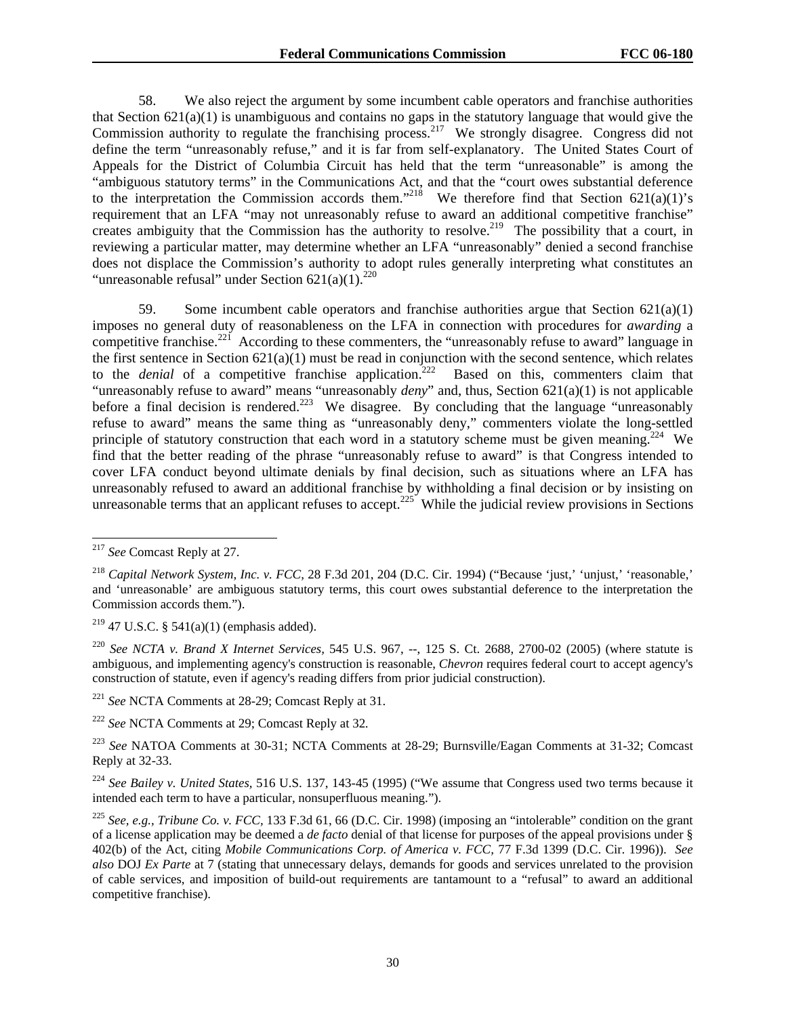58. We also reject the argument by some incumbent cable operators and franchise authorities that Section 621(a)(1) is unambiguous and contains no gaps in the statutory language that would give the Commission authority to regulate the franchising process.<sup>217</sup> We strongly disagree. Congress did not define the term "unreasonably refuse," and it is far from self-explanatory. The United States Court of Appeals for the District of Columbia Circuit has held that the term "unreasonable" is among the "ambiguous statutory terms" in the Communications Act, and that the "court owes substantial deference to the interpretation the Commission accords them."<sup>218</sup> We therefore find that Section 621(a)(1)'s requirement that an LFA "may not unreasonably refuse to award an additional competitive franchise" creates ambiguity that the Commission has the authority to resolve.<sup>219</sup> The possibility that a court, in reviewing a particular matter, may determine whether an LFA "unreasonably" denied a second franchise does not displace the Commission's authority to adopt rules generally interpreting what constitutes an "unreasonable refusal" under Section  $621(a)(1)$ .<sup>220</sup>

59. Some incumbent cable operators and franchise authorities argue that Section 621(a)(1) imposes no general duty of reasonableness on the LFA in connection with procedures for *awarding* a competitive franchise.<sup>221</sup> According to these commenters, the "unreasonably refuse to award" language in the first sentence in Section  $621(a)(1)$  must be read in conjunction with the second sentence, which relates to the *denial* of a competitive franchise application.<sup>222</sup> Based on this, commenters claim that "unreasonably refuse to award" means "unreasonably *deny*" and, thus, Section 621(a)(1) is not applicable before a final decision is rendered.<sup>223</sup> We disagree. By concluding that the language "unreasonably" refuse to award" means the same thing as "unreasonably deny," commenters violate the long-settled principle of statutory construction that each word in a statutory scheme must be given meaning.<sup>224</sup> We find that the better reading of the phrase "unreasonably refuse to award" is that Congress intended to cover LFA conduct beyond ultimate denials by final decision, such as situations where an LFA has unreasonably refused to award an additional franchise by withholding a final decision or by insisting on unreasonable terms that an applicant refuses to accept.<sup>225</sup> While the judicial review provisions in Sections unreasonable terms that an applicant refuses to accept.<sup>225</sup>

 $\overline{a}$ 

<sup>220</sup> *See NCTA v. Brand X Internet Services,* 545 U.S. 967, --, 125 S. Ct. 2688, 2700-02 (2005) (where statute is ambiguous, and implementing agency's construction is reasonable, *Chevron* requires federal court to accept agency's construction of statute, even if agency's reading differs from prior judicial construction).

<sup>221</sup> *See* NCTA Comments at 28-29; Comcast Reply at 31.

<sup>222</sup> *See* NCTA Comments at 29; Comcast Reply at 32*.* 

<sup>224</sup> *See Bailey v. United States,* 516 U.S. 137, 143-45 (1995) ("We assume that Congress used two terms because it intended each term to have a particular, nonsuperfluous meaning.").

<sup>217</sup> *See* Comcast Reply at 27.

<sup>&</sup>lt;sup>218</sup> Capital Network System, Inc. v. FCC, 28 F.3d 201, 204 (D.C. Cir. 1994) ("Because 'just,' 'unjust,' 'reasonable,' and 'unreasonable' are ambiguous statutory terms, this court owes substantial deference to the interpretation the Commission accords them.").

<sup>&</sup>lt;sup>219</sup> 47 U.S.C. § 541(a)(1) (emphasis added).

<sup>223</sup> *See* NATOA Comments at 30-31; NCTA Comments at 28-29; Burnsville/Eagan Comments at 31-32; Comcast Reply at 32-33.

<sup>225</sup> *See, e.g., Tribune Co. v. FCC,* 133 F.3d 61, 66 (D.C. Cir. 1998) (imposing an "intolerable" condition on the grant of a license application may be deemed a *de facto* denial of that license for purposes of the appeal provisions under § 402(b) of the Act, citing *Mobile Communications Corp. of America v. FCC,* 77 F.3d 1399 (D.C. Cir. 1996)). *See also* DOJ *Ex Parte* at 7 (stating that unnecessary delays, demands for goods and services unrelated to the provision of cable services, and imposition of build-out requirements are tantamount to a "refusal" to award an additional competitive franchise).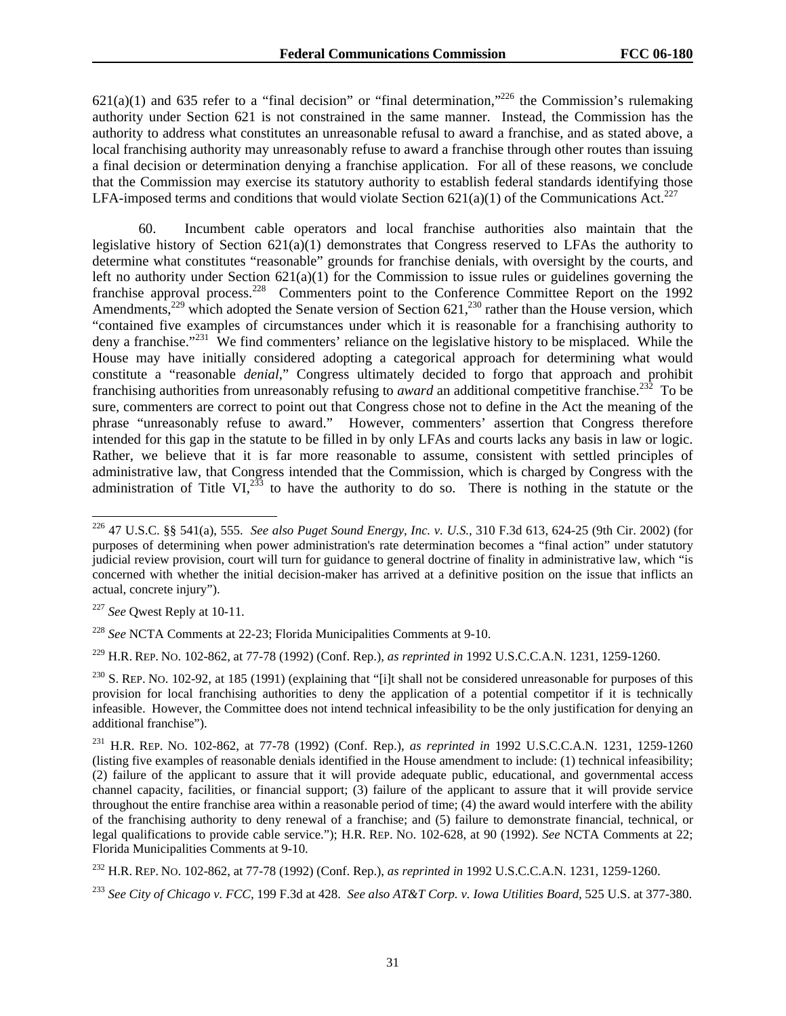621(a)(1) and 635 refer to a "final decision" or "final determination,"<sup>226</sup> the Commission's rulemaking authority under Section 621 is not constrained in the same manner. Instead, the Commission has the authority to address what constitutes an unreasonable refusal to award a franchise, and as stated above, a local franchising authority may unreasonably refuse to award a franchise through other routes than issuing a final decision or determination denying a franchise application. For all of these reasons, we conclude that the Commission may exercise its statutory authority to establish federal standards identifying those LFA-imposed terms and conditions that would violate Section  $621(a)(1)$  of the Communications Act.<sup>227</sup>

60. Incumbent cable operators and local franchise authorities also maintain that the legislative history of Section  $621(a)(1)$  demonstrates that Congress reserved to LFAs the authority to determine what constitutes "reasonable" grounds for franchise denials, with oversight by the courts, and left no authority under Section 621(a)(1) for the Commission to issue rules or guidelines governing the franchise approval process.<sup>228</sup> Commenters point to the Conference Committee Report on the 1992 Amendments,<sup>229</sup> which adopted the Senate version of Section  $621$ ,<sup>230</sup> rather than the House version, which "contained five examples of circumstances under which it is reasonable for a franchising authority to deny a franchise."<sup>231</sup> We find commenters' reliance on the legislative history to be misplaced. While the House may have initially considered adopting a categorical approach for determining what would constitute a "reasonable *denial*," Congress ultimately decided to forgo that approach and prohibit franchising authorities from unreasonably refusing to *award* an additional competitive franchise.232 To be sure, commenters are correct to point out that Congress chose not to define in the Act the meaning of the phrase "unreasonably refuse to award." However, commenters' assertion that Congress therefore intended for this gap in the statute to be filled in by only LFAs and courts lacks any basis in law or logic. Rather, we believe that it is far more reasonable to assume, consistent with settled principles of administrative law, that Congress intended that the Commission, which is charged by Congress with the administration of Title VI, $^{233}$  to have the authority to do so. There is nothing in the statute or the

l

229 H.R. REP. NO. 102-862, at 77-78 (1992) (Conf. Rep.), *as reprinted in* 1992 U.S.C.C.A.N. 1231, 1259-1260.

<sup>226 47</sup> U.S.C. §§ 541(a), 555. *See also Puget Sound Energy, Inc. v. U.S.,* 310 F.3d 613, 624-25 (9th Cir. 2002) (for purposes of determining when power administration's rate determination becomes a "final action" under statutory judicial review provision, court will turn for guidance to general doctrine of finality in administrative law, which "is concerned with whether the initial decision-maker has arrived at a definitive position on the issue that inflicts an actual, concrete injury").

<sup>227</sup> *See* Qwest Reply at 10-11.

<sup>228</sup> *See* NCTA Comments at 22-23; Florida Municipalities Comments at 9-10.

 $230$  S. REP. NO. 102-92, at 185 (1991) (explaining that "[i]t shall not be considered unreasonable for purposes of this provision for local franchising authorities to deny the application of a potential competitor if it is technically infeasible. However, the Committee does not intend technical infeasibility to be the only justification for denying an additional franchise").

<sup>231</sup> H.R. REP. NO. 102-862, at 77-78 (1992) (Conf. Rep.), *as reprinted in* 1992 U.S.C.C.A.N. 1231, 1259-1260 (listing five examples of reasonable denials identified in the House amendment to include: (1) technical infeasibility; (2) failure of the applicant to assure that it will provide adequate public, educational, and governmental access channel capacity, facilities, or financial support; (3) failure of the applicant to assure that it will provide service throughout the entire franchise area within a reasonable period of time; (4) the award would interfere with the ability of the franchising authority to deny renewal of a franchise; and (5) failure to demonstrate financial, technical, or legal qualifications to provide cable service."); H.R. REP. NO. 102-628, at 90 (1992). *See* NCTA Comments at 22; Florida Municipalities Comments at 9-10.

<sup>232</sup> H.R. REP. NO. 102-862, at 77-78 (1992) (Conf. Rep.), *as reprinted in* 1992 U.S.C.C.A.N. 1231, 1259-1260.

<sup>233</sup> *See City of Chicago v. FCC,* 199 F.3d at 428. *See also AT&T Corp. v. Iowa Utilities Board,* 525 U.S. at 377-380.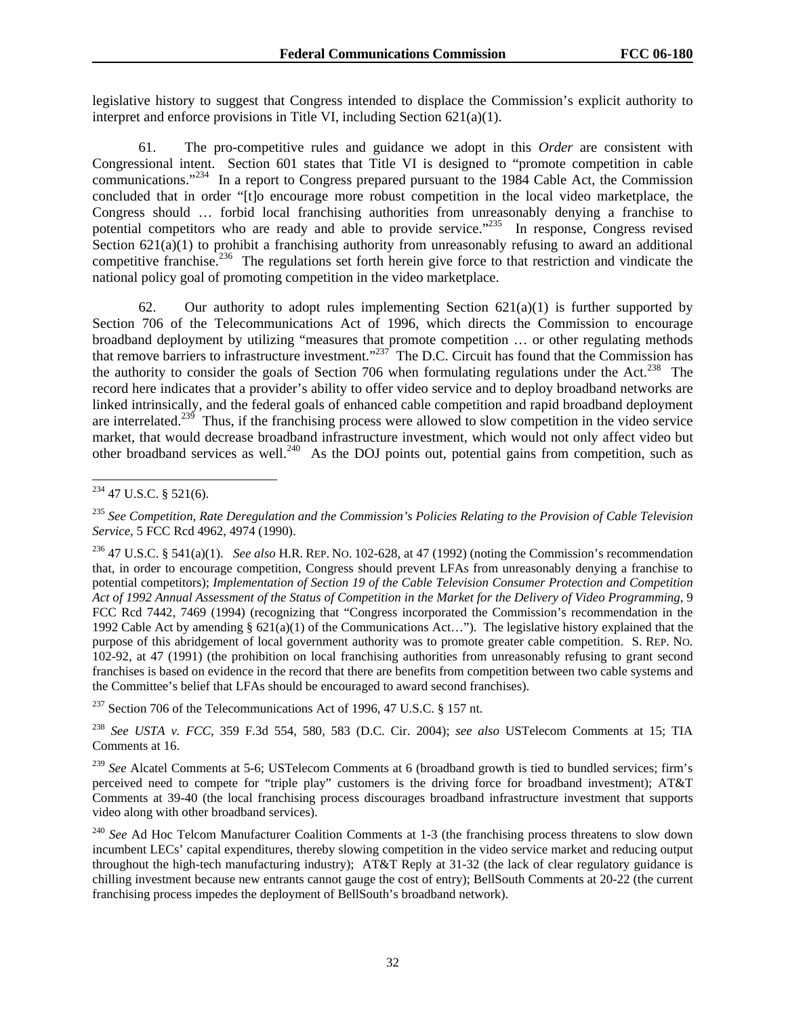legislative history to suggest that Congress intended to displace the Commission's explicit authority to interpret and enforce provisions in Title VI, including Section 621(a)(1).

61. The pro-competitive rules and guidance we adopt in this *Order* are consistent with Congressional intent. Section 601 states that Title VI is designed to "promote competition in cable communications."<sup>234</sup> In a report to Congress prepared pursuant to the 1984 Cable Act, the Commission concluded that in order "[t]o encourage more robust competition in the local video marketplace, the Congress should … forbid local franchising authorities from unreasonably denying a franchise to potential competitors who are ready and able to provide service."235 In response, Congress revised Section  $621(a)(1)$  to prohibit a franchising authority from unreasonably refusing to award an additional competitive franchise.<sup>236</sup> The regulations set forth herein give force to that restriction and vindicate the national policy goal of promoting competition in the video marketplace.

62. Our authority to adopt rules implementing Section  $621(a)(1)$  is further supported by Section 706 of the Telecommunications Act of 1996, which directs the Commission to encourage broadband deployment by utilizing "measures that promote competition … or other regulating methods that remove barriers to infrastructure investment."<sup>237</sup> The D.C. Circuit has found that the Commission has the authority to consider the goals of Section 706 when formulating regulations under the Act.<sup>238</sup> The record here indicates that a provider's ability to offer video service and to deploy broadband networks are linked intrinsically, and the federal goals of enhanced cable competition and rapid broadband deployment are interrelated.239 Thus, if the franchising process were allowed to slow competition in the video service market, that would decrease broadband infrastructure investment, which would not only affect video but other broadband services as well.<sup>240</sup> As the DOJ points out, potential gains from competition, such as

236 47 U.S.C. § 541(a)(1). *See also* H.R. REP. NO. 102-628, at 47 (1992) (noting the Commission's recommendation that, in order to encourage competition, Congress should prevent LFAs from unreasonably denying a franchise to potential competitors); *Implementation of Section 19 of the Cable Television Consumer Protection and Competition Act of 1992 Annual Assessment of the Status of Competition in the Market for the Delivery of Video Programming*, 9 FCC Rcd 7442, 7469 (1994) (recognizing that "Congress incorporated the Commission's recommendation in the 1992 Cable Act by amending § 621(a)(1) of the Communications Act…"). The legislative history explained that the purpose of this abridgement of local government authority was to promote greater cable competition. S. REP. NO. 102-92, at 47 (1991) (the prohibition on local franchising authorities from unreasonably refusing to grant second franchises is based on evidence in the record that there are benefits from competition between two cable systems and the Committee's belief that LFAs should be encouraged to award second franchises).

 $237$  Section 706 of the Telecommunications Act of 1996, 47 U.S.C. § 157 nt.

<sup>238</sup> *See USTA v. FCC*, 359 F.3d 554, 580, 583 (D.C. Cir. 2004); *see also* USTelecom Comments at 15; TIA Comments at 16.

<sup>239</sup> See Alcatel Comments at 5-6; USTelecom Comments at 6 (broadband growth is tied to bundled services; firm's perceived need to compete for "triple play" customers is the driving force for broadband investment); AT&T Comments at 39-40 (the local franchising process discourages broadband infrastructure investment that supports video along with other broadband services).

l  $234$  47 U.S.C. § 521(6).

<sup>235</sup> *See Competition, Rate Deregulation and the Commission's Policies Relating to the Provision of Cable Television Service,* 5 FCC Rcd 4962, 4974 (1990).

<sup>&</sup>lt;sup>240</sup> See Ad Hoc Telcom Manufacturer Coalition Comments at 1-3 (the franchising process threatens to slow down incumbent LECs' capital expenditures, thereby slowing competition in the video service market and reducing output throughout the high-tech manufacturing industry); AT&T Reply at 31-32 (the lack of clear regulatory guidance is chilling investment because new entrants cannot gauge the cost of entry); BellSouth Comments at 20-22 (the current franchising process impedes the deployment of BellSouth's broadband network).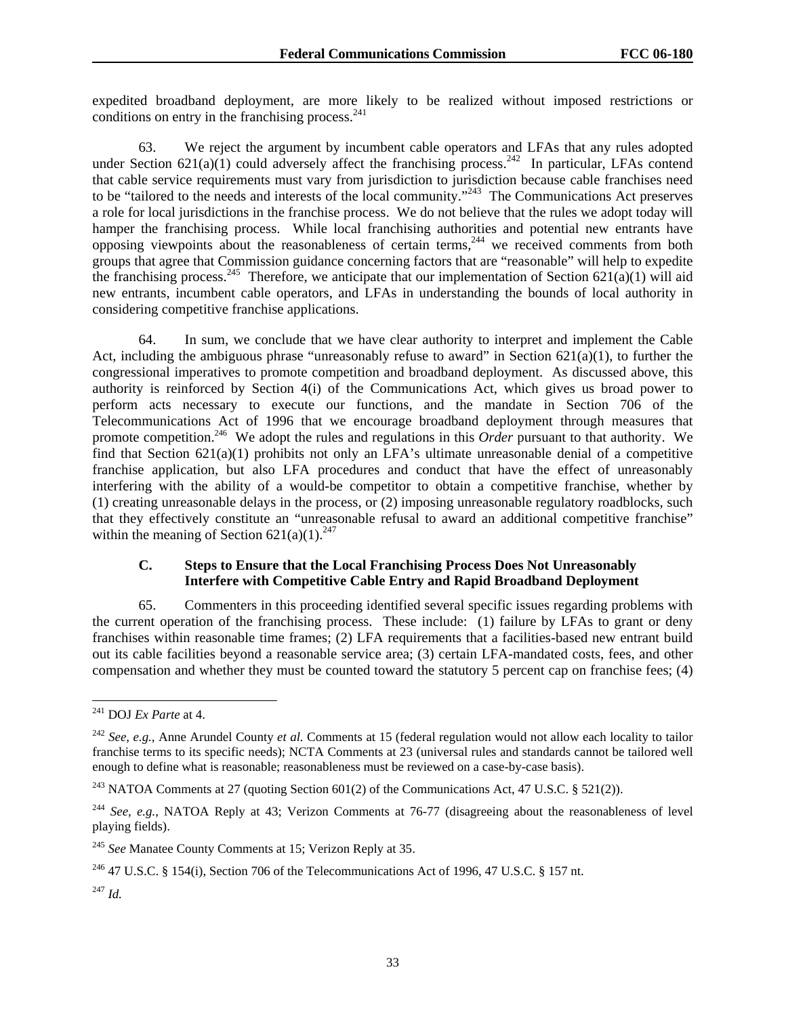expedited broadband deployment, are more likely to be realized without imposed restrictions or conditions on entry in the franchising process. $^{241}$ 

63. We reject the argument by incumbent cable operators and LFAs that any rules adopted under Section 621(a)(1) could adversely affect the franchising process.<sup>242</sup> In particular, LFAs contend that cable service requirements must vary from jurisdiction to jurisdiction because cable franchises need to be "tailored to the needs and interests of the local community."<sup>243</sup> The Communications Act preserves a role for local jurisdictions in the franchise process. We do not believe that the rules we adopt today will hamper the franchising process. While local franchising authorities and potential new entrants have opposing viewpoints about the reasonableness of certain terms,<sup>244</sup> we received comments from both groups that agree that Commission guidance concerning factors that are "reasonable" will help to expedite the franchising process.<sup>245</sup> Therefore, we anticipate that our implementation of Section 621(a)(1) will aid new entrants, incumbent cable operators, and LFAs in understanding the bounds of local authority in considering competitive franchise applications.

64. In sum, we conclude that we have clear authority to interpret and implement the Cable Act, including the ambiguous phrase "unreasonably refuse to award" in Section  $621(a)(1)$ , to further the congressional imperatives to promote competition and broadband deployment. As discussed above, this authority is reinforced by Section 4(i) of the Communications Act, which gives us broad power to perform acts necessary to execute our functions, and the mandate in Section 706 of the Telecommunications Act of 1996 that we encourage broadband deployment through measures that promote competition.246 We adopt the rules and regulations in this *Order* pursuant to that authority. We find that Section 621(a)(1) prohibits not only an LFA's ultimate unreasonable denial of a competitive franchise application, but also LFA procedures and conduct that have the effect of unreasonably interfering with the ability of a would-be competitor to obtain a competitive franchise, whether by (1) creating unreasonable delays in the process, or (2) imposing unreasonable regulatory roadblocks, such that they effectively constitute an "unreasonable refusal to award an additional competitive franchise" within the meaning of Section  $621(a)(1)$ <sup>247</sup>

# **C. Steps to Ensure that the Local Franchising Process Does Not Unreasonably Interfere with Competitive Cable Entry and Rapid Broadband Deployment**

65. Commenters in this proceeding identified several specific issues regarding problems with the current operation of the franchising process. These include: (1) failure by LFAs to grant or deny franchises within reasonable time frames; (2) LFA requirements that a facilities-based new entrant build out its cable facilities beyond a reasonable service area; (3) certain LFA-mandated costs, fees, and other compensation and whether they must be counted toward the statutory 5 percent cap on franchise fees; (4)

l

<sup>241</sup> DOJ *Ex Parte* at 4.

<sup>242</sup> *See, e.g.*, Anne Arundel County *et al.* Comments at 15 (federal regulation would not allow each locality to tailor franchise terms to its specific needs); NCTA Comments at 23 (universal rules and standards cannot be tailored well enough to define what is reasonable; reasonableness must be reviewed on a case-by-case basis).

<sup>&</sup>lt;sup>243</sup> NATOA Comments at 27 (quoting Section 601(2) of the Communications Act, 47 U.S.C. § 521(2)).

<sup>&</sup>lt;sup>244</sup> *See, e.g.*, NATOA Reply at 43; Verizon Comments at 76-77 (disagreeing about the reasonableness of level playing fields).

<sup>245</sup> *See* Manatee County Comments at 15; Verizon Reply at 35.

<sup>&</sup>lt;sup>246</sup> 47 U.S.C. § 154(i), Section 706 of the Telecommunications Act of 1996, 47 U.S.C. § 157 nt.

<sup>247</sup> *Id.*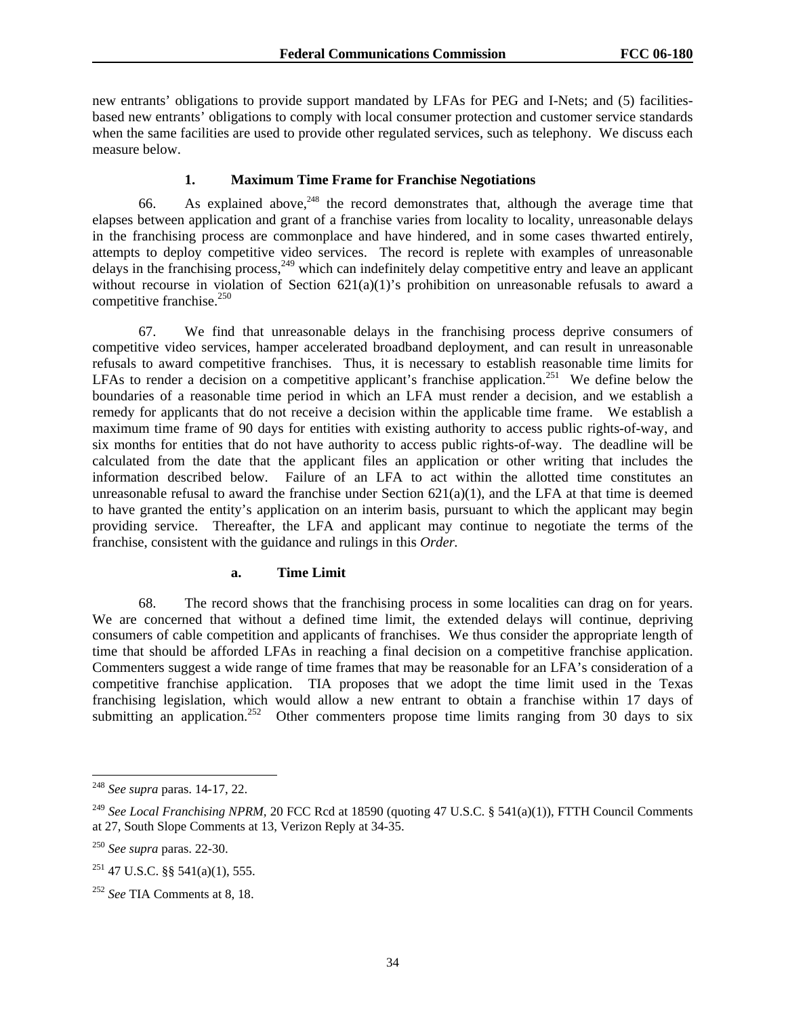new entrants' obligations to provide support mandated by LFAs for PEG and I-Nets; and (5) facilitiesbased new entrants' obligations to comply with local consumer protection and customer service standards when the same facilities are used to provide other regulated services, such as telephony. We discuss each measure below.

## **1. Maximum Time Frame for Franchise Negotiations**

66. As explained above,  $248$  the record demonstrates that, although the average time that elapses between application and grant of a franchise varies from locality to locality, unreasonable delays in the franchising process are commonplace and have hindered, and in some cases thwarted entirely, attempts to deploy competitive video services. The record is replete with examples of unreasonable delays in the franchising process,  $249$  which can indefinitely delay competitive entry and leave an applicant without recourse in violation of Section 621(a)(1)'s prohibition on unreasonable refusals to award a competitive franchise. $250$ 

67. We find that unreasonable delays in the franchising process deprive consumers of competitive video services, hamper accelerated broadband deployment, and can result in unreasonable refusals to award competitive franchises. Thus, it is necessary to establish reasonable time limits for LFAs to render a decision on a competitive applicant's franchise application.<sup>251</sup> We define below the boundaries of a reasonable time period in which an LFA must render a decision, and we establish a remedy for applicants that do not receive a decision within the applicable time frame. We establish a maximum time frame of 90 days for entities with existing authority to access public rights-of-way, and six months for entities that do not have authority to access public rights-of-way. The deadline will be calculated from the date that the applicant files an application or other writing that includes the information described below. Failure of an LFA to act within the allotted time constitutes an unreasonable refusal to award the franchise under Section  $621(a)(1)$ , and the LFA at that time is deemed to have granted the entity's application on an interim basis, pursuant to which the applicant may begin providing service. Thereafter, the LFA and applicant may continue to negotiate the terms of the franchise, consistent with the guidance and rulings in this *Order.*

### **a. Time Limit**

68. The record shows that the franchising process in some localities can drag on for years. We are concerned that without a defined time limit, the extended delays will continue, depriving consumers of cable competition and applicants of franchises. We thus consider the appropriate length of time that should be afforded LFAs in reaching a final decision on a competitive franchise application. Commenters suggest a wide range of time frames that may be reasonable for an LFA's consideration of a competitive franchise application. TIA proposes that we adopt the time limit used in the Texas franchising legislation, which would allow a new entrant to obtain a franchise within 17 days of submitting an application.<sup>252</sup> Other commenters propose time limits ranging from 30 days to six

l

<sup>248</sup> *See supra* paras. 14-17, 22.

<sup>&</sup>lt;sup>249</sup> See Local Franchising NPRM, 20 FCC Rcd at 18590 (quoting 47 U.S.C. § 541(a)(1)), FTTH Council Comments at 27, South Slope Comments at 13, Verizon Reply at 34-35.

<sup>250</sup> *See supra* paras. 22-30.

 $251$  47 U.S.C. §§ 541(a)(1), 555.

<sup>252</sup> *See* TIA Comments at 8, 18.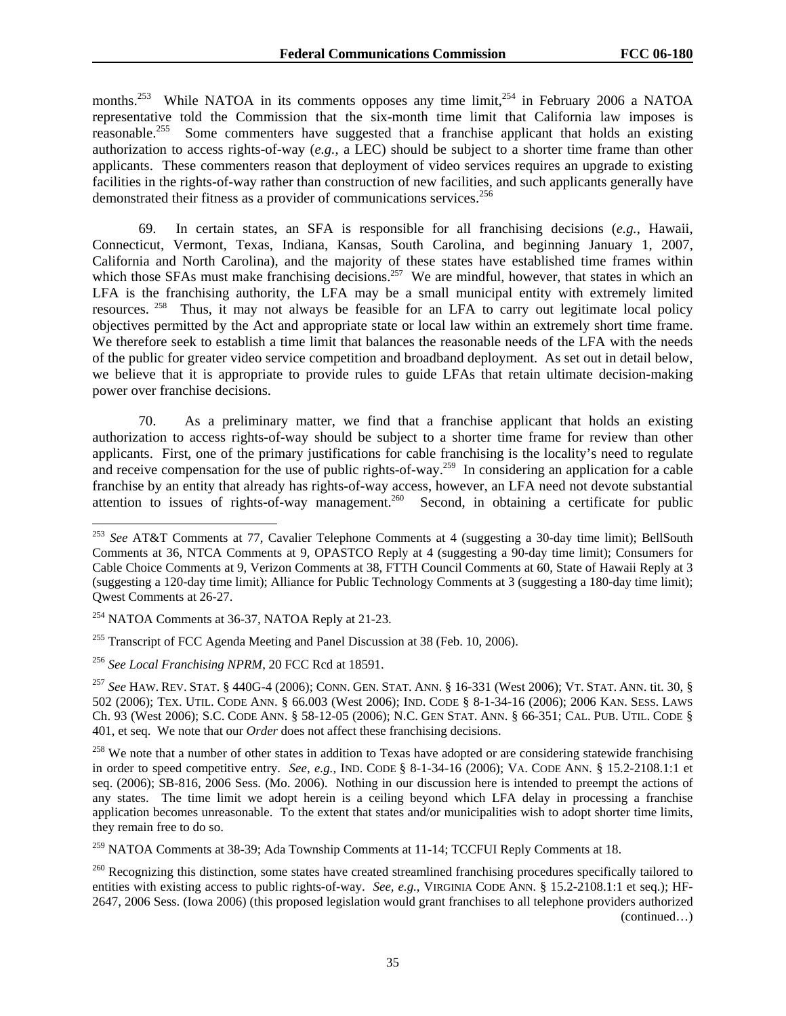months.<sup>253</sup> While NATOA in its comments opposes any time limit,<sup>254</sup> in February 2006 a NATOA representative told the Commission that the six-month time limit that California law imposes is reasonable.<sup>255</sup> Some commenters have suggested that a franchise applicant that holds an existing authorization to access rights-of-way (*e.g.*, a LEC) should be subject to a shorter time frame than other applicants. These commenters reason that deployment of video services requires an upgrade to existing facilities in the rights-of-way rather than construction of new facilities, and such applicants generally have demonstrated their fitness as a provider of communications services.<sup>256</sup>

69.In certain states, an SFA is responsible for all franchising decisions (*e.g.*, Hawaii, Connecticut, Vermont, Texas, Indiana, Kansas, South Carolina, and beginning January 1, 2007, California and North Carolina), and the majority of these states have established time frames within which those SFAs must make franchising decisions.<sup>257</sup> We are mindful, however, that states in which an LFA is the franchising authority, the LFA may be a small municipal entity with extremely limited resources. 258 Thus, it may not always be feasible for an LFA to carry out legitimate local policy objectives permitted by the Act and appropriate state or local law within an extremely short time frame. We therefore seek to establish a time limit that balances the reasonable needs of the LFA with the needs of the public for greater video service competition and broadband deployment. As set out in detail below, we believe that it is appropriate to provide rules to guide LFAs that retain ultimate decision-making power over franchise decisions.

70. As a preliminary matter, we find that a franchise applicant that holds an existing authorization to access rights-of-way should be subject to a shorter time frame for review than other applicants. First, one of the primary justifications for cable franchising is the locality's need to regulate and receive compensation for the use of public rights-of-way.<sup>259</sup> In considering an application for a cable franchise by an entity that already has rights-of-way access, however, an LFA need not devote substantial attention to issues of rights-of-way management.<sup>260</sup> Second, in obtaining a certificate for public

1

<sup>259</sup> NATOA Comments at 38-39; Ada Township Comments at 11-14; TCCFUI Reply Comments at 18.

<sup>253</sup> *See* AT&T Comments at 77, Cavalier Telephone Comments at 4 (suggesting a 30-day time limit); BellSouth Comments at 36, NTCA Comments at 9, OPASTCO Reply at 4 (suggesting a 90-day time limit); Consumers for Cable Choice Comments at 9, Verizon Comments at 38, FTTH Council Comments at 60, State of Hawaii Reply at 3 (suggesting a 120-day time limit); Alliance for Public Technology Comments at 3 (suggesting a 180-day time limit); Qwest Comments at 26-27.

<sup>254</sup> NATOA Comments at 36-37, NATOA Reply at 21-23.

 $255$  Transcript of FCC Agenda Meeting and Panel Discussion at 38 (Feb. 10, 2006).

<sup>256</sup> *See Local Franchising NPRM*, 20 FCC Rcd at 18591.

<sup>257</sup> *See* HAW. REV. STAT. § 440G-4 (2006); CONN. GEN. STAT. ANN. § 16-331 (West 2006); VT. STAT. ANN. tit. 30, § 502 (2006); TEX. UTIL. CODE ANN. § 66.003 (West 2006); IND. CODE § 8-1-34-16 (2006); 2006 KAN. SESS. LAWS Ch. 93 (West 2006); S.C. CODE ANN. § 58-12-05 (2006); N.C. GEN STAT. ANN. § 66-351; CAL. PUB. UTIL. CODE § 401, et seq. We note that our *Order* does not affect these franchising decisions.

 $258$  We note that a number of other states in addition to Texas have adopted or are considering statewide franchising in order to speed competitive entry. *See, e.g.*, IND. CODE § 8-1-34-16 (2006); VA. CODE ANN. § 15.2-2108.1:1 et seq. (2006); SB-816, 2006 Sess. (Mo. 2006). Nothing in our discussion here is intended to preempt the actions of any states. The time limit we adopt herein is a ceiling beyond which LFA delay in processing a franchise application becomes unreasonable. To the extent that states and/or municipalities wish to adopt shorter time limits, they remain free to do so.

<sup>&</sup>lt;sup>260</sup> Recognizing this distinction, some states have created streamlined franchising procedures specifically tailored to entities with existing access to public rights-of-way. *See, e.g.*, VIRGINIA CODE ANN. § 15.2-2108.1:1 et seq.); HF-2647, 2006 Sess. (Iowa 2006) (this proposed legislation would grant franchises to all telephone providers authorized (continued…)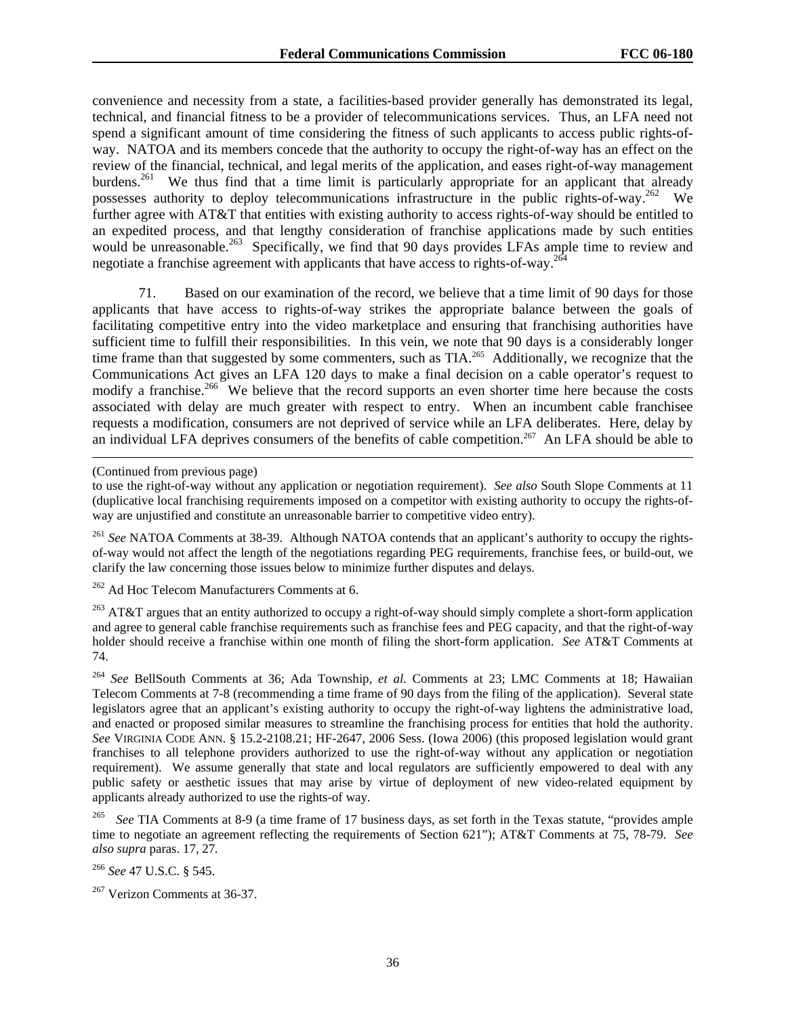convenience and necessity from a state, a facilities-based provider generally has demonstrated its legal, technical, and financial fitness to be a provider of telecommunications services. Thus, an LFA need not spend a significant amount of time considering the fitness of such applicants to access public rights-ofway. NATOA and its members concede that the authority to occupy the right-of-way has an effect on the review of the financial, technical, and legal merits of the application, and eases right-of-way management burdens.<sup>261</sup> We thus find that a time limit is particularly appropriate for an applicant that already possesses authority to deploy telecommunications infrastructure in the public rights-of-way.<sup>262</sup> We further agree with AT&T that entities with existing authority to access rights-of-way should be entitled to an expedited process, and that lengthy consideration of franchise applications made by such entities would be unreasonable.<sup>263</sup> Specifically, we find that 90 days provides LFAs ample time to review and negotiate a franchise agreement with applicants that have access to rights-of-way.<sup>264</sup>

71. Based on our examination of the record, we believe that a time limit of 90 days for those applicants that have access to rights-of-way strikes the appropriate balance between the goals of facilitating competitive entry into the video marketplace and ensuring that franchising authorities have sufficient time to fulfill their responsibilities. In this vein, we note that 90 days is a considerably longer time frame than that suggested by some commenters, such as TIA.<sup>265</sup> Additionally, we recognize that the Communications Act gives an LFA 120 days to make a final decision on a cable operator's request to modify a franchise.<sup>266</sup> We believe that the record supports an even shorter time here because the costs associated with delay are much greater with respect to entry. When an incumbent cable franchisee requests a modification, consumers are not deprived of service while an LFA deliberates. Here, delay by an individual LFA deprives consumers of the benefits of cable competition.<sup>267</sup> An LFA should be able to

 $\overline{a}$ 

<sup>262</sup> Ad Hoc Telecom Manufacturers Comments at 6.

<sup>263</sup> AT&T argues that an entity authorized to occupy a right-of-way should simply complete a short-form application and agree to general cable franchise requirements such as franchise fees and PEG capacity, and that the right-of-way holder should receive a franchise within one month of filing the short-form application. *See* AT&T Comments at 74.

<sup>264</sup> *See* BellSouth Comments at 36; Ada Township, *et al*. Comments at 23; LMC Comments at 18; Hawaiian Telecom Comments at 7-8 (recommending a time frame of 90 days from the filing of the application). Several state legislators agree that an applicant's existing authority to occupy the right-of-way lightens the administrative load, and enacted or proposed similar measures to streamline the franchising process for entities that hold the authority. *See* VIRGINIA CODE ANN. § 15.2-2108.21; HF-2647, 2006 Sess. (Iowa 2006) (this proposed legislation would grant franchises to all telephone providers authorized to use the right-of-way without any application or negotiation requirement). We assume generally that state and local regulators are sufficiently empowered to deal with any public safety or aesthetic issues that may arise by virtue of deployment of new video-related equipment by applicants already authorized to use the rights-of way.

<sup>265</sup> *See* TIA Comments at 8-9 (a time frame of 17 business days, as set forth in the Texas statute, "provides ample time to negotiate an agreement reflecting the requirements of Section 621"); AT&T Comments at 75, 78-79. *See also supra* paras. 17, 27*.* 

<sup>266</sup> *See* 47 U.S.C. § 545.

<sup>(</sup>Continued from previous page)

to use the right-of-way without any application or negotiation requirement). *See also* South Slope Comments at 11 (duplicative local franchising requirements imposed on a competitor with existing authority to occupy the rights-ofway are unjustified and constitute an unreasonable barrier to competitive video entry).

<sup>261</sup> *See* NATOA Comments at 38-39. Although NATOA contends that an applicant's authority to occupy the rightsof-way would not affect the length of the negotiations regarding PEG requirements, franchise fees, or build-out, we clarify the law concerning those issues below to minimize further disputes and delays.

<sup>&</sup>lt;sup>267</sup> Verizon Comments at 36-37.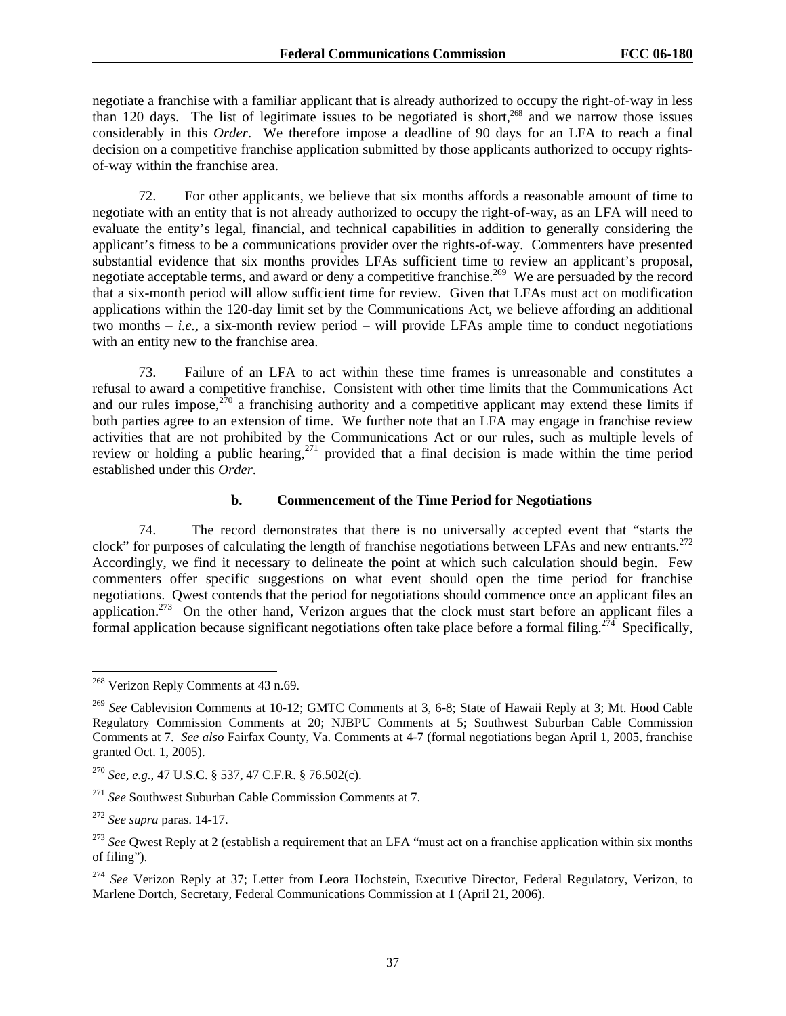negotiate a franchise with a familiar applicant that is already authorized to occupy the right-of-way in less than 120 days. The list of legitimate issues to be negotiated is short, $268$  and we narrow those issues considerably in this *Order*. We therefore impose a deadline of 90 days for an LFA to reach a final decision on a competitive franchise application submitted by those applicants authorized to occupy rightsof-way within the franchise area.

72. For other applicants, we believe that six months affords a reasonable amount of time to negotiate with an entity that is not already authorized to occupy the right-of-way, as an LFA will need to evaluate the entity's legal, financial, and technical capabilities in addition to generally considering the applicant's fitness to be a communications provider over the rights-of-way. Commenters have presented substantial evidence that six months provides LFAs sufficient time to review an applicant's proposal, negotiate acceptable terms, and award or deny a competitive franchise.<sup>269</sup> We are persuaded by the record that a six-month period will allow sufficient time for review. Given that LFAs must act on modification applications within the 120-day limit set by the Communications Act, we believe affording an additional two months – *i.e.,* a six-month review period – will provide LFAs ample time to conduct negotiations with an entity new to the franchise area.

73. Failure of an LFA to act within these time frames is unreasonable and constitutes a refusal to award a competitive franchise. Consistent with other time limits that the Communications Act and our rules impose, $270$  a franchising authority and a competitive applicant may extend these limits if both parties agree to an extension of time. We further note that an LFA may engage in franchise review activities that are not prohibited by the Communications Act or our rules, such as multiple levels of review or holding a public hearing,<sup>271</sup> provided that a final decision is made within the time period established under this *Order*.

#### **b. Commencement of the Time Period for Negotiations**

74. The record demonstrates that there is no universally accepted event that "starts the clock" for purposes of calculating the length of franchise negotiations between LFAs and new entrants.<sup>272</sup> Accordingly, we find it necessary to delineate the point at which such calculation should begin. Few commenters offer specific suggestions on what event should open the time period for franchise negotiations. Qwest contends that the period for negotiations should commence once an applicant files an application.<sup>273</sup> On the other hand, Verizon argues that the clock must start before an applicant files a formal application because significant negotiations often take place before a formal filing.<sup>274</sup> Specifically,

<sup>&</sup>lt;sup>268</sup> Verizon Reply Comments at 43 n.69.

<sup>269</sup> *See* Cablevision Comments at 10-12; GMTC Comments at 3, 6-8; State of Hawaii Reply at 3; Mt. Hood Cable Regulatory Commission Comments at 20; NJBPU Comments at 5; Southwest Suburban Cable Commission Comments at 7. *See also* Fairfax County, Va. Comments at 4-7 (formal negotiations began April 1, 2005, franchise granted Oct. 1, 2005).

<sup>270</sup> *See, e.g.*, 47 U.S.C. § 537, 47 C.F.R. § 76.502(c).

<sup>271</sup> *See* Southwest Suburban Cable Commission Comments at 7.

<sup>272</sup> *See supra* paras. 14-17.

<sup>&</sup>lt;sup>273</sup> See Qwest Reply at 2 (establish a requirement that an LFA "must act on a franchise application within six months of filing").

<sup>&</sup>lt;sup>274</sup> See Verizon Reply at 37; Letter from Leora Hochstein, Executive Director, Federal Regulatory, Verizon, to Marlene Dortch, Secretary, Federal Communications Commission at 1 (April 21, 2006).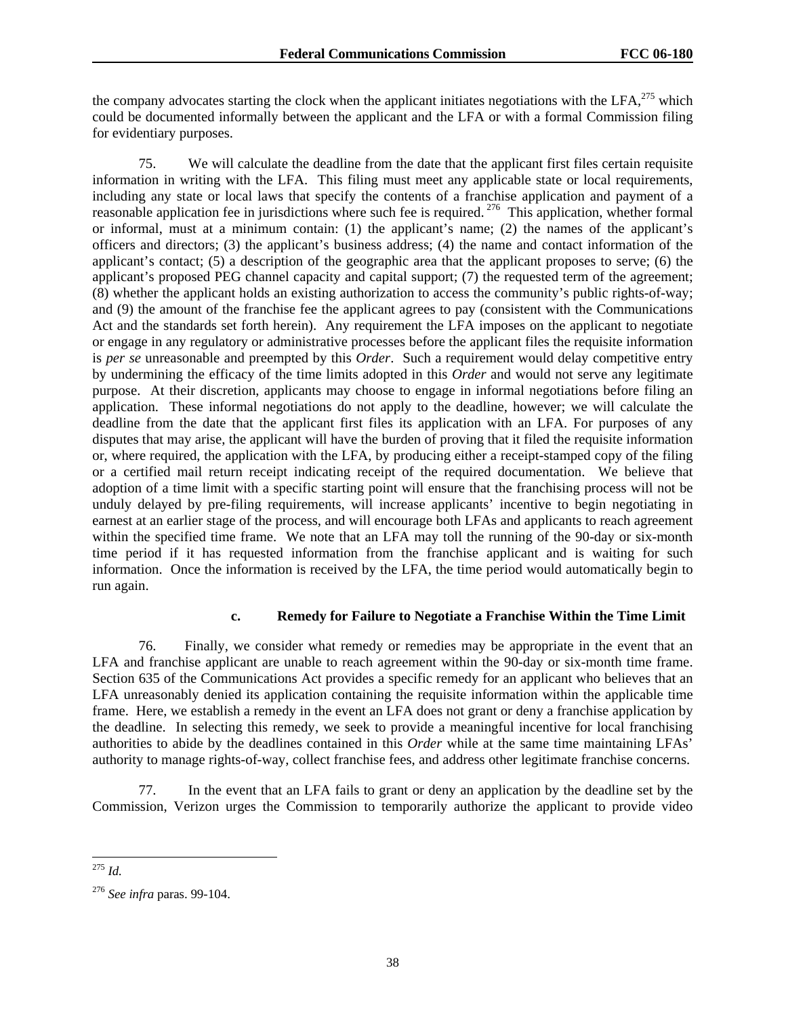the company advocates starting the clock when the applicant initiates negotiations with the LFA, $^{275}$  which could be documented informally between the applicant and the LFA or with a formal Commission filing for evidentiary purposes.

75. We will calculate the deadline from the date that the applicant first files certain requisite information in writing with the LFA. This filing must meet any applicable state or local requirements, including any state or local laws that specify the contents of a franchise application and payment of a reasonable application fee in jurisdictions where such fee is required. 276 This application, whether formal or informal, must at a minimum contain: (1) the applicant's name; (2) the names of the applicant's officers and directors; (3) the applicant's business address; (4) the name and contact information of the applicant's contact; (5) a description of the geographic area that the applicant proposes to serve; (6) the applicant's proposed PEG channel capacity and capital support; (7) the requested term of the agreement; (8) whether the applicant holds an existing authorization to access the community's public rights-of-way; and (9) the amount of the franchise fee the applicant agrees to pay (consistent with the Communications Act and the standards set forth herein). Any requirement the LFA imposes on the applicant to negotiate or engage in any regulatory or administrative processes before the applicant files the requisite information is *per se* unreasonable and preempted by this *Order*. Such a requirement would delay competitive entry by undermining the efficacy of the time limits adopted in this *Order* and would not serve any legitimate purpose. At their discretion, applicants may choose to engage in informal negotiations before filing an application. These informal negotiations do not apply to the deadline, however; we will calculate the deadline from the date that the applicant first files its application with an LFA. For purposes of any disputes that may arise, the applicant will have the burden of proving that it filed the requisite information or, where required, the application with the LFA, by producing either a receipt-stamped copy of the filing or a certified mail return receipt indicating receipt of the required documentation. We believe that adoption of a time limit with a specific starting point will ensure that the franchising process will not be unduly delayed by pre-filing requirements, will increase applicants' incentive to begin negotiating in earnest at an earlier stage of the process, and will encourage both LFAs and applicants to reach agreement within the specified time frame. We note that an LFA may toll the running of the 90-day or six-month time period if it has requested information from the franchise applicant and is waiting for such information. Once the information is received by the LFA, the time period would automatically begin to run again.

#### **c. Remedy for Failure to Negotiate a Franchise Within the Time Limit**

76. Finally, we consider what remedy or remedies may be appropriate in the event that an LFA and franchise applicant are unable to reach agreement within the 90-day or six-month time frame. Section 635 of the Communications Act provides a specific remedy for an applicant who believes that an LFA unreasonably denied its application containing the requisite information within the applicable time frame. Here, we establish a remedy in the event an LFA does not grant or deny a franchise application by the deadline. In selecting this remedy, we seek to provide a meaningful incentive for local franchising authorities to abide by the deadlines contained in this *Order* while at the same time maintaining LFAs' authority to manage rights-of-way, collect franchise fees, and address other legitimate franchise concerns.

77. In the event that an LFA fails to grant or deny an application by the deadline set by the Commission, Verizon urges the Commission to temporarily authorize the applicant to provide video

l <sup>275</sup> *Id.*

<sup>276</sup> *See infra* paras. 99-104.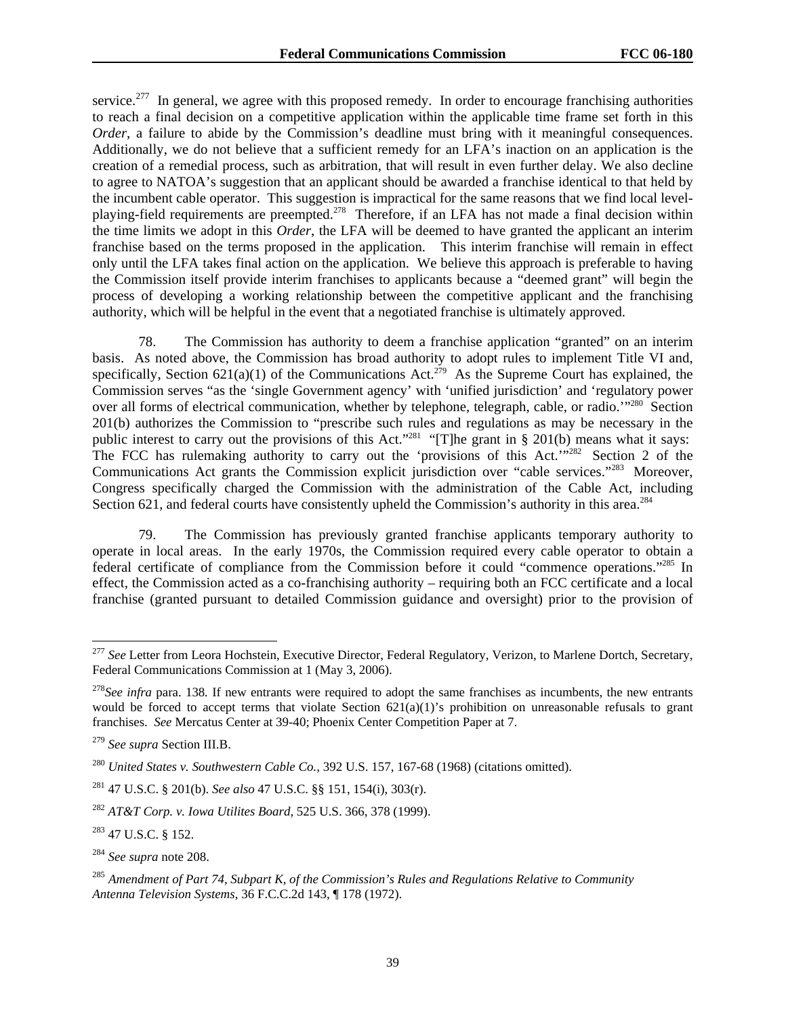service.<sup>277</sup> In general, we agree with this proposed remedy. In order to encourage franchising authorities to reach a final decision on a competitive application within the applicable time frame set forth in this *Order*, a failure to abide by the Commission's deadline must bring with it meaningful consequences. Additionally, we do not believe that a sufficient remedy for an LFA's inaction on an application is the creation of a remedial process, such as arbitration, that will result in even further delay. We also decline to agree to NATOA's suggestion that an applicant should be awarded a franchise identical to that held by the incumbent cable operator. This suggestion is impractical for the same reasons that we find local levelplaying-field requirements are preempted.278 Therefore, if an LFA has not made a final decision within the time limits we adopt in this *Order*, the LFA will be deemed to have granted the applicant an interim franchise based on the terms proposed in the application. This interim franchise will remain in effect only until the LFA takes final action on the application. We believe this approach is preferable to having the Commission itself provide interim franchises to applicants because a "deemed grant" will begin the process of developing a working relationship between the competitive applicant and the franchising authority, which will be helpful in the event that a negotiated franchise is ultimately approved.

78. The Commission has authority to deem a franchise application "granted" on an interim basis. As noted above, the Commission has broad authority to adopt rules to implement Title VI and, specifically, Section  $621(a)(1)$  of the Communications Act.<sup>279</sup> As the Supreme Court has explained, the Commission serves "as the 'single Government agency' with 'unified jurisdiction' and 'regulatory power over all forms of electrical communication, whether by telephone, telegraph, cable, or radio.<sup>'"280</sup> Section 201(b) authorizes the Commission to "prescribe such rules and regulations as may be necessary in the public interest to carry out the provisions of this Act."<sup>281</sup> "[T]he grant in § 201(b) means what it says: The FCC has rulemaking authority to carry out the 'provisions of this Act.'"<sup>282</sup> Section 2 of the Communications Act grants the Commission explicit jurisdiction over "cable services."283 Moreover, Congress specifically charged the Commission with the administration of the Cable Act, including Section 621, and federal courts have consistently upheld the Commission's authority in this area.<sup>284</sup>

79. The Commission has previously granted franchise applicants temporary authority to operate in local areas. In the early 1970s, the Commission required every cable operator to obtain a federal certificate of compliance from the Commission before it could "commence operations."285 In effect, the Commission acted as a co-franchising authority – requiring both an FCC certificate and a local franchise (granted pursuant to detailed Commission guidance and oversight) prior to the provision of

<sup>277</sup> *See* Letter from Leora Hochstein, Executive Director, Federal Regulatory, Verizon, to Marlene Dortch, Secretary, Federal Communications Commission at 1 (May 3, 2006).

<sup>&</sup>lt;sup>278</sup>See infra para. 138. If new entrants were required to adopt the same franchises as incumbents, the new entrants would be forced to accept terms that violate Section 621(a)(1)'s prohibition on unreasonable refusals to grant franchises. *See* Mercatus Center at 39-40; Phoenix Center Competition Paper at 7.

<sup>279</sup> *See supra* Section III.B.

<sup>280</sup> *United States v. Southwestern Cable Co.,* 392 U.S. 157, 167-68 (1968) (citations omitted).

<sup>281 47</sup> U.S.C. § 201(b). *See also* 47 U.S.C. §§ 151, 154(i), 303(r).

<sup>282</sup> *AT&T Corp. v. Iowa Utilites Board,* 525 U.S. 366, 378 (1999).

<sup>283 47</sup> U.S.C. § 152.

<sup>284</sup> *See supra* note 208.

<sup>285</sup> *Amendment of Part 74, Subpart K, of the Commission's Rules and Regulations Relative to Community Antenna Television Systems*, 36 F.C.C.2d 143, ¶ 178 (1972).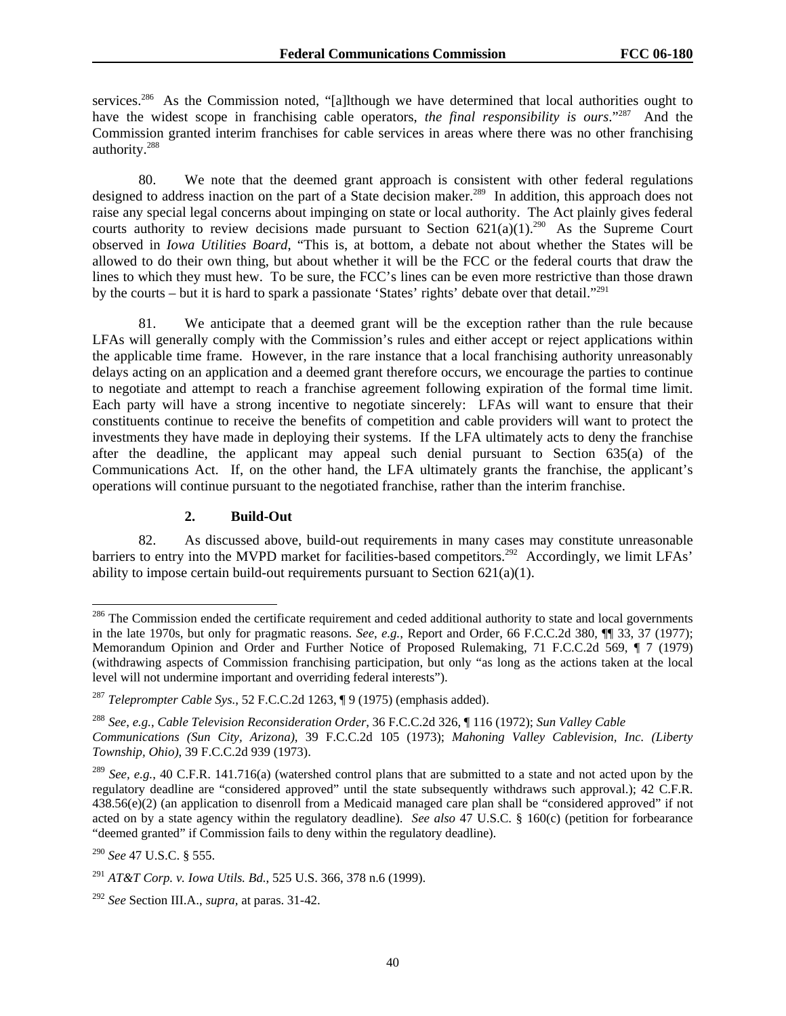services.<sup>286</sup> As the Commission noted, "[a]lthough we have determined that local authorities ought to have the widest scope in franchising cable operators, *the final responsibility is ours*."287 And the Commission granted interim franchises for cable services in areas where there was no other franchising authority.288

80. We note that the deemed grant approach is consistent with other federal regulations designed to address inaction on the part of a State decision maker.<sup>289</sup> In addition, this approach does not raise any special legal concerns about impinging on state or local authority. The Act plainly gives federal courts authority to review decisions made pursuant to Section  $621(a)(1)$ <sup>290</sup> As the Supreme Court observed in *Iowa Utilities Board*, "This is, at bottom, a debate not about whether the States will be allowed to do their own thing, but about whether it will be the FCC or the federal courts that draw the lines to which they must hew. To be sure, the FCC's lines can be even more restrictive than those drawn by the courts – but it is hard to spark a passionate 'States' rights' debate over that detail."291

81. We anticipate that a deemed grant will be the exception rather than the rule because LFAs will generally comply with the Commission's rules and either accept or reject applications within the applicable time frame. However, in the rare instance that a local franchising authority unreasonably delays acting on an application and a deemed grant therefore occurs, we encourage the parties to continue to negotiate and attempt to reach a franchise agreement following expiration of the formal time limit. Each party will have a strong incentive to negotiate sincerely: LFAs will want to ensure that their constituents continue to receive the benefits of competition and cable providers will want to protect the investments they have made in deploying their systems. If the LFA ultimately acts to deny the franchise after the deadline, the applicant may appeal such denial pursuant to Section 635(a) of the Communications Act. If, on the other hand, the LFA ultimately grants the franchise, the applicant's operations will continue pursuant to the negotiated franchise, rather than the interim franchise.

#### **2. Build-Out**

82. As discussed above, build-out requirements in many cases may constitute unreasonable barriers to entry into the MVPD market for facilities-based competitors.<sup>292</sup> Accordingly, we limit LFAs' ability to impose certain build-out requirements pursuant to Section 621(a)(1).

 $286$  The Commission ended the certificate requirement and ceded additional authority to state and local governments in the late 1970s, but only for pragmatic reasons. *See*, *e.g.*, Report and Order, 66 F.C.C.2d 380, ¶¶ 33, 37 (1977); Memorandum Opinion and Order and Further Notice of Proposed Rulemaking, 71 F.C.C.2d 569, ¶ 7 (1979) (withdrawing aspects of Commission franchising participation, but only "as long as the actions taken at the local level will not undermine important and overriding federal interests").

<sup>287</sup> *Teleprompter Cable Sys.*, 52 F.C.C.2d 1263, ¶ 9 (1975) (emphasis added).

<sup>288</sup> *See*, *e.g.*, *Cable Television Reconsideration Order*, 36 F.C.C.2d 326, ¶ 116 (1972); *Sun Valley Cable Communications (Sun City, Arizona)*, 39 F.C.C.2d 105 (1973); *Mahoning Valley Cablevision, Inc. (Liberty Township, Ohio)*, 39 F.C.C.2d 939 (1973).

<sup>289</sup> *See, e.g.*, 40 C.F.R. 141.716(a) (watershed control plans that are submitted to a state and not acted upon by the regulatory deadline are "considered approved" until the state subsequently withdraws such approval.); 42 C.F.R. 438.56(e)(2) (an application to disenroll from a Medicaid managed care plan shall be "considered approved" if not acted on by a state agency within the regulatory deadline). *See also* 47 U.S.C. § 160(c) (petition for forbearance "deemed granted" if Commission fails to deny within the regulatory deadline).

<sup>290</sup> *See* 47 U.S.C. § 555.

<sup>291</sup> *AT&T Corp. v. Iowa Utils. Bd.*, 525 U.S. 366, 378 n.6 (1999).

<sup>292</sup> *See* Section III.A., *supra,* at paras. 31-42.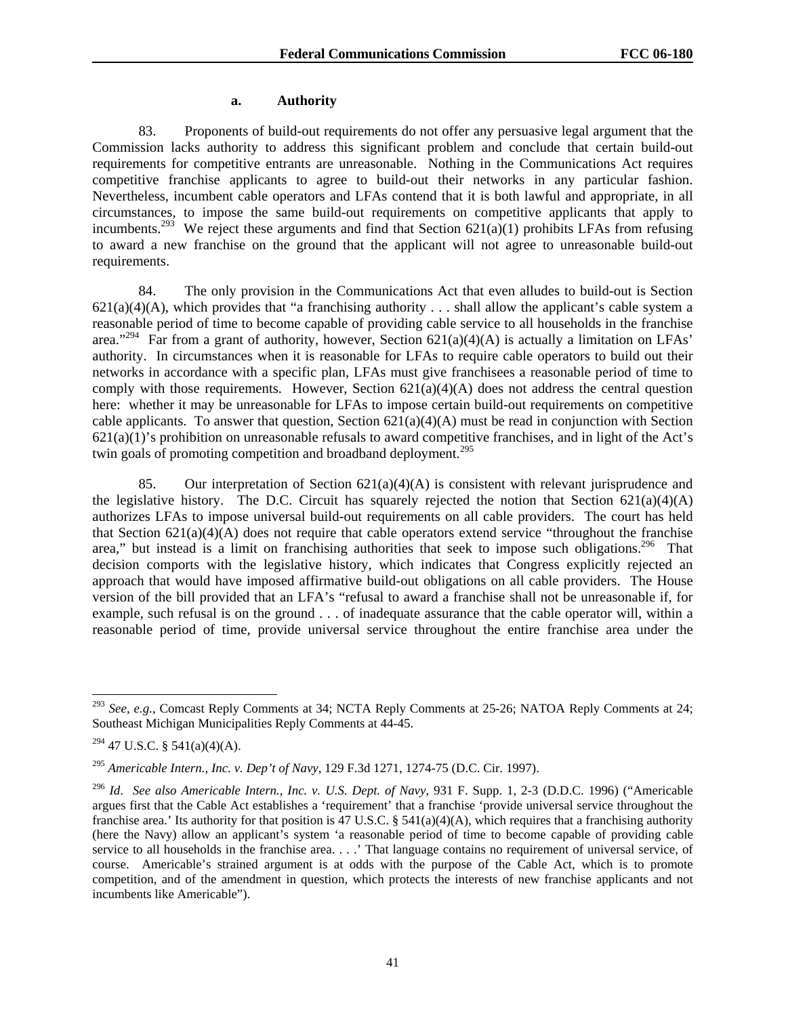#### **a. Authority**

83. Proponents of build-out requirements do not offer any persuasive legal argument that the Commission lacks authority to address this significant problem and conclude that certain build-out requirements for competitive entrants are unreasonable. Nothing in the Communications Act requires competitive franchise applicants to agree to build-out their networks in any particular fashion. Nevertheless, incumbent cable operators and LFAs contend that it is both lawful and appropriate, in all circumstances, to impose the same build-out requirements on competitive applicants that apply to incumbents.<sup>293</sup> We reject these arguments and find that Section  $621(a)(1)$  prohibits LFAs from refusing to award a new franchise on the ground that the applicant will not agree to unreasonable build-out requirements.

84. The only provision in the Communications Act that even alludes to build-out is Section  $621(a)(4)(A)$ , which provides that "a franchising authority . . . shall allow the applicant's cable system a reasonable period of time to become capable of providing cable service to all households in the franchise area."<sup>294</sup> Far from a grant of authority, however, Section  $621(a)(4)(A)$  is actually a limitation on LFAs' authority. In circumstances when it is reasonable for LFAs to require cable operators to build out their networks in accordance with a specific plan, LFAs must give franchisees a reasonable period of time to comply with those requirements. However, Section  $621(a)(4)(A)$  does not address the central question here: whether it may be unreasonable for LFAs to impose certain build-out requirements on competitive cable applicants. To answer that question, Section  $621(a)(4)(A)$  must be read in conjunction with Section 621(a)(1)'s prohibition on unreasonable refusals to award competitive franchises, and in light of the Act's twin goals of promoting competition and broadband deployment.<sup>295</sup>

85. Our interpretation of Section  $621(a)(4)(A)$  is consistent with relevant jurisprudence and the legislative history. The D.C. Circuit has squarely rejected the notion that Section  $621(a)(4)(A)$ authorizes LFAs to impose universal build-out requirements on all cable providers. The court has held that Section  $621(a)(4)(A)$  does not require that cable operators extend service "throughout the franchise" area," but instead is a limit on franchising authorities that seek to impose such obligations.<sup>296</sup> That decision comports with the legislative history, which indicates that Congress explicitly rejected an approach that would have imposed affirmative build-out obligations on all cable providers. The House version of the bill provided that an LFA's "refusal to award a franchise shall not be unreasonable if, for example, such refusal is on the ground . . . of inadequate assurance that the cable operator will, within a reasonable period of time, provide universal service throughout the entire franchise area under the

<sup>293</sup> *See, e.g.*, Comcast Reply Comments at 34; NCTA Reply Comments at 25-26; NATOA Reply Comments at 24; Southeast Michigan Municipalities Reply Comments at 44-45.

 $294$  47 U.S.C. § 541(a)(4)(A).

<sup>295</sup> *Americable Intern., Inc. v. Dep't of Navy*, 129 F.3d 1271, 1274-75 (D.C. Cir. 1997).

<sup>296</sup> *Id*. *See also Americable Intern., Inc. v. U.S. Dept. of Navy*, 931 F. Supp. 1, 2-3 (D.D.C. 1996) ("Americable argues first that the Cable Act establishes a 'requirement' that a franchise 'provide universal service throughout the franchise area.' Its authority for that position is 47 U.S.C. § 541(a)(4)(A), which requires that a franchising authority (here the Navy) allow an applicant's system 'a reasonable period of time to become capable of providing cable service to all households in the franchise area. . . . ' That language contains no requirement of universal service, of course. Americable's strained argument is at odds with the purpose of the Cable Act, which is to promote competition, and of the amendment in question, which protects the interests of new franchise applicants and not incumbents like Americable").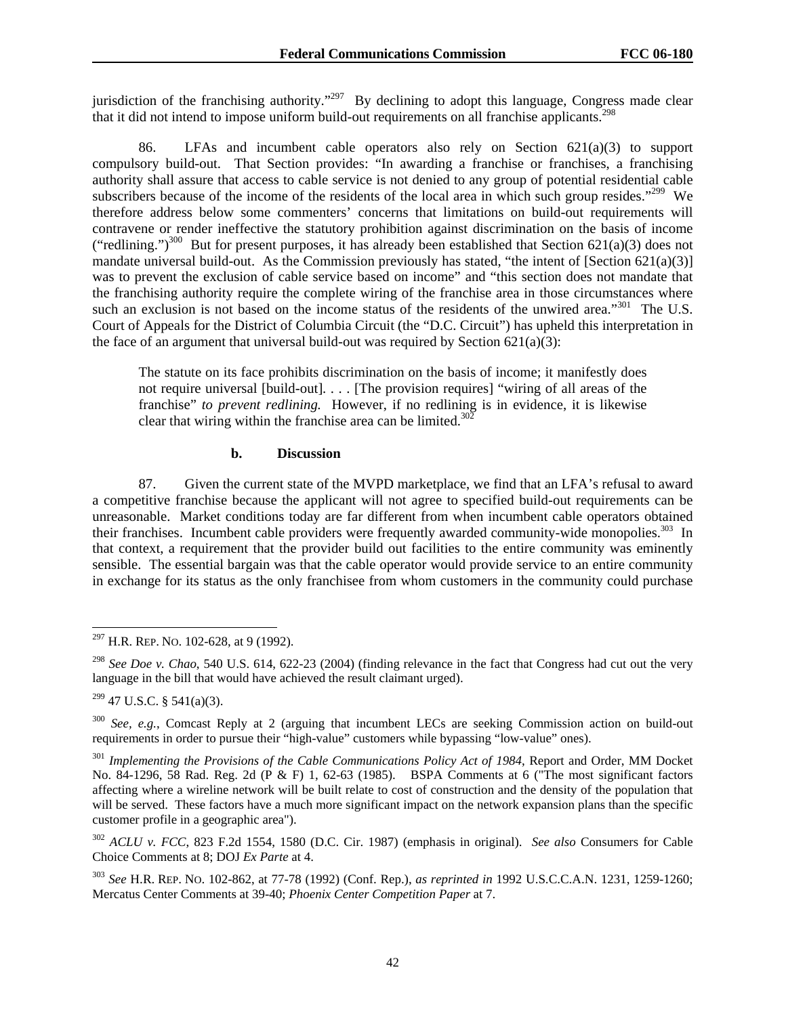jurisdiction of the franchising authority."<sup>297</sup> By declining to adopt this language, Congress made clear that it did not intend to impose uniform build-out requirements on all franchise applicants.<sup>298</sup>

86. LFAs and incumbent cable operators also rely on Section 621(a)(3) to support compulsory build-out. That Section provides: "In awarding a franchise or franchises, a franchising authority shall assure that access to cable service is not denied to any group of potential residential cable subscribers because of the income of the residents of the local area in which such group resides."<sup>299</sup> We therefore address below some commenters' concerns that limitations on build-out requirements will contravene or render ineffective the statutory prohibition against discrimination on the basis of income ("redlining.")<sup>300</sup> But for present purposes, it has already been established that Section 621(a)(3) does not mandate universal build-out. As the Commission previously has stated, "the intent of [Section 621(a)(3)] was to prevent the exclusion of cable service based on income" and "this section does not mandate that the franchising authority require the complete wiring of the franchise area in those circumstances where such an exclusion is not based on the income status of the residents of the unwired area."<sup>301</sup> The U.S. Court of Appeals for the District of Columbia Circuit (the "D.C. Circuit") has upheld this interpretation in the face of an argument that universal build-out was required by Section  $621(a)(3)$ :

The statute on its face prohibits discrimination on the basis of income; it manifestly does not require universal [build-out]. . . . [The provision requires] "wiring of all areas of the franchise" *to prevent redlining.* However, if no redlining is in evidence, it is likewise clear that wiring within the franchise area can be limited. $30\overline{2}$ 

#### **b. Discussion**

87. Given the current state of the MVPD marketplace, we find that an LFA's refusal to award a competitive franchise because the applicant will not agree to specified build-out requirements can be unreasonable. Market conditions today are far different from when incumbent cable operators obtained their franchises. Incumbent cable providers were frequently awarded community-wide monopolies.<sup>303</sup> In that context, a requirement that the provider build out facilities to the entire community was eminently sensible. The essential bargain was that the cable operator would provide service to an entire community in exchange for its status as the only franchisee from whom customers in the community could purchase

 $297$  H.R. REP. No. 102-628, at 9 (1992).

<sup>298</sup> *See Doe v. Chao*, 540 U.S. 614, 622-23 (2004) (finding relevance in the fact that Congress had cut out the very language in the bill that would have achieved the result claimant urged).

 $299$  47 U.S.C. § 541(a)(3).

<sup>300</sup> *See, e.g.*, Comcast Reply at 2 (arguing that incumbent LECs are seeking Commission action on build-out requirements in order to pursue their "high-value" customers while bypassing "low-value" ones).

<sup>&</sup>lt;sup>301</sup> Implementing the Provisions of the Cable Communications Policy Act of 1984, Report and Order, MM Docket No. 84-1296, 58 Rad. Reg. 2d (P & F) 1, 62-63 (1985). BSPA Comments at 6 ("The most significant factors affecting where a wireline network will be built relate to cost of construction and the density of the population that will be served. These factors have a much more significant impact on the network expansion plans than the specific customer profile in a geographic area").

<sup>302</sup> *ACLU v. FCC*, 823 F.2d 1554, 1580 (D.C. Cir. 1987) (emphasis in original). *See also* Consumers for Cable Choice Comments at 8; DOJ *Ex Parte* at 4.

<sup>303</sup> *See* H.R. REP. NO. 102-862, at 77-78 (1992) (Conf. Rep.), *as reprinted in* 1992 U.S.C.C.A.N. 1231, 1259-1260; Mercatus Center Comments at 39-40; *Phoenix Center Competition Paper* at 7.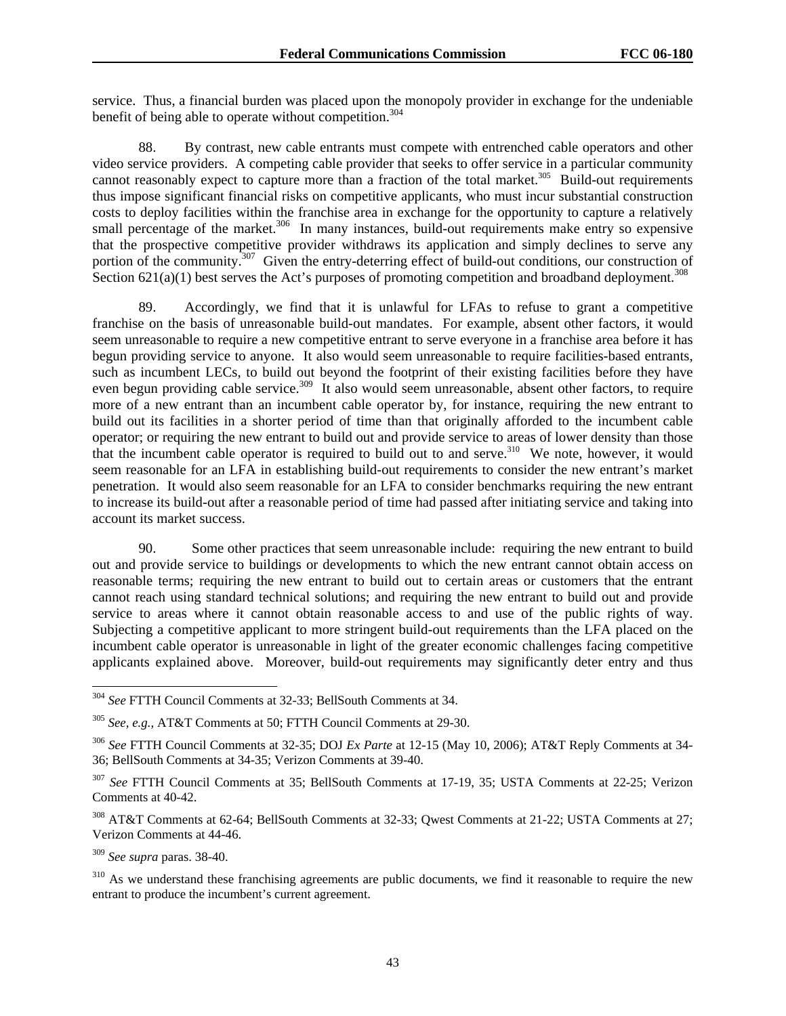service. Thus, a financial burden was placed upon the monopoly provider in exchange for the undeniable benefit of being able to operate without competition.<sup>304</sup>

88. By contrast, new cable entrants must compete with entrenched cable operators and other video service providers. A competing cable provider that seeks to offer service in a particular community cannot reasonably expect to capture more than a fraction of the total market.<sup>305</sup> Build-out requirements thus impose significant financial risks on competitive applicants, who must incur substantial construction costs to deploy facilities within the franchise area in exchange for the opportunity to capture a relatively small percentage of the market.<sup>306</sup> In many instances, build-out requirements make entry so expensive that the prospective competitive provider withdraws its application and simply declines to serve any portion of the community.<sup>307</sup> Given the entry-deterring effect of build-out conditions, our construction of Section  $621(a)(1)$  best serves the Act's purposes of promoting competition and broadband deployment.<sup>308</sup>

89. Accordingly, we find that it is unlawful for LFAs to refuse to grant a competitive franchise on the basis of unreasonable build-out mandates. For example, absent other factors, it would seem unreasonable to require a new competitive entrant to serve everyone in a franchise area before it has begun providing service to anyone. It also would seem unreasonable to require facilities-based entrants, such as incumbent LECs, to build out beyond the footprint of their existing facilities before they have even begun providing cable service.<sup>309</sup> It also would seem unreasonable, absent other factors, to require more of a new entrant than an incumbent cable operator by, for instance, requiring the new entrant to build out its facilities in a shorter period of time than that originally afforded to the incumbent cable operator; or requiring the new entrant to build out and provide service to areas of lower density than those that the incumbent cable operator is required to build out to and serve.310 We note, however, it would seem reasonable for an LFA in establishing build-out requirements to consider the new entrant's market penetration. It would also seem reasonable for an LFA to consider benchmarks requiring the new entrant to increase its build-out after a reasonable period of time had passed after initiating service and taking into account its market success.

90. Some other practices that seem unreasonable include: requiring the new entrant to build out and provide service to buildings or developments to which the new entrant cannot obtain access on reasonable terms; requiring the new entrant to build out to certain areas or customers that the entrant cannot reach using standard technical solutions; and requiring the new entrant to build out and provide service to areas where it cannot obtain reasonable access to and use of the public rights of way. Subjecting a competitive applicant to more stringent build-out requirements than the LFA placed on the incumbent cable operator is unreasonable in light of the greater economic challenges facing competitive applicants explained above. Moreover, build-out requirements may significantly deter entry and thus

<sup>309</sup> *See supra* paras. 38-40.

1

<sup>310</sup> As we understand these franchising agreements are public documents, we find it reasonable to require the new entrant to produce the incumbent's current agreement.

<sup>304</sup> *See* FTTH Council Comments at 32-33; BellSouth Comments at 34.

<sup>305</sup> *See, e.g.,* AT&T Comments at 50; FTTH Council Comments at 29-30.

<sup>306</sup> *See* FTTH Council Comments at 32-35; DOJ *Ex Parte* at 12-15 (May 10, 2006); AT&T Reply Comments at 34- 36; BellSouth Comments at 34-35; Verizon Comments at 39-40.

<sup>307</sup> *See* FTTH Council Comments at 35; BellSouth Comments at 17-19, 35; USTA Comments at 22-25; Verizon Comments at 40-42.

<sup>308</sup> AT&T Comments at 62-64; BellSouth Comments at 32-33; Qwest Comments at 21-22; USTA Comments at 27; Verizon Comments at 44-46.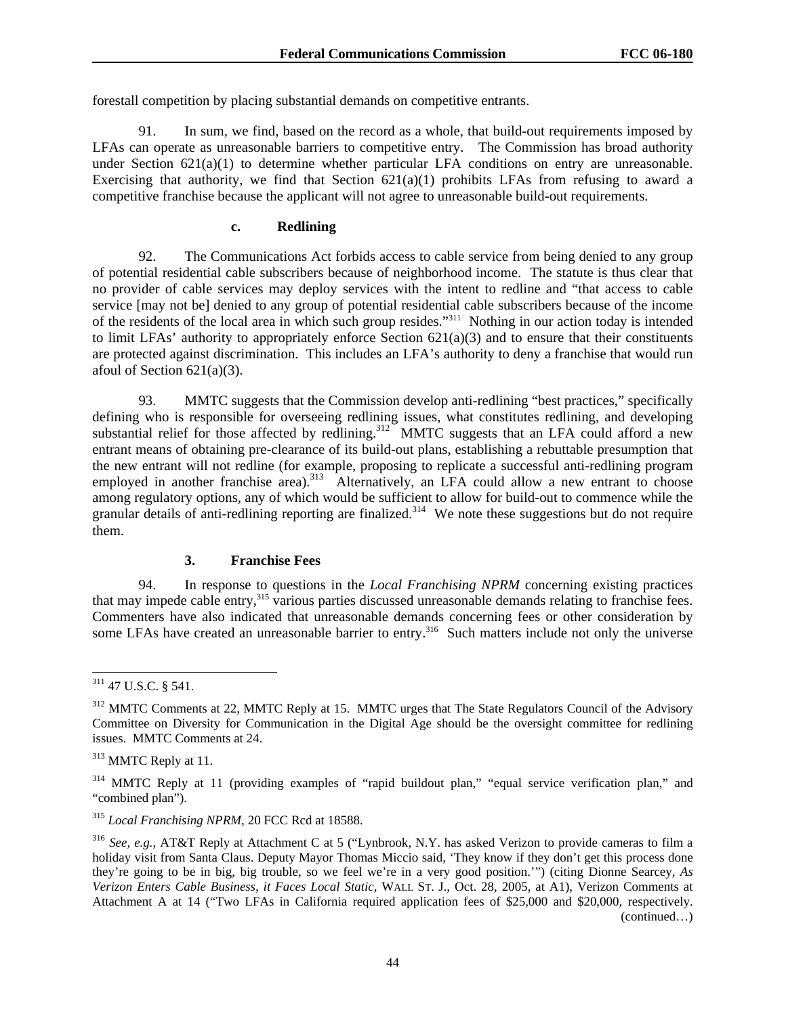forestall competition by placing substantial demands on competitive entrants.

91. In sum, we find, based on the record as a whole, that build-out requirements imposed by LFAs can operate as unreasonable barriers to competitive entry. The Commission has broad authority under Section  $621(a)(1)$  to determine whether particular LFA conditions on entry are unreasonable. Exercising that authority, we find that Section  $621(a)(1)$  prohibits LFAs from refusing to award a competitive franchise because the applicant will not agree to unreasonable build-out requirements.

## **c. Redlining**

92. The Communications Act forbids access to cable service from being denied to any group of potential residential cable subscribers because of neighborhood income. The statute is thus clear that no provider of cable services may deploy services with the intent to redline and "that access to cable service [may not be] denied to any group of potential residential cable subscribers because of the income of the residents of the local area in which such group resides."311 Nothing in our action today is intended to limit LFAs' authority to appropriately enforce Section  $621(a)(3)$  and to ensure that their constituents are protected against discrimination. This includes an LFA's authority to deny a franchise that would run afoul of Section  $621(a)(3)$ .

93. MMTC suggests that the Commission develop anti-redlining "best practices," specifically defining who is responsible for overseeing redlining issues, what constitutes redlining, and developing substantial relief for those affected by redlining.<sup>312</sup> MMTC suggests that an LFA could afford a new entrant means of obtaining pre-clearance of its build-out plans, establishing a rebuttable presumption that the new entrant will not redline (for example, proposing to replicate a successful anti-redlining program employed in another franchise area).<sup>313</sup> Alternatively, an LFA could allow a new entrant to choose among regulatory options, any of which would be sufficient to allow for build-out to commence while the granular details of anti-redlining reporting are finalized.<sup>314</sup> We note these suggestions but do not require them.

## **3. Franchise Fees**

94. In response to questions in the *Local Franchising NPRM* concerning existing practices that may impede cable entry,<sup>315</sup> various parties discussed unreasonable demands relating to franchise fees. Commenters have also indicated that unreasonable demands concerning fees or other consideration by some LFAs have created an unreasonable barrier to entry.<sup>316</sup> Such matters include not only the universe

l

 $311$  47 U.S.C. § 541.

<sup>&</sup>lt;sup>312</sup> MMTC Comments at 22. MMTC Reply at 15. MMTC urges that The State Regulators Council of the Advisory Committee on Diversity for Communication in the Digital Age should be the oversight committee for redlining issues. MMTC Comments at 24.

<sup>313</sup> MMTC Reply at 11.

<sup>&</sup>lt;sup>314</sup> MMTC Reply at 11 (providing examples of "rapid buildout plan," "equal service verification plan," and "combined plan").

<sup>315</sup> *Local Franchising NPRM,* 20 FCC Rcd at 18588.

<sup>316</sup> *See, e.g.*, AT&T Reply at Attachment C at 5 ("Lynbrook, N.Y. has asked Verizon to provide cameras to film a holiday visit from Santa Claus. Deputy Mayor Thomas Miccio said, 'They know if they don't get this process done they're going to be in big, big trouble, so we feel we're in a very good position.'") (citing Dionne Searcey, *As Verizon Enters Cable Business, it Faces Local Static*, WALL ST. J., Oct. 28, 2005, at A1), Verizon Comments at Attachment A at 14 ("Two LFAs in California required application fees of \$25,000 and \$20,000, respectively. (continued…)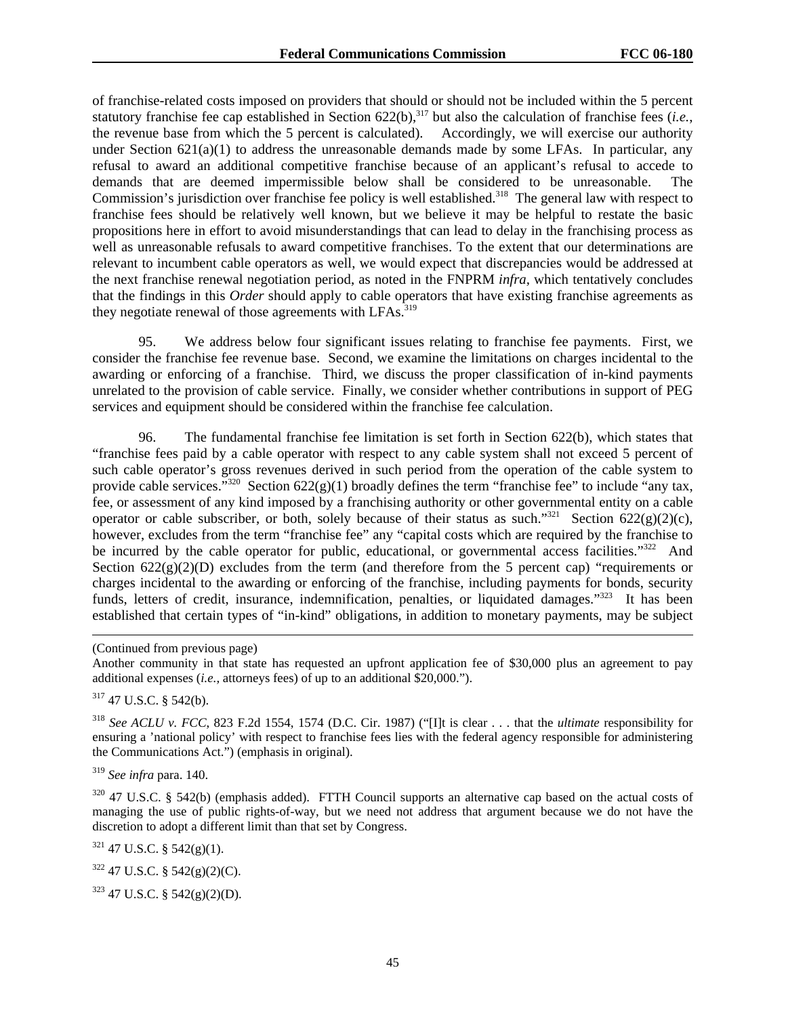of franchise-related costs imposed on providers that should or should not be included within the 5 percent statutory franchise fee cap established in Section 622(b),<sup>317</sup> but also the calculation of franchise fees (*i.e.*, the revenue base from which the 5 percent is calculated). Accordingly, we will exercise our authority under Section 621(a)(1) to address the unreasonable demands made by some LFAs. In particular, any refusal to award an additional competitive franchise because of an applicant's refusal to accede to demands that are deemed impermissible below shall be considered to be unreasonable. The Commission's jurisdiction over franchise fee policy is well established.<sup>318</sup> The general law with respect to franchise fees should be relatively well known, but we believe it may be helpful to restate the basic propositions here in effort to avoid misunderstandings that can lead to delay in the franchising process as well as unreasonable refusals to award competitive franchises. To the extent that our determinations are relevant to incumbent cable operators as well, we would expect that discrepancies would be addressed at the next franchise renewal negotiation period, as noted in the FNPRM *infra,* which tentatively concludes that the findings in this *Order* should apply to cable operators that have existing franchise agreements as they negotiate renewal of those agreements with LFAs.<sup>319</sup>

95. We address below four significant issues relating to franchise fee payments. First, we consider the franchise fee revenue base. Second, we examine the limitations on charges incidental to the awarding or enforcing of a franchise. Third, we discuss the proper classification of in-kind payments unrelated to the provision of cable service. Finally, we consider whether contributions in support of PEG services and equipment should be considered within the franchise fee calculation.

96. The fundamental franchise fee limitation is set forth in Section 622(b), which states that "franchise fees paid by a cable operator with respect to any cable system shall not exceed 5 percent of such cable operator's gross revenues derived in such period from the operation of the cable system to provide cable services."<sup>320</sup> Section  $622(g)(1)$  broadly defines the term "franchise fee" to include "any tax, fee, or assessment of any kind imposed by a franchising authority or other governmental entity on a cable operator or cable subscriber, or both, solely because of their status as such."<sup>321</sup> Section 622(g)(2)(c), however, excludes from the term "franchise fee" any "capital costs which are required by the franchise to be incurred by the cable operator for public, educational, or governmental access facilities."<sup>322</sup> And Section  $622(g)(2)(D)$  excludes from the term (and therefore from the 5 percent cap) "requirements or charges incidental to the awarding or enforcing of the franchise, including payments for bonds, security funds, letters of credit, insurance, indemnification, penalties, or liquidated damages."<sup>323</sup> It has been established that certain types of "in-kind" obligations, in addition to monetary payments, may be subject

Another community in that state has requested an upfront application fee of \$30,000 plus an agreement to pay additional expenses (*i.e.,* attorneys fees) of up to an additional \$20,000.").

317 47 U.S.C. § 542(b).

 $\overline{a}$ 

<sup>318</sup> *See ACLU v. FCC*, 823 F.2d 1554, 1574 (D.C. Cir. 1987) ("[I]t is clear . . . that the *ultimate* responsibility for ensuring a 'national policy' with respect to franchise fees lies with the federal agency responsible for administering the Communications Act.") (emphasis in original).

<sup>319</sup> *See infra* para. 140.

<sup>320</sup> 47 U.S.C. § 542(b) (emphasis added). FTTH Council supports an alternative cap based on the actual costs of managing the use of public rights-of-way, but we need not address that argument because we do not have the discretion to adopt a different limit than that set by Congress.

 $321$  47 U.S.C. § 542(g)(1).

 $322$  47 U.S.C. § 542(g)(2)(C).

323 47 U.S.C. § 542(g)(2)(D).

<sup>(</sup>Continued from previous page)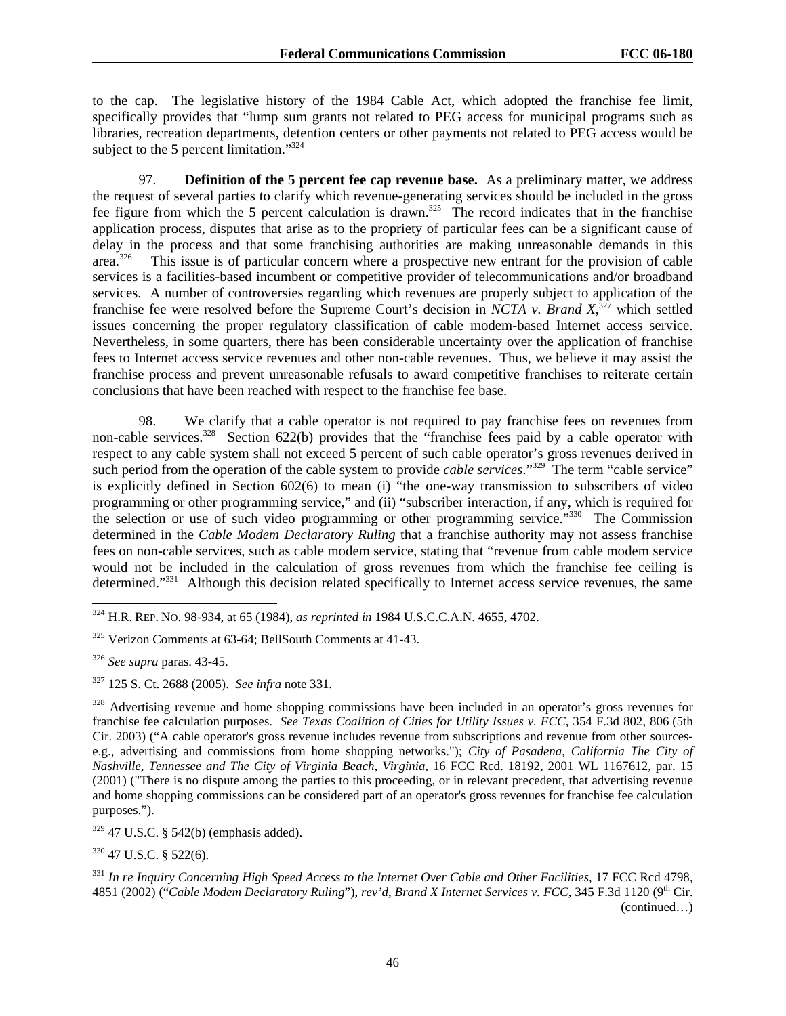to the cap. The legislative history of the 1984 Cable Act, which adopted the franchise fee limit, specifically provides that "lump sum grants not related to PEG access for municipal programs such as libraries, recreation departments, detention centers or other payments not related to PEG access would be subject to the 5 percent limitation."<sup>324</sup>

97. **Definition of the 5 percent fee cap revenue base.** As a preliminary matter, we address the request of several parties to clarify which revenue-generating services should be included in the gross fee figure from which the 5 percent calculation is drawn.<sup>325</sup> The record indicates that in the franchise application process, disputes that arise as to the propriety of particular fees can be a significant cause of delay in the process and that some franchising authorities are making unreasonable demands in this area.326 This issue is of particular concern where a prospective new entrant for the provision of cable services is a facilities-based incumbent or competitive provider of telecommunications and/or broadband services. A number of controversies regarding which revenues are properly subject to application of the franchise fee were resolved before the Supreme Court's decision in *NCTA v. Brand X*, 327 which settled issues concerning the proper regulatory classification of cable modem-based Internet access service. Nevertheless, in some quarters, there has been considerable uncertainty over the application of franchise fees to Internet access service revenues and other non-cable revenues. Thus, we believe it may assist the franchise process and prevent unreasonable refusals to award competitive franchises to reiterate certain conclusions that have been reached with respect to the franchise fee base.

98. We clarify that a cable operator is not required to pay franchise fees on revenues from non-cable services.<sup>328</sup> Section 622(b) provides that the "franchise fees paid by a cable operator with respect to any cable system shall not exceed 5 percent of such cable operator's gross revenues derived in such period from the operation of the cable system to provide *cable services*."<sup>329</sup> The term "cable service" is explicitly defined in Section 602(6) to mean (i) "the one-way transmission to subscribers of video programming or other programming service," and (ii) "subscriber interaction, if any, which is required for the selection or use of such video programming or other programming service."330 The Commission determined in the *Cable Modem Declaratory Ruling* that a franchise authority may not assess franchise fees on non-cable services, such as cable modem service, stating that "revenue from cable modem service would not be included in the calculation of gross revenues from which the franchise fee ceiling is determined."<sup>331</sup> Although this decision related specifically to Internet access service revenues, the same

l

 $329$  47 U.S.C. § 542(b) (emphasis added).

 $330$  47 U.S.C. § 522(6).

<sup>324</sup> H.R. REP. NO. 98-934, at 65 (1984), *as reprinted in* 1984 U.S.C.C.A.N. 4655, 4702.

<sup>325</sup> Verizon Comments at 63-64; BellSouth Comments at 41-43.

<sup>326</sup> *See supra* paras. 43-45.

<sup>327 125</sup> S. Ct. 2688 (2005). *See infra* note 331*.* 

<sup>&</sup>lt;sup>328</sup> Advertising revenue and home shopping commissions have been included in an operator's gross revenues for franchise fee calculation purposes. *See Texas Coalition of Cities for Utility Issues v. FCC*, 354 F.3d 802, 806 (5th Cir. 2003) ("A cable operator's gross revenue includes revenue from subscriptions and revenue from other sourcese.g., advertising and commissions from home shopping networks."); *City of Pasadena, California The City of Nashville, Tennessee and The City of Virginia Beach, Virginia*, 16 FCC Rcd. 18192, 2001 WL 1167612, par. 15 (2001) ("There is no dispute among the parties to this proceeding, or in relevant precedent, that advertising revenue and home shopping commissions can be considered part of an operator's gross revenues for franchise fee calculation purposes.").

<sup>331</sup> *In re Inquiry Concerning High Speed Access to the Internet Over Cable and Other Facilities*, 17 FCC Rcd 4798, 4851 (2002) ("*Cable Modem Declaratory Ruling*"), *rev'd*, *Brand X Internet Services v. FCC*, 345 F.3d 1120 (9th Cir. (continued…)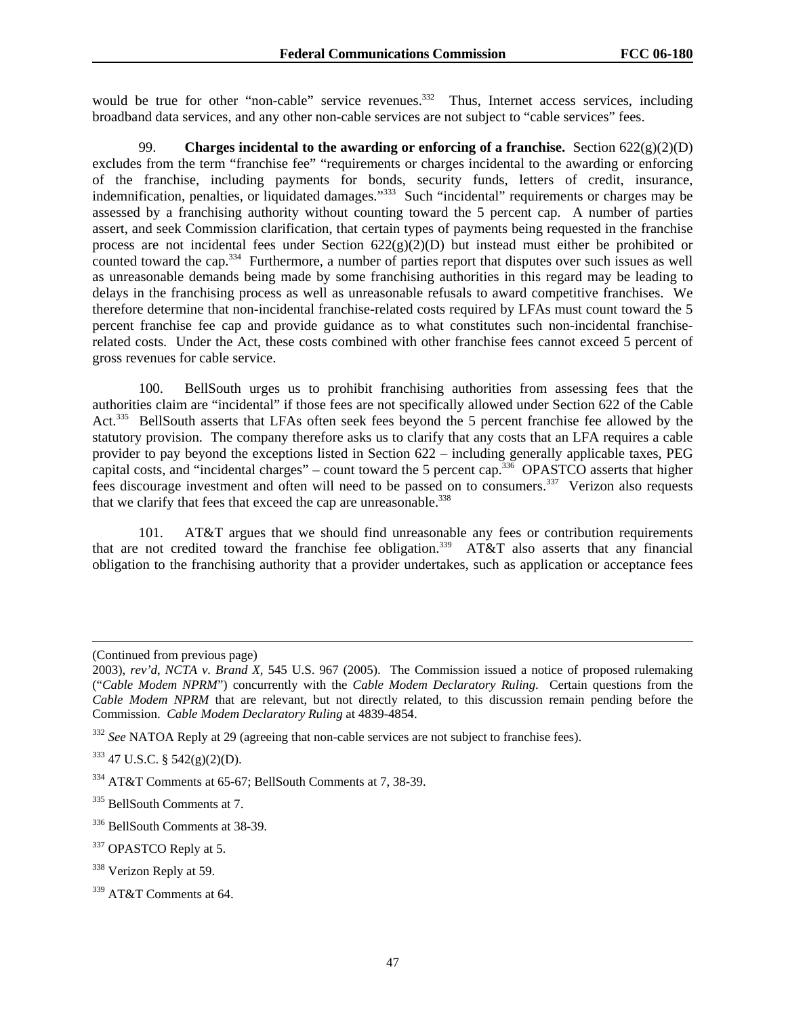would be true for other "non-cable" service revenues.<sup>332</sup> Thus, Internet access services, including broadband data services, and any other non-cable services are not subject to "cable services" fees.

99. **Charges incidental to the awarding or enforcing of a franchise.** Section 622(g)(2)(D) excludes from the term "franchise fee" "requirements or charges incidental to the awarding or enforcing of the franchise, including payments for bonds, security funds, letters of credit, insurance, indemnification, penalties, or liquidated damages."333 Such "incidental" requirements or charges may be assessed by a franchising authority without counting toward the 5 percent cap. A number of parties assert, and seek Commission clarification, that certain types of payments being requested in the franchise process are not incidental fees under Section  $622(g)(2)(D)$  but instead must either be prohibited or counted toward the cap.<sup>334</sup> Furthermore, a number of parties report that disputes over such issues as well as unreasonable demands being made by some franchising authorities in this regard may be leading to delays in the franchising process as well as unreasonable refusals to award competitive franchises. We therefore determine that non-incidental franchise-related costs required by LFAs must count toward the 5 percent franchise fee cap and provide guidance as to what constitutes such non-incidental franchiserelated costs. Under the Act, these costs combined with other franchise fees cannot exceed 5 percent of gross revenues for cable service.

100. BellSouth urges us to prohibit franchising authorities from assessing fees that the authorities claim are "incidental" if those fees are not specifically allowed under Section 622 of the Cable Act.<sup>335</sup> BellSouth asserts that LFAs often seek fees beyond the 5 percent franchise fee allowed by the statutory provision. The company therefore asks us to clarify that any costs that an LFA requires a cable provider to pay beyond the exceptions listed in Section 622 – including generally applicable taxes, PEG capital costs, and "incidental charges" – count toward the 5 percent cap.<sup>336</sup> OPASTCO asserts that higher fees discourage investment and often will need to be passed on to consumers.<sup>337</sup> Verizon also requests that we clarify that fees that exceed the cap are unreasonable.<sup>338</sup>

101. AT&T argues that we should find unreasonable any fees or contribution requirements that are not credited toward the franchise fee obligation.339 AT&T also asserts that any financial obligation to the franchising authority that a provider undertakes, such as application or acceptance fees

 $\overline{a}$ 

<sup>(</sup>Continued from previous page)

<sup>2003),</sup> *rev'd*, *NCTA v. Brand X*, 545 U.S. 967 (2005). The Commission issued a notice of proposed rulemaking ("*Cable Modem NPRM*") concurrently with the *Cable Modem Declaratory Ruling*. Certain questions from the *Cable Modem NPRM* that are relevant, but not directly related, to this discussion remain pending before the Commission. *Cable Modem Declaratory Ruling* at 4839-4854.

<sup>&</sup>lt;sup>332</sup> *See* NATOA Reply at 29 (agreeing that non-cable services are not subject to franchise fees).

 $333$  47 U.S.C. § 542(g)(2)(D).

<sup>334</sup> AT&T Comments at 65-67; BellSouth Comments at 7, 38-39.

<sup>335</sup> BellSouth Comments at 7.

<sup>&</sup>lt;sup>336</sup> BellSouth Comments at 38-39.

<sup>337</sup> OPASTCO Reply at 5.

<sup>&</sup>lt;sup>338</sup> Verizon Reply at 59.

<sup>&</sup>lt;sup>339</sup> AT&T Comments at 64.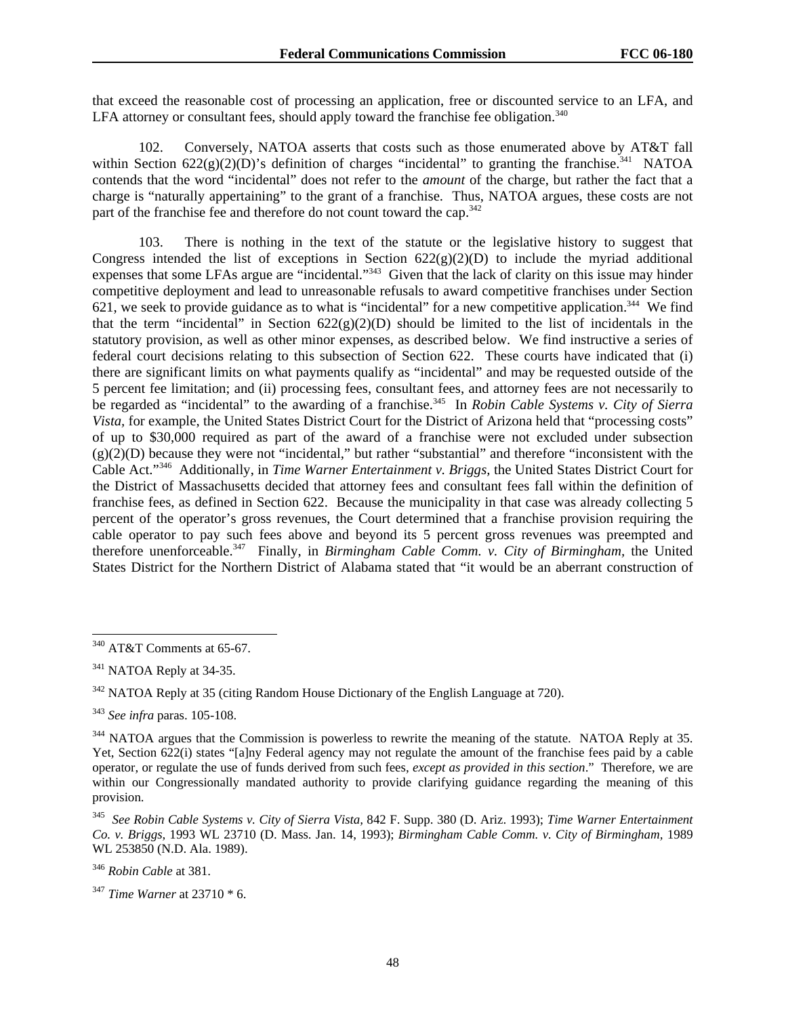that exceed the reasonable cost of processing an application, free or discounted service to an LFA, and LFA attorney or consultant fees, should apply toward the franchise fee obligation.<sup>340</sup>

102. Conversely, NATOA asserts that costs such as those enumerated above by AT&T fall within Section  $622(g)(2)(D)$ 's definition of charges "incidental" to granting the franchise.<sup>341</sup> NATOA contends that the word "incidental" does not refer to the *amount* of the charge, but rather the fact that a charge is "naturally appertaining" to the grant of a franchise. Thus, NATOA argues, these costs are not part of the franchise fee and therefore do not count toward the cap.<sup>342</sup>

103. There is nothing in the text of the statute or the legislative history to suggest that Congress intended the list of exceptions in Section  $622(g)(2)(D)$  to include the myriad additional expenses that some LFAs argue are "incidental."343 Given that the lack of clarity on this issue may hinder competitive deployment and lead to unreasonable refusals to award competitive franchises under Section 621, we seek to provide guidance as to what is "incidental" for a new competitive application.<sup>344</sup> We find that the term "incidental" in Section  $622(g)(2)(D)$  should be limited to the list of incidentals in the statutory provision, as well as other minor expenses, as described below. We find instructive a series of federal court decisions relating to this subsection of Section 622. These courts have indicated that (i) there are significant limits on what payments qualify as "incidental" and may be requested outside of the 5 percent fee limitation; and (ii) processing fees, consultant fees, and attorney fees are not necessarily to be regarded as "incidental" to the awarding of a franchise.<sup>345</sup> In *Robin Cable Systems v. City of Sierra Vista*, for example, the United States District Court for the District of Arizona held that "processing costs" of up to \$30,000 required as part of the award of a franchise were not excluded under subsection (g)(2)(D) because they were not "incidental," but rather "substantial" and therefore "inconsistent with the Cable Act."346 Additionally, in *Time Warner Entertainment v. Briggs,* the United States District Court for the District of Massachusetts decided that attorney fees and consultant fees fall within the definition of franchise fees, as defined in Section 622. Because the municipality in that case was already collecting 5 percent of the operator's gross revenues, the Court determined that a franchise provision requiring the cable operator to pay such fees above and beyond its 5 percent gross revenues was preempted and therefore unenforceable.347 Finally, in *Birmingham Cable Comm. v. City of Birmingham,* the United States District for the Northern District of Alabama stated that "it would be an aberrant construction of

<sup>346</sup> *Robin Cable* at 381.

<sup>1</sup>  $340$  AT&T Comments at 65-67.

<sup>&</sup>lt;sup>341</sup> NATOA Reply at 34-35.

<sup>&</sup>lt;sup>342</sup> NATOA Reply at 35 (citing Random House Dictionary of the English Language at 720).

<sup>343</sup> *See infra* paras. 105-108.

<sup>&</sup>lt;sup>344</sup> NATOA argues that the Commission is powerless to rewrite the meaning of the statute. NATOA Reply at 35. Yet, Section 622(i) states "[a]ny Federal agency may not regulate the amount of the franchise fees paid by a cable operator, or regulate the use of funds derived from such fees, *except as provided in this section*." Therefore, we are within our Congressionally mandated authority to provide clarifying guidance regarding the meaning of this provision.

<sup>345</sup> *See Robin Cable Systems v. City of Sierra Vista,* 842 F. Supp. 380 (D. Ariz. 1993); *Time Warner Entertainment Co. v. Briggs,* 1993 WL 23710 (D. Mass. Jan. 14, 1993); *Birmingham Cable Comm. v. City of Birmingham,* 1989 WL 253850 (N.D. Ala. 1989).

<sup>347</sup> *Time Warner* at 23710 \* 6.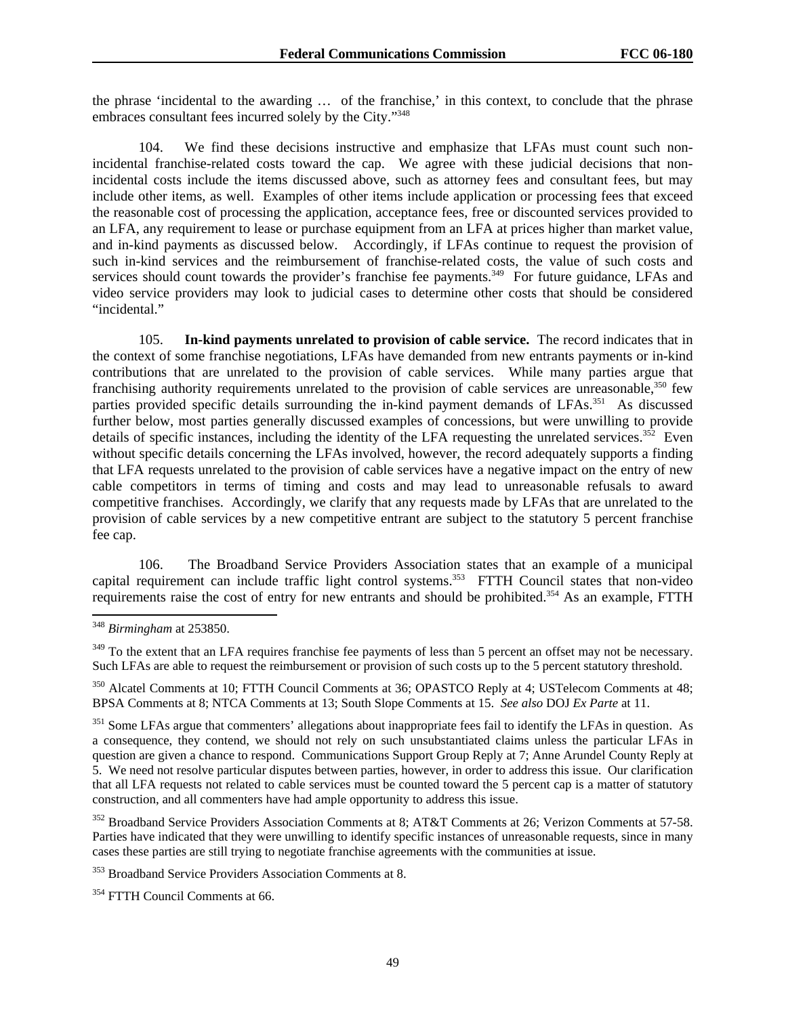the phrase 'incidental to the awarding … of the franchise,' in this context, to conclude that the phrase embraces consultant fees incurred solely by the City."348

104. We find these decisions instructive and emphasize that LFAs must count such nonincidental franchise-related costs toward the cap. We agree with these judicial decisions that nonincidental costs include the items discussed above, such as attorney fees and consultant fees, but may include other items, as well. Examples of other items include application or processing fees that exceed the reasonable cost of processing the application, acceptance fees, free or discounted services provided to an LFA, any requirement to lease or purchase equipment from an LFA at prices higher than market value, and in-kind payments as discussed below. Accordingly, if LFAs continue to request the provision of such in-kind services and the reimbursement of franchise-related costs, the value of such costs and services should count towards the provider's franchise fee payments.<sup>349</sup> For future guidance, LFAs and video service providers may look to judicial cases to determine other costs that should be considered "incidental."

105. **In-kind payments unrelated to provision of cable service.** The record indicates that in the context of some franchise negotiations, LFAs have demanded from new entrants payments or in-kind contributions that are unrelated to the provision of cable services. While many parties argue that franchising authority requirements unrelated to the provision of cable services are unreasonable,<sup>350</sup> few parties provided specific details surrounding the in-kind payment demands of LFAs.<sup>351</sup> As discussed further below, most parties generally discussed examples of concessions, but were unwilling to provide details of specific instances, including the identity of the LFA requesting the unrelated services.<sup>352</sup> Even without specific details concerning the LFAs involved, however, the record adequately supports a finding that LFA requests unrelated to the provision of cable services have a negative impact on the entry of new cable competitors in terms of timing and costs and may lead to unreasonable refusals to award competitive franchises. Accordingly, we clarify that any requests made by LFAs that are unrelated to the provision of cable services by a new competitive entrant are subject to the statutory 5 percent franchise fee cap.

106. The Broadband Service Providers Association states that an example of a municipal capital requirement can include traffic light control systems.<sup>353</sup> FTTH Council states that non-video requirements raise the cost of entry for new entrants and should be prohibited.<sup>354</sup> As an example, FTTH

<sup>348</sup> *Birmingham* at 253850.

<sup>&</sup>lt;sup>349</sup> To the extent that an LFA requires franchise fee payments of less than 5 percent an offset may not be necessary. Such LFAs are able to request the reimbursement or provision of such costs up to the 5 percent statutory threshold.

<sup>350</sup> Alcatel Comments at 10; FTTH Council Comments at 36; OPASTCO Reply at 4; USTelecom Comments at 48; BPSA Comments at 8; NTCA Comments at 13; South Slope Comments at 15. *See also* DOJ *Ex Parte* at 11.

<sup>&</sup>lt;sup>351</sup> Some LFAs argue that commenters' allegations about inappropriate fees fail to identify the LFAs in question. As a consequence, they contend, we should not rely on such unsubstantiated claims unless the particular LFAs in question are given a chance to respond. Communications Support Group Reply at 7; Anne Arundel County Reply at 5. We need not resolve particular disputes between parties, however, in order to address this issue. Our clarification that all LFA requests not related to cable services must be counted toward the 5 percent cap is a matter of statutory construction, and all commenters have had ample opportunity to address this issue.

<sup>&</sup>lt;sup>352</sup> Broadband Service Providers Association Comments at 8; AT&T Comments at 26; Verizon Comments at 57-58. Parties have indicated that they were unwilling to identify specific instances of unreasonable requests, since in many cases these parties are still trying to negotiate franchise agreements with the communities at issue.

<sup>353</sup> Broadband Service Providers Association Comments at 8.

<sup>&</sup>lt;sup>354</sup> FTTH Council Comments at 66.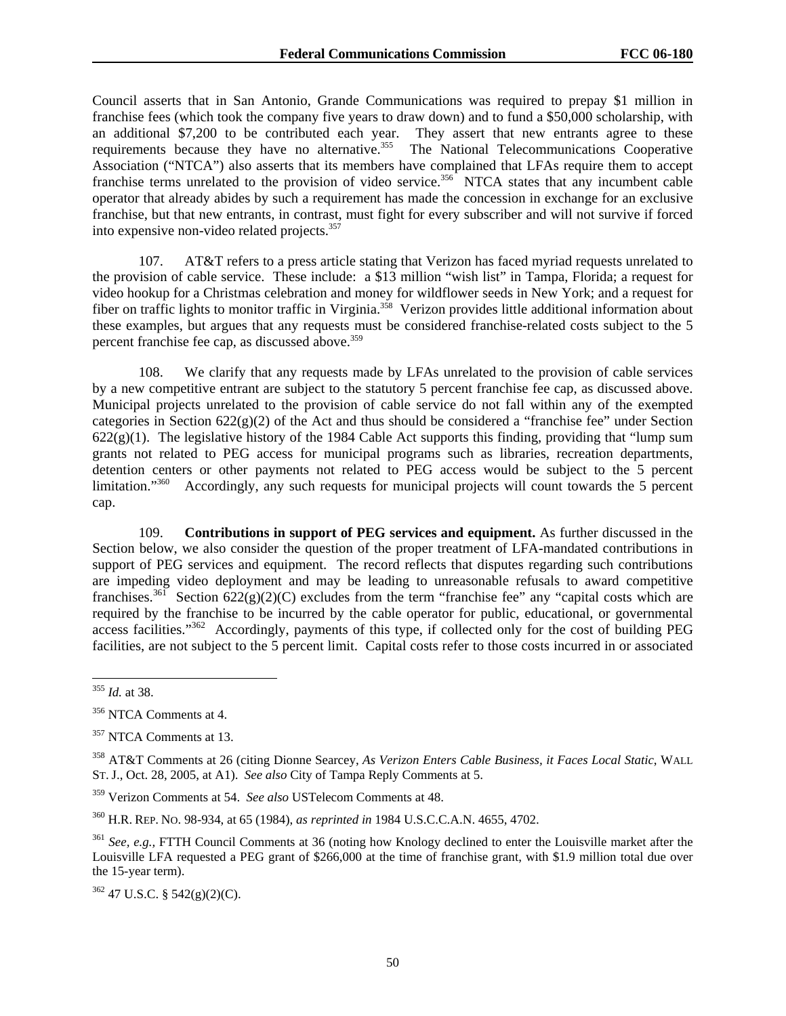Council asserts that in San Antonio, Grande Communications was required to prepay \$1 million in franchise fees (which took the company five years to draw down) and to fund a \$50,000 scholarship, with an additional \$7,200 to be contributed each year. They assert that new entrants agree to these requirements because they have no alternative.<sup>355</sup> The National Telecommunications Cooperative Association ("NTCA") also asserts that its members have complained that LFAs require them to accept franchise terms unrelated to the provision of video service.<sup>356</sup> NTCA states that any incumbent cable operator that already abides by such a requirement has made the concession in exchange for an exclusive franchise, but that new entrants, in contrast, must fight for every subscriber and will not survive if forced into expensive non-video related projects.357

107. AT&T refers to a press article stating that Verizon has faced myriad requests unrelated to the provision of cable service. These include: a \$13 million "wish list" in Tampa, Florida; a request for video hookup for a Christmas celebration and money for wildflower seeds in New York; and a request for fiber on traffic lights to monitor traffic in Virginia.<sup>358</sup> Verizon provides little additional information about these examples, but argues that any requests must be considered franchise-related costs subject to the 5 percent franchise fee cap, as discussed above.<sup>359</sup>

108. We clarify that any requests made by LFAs unrelated to the provision of cable services by a new competitive entrant are subject to the statutory 5 percent franchise fee cap, as discussed above. Municipal projects unrelated to the provision of cable service do not fall within any of the exempted categories in Section  $622(g)(2)$  of the Act and thus should be considered a "franchise fee" under Section  $622(g)(1)$ . The legislative history of the 1984 Cable Act supports this finding, providing that "lump sum grants not related to PEG access for municipal programs such as libraries, recreation departments, detention centers or other payments not related to PEG access would be subject to the 5 percent limitation."<sup>360</sup> Accordingly, any such requests for municipal projects will count towards the 5 percent cap.

109. **Contributions in support of PEG services and equipment.** As further discussed in the Section below, we also consider the question of the proper treatment of LFA-mandated contributions in support of PEG services and equipment. The record reflects that disputes regarding such contributions are impeding video deployment and may be leading to unreasonable refusals to award competitive franchises.<sup>361</sup> Section 622(g)(2)(C) excludes from the term "franchise fee" any "capital costs which are required by the franchise to be incurred by the cable operator for public, educational, or governmental access facilities."362 Accordingly, payments of this type, if collected only for the cost of building PEG facilities, are not subject to the 5 percent limit. Capital costs refer to those costs incurred in or associated

362 47 U.S.C. § 542(g)(2)(C).

<sup>1</sup> <sup>355</sup> *Id.* at 38.

<sup>&</sup>lt;sup>356</sup> NTCA Comments at 4.

<sup>&</sup>lt;sup>357</sup> NTCA Comments at 13.

<sup>358</sup> AT&T Comments at 26 (citing Dionne Searcey, *As Verizon Enters Cable Business, it Faces Local Static*, WALL ST. J., Oct. 28, 2005, at A1). *See also* City of Tampa Reply Comments at 5.

<sup>359</sup> Verizon Comments at 54. *See also* USTelecom Comments at 48.

<sup>360</sup> H.R. REP. NO. 98-934, at 65 (1984), *as reprinted in* 1984 U.S.C.C.A.N. 4655, 4702.

<sup>&</sup>lt;sup>361</sup> *See, e.g.,* FTTH Council Comments at 36 (noting how Knology declined to enter the Louisville market after the Louisville LFA requested a PEG grant of \$266,000 at the time of franchise grant, with \$1.9 million total due over the 15-year term).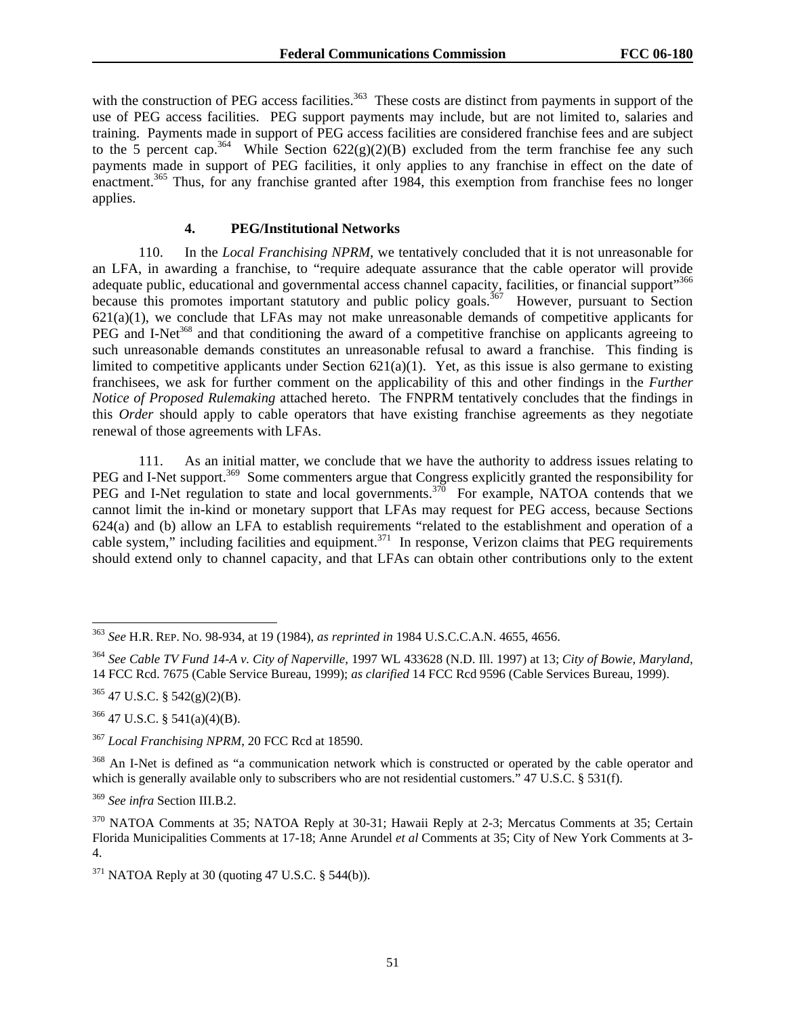with the construction of PEG access facilities.<sup>363</sup> These costs are distinct from payments in support of the use of PEG access facilities. PEG support payments may include, but are not limited to, salaries and training. Payments made in support of PEG access facilities are considered franchise fees and are subject to the 5 percent cap.<sup>364</sup> While Section  $622(g)(2)(B)$  excluded from the term franchise fee any such payments made in support of PEG facilities, it only applies to any franchise in effect on the date of enactment.<sup>365</sup> Thus, for any franchise granted after 1984, this exemption from franchise fees no longer applies.

## **4. PEG/Institutional Networks**

110. In the *Local Franchising NPRM*, we tentatively concluded that it is not unreasonable for an LFA, in awarding a franchise, to "require adequate assurance that the cable operator will provide adequate public, educational and governmental access channel capacity, facilities, or financial support"<sup>366</sup> because this promotes important statutory and public policy goals.<sup>367</sup> However, pursuant to Section  $621(a)(1)$ , we conclude that LFAs may not make unreasonable demands of competitive applicants for PEG and I-Net<sup>368</sup> and that conditioning the award of a competitive franchise on applicants agreeing to such unreasonable demands constitutes an unreasonable refusal to award a franchise. This finding is limited to competitive applicants under Section  $621(a)(1)$ . Yet, as this issue is also germane to existing franchisees, we ask for further comment on the applicability of this and other findings in the *Further Notice of Proposed Rulemaking* attached hereto. The FNPRM tentatively concludes that the findings in this *Order* should apply to cable operators that have existing franchise agreements as they negotiate renewal of those agreements with LFAs.

111. As an initial matter, we conclude that we have the authority to address issues relating to PEG and I-Net support.<sup>369</sup> Some commenters argue that Congress explicitly granted the responsibility for PEG and I-Net regulation to state and local governments.<sup>370</sup> For example, NATOA contends that we cannot limit the in-kind or monetary support that LFAs may request for PEG access, because Sections 624(a) and (b) allow an LFA to establish requirements "related to the establishment and operation of a cable system," including facilities and equipment.<sup>371</sup> In response, Verizon claims that PEG requirements should extend only to channel capacity, and that LFAs can obtain other contributions only to the extent

 $365$  47 U.S.C. § 542(g)(2)(B).

1

 $366$  47 U.S.C. § 541(a)(4)(B).

<sup>367</sup> *Local Franchising NPRM*, 20 FCC Rcd at 18590.

<sup>368</sup> An I-Net is defined as "a communication network which is constructed or operated by the cable operator and which is generally available only to subscribers who are not residential customers." 47 U.S.C. § 531(f).

<sup>369</sup> *See infra* Section III.B.2.

<sup>363</sup> *See* H.R. REP. NO. 98-934, at 19 (1984), *as reprinted in* 1984 U.S.C.C.A.N. 4655, 4656.

<sup>364</sup> *See Cable TV Fund 14-A v. City of Naperville,* 1997 WL 433628 (N.D. Ill. 1997) at 13; *City of Bowie, Maryland*, 14 FCC Rcd. 7675 (Cable Service Bureau, 1999); *as clarified* 14 FCC Rcd 9596 (Cable Services Bureau, 1999).

<sup>370</sup> NATOA Comments at 35; NATOA Reply at 30-31; Hawaii Reply at 2-3; Mercatus Comments at 35; Certain Florida Municipalities Comments at 17-18; Anne Arundel *et al* Comments at 35; City of New York Comments at 3- 4.

 $371$  NATOA Reply at 30 (quoting 47 U.S.C. § 544(b)).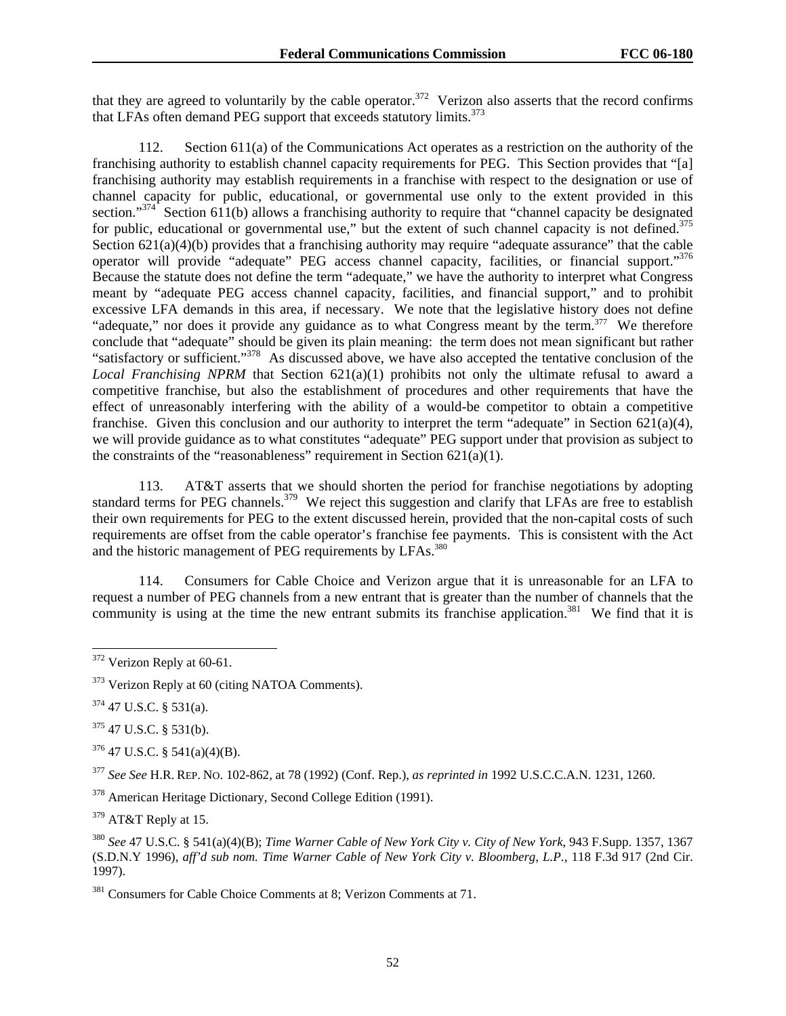that they are agreed to voluntarily by the cable operator. $372$  Verizon also asserts that the record confirms that LFAs often demand PEG support that exceeds statutory limits.<sup>373</sup>

112. Section 611(a) of the Communications Act operates as a restriction on the authority of the franchising authority to establish channel capacity requirements for PEG. This Section provides that "[a] franchising authority may establish requirements in a franchise with respect to the designation or use of channel capacity for public, educational, or governmental use only to the extent provided in this section."<sup>374</sup> Section 611(b) allows a franchising authority to require that "channel capacity be designated for public, educational or governmental use," but the extent of such channel capacity is not defined. $375$ Section  $621(a)(4)(b)$  provides that a franchising authority may require "adequate assurance" that the cable operator will provide "adequate" PEG access channel capacity, facilities, or financial support."376 Because the statute does not define the term "adequate," we have the authority to interpret what Congress meant by "adequate PEG access channel capacity, facilities, and financial support," and to prohibit excessive LFA demands in this area, if necessary. We note that the legislative history does not define "adequate," nor does it provide any guidance as to what Congress meant by the term.<sup>377</sup> We therefore conclude that "adequate" should be given its plain meaning: the term does not mean significant but rather "satisfactory or sufficient."378 As discussed above, we have also accepted the tentative conclusion of the *Local Franchising NPRM* that Section 621(a)(1) prohibits not only the ultimate refusal to award a competitive franchise, but also the establishment of procedures and other requirements that have the effect of unreasonably interfering with the ability of a would-be competitor to obtain a competitive franchise. Given this conclusion and our authority to interpret the term "adequate" in Section  $621(a)(4)$ , we will provide guidance as to what constitutes "adequate" PEG support under that provision as subject to the constraints of the "reasonableness" requirement in Section  $621(a)(1)$ .

113. AT&T asserts that we should shorten the period for franchise negotiations by adopting standard terms for PEG channels.<sup>379</sup> We reject this suggestion and clarify that LFAs are free to establish their own requirements for PEG to the extent discussed herein, provided that the non-capital costs of such requirements are offset from the cable operator's franchise fee payments. This is consistent with the Act and the historic management of PEG requirements by LFAs.<sup>380</sup>

114. Consumers for Cable Choice and Verizon argue that it is unreasonable for an LFA to request a number of PEG channels from a new entrant that is greater than the number of channels that the community is using at the time the new entrant submits its franchise application.<sup>381</sup> We find that it is

 $374$  47 U.S.C. § 531(a).

1

 $375$  47 U.S.C. § 531(b).

376 47 U.S.C. § 541(a)(4)(B).

<sup>377</sup> *See See* H.R. REP. NO. 102-862, at 78 (1992) (Conf. Rep.), *as reprinted in* 1992 U.S.C.C.A.N. 1231, 1260.

378 American Heritage Dictionary, Second College Edition (1991).

379 AT&T Reply at 15.

<sup>380</sup> *See* 47 U.S.C. § 541(a)(4)(B); *Time Warner Cable of New York City v. City of New York*, 943 F.Supp. 1357, 1367 (S.D.N.Y 1996), *aff'd sub nom. Time Warner Cable of New York City v. Bloomberg, L.P.*, 118 F.3d 917 (2nd Cir. 1997).

<sup>381</sup> Consumers for Cable Choice Comments at 8; Verizon Comments at 71.

 $372$  Verizon Reply at 60-61.

<sup>&</sup>lt;sup>373</sup> Verizon Reply at 60 (citing NATOA Comments).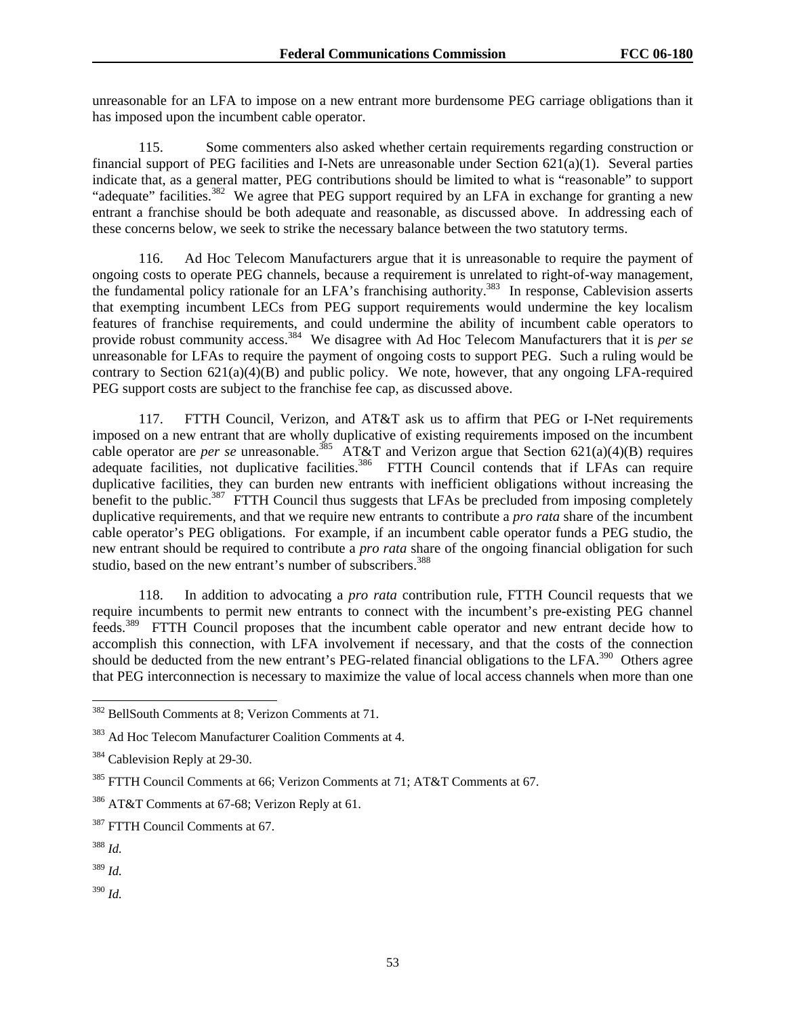unreasonable for an LFA to impose on a new entrant more burdensome PEG carriage obligations than it has imposed upon the incumbent cable operator.

115. Some commenters also asked whether certain requirements regarding construction or financial support of PEG facilities and I-Nets are unreasonable under Section  $621(a)(1)$ . Several parties indicate that, as a general matter, PEG contributions should be limited to what is "reasonable" to support "adequate" facilities.<sup>382</sup> We agree that PEG support required by an LFA in exchange for granting a new entrant a franchise should be both adequate and reasonable, as discussed above. In addressing each of these concerns below, we seek to strike the necessary balance between the two statutory terms.

116. Ad Hoc Telecom Manufacturers argue that it is unreasonable to require the payment of ongoing costs to operate PEG channels, because a requirement is unrelated to right-of-way management, the fundamental policy rationale for an LFA's franchising authority.<sup>383</sup> In response, Cablevision asserts that exempting incumbent LECs from PEG support requirements would undermine the key localism features of franchise requirements, and could undermine the ability of incumbent cable operators to provide robust community access.<sup>384</sup> We disagree with Ad Hoc Telecom Manufacturers that it is *per se* unreasonable for LFAs to require the payment of ongoing costs to support PEG. Such a ruling would be contrary to Section  $621(a)(4)(B)$  and public policy. We note, however, that any ongoing LFA-required PEG support costs are subject to the franchise fee cap, as discussed above.

117. FTTH Council, Verizon, and AT&T ask us to affirm that PEG or I-Net requirements imposed on a new entrant that are wholly duplicative of existing requirements imposed on the incumbent cable operator are *per se* unreasonable.<sup>385</sup> AT&T and Verizon argue that Section 621(a)(4)(B) requires adequate facilities, not duplicative facilities.<sup>386</sup> FTTH Council contends that if LFAs can require duplicative facilities, they can burden new entrants with inefficient obligations without increasing the benefit to the public.<sup>387</sup> FTTH Council thus suggests that LFAs be precluded from imposing completely duplicative requirements, and that we require new entrants to contribute a *pro rata* share of the incumbent cable operator's PEG obligations. For example, if an incumbent cable operator funds a PEG studio, the new entrant should be required to contribute a *pro rata* share of the ongoing financial obligation for such studio, based on the new entrant's number of subscribers.<sup>388</sup>

118. In addition to advocating a *pro rata* contribution rule, FTTH Council requests that we require incumbents to permit new entrants to connect with the incumbent's pre-existing PEG channel feeds.389 FTTH Council proposes that the incumbent cable operator and new entrant decide how to accomplish this connection, with LFA involvement if necessary, and that the costs of the connection should be deducted from the new entrant's PEG-related financial obligations to the LFA.<sup>390</sup> Others agree that PEG interconnection is necessary to maximize the value of local access channels when more than one

l

<sup>389</sup> *Id.* 

<sup>390</sup> *Id.* 

<sup>382</sup> BellSouth Comments at 8; Verizon Comments at 71.

<sup>383</sup> Ad Hoc Telecom Manufacturer Coalition Comments at 4.

<sup>&</sup>lt;sup>384</sup> Cablevision Reply at 29-30.

<sup>385</sup> FTTH Council Comments at 66; Verizon Comments at 71; AT&T Comments at 67.

<sup>386</sup> AT&T Comments at 67-68; Verizon Reply at 61.

<sup>&</sup>lt;sup>387</sup> FTTH Council Comments at 67.

<sup>388</sup> *Id.*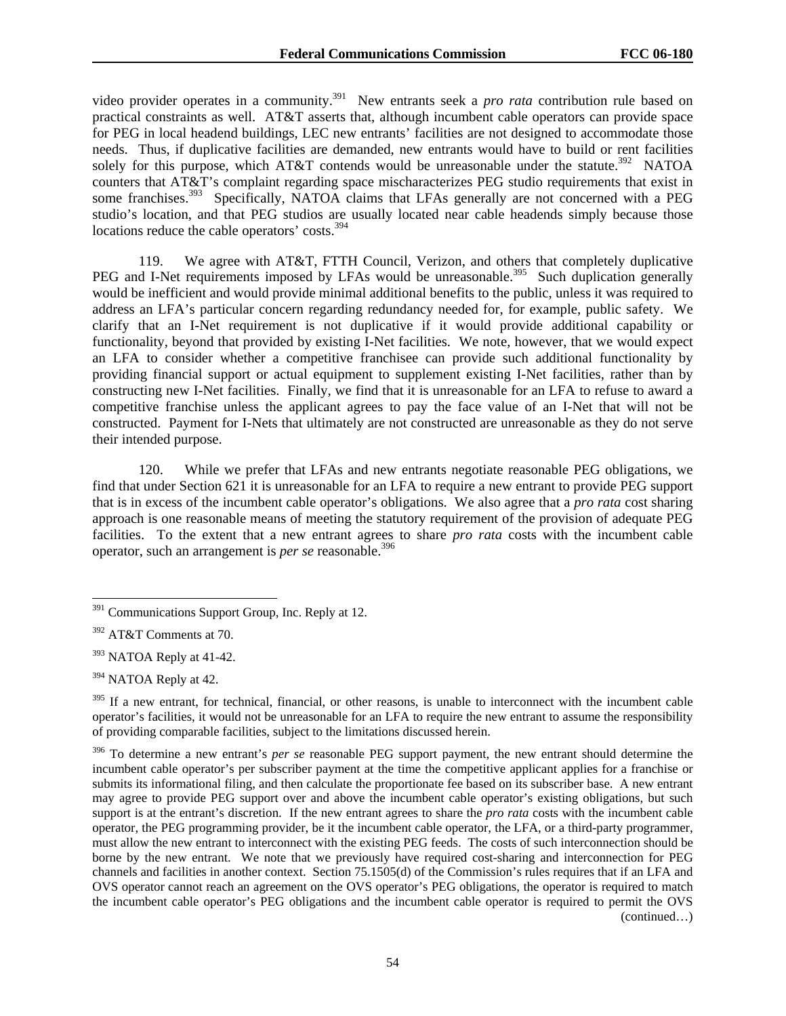video provider operates in a community.<sup>391</sup> New entrants seek a *pro rata* contribution rule based on practical constraints as well. AT&T asserts that, although incumbent cable operators can provide space for PEG in local headend buildings, LEC new entrants' facilities are not designed to accommodate those needs. Thus, if duplicative facilities are demanded, new entrants would have to build or rent facilities solely for this purpose, which AT&T contends would be unreasonable under the statute.<sup>392</sup> NATOA counters that AT&T's complaint regarding space mischaracterizes PEG studio requirements that exist in some franchises.<sup>393</sup> Specifically, NATOA claims that LFAs generally are not concerned with a PEG studio's location, and that PEG studios are usually located near cable headends simply because those locations reduce the cable operators' costs.<sup>394</sup>

119. We agree with AT&T, FTTH Council, Verizon, and others that completely duplicative PEG and I-Net requirements imposed by LFAs would be unreasonable.<sup>395</sup> Such duplication generally would be inefficient and would provide minimal additional benefits to the public, unless it was required to address an LFA's particular concern regarding redundancy needed for, for example, public safety. We clarify that an I-Net requirement is not duplicative if it would provide additional capability or functionality, beyond that provided by existing I-Net facilities. We note, however, that we would expect an LFA to consider whether a competitive franchisee can provide such additional functionality by providing financial support or actual equipment to supplement existing I-Net facilities, rather than by constructing new I-Net facilities. Finally, we find that it is unreasonable for an LFA to refuse to award a competitive franchise unless the applicant agrees to pay the face value of an I-Net that will not be constructed. Payment for I-Nets that ultimately are not constructed are unreasonable as they do not serve their intended purpose.

120. While we prefer that LFAs and new entrants negotiate reasonable PEG obligations, we find that under Section 621 it is unreasonable for an LFA to require a new entrant to provide PEG support that is in excess of the incumbent cable operator's obligations. We also agree that a *pro rata* cost sharing approach is one reasonable means of meeting the statutory requirement of the provision of adequate PEG facilities. To the extent that a new entrant agrees to share *pro rata* costs with the incumbent cable operator, such an arrangement is *per se* reasonable.396

 $391$  Communications Support Group, Inc. Reply at 12.

<sup>392</sup> AT&T Comments at 70.

<sup>&</sup>lt;sup>393</sup> NATOA Reply at 41-42.

<sup>394</sup> NATOA Reply at 42.

<sup>&</sup>lt;sup>395</sup> If a new entrant, for technical, financial, or other reasons, is unable to interconnect with the incumbent cable operator's facilities, it would not be unreasonable for an LFA to require the new entrant to assume the responsibility of providing comparable facilities, subject to the limitations discussed herein.

<sup>396</sup> To determine a new entrant's *per se* reasonable PEG support payment, the new entrant should determine the incumbent cable operator's per subscriber payment at the time the competitive applicant applies for a franchise or submits its informational filing, and then calculate the proportionate fee based on its subscriber base. A new entrant may agree to provide PEG support over and above the incumbent cable operator's existing obligations, but such support is at the entrant's discretion. If the new entrant agrees to share the *pro rata* costs with the incumbent cable operator, the PEG programming provider, be it the incumbent cable operator, the LFA, or a third-party programmer, must allow the new entrant to interconnect with the existing PEG feeds. The costs of such interconnection should be borne by the new entrant. We note that we previously have required cost-sharing and interconnection for PEG channels and facilities in another context. Section 75.1505(d) of the Commission's rules requires that if an LFA and OVS operator cannot reach an agreement on the OVS operator's PEG obligations, the operator is required to match the incumbent cable operator's PEG obligations and the incumbent cable operator is required to permit the OVS (continued…)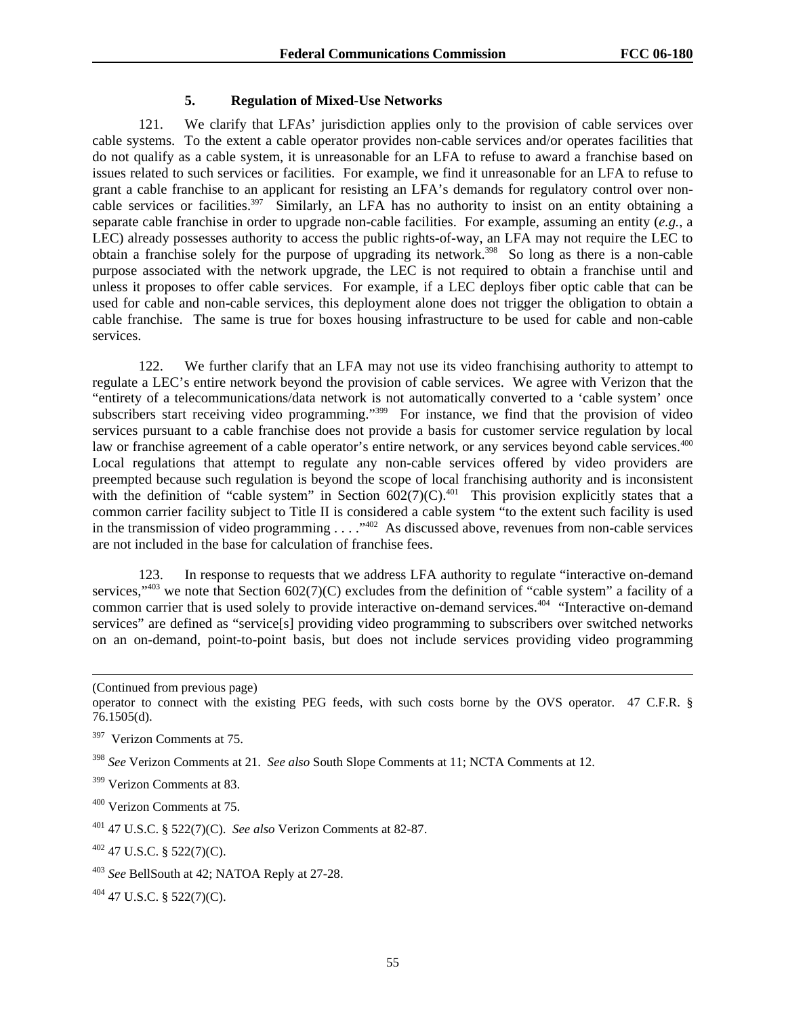### **5. Regulation of Mixed-Use Networks**

121. We clarify that LFAs' jurisdiction applies only to the provision of cable services over cable systems. To the extent a cable operator provides non-cable services and/or operates facilities that do not qualify as a cable system, it is unreasonable for an LFA to refuse to award a franchise based on issues related to such services or facilities. For example, we find it unreasonable for an LFA to refuse to grant a cable franchise to an applicant for resisting an LFA's demands for regulatory control over noncable services or facilities.<sup>397</sup> Similarly, an LFA has no authority to insist on an entity obtaining a separate cable franchise in order to upgrade non-cable facilities. For example, assuming an entity (*e.g.*, a LEC) already possesses authority to access the public rights-of-way, an LFA may not require the LEC to obtain a franchise solely for the purpose of upgrading its network.398 So long as there is a non-cable purpose associated with the network upgrade, the LEC is not required to obtain a franchise until and unless it proposes to offer cable services. For example, if a LEC deploys fiber optic cable that can be used for cable and non-cable services, this deployment alone does not trigger the obligation to obtain a cable franchise. The same is true for boxes housing infrastructure to be used for cable and non-cable services.

122. We further clarify that an LFA may not use its video franchising authority to attempt to regulate a LEC's entire network beyond the provision of cable services. We agree with Verizon that the "entirety of a telecommunications/data network is not automatically converted to a 'cable system' once subscribers start receiving video programming."<sup>399</sup> For instance, we find that the provision of video services pursuant to a cable franchise does not provide a basis for customer service regulation by local law or franchise agreement of a cable operator's entire network, or any services beyond cable services.<sup>400</sup> Local regulations that attempt to regulate any non-cable services offered by video providers are preempted because such regulation is beyond the scope of local franchising authority and is inconsistent with the definition of "cable system" in Section  $602(7)(C)$ .<sup>401</sup> This provision explicitly states that a common carrier facility subject to Title II is considered a cable system "to the extent such facility is used in the transmission of video programming . . . ."402 As discussed above, revenues from non-cable services are not included in the base for calculation of franchise fees.

123. In response to requests that we address LFA authority to regulate "interactive on-demand services,"<sup>403</sup> we note that Section  $602(7)(C)$  excludes from the definition of "cable system" a facility of a common carrier that is used solely to provide interactive on-demand services.<sup>404</sup> "Interactive on-demand services" are defined as "service[s] providing video programming to subscribers over switched networks on an on-demand, point-to-point basis, but does not include services providing video programming

 $\overline{a}$ 

402 47 U.S.C. § 522(7)(C).

404 47 U.S.C. § 522(7)(C).

<sup>(</sup>Continued from previous page)

operator to connect with the existing PEG feeds, with such costs borne by the OVS operator. 47 C.F.R. § 76.1505(d).

<sup>397</sup> Verizon Comments at 75.

<sup>398</sup> *See* Verizon Comments at 21. *See also* South Slope Comments at 11; NCTA Comments at 12.

<sup>&</sup>lt;sup>399</sup> Verizon Comments at 83.

<sup>400</sup> Verizon Comments at 75.

<sup>401 47</sup> U.S.C. § 522(7)(C). *See also* Verizon Comments at 82-87.

<sup>403</sup> *See* BellSouth at 42; NATOA Reply at 27-28.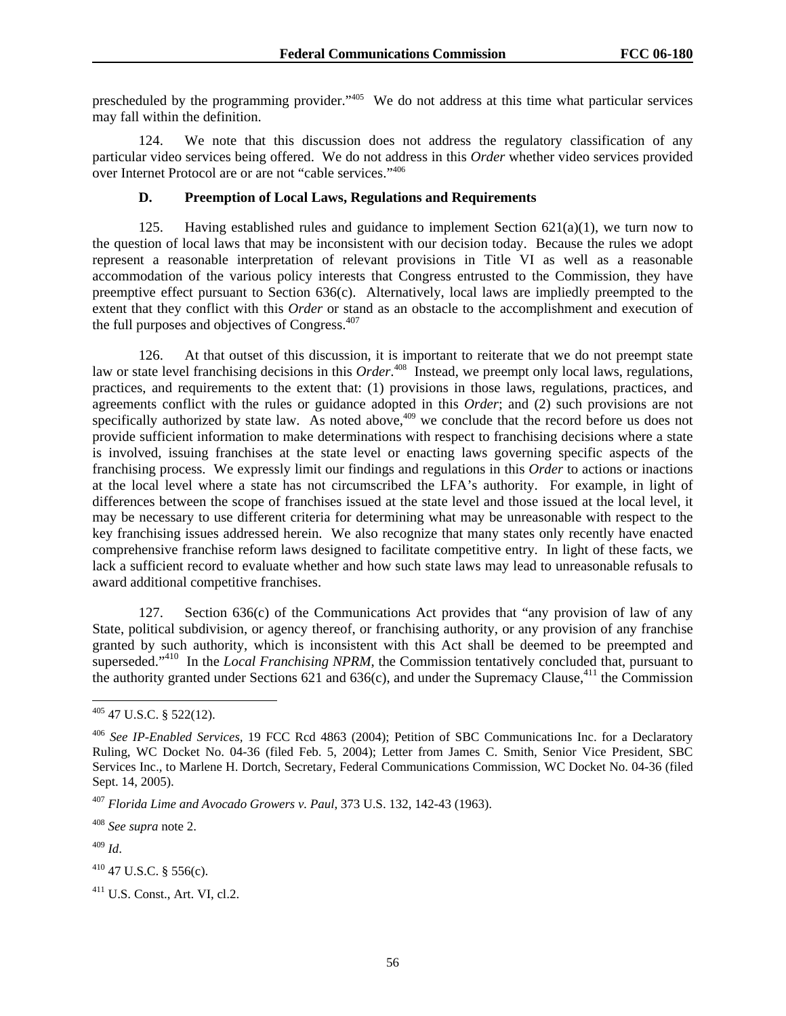prescheduled by the programming provider."405 We do not address at this time what particular services may fall within the definition.

124. We note that this discussion does not address the regulatory classification of any particular video services being offered. We do not address in this *Order* whether video services provided over Internet Protocol are or are not "cable services."406

## **D. Preemption of Local Laws, Regulations and Requirements**

125. Having established rules and guidance to implement Section  $621(a)(1)$ , we turn now to the question of local laws that may be inconsistent with our decision today. Because the rules we adopt represent a reasonable interpretation of relevant provisions in Title VI as well as a reasonable accommodation of the various policy interests that Congress entrusted to the Commission, they have preemptive effect pursuant to Section 636(c). Alternatively, local laws are impliedly preempted to the extent that they conflict with this *Order* or stand as an obstacle to the accomplishment and execution of the full purposes and objectives of Congress.<sup>407</sup>

126. At that outset of this discussion, it is important to reiterate that we do not preempt state law or state level franchising decisions in this *Order*.<sup>408</sup> Instead, we preempt only local laws, regulations, practices, and requirements to the extent that: (1) provisions in those laws, regulations, practices, and agreements conflict with the rules or guidance adopted in this *Order*; and (2) such provisions are not specifically authorized by state law. As noted above,<sup>409</sup> we conclude that the record before us does not provide sufficient information to make determinations with respect to franchising decisions where a state is involved, issuing franchises at the state level or enacting laws governing specific aspects of the franchising process. We expressly limit our findings and regulations in this *Order* to actions or inactions at the local level where a state has not circumscribed the LFA's authority. For example, in light of differences between the scope of franchises issued at the state level and those issued at the local level, it may be necessary to use different criteria for determining what may be unreasonable with respect to the key franchising issues addressed herein. We also recognize that many states only recently have enacted comprehensive franchise reform laws designed to facilitate competitive entry. In light of these facts, we lack a sufficient record to evaluate whether and how such state laws may lead to unreasonable refusals to award additional competitive franchises.

127. Section 636(c) of the Communications Act provides that "any provision of law of any State, political subdivision, or agency thereof, or franchising authority, or any provision of any franchise granted by such authority, which is inconsistent with this Act shall be deemed to be preempted and superseded."<sup>410</sup> In the *Local Franchising NPRM*, the Commission tentatively concluded that, pursuant to the authority granted under Sections 621 and 636(c), and under the Supremacy Clause,<sup>411</sup> the Commission

<sup>408</sup> *See supra* note 2.

<sup>409</sup> *Id*.

l  $405$  47 U.S.C. § 522(12).

<sup>406</sup> *See IP-Enabled Services,* 19 FCC Rcd 4863 (2004); Petition of SBC Communications Inc. for a Declaratory Ruling, WC Docket No. 04-36 (filed Feb. 5, 2004); Letter from James C. Smith, Senior Vice President, SBC Services Inc., to Marlene H. Dortch, Secretary, Federal Communications Commission, WC Docket No. 04-36 (filed Sept. 14, 2005).

<sup>407</sup> *Florida Lime and Avocado Growers v. Paul*, 373 U.S. 132, 142-43 (1963).

 $410$  47 U.S.C. § 556(c).

<sup>411</sup> U.S. Const., Art. VI, cl.2.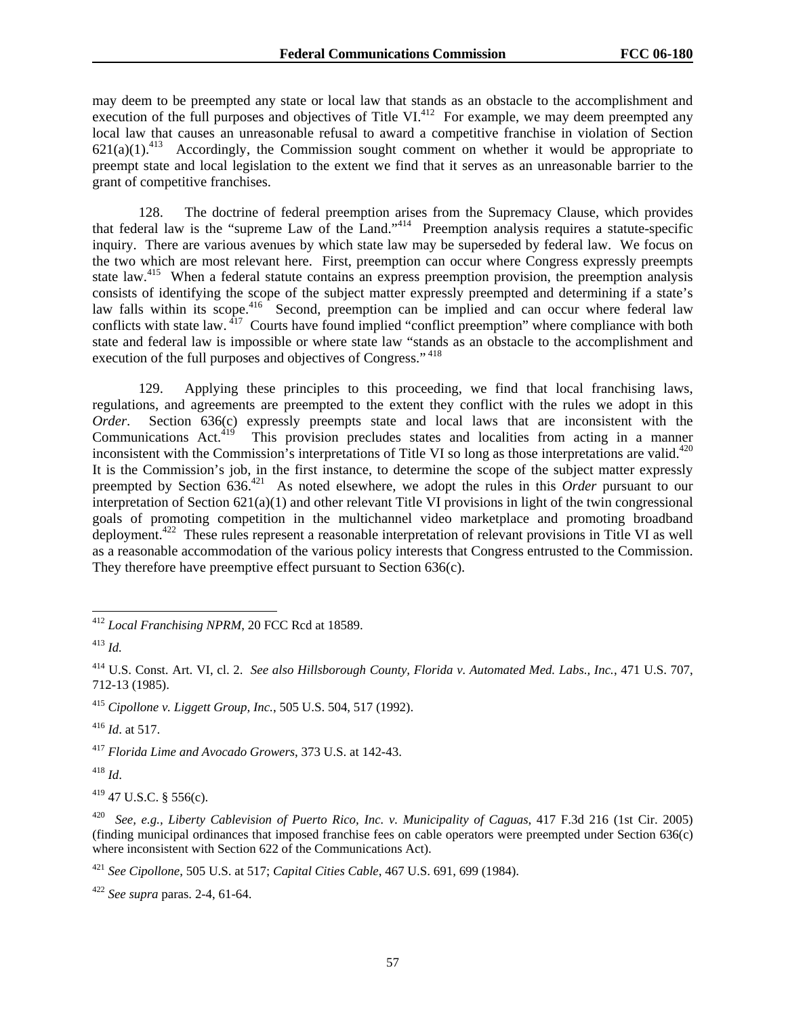may deem to be preempted any state or local law that stands as an obstacle to the accomplishment and execution of the full purposes and objectives of Title VI.<sup>412</sup> For example, we may deem preempted any local law that causes an unreasonable refusal to award a competitive franchise in violation of Section  $621(a)(1).^{413}$  Accordingly, the Commission sought comment on whether it would be appropriate to preempt state and local legislation to the extent we find that it serves as an unreasonable barrier to the grant of competitive franchises.

128. The doctrine of federal preemption arises from the Supremacy Clause, which provides that federal law is the "supreme Law of the Land."414 Preemption analysis requires a statute-specific inquiry. There are various avenues by which state law may be superseded by federal law. We focus on the two which are most relevant here. First, preemption can occur where Congress expressly preempts state law.<sup>415</sup> When a federal statute contains an express preemption provision, the preemption analysis consists of identifying the scope of the subject matter expressly preempted and determining if a state's law falls within its scope.<sup>416</sup> Second, preemption can be implied and can occur where federal law conflicts with state law.  $417$  Courts have found implied "conflict preemption" where compliance with both state and federal law is impossible or where state law "stands as an obstacle to the accomplishment and execution of the full purposes and objectives of Congress."<sup>418</sup>

129. Applying these principles to this proceeding, we find that local franchising laws, regulations, and agreements are preempted to the extent they conflict with the rules we adopt in this *Order*. Section 636(c) expressly preempts state and local laws that are inconsistent with the Communications Act.<sup>419</sup> This provision precludes states and localities from acting in a manner inconsistent with the Commission's interpretations of Title VI so long as those interpretations are valid.<sup>420</sup> It is the Commission's job, in the first instance, to determine the scope of the subject matter expressly preempted by Section 636.421 As noted elsewhere, we adopt the rules in this *Order* pursuant to our interpretation of Section 621(a)(1) and other relevant Title VI provisions in light of the twin congressional goals of promoting competition in the multichannel video marketplace and promoting broadband deployment.422 These rules represent a reasonable interpretation of relevant provisions in Title VI as well as a reasonable accommodation of the various policy interests that Congress entrusted to the Commission. They therefore have preemptive effect pursuant to Section 636(c).

<sup>416</sup> *Id*. at 517.

<sup>417</sup> *Florida Lime and Avocado Growers*, 373 U.S. at 142-43.

<sup>418</sup> *Id*.

 $419$  47 U.S.C. § 556(c).

420 *See, e.g., Liberty Cablevision of Puerto Rico, Inc. v. Municipality of Caguas*, 417 F.3d 216 (1st Cir. 2005) (finding municipal ordinances that imposed franchise fees on cable operators were preempted under Section 636(c) where inconsistent with Section 622 of the Communications Act).

<sup>421</sup> *See Cipollone*, 505 U.S. at 517; *Capital Cities Cable*, 467 U.S. 691, 699 (1984).

<sup>422</sup> *See supra* paras. 2-4, 61-64.

<sup>1</sup> <sup>412</sup> *Local Franchising NPRM*, 20 FCC Rcd at 18589.

<sup>413</sup> *Id.* 

<sup>414</sup> U.S. Const. Art. VI, cl. 2. *See also Hillsborough County, Florida v. Automated Med. Labs., Inc.*, 471 U.S. 707, 712-13 (1985).

<sup>415</sup> *Cipollone v. Liggett Group, Inc.*, 505 U.S. 504, 517 (1992).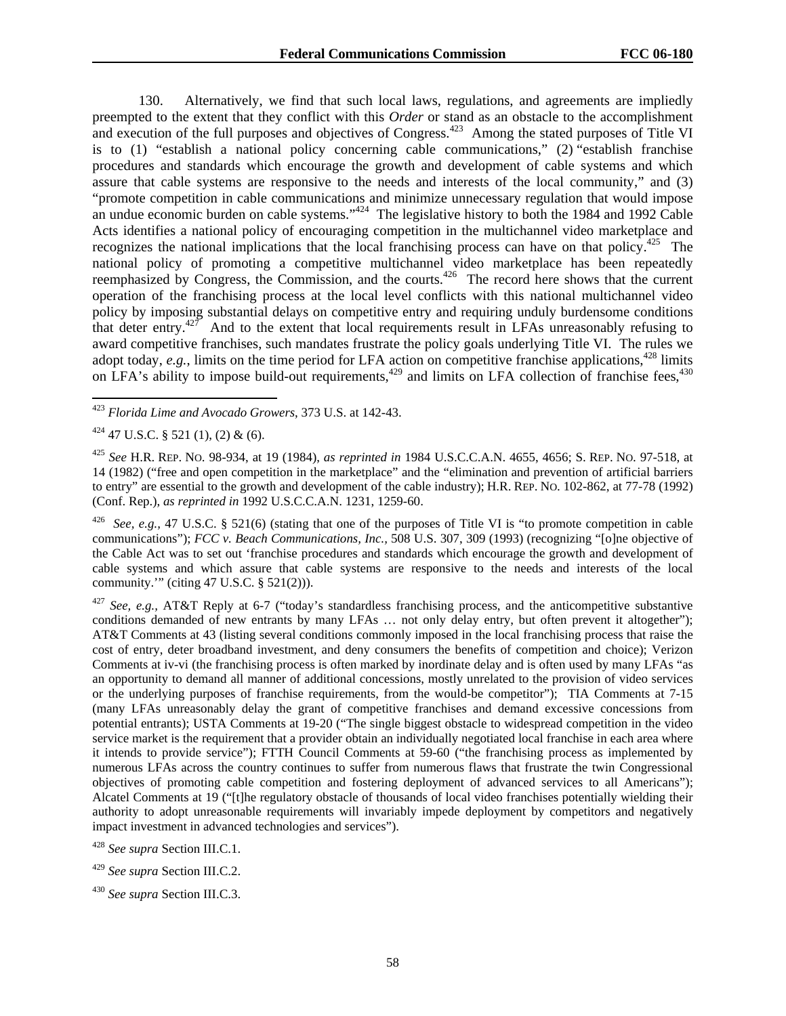130. Alternatively, we find that such local laws, regulations, and agreements are impliedly preempted to the extent that they conflict with this *Order* or stand as an obstacle to the accomplishment and execution of the full purposes and objectives of Congress.<sup>423</sup> Among the stated purposes of Title VI is to (1) "establish a national policy concerning cable communications," (2) "establish franchise procedures and standards which encourage the growth and development of cable systems and which assure that cable systems are responsive to the needs and interests of the local community," and (3) "promote competition in cable communications and minimize unnecessary regulation that would impose an undue economic burden on cable systems."<sup>424</sup> The legislative history to both the 1984 and 1992 Cable Acts identifies a national policy of encouraging competition in the multichannel video marketplace and recognizes the national implications that the local franchising process can have on that policy.<sup>425</sup> The national policy of promoting a competitive multichannel video marketplace has been repeatedly reemphasized by Congress, the Commission, and the courts.<sup>426</sup> The record here shows that the current operation of the franchising process at the local level conflicts with this national multichannel video policy by imposing substantial delays on competitive entry and requiring unduly burdensome conditions that deter entry.427 And to the extent that local requirements result in LFAs unreasonably refusing to award competitive franchises, such mandates frustrate the policy goals underlying Title VI. The rules we adopt today,  $e.g.,$  limits on the time period for LFA action on competitive franchise applications,<sup>428</sup> limits on LFA's ability to impose build-out requirements,<sup>429</sup> and limits on LFA collection of franchise fees,<sup>430</sup>

See, e.g., 47 U.S.C. § 521(6) (stating that one of the purposes of Title VI is "to promote competition in cable communications"); *FCC v. Beach Communications, Inc.,* 508 U.S. 307, 309 (1993) (recognizing "[o]ne objective of the Cable Act was to set out 'franchise procedures and standards which encourage the growth and development of cable systems and which assure that cable systems are responsive to the needs and interests of the local community.'" (citing 47 U.S.C. § 521(2))).

<sup>427</sup> *See, e.g.,* AT&T Reply at 6-7 ("today's standardless franchising process, and the anticompetitive substantive conditions demanded of new entrants by many LFAs ... not only delay entry, but often prevent it altogether"); AT&T Comments at 43 (listing several conditions commonly imposed in the local franchising process that raise the cost of entry, deter broadband investment, and deny consumers the benefits of competition and choice); Verizon Comments at iv-vi (the franchising process is often marked by inordinate delay and is often used by many LFAs "as an opportunity to demand all manner of additional concessions, mostly unrelated to the provision of video services or the underlying purposes of franchise requirements, from the would-be competitor"); TIA Comments at 7-15 (many LFAs unreasonably delay the grant of competitive franchises and demand excessive concessions from potential entrants); USTA Comments at 19-20 ("The single biggest obstacle to widespread competition in the video service market is the requirement that a provider obtain an individually negotiated local franchise in each area where it intends to provide service"); FTTH Council Comments at 59-60 ("the franchising process as implemented by numerous LFAs across the country continues to suffer from numerous flaws that frustrate the twin Congressional objectives of promoting cable competition and fostering deployment of advanced services to all Americans"); Alcatel Comments at 19 ("[t]he regulatory obstacle of thousands of local video franchises potentially wielding their authority to adopt unreasonable requirements will invariably impede deployment by competitors and negatively impact investment in advanced technologies and services").

l <sup>423</sup> *Florida Lime and Avocado Growers*, 373 U.S. at 142-43.

 $424$  47 U.S.C. § 521 (1), (2) & (6).

<sup>425</sup> *See* H.R. REP. NO. 98-934, at 19 (1984), *as reprinted in* 1984 U.S.C.C.A.N. 4655, 4656; S. REP. NO. 97-518, at 14 (1982) ("free and open competition in the marketplace" and the "elimination and prevention of artificial barriers to entry" are essential to the growth and development of the cable industry); H.R. REP. NO. 102-862, at 77-78 (1992) (Conf. Rep.), *as reprinted in* 1992 U.S.C.C.A.N. 1231, 1259-60.

<sup>428</sup> *See supra* Section III.C.1.

<sup>429</sup> *See supra* Section III.C.2.

<sup>430</sup> *See supra* Section III.C.3.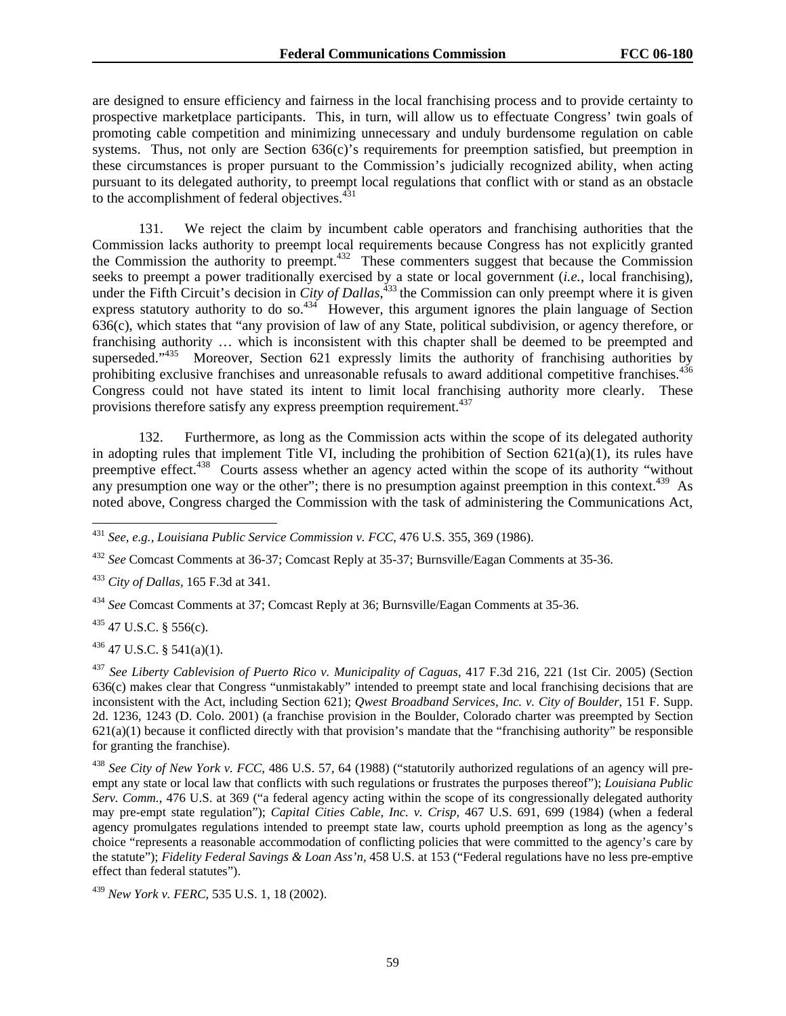are designed to ensure efficiency and fairness in the local franchising process and to provide certainty to prospective marketplace participants. This, in turn, will allow us to effectuate Congress' twin goals of promoting cable competition and minimizing unnecessary and unduly burdensome regulation on cable systems. Thus, not only are Section 636(c)'s requirements for preemption satisfied, but preemption in these circumstances is proper pursuant to the Commission's judicially recognized ability, when acting pursuant to its delegated authority, to preempt local regulations that conflict with or stand as an obstacle to the accomplishment of federal objectives.<sup>431</sup>

131. We reject the claim by incumbent cable operators and franchising authorities that the Commission lacks authority to preempt local requirements because Congress has not explicitly granted the Commission the authority to preempt.432 These commenters suggest that because the Commission seeks to preempt a power traditionally exercised by a state or local government (*i.e.*, local franchising), under the Fifth Circuit's decision in *City of Dallas*, 433 the Commission can only preempt where it is given express statutory authority to do so.<sup>434</sup> However, this argument ignores the plain language of Section 636(c), which states that "any provision of law of any State, political subdivision, or agency therefore, or franchising authority … which is inconsistent with this chapter shall be deemed to be preempted and superseded." $435$  Moreover, Section 621 expressly limits the authority of franchising authorities by prohibiting exclusive franchises and unreasonable refusals to award additional competitive franchises.<sup>436</sup> Congress could not have stated its intent to limit local franchising authority more clearly. These provisions therefore satisfy any express preemption requirement.<sup>437</sup>

132. Furthermore, as long as the Commission acts within the scope of its delegated authority in adopting rules that implement Title VI, including the prohibition of Section 621(a)(1), its rules have preemptive effect.<sup>438</sup> Courts assess whether an agency acted within the scope of its authority "without any presumption one way or the other"; there is no presumption against preemption in this context. $439$  As noted above, Congress charged the Commission with the task of administering the Communications Act,

<sup>433</sup> *City of Dallas,* 165 F.3d at 341.

<sup>434</sup> *See* Comcast Comments at 37; Comcast Reply at 36; Burnsville/Eagan Comments at 35-36.

 $435$  47 U.S.C. § 556(c).

l

 $436$  47 U.S.C. § 541(a)(1).

<sup>437</sup> *See Liberty Cablevision of Puerto Rico v. Municipality of Caguas*, 417 F.3d 216, 221 (1st Cir. 2005) (Section 636(c) makes clear that Congress "unmistakably" intended to preempt state and local franchising decisions that are inconsistent with the Act, including Section 621); *Qwest Broadband Services, Inc. v. City of Boulder*, 151 F. Supp. 2d. 1236, 1243 (D. Colo. 2001) (a franchise provision in the Boulder, Colorado charter was preempted by Section  $621(a)(1)$  because it conflicted directly with that provision's mandate that the "franchising authority" be responsible for granting the franchise).

<sup>438</sup> *See City of New York v. FCC*, 486 U.S. 57, 64 (1988) ("statutorily authorized regulations of an agency will preempt any state or local law that conflicts with such regulations or frustrates the purposes thereof"); *Louisiana Public Serv. Comm.*, 476 U.S. at 369 ("a federal agency acting within the scope of its congressionally delegated authority may pre-empt state regulation"); *Capital Cities Cable, Inc. v. Crisp,* 467 U.S. 691, 699 (1984) (when a federal agency promulgates regulations intended to preempt state law, courts uphold preemption as long as the agency's choice "represents a reasonable accommodation of conflicting policies that were committed to the agency's care by the statute"); *Fidelity Federal Savings & Loan Ass'n,* 458 U.S. at 153 ("Federal regulations have no less pre-emptive effect than federal statutes").

<sup>439</sup> *New York v. FERC*, 535 U.S. 1, 18 (2002).

<sup>431</sup> *See, e.g., Louisiana Public Service Commission v. FCC*, 476 U.S. 355, 369 (1986).

<sup>432</sup> *See* Comcast Comments at 36-37; Comcast Reply at 35-37; Burnsville/Eagan Comments at 35-36.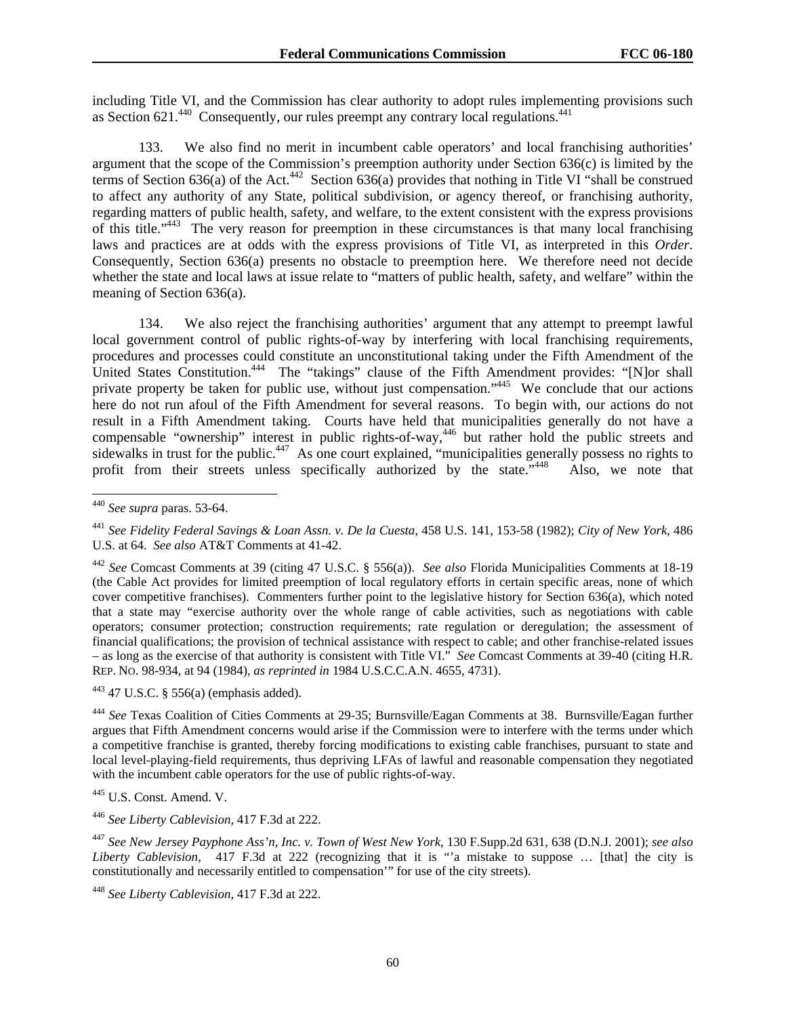including Title VI, and the Commission has clear authority to adopt rules implementing provisions such as Section  $621<sup>440</sup>$  Consequently, our rules preempt any contrary local regulations.<sup>441</sup>

133. We also find no merit in incumbent cable operators' and local franchising authorities' argument that the scope of the Commission's preemption authority under Section 636(c) is limited by the terms of Section 636(a) of the Act.<sup>442</sup> Section 636(a) provides that nothing in Title VI "shall be construed to affect any authority of any State, political subdivision, or agency thereof, or franchising authority, regarding matters of public health, safety, and welfare, to the extent consistent with the express provisions of this title."443 The very reason for preemption in these circumstances is that many local franchising laws and practices are at odds with the express provisions of Title VI, as interpreted in this *Order*. Consequently, Section 636(a) presents no obstacle to preemption here. We therefore need not decide whether the state and local laws at issue relate to "matters of public health, safety, and welfare" within the meaning of Section 636(a).

134. We also reject the franchising authorities' argument that any attempt to preempt lawful local government control of public rights-of-way by interfering with local franchising requirements, procedures and processes could constitute an unconstitutional taking under the Fifth Amendment of the United States Constitution.<sup>444</sup> The "takings" clause of the Fifth Amendment provides: "[N]or shall private property be taken for public use, without just compensation."<sup>445</sup> We conclude that our actions here do not run afoul of the Fifth Amendment for several reasons. To begin with, our actions do not result in a Fifth Amendment taking. Courts have held that municipalities generally do not have a compensable "ownership" interest in public rights-of-way,<sup>446</sup> but rather hold the public streets and sidewalks in trust for the public.<sup>447</sup> As one court explained, "municipalities generally possess no rights to profit from their streets unless specifically authorized by the state."<sup>448</sup> Also, we note that

-

443 47 U.S.C. § 556(a) (emphasis added).

<sup>444</sup> *See* Texas Coalition of Cities Comments at 29-35; Burnsville/Eagan Comments at 38. Burnsville/Eagan further argues that Fifth Amendment concerns would arise if the Commission were to interfere with the terms under which a competitive franchise is granted, thereby forcing modifications to existing cable franchises, pursuant to state and local level-playing-field requirements, thus depriving LFAs of lawful and reasonable compensation they negotiated with the incumbent cable operators for the use of public rights-of-way.

445 U.S. Const. Amend. V.

<sup>446</sup> *See Liberty Cablevision,* 417 F.3d at 222.

<sup>447</sup> *See New Jersey Payphone Ass'n, Inc. v. Town of West New York,* 130 F.Supp.2d 631, 638 (D.N.J. 2001); *see also Liberty Cablevision,* 417 F.3d at 222 (recognizing that it is "'a mistake to suppose … [that] the city is constitutionally and necessarily entitled to compensation'" for use of the city streets).

<sup>440</sup> *See supra* paras. 53-64.

<sup>441</sup> *See Fidelity Federal Savings & Loan Assn. v. De la Cuesta*, 458 U.S. 141, 153-58 (1982); *City of New York,* 486 U.S. at 64. *See also* AT&T Comments at 41-42.

<sup>442</sup> *See* Comcast Comments at 39 (citing 47 U.S.C. § 556(a)). *See also* Florida Municipalities Comments at 18-19 (the Cable Act provides for limited preemption of local regulatory efforts in certain specific areas, none of which cover competitive franchises). Commenters further point to the legislative history for Section 636(a), which noted that a state may "exercise authority over the whole range of cable activities, such as negotiations with cable operators; consumer protection; construction requirements; rate regulation or deregulation; the assessment of financial qualifications; the provision of technical assistance with respect to cable; and other franchise-related issues – as long as the exercise of that authority is consistent with Title VI." *See* Comcast Comments at 39-40 (citing H.R. REP. NO. 98-934, at 94 (1984), *as reprinted in* 1984 U.S.C.C.A.N. 4655, 4731).

<sup>448</sup> *See Liberty Cablevision,* 417 F.3d at 222.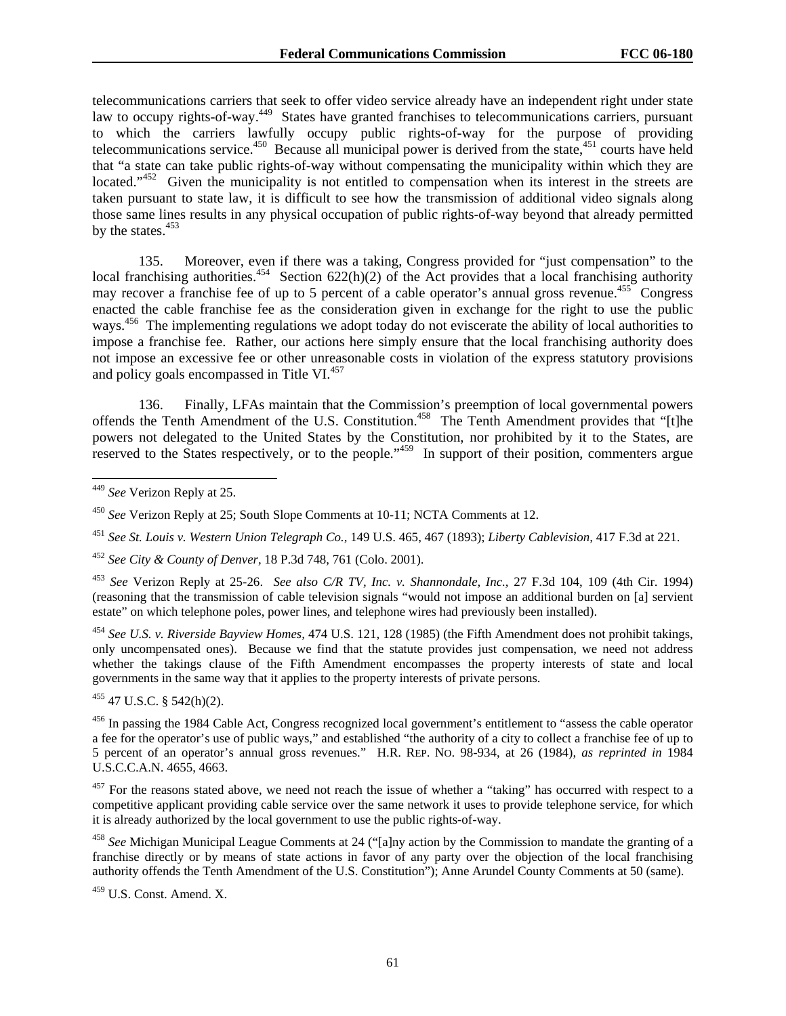telecommunications carriers that seek to offer video service already have an independent right under state law to occupy rights-of-way.<sup>449</sup> States have granted franchises to telecommunications carriers, pursuant to which the carriers lawfully occupy public rights-of-way for the purpose of providing telecommunications service.<sup>450</sup> Because all municipal power is derived from the state,<sup>451</sup> courts have held that "a state can take public rights-of-way without compensating the municipality within which they are located."<sup>452</sup> Given the municipality is not entitled to compensation when its interest in the streets are taken pursuant to state law, it is difficult to see how the transmission of additional video signals along those same lines results in any physical occupation of public rights-of-way beyond that already permitted by the states. $453$ 

135. Moreover, even if there was a taking, Congress provided for "just compensation" to the local franchising authorities.<sup>454</sup> Section 622(h)(2) of the Act provides that a local franchising authority may recover a franchise fee of up to 5 percent of a cable operator's annual gross revenue.<sup>455</sup> Congress enacted the cable franchise fee as the consideration given in exchange for the right to use the public ways.<sup>456</sup> The implementing regulations we adopt today do not eviscerate the ability of local authorities to impose a franchise fee. Rather, our actions here simply ensure that the local franchising authority does not impose an excessive fee or other unreasonable costs in violation of the express statutory provisions and policy goals encompassed in Title VI.<sup>457</sup>

136. Finally, LFAs maintain that the Commission's preemption of local governmental powers offends the Tenth Amendment of the U.S. Constitution.<sup>458</sup> The Tenth Amendment provides that "[t]he powers not delegated to the United States by the Constitution, nor prohibited by it to the States, are reserved to the States respectively, or to the people."<sup>459</sup> In support of their position, commenters argue

-

<sup>453</sup> *See* Verizon Reply at 25-26. *See also C/R TV, Inc. v. Shannondale, Inc.,* 27 F.3d 104, 109 (4th Cir. 1994) (reasoning that the transmission of cable television signals "would not impose an additional burden on [a] servient estate" on which telephone poles, power lines, and telephone wires had previously been installed).

<sup>454</sup> *See U.S. v. Riverside Bayview Homes,* 474 U.S. 121, 128 (1985) (the Fifth Amendment does not prohibit takings, only uncompensated ones). Because we find that the statute provides just compensation, we need not address whether the takings clause of the Fifth Amendment encompasses the property interests of state and local governments in the same way that it applies to the property interests of private persons.

455 47 U.S.C. § 542(h)(2).

<sup>456</sup> In passing the 1984 Cable Act, Congress recognized local government's entitlement to "assess the cable operator a fee for the operator's use of public ways," and established "the authority of a city to collect a franchise fee of up to 5 percent of an operator's annual gross revenues." H.R. REP. NO. 98-934, at 26 (1984), *as reprinted in* 1984 U.S.C.C.A.N. 4655, 4663.

 $457$  For the reasons stated above, we need not reach the issue of whether a "taking" has occurred with respect to a competitive applicant providing cable service over the same network it uses to provide telephone service, for which it is already authorized by the local government to use the public rights-of-way.

<sup>458</sup> *See* Michigan Municipal League Comments at 24 ("[a]ny action by the Commission to mandate the granting of a franchise directly or by means of state actions in favor of any party over the objection of the local franchising authority offends the Tenth Amendment of the U.S. Constitution"); Anne Arundel County Comments at 50 (same).

459 U.S. Const. Amend. X.

<sup>449</sup> *See* Verizon Reply at 25.

<sup>450</sup> *See* Verizon Reply at 25; South Slope Comments at 10-11; NCTA Comments at 12.

<sup>451</sup> *See St. Louis v. Western Union Telegraph Co.,* 149 U.S. 465, 467 (1893); *Liberty Cablevision,* 417 F.3d at 221.

<sup>452</sup> *See City & County of Denver,* 18 P.3d 748, 761 (Colo. 2001).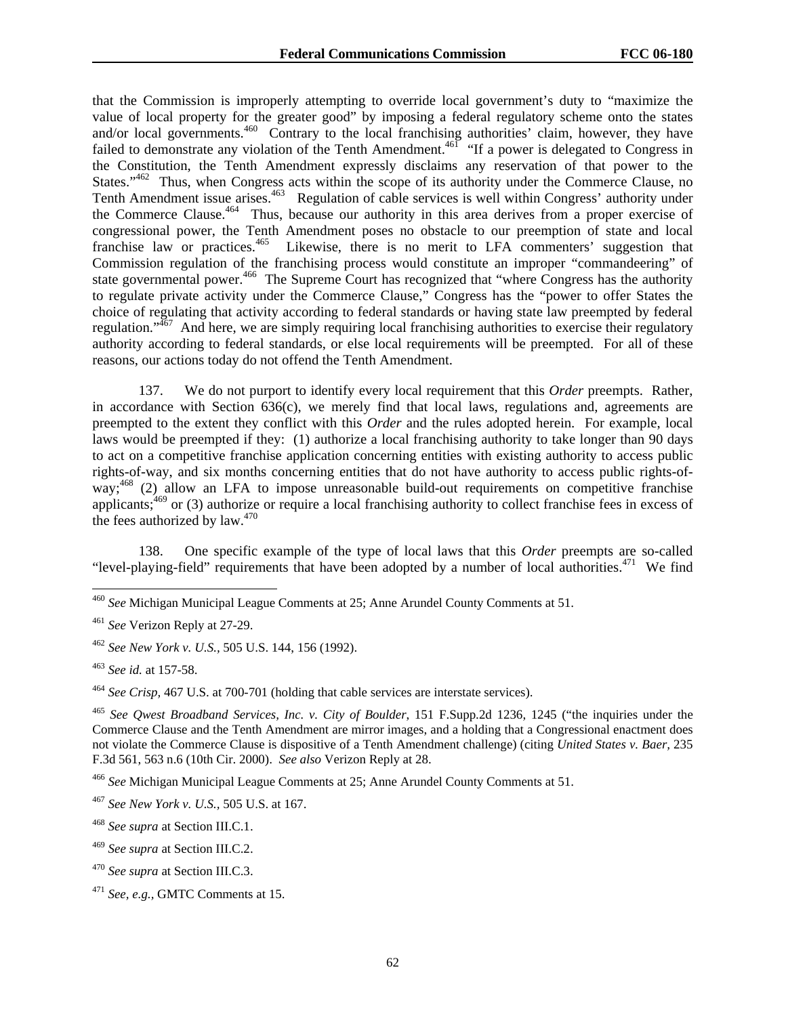that the Commission is improperly attempting to override local government's duty to "maximize the value of local property for the greater good" by imposing a federal regulatory scheme onto the states and/or local governments.<sup>460</sup> Contrary to the local franchising authorities' claim, however, they have failed to demonstrate any violation of the Tenth Amendment.<sup>461</sup> "If a power is delegated to Congress in the Constitution, the Tenth Amendment expressly disclaims any reservation of that power to the States."<sup>462</sup> Thus, when Congress acts within the scope of its authority under the Commerce Clause, no Tenth Amendment issue arises.<sup>463</sup> Regulation of cable services is well within Congress' authority under the Commerce Clause.<sup>464</sup> Thus, because our authority in this area derives from a proper exercise of congressional power, the Tenth Amendment poses no obstacle to our preemption of state and local franchise law or practices.<sup>465</sup> Likewise, there is no merit to LFA commenters' suggestion that Commission regulation of the franchising process would constitute an improper "commandeering" of state governmental power.<sup>466</sup> The Supreme Court has recognized that "where Congress has the authority" to regulate private activity under the Commerce Clause," Congress has the "power to offer States the choice of regulating that activity according to federal standards or having state law preempted by federal regulation."467 And here, we are simply requiring local franchising authorities to exercise their regulatory authority according to federal standards, or else local requirements will be preempted. For all of these reasons, our actions today do not offend the Tenth Amendment.

137. We do not purport to identify every local requirement that this *Order* preempts. Rather, in accordance with Section 636(c), we merely find that local laws, regulations and, agreements are preempted to the extent they conflict with this *Order* and the rules adopted herein. For example, local laws would be preempted if they: (1) authorize a local franchising authority to take longer than 90 days to act on a competitive franchise application concerning entities with existing authority to access public rights-of-way, and six months concerning entities that do not have authority to access public rights-ofway;<sup>468</sup> (2) allow an LFA to impose unreasonable build-out requirements on competitive franchise applicants;<sup>469</sup> or (3) authorize or require a local franchising authority to collect franchise fees in excess of the fees authorized by  $law.<sup>470</sup>$ 

138. One specific example of the type of local laws that this *Order* preempts are so-called "level-playing-field" requirements that have been adopted by a number of local authorities.471 We find

l

<sup>464</sup> *See Crisp,* 467 U.S. at 700-701 (holding that cable services are interstate services).

<sup>465</sup> *See Qwest Broadband Services, Inc. v. City of Boulder*, 151 F.Supp.2d 1236, 1245 ("the inquiries under the Commerce Clause and the Tenth Amendment are mirror images, and a holding that a Congressional enactment does not violate the Commerce Clause is dispositive of a Tenth Amendment challenge) (citing *United States v. Baer,* 235 F.3d 561, 563 n.6 (10th Cir. 2000). *See also* Verizon Reply at 28.

<sup>466</sup> *See* Michigan Municipal League Comments at 25; Anne Arundel County Comments at 51.

<sup>468</sup> *See supra* at Section III.C.1.

<sup>469</sup> *See supra* at Section III.C.2.

<sup>460</sup> *See* Michigan Municipal League Comments at 25; Anne Arundel County Comments at 51.

<sup>461</sup> *See* Verizon Reply at 27-29.

<sup>462</sup> *See New York v. U.S.,* 505 U.S. 144, 156 (1992).

<sup>463</sup> *See id.* at 157-58.

<sup>467</sup> *See New York v. U.S.,* 505 U.S. at 167.

<sup>470</sup> *See supra* at Section III.C.3.

<sup>471</sup> *See, e.g.,* GMTC Comments at 15.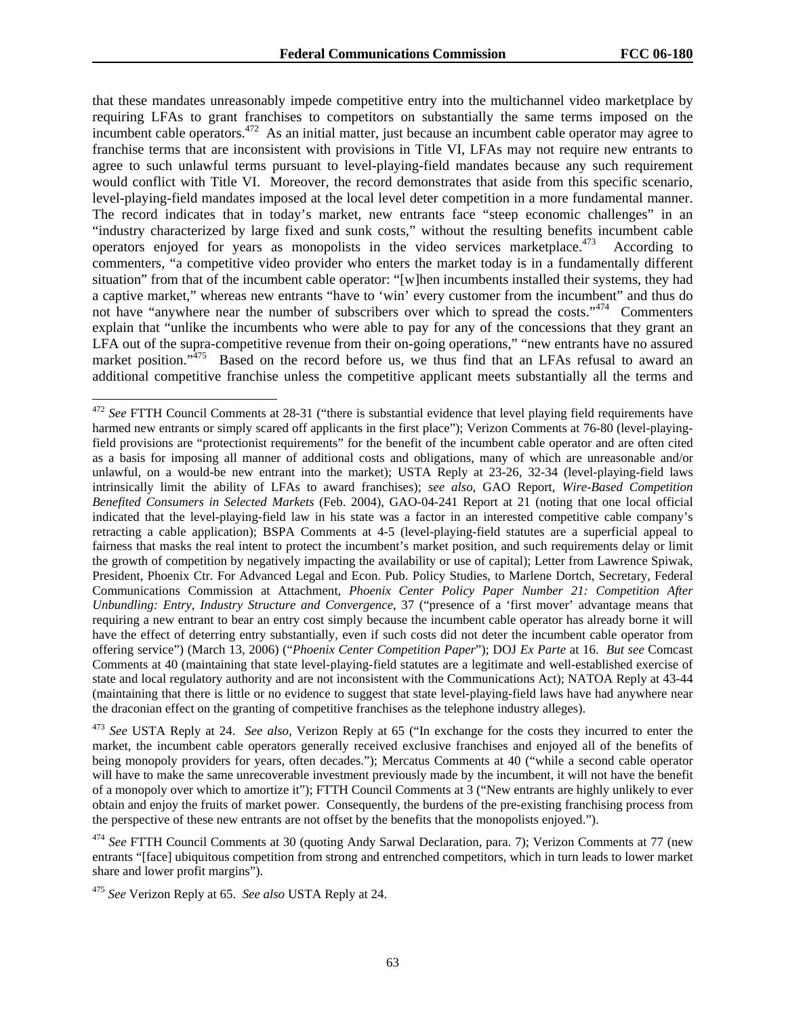that these mandates unreasonably impede competitive entry into the multichannel video marketplace by requiring LFAs to grant franchises to competitors on substantially the same terms imposed on the incumbent cable operators.472 As an initial matter, just because an incumbent cable operator may agree to franchise terms that are inconsistent with provisions in Title VI, LFAs may not require new entrants to agree to such unlawful terms pursuant to level-playing-field mandates because any such requirement would conflict with Title VI. Moreover, the record demonstrates that aside from this specific scenario, level-playing-field mandates imposed at the local level deter competition in a more fundamental manner. The record indicates that in today's market, new entrants face "steep economic challenges" in an "industry characterized by large fixed and sunk costs," without the resulting benefits incumbent cable operators enjoyed for years as monopolists in the video services marketplace.<sup>473</sup> According to commenters, "a competitive video provider who enters the market today is in a fundamentally different situation" from that of the incumbent cable operator: "[w]hen incumbents installed their systems, they had a captive market," whereas new entrants "have to 'win' every customer from the incumbent" and thus do not have "anywhere near the number of subscribers over which to spread the costs."<sup>474</sup> Commenters explain that "unlike the incumbents who were able to pay for any of the concessions that they grant an LFA out of the supra-competitive revenue from their on-going operations," "new entrants have no assured market position."<sup>475</sup> Based on the record before us, we thus find that an LFAs refusal to award an additional competitive franchise unless the competitive applicant meets substantially all the terms and

-

<sup>472</sup> *See* FTTH Council Comments at 28-31 ("there is substantial evidence that level playing field requirements have harmed new entrants or simply scared off applicants in the first place"); Verizon Comments at 76-80 (level-playingfield provisions are "protectionist requirements" for the benefit of the incumbent cable operator and are often cited as a basis for imposing all manner of additional costs and obligations, many of which are unreasonable and/or unlawful, on a would-be new entrant into the market); USTA Reply at 23-26, 32-34 (level-playing-field laws intrinsically limit the ability of LFAs to award franchises); *see also,* GAO Report, *Wire-Based Competition Benefited Consumers in Selected Markets* (Feb. 2004), GAO-04-241 Report at 21 (noting that one local official indicated that the level-playing-field law in his state was a factor in an interested competitive cable company's retracting a cable application); BSPA Comments at 4-5 (level-playing-field statutes are a superficial appeal to fairness that masks the real intent to protect the incumbent's market position, and such requirements delay or limit the growth of competition by negatively impacting the availability or use of capital); Letter from Lawrence Spiwak, President, Phoenix Ctr. For Advanced Legal and Econ. Pub. Policy Studies, to Marlene Dortch, Secretary, Federal Communications Commission at Attachment, *Phoenix Center Policy Paper Number 21: Competition After Unbundling: Entry, Industry Structure and Convergence*, 37 ("presence of a 'first mover' advantage means that requiring a new entrant to bear an entry cost simply because the incumbent cable operator has already borne it will have the effect of deterring entry substantially, even if such costs did not deter the incumbent cable operator from offering service") (March 13, 2006) ("*Phoenix Center Competition Paper*"); DOJ *Ex Parte* at 16. *But see* Comcast Comments at 40 (maintaining that state level-playing-field statutes are a legitimate and well-established exercise of state and local regulatory authority and are not inconsistent with the Communications Act); NATOA Reply at 43-44 (maintaining that there is little or no evidence to suggest that state level-playing-field laws have had anywhere near the draconian effect on the granting of competitive franchises as the telephone industry alleges).

<sup>473</sup> *See* USTA Reply at 24. *See also,* Verizon Reply at 65 ("In exchange for the costs they incurred to enter the market, the incumbent cable operators generally received exclusive franchises and enjoyed all of the benefits of being monopoly providers for years, often decades."); Mercatus Comments at 40 ("while a second cable operator will have to make the same unrecoverable investment previously made by the incumbent, it will not have the benefit of a monopoly over which to amortize it"); FTTH Council Comments at 3 ("New entrants are highly unlikely to ever obtain and enjoy the fruits of market power. Consequently, the burdens of the pre-existing franchising process from the perspective of these new entrants are not offset by the benefits that the monopolists enjoyed.").

<sup>474</sup> *See* FTTH Council Comments at 30 (quoting Andy Sarwal Declaration, para. 7); Verizon Comments at 77 (new entrants "[face] ubiquitous competition from strong and entrenched competitors, which in turn leads to lower market share and lower profit margins").

<sup>475</sup> *See* Verizon Reply at 65. *See also* USTA Reply at 24.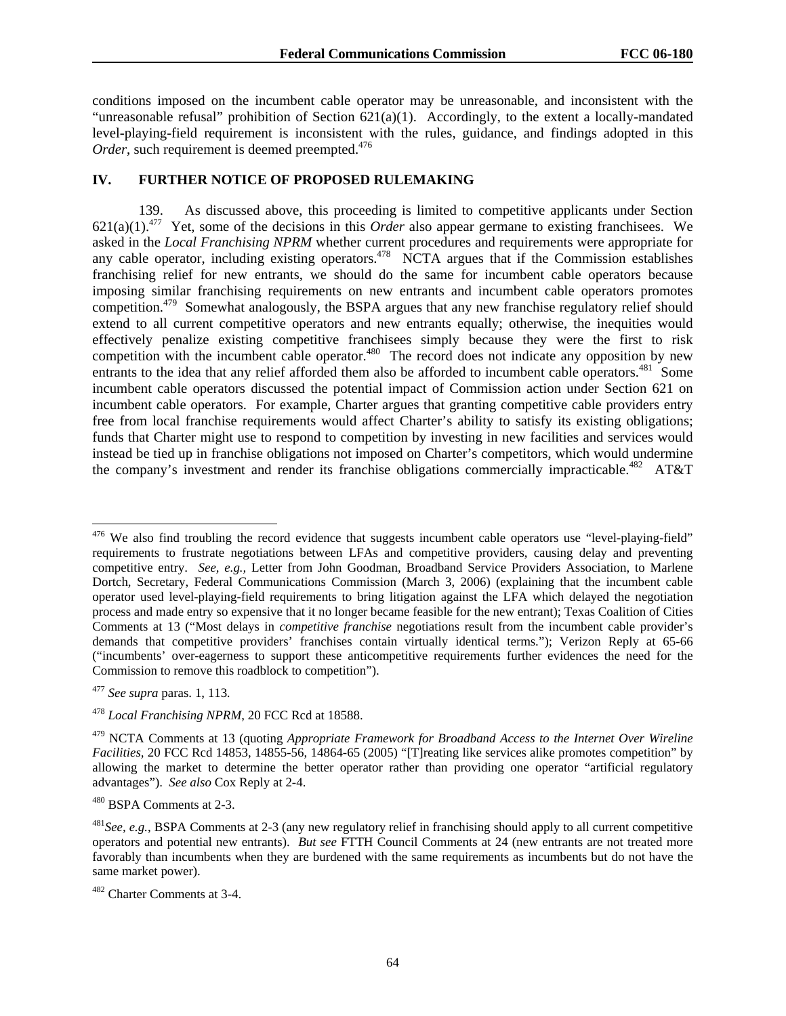conditions imposed on the incumbent cable operator may be unreasonable, and inconsistent with the "unreasonable refusal" prohibition of Section  $621(a)(1)$ . Accordingly, to the extent a locally-mandated level-playing-field requirement is inconsistent with the rules, guidance, and findings adopted in this *Order*, such requirement is deemed preempted.<sup>476</sup>

## **IV. FURTHER NOTICE OF PROPOSED RULEMAKING**

139. As discussed above, this proceeding is limited to competitive applicants under Section 621(a)(1).477 Yet, some of the decisions in this *Order* also appear germane to existing franchisees. We asked in the *Local Franchising NPRM* whether current procedures and requirements were appropriate for any cable operator, including existing operators.<sup>478</sup> NCTA argues that if the Commission establishes franchising relief for new entrants, we should do the same for incumbent cable operators because imposing similar franchising requirements on new entrants and incumbent cable operators promotes competition.479 Somewhat analogously, the BSPA argues that any new franchise regulatory relief should extend to all current competitive operators and new entrants equally; otherwise, the inequities would effectively penalize existing competitive franchisees simply because they were the first to risk competition with the incumbent cable operator.<sup>480</sup> The record does not indicate any opposition by new entrants to the idea that any relief afforded them also be afforded to incumbent cable operators.<sup>481</sup> Some incumbent cable operators discussed the potential impact of Commission action under Section 621 on incumbent cable operators. For example, Charter argues that granting competitive cable providers entry free from local franchise requirements would affect Charter's ability to satisfy its existing obligations; funds that Charter might use to respond to competition by investing in new facilities and services would instead be tied up in franchise obligations not imposed on Charter's competitors, which would undermine the company's investment and render its franchise obligations commercially impracticable.<sup>482</sup> AT&T

l

 $476$  We also find troubling the record evidence that suggests incumbent cable operators use "level-playing-field" requirements to frustrate negotiations between LFAs and competitive providers, causing delay and preventing competitive entry. *See, e.g.,* Letter from John Goodman, Broadband Service Providers Association, to Marlene Dortch, Secretary, Federal Communications Commission (March 3, 2006) (explaining that the incumbent cable operator used level-playing-field requirements to bring litigation against the LFA which delayed the negotiation process and made entry so expensive that it no longer became feasible for the new entrant); Texas Coalition of Cities Comments at 13 ("Most delays in *competitive franchise* negotiations result from the incumbent cable provider's demands that competitive providers' franchises contain virtually identical terms."); Verizon Reply at 65-66 ("incumbents' over-eagerness to support these anticompetitive requirements further evidences the need for the Commission to remove this roadblock to competition").

<sup>477</sup> *See supra* paras. 1, 113*.* 

<sup>478</sup> *Local Franchising NPRM*, 20 FCC Rcd at 18588.

<sup>479</sup> NCTA Comments at 13 (quoting *Appropriate Framework for Broadband Access to the Internet Over Wireline Facilities,* 20 FCC Rcd 14853, 14855-56, 14864-65 (2005) "[T]reating like services alike promotes competition" by allowing the market to determine the better operator rather than providing one operator "artificial regulatory advantages"). *See also* Cox Reply at 2-4.

<sup>480</sup> BSPA Comments at 2-3.

<sup>481</sup>*See, e.g.*, BSPA Comments at 2-3 (any new regulatory relief in franchising should apply to all current competitive operators and potential new entrants). *But see* FTTH Council Comments at 24 (new entrants are not treated more favorably than incumbents when they are burdened with the same requirements as incumbents but do not have the same market power).

<sup>482</sup> Charter Comments at 3-4.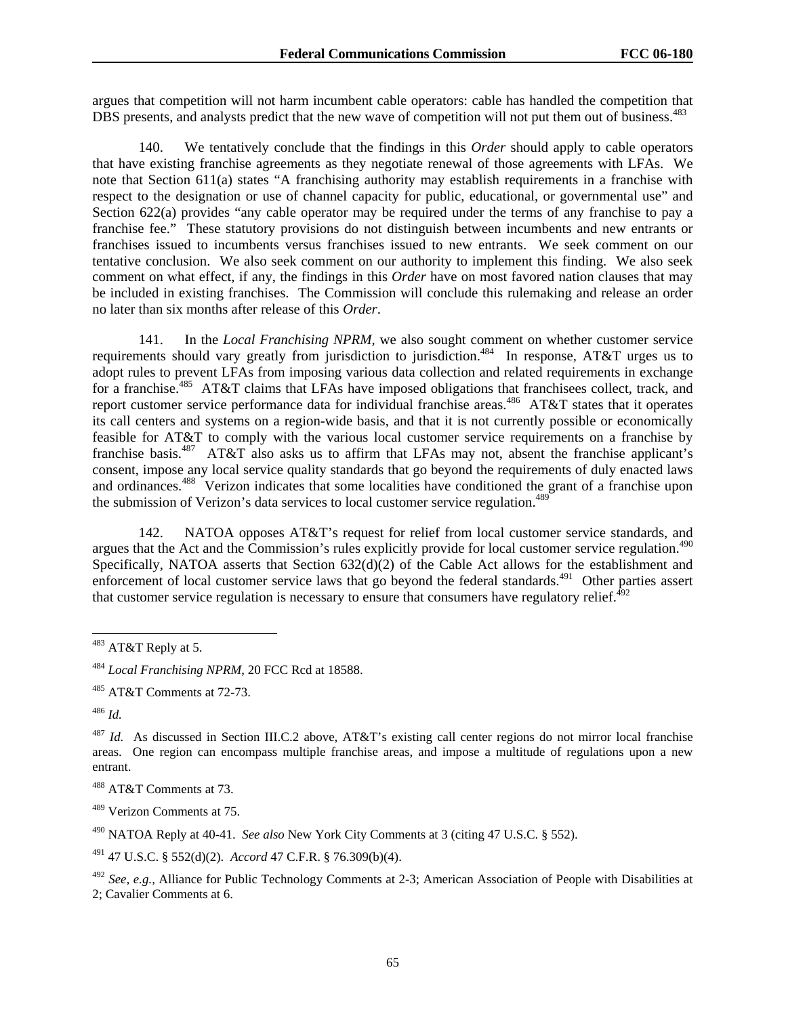argues that competition will not harm incumbent cable operators: cable has handled the competition that DBS presents, and analysts predict that the new wave of competition will not put them out of business.<sup>483</sup>

140. We tentatively conclude that the findings in this *Order* should apply to cable operators that have existing franchise agreements as they negotiate renewal of those agreements with LFAs. We note that Section 611(a) states "A franchising authority may establish requirements in a franchise with respect to the designation or use of channel capacity for public, educational, or governmental use" and Section 622(a) provides "any cable operator may be required under the terms of any franchise to pay a franchise fee." These statutory provisions do not distinguish between incumbents and new entrants or franchises issued to incumbents versus franchises issued to new entrants. We seek comment on our tentative conclusion. We also seek comment on our authority to implement this finding. We also seek comment on what effect, if any, the findings in this *Order* have on most favored nation clauses that may be included in existing franchises. The Commission will conclude this rulemaking and release an order no later than six months after release of this *Order*.

141. In the *Local Franchising NPRM,* we also sought comment on whether customer service requirements should vary greatly from jurisdiction to jurisdiction.<sup>484</sup> In response, AT&T urges us to adopt rules to prevent LFAs from imposing various data collection and related requirements in exchange for a franchise.<sup>485</sup> AT&T claims that LFAs have imposed obligations that franchisees collect, track, and report customer service performance data for individual franchise areas.<sup>486</sup> AT&T states that it operates its call centers and systems on a region-wide basis, and that it is not currently possible or economically feasible for AT&T to comply with the various local customer service requirements on a franchise by franchise basis.<sup>487</sup> AT&T also asks us to affirm that LFAs may not, absent the franchise applicant's consent, impose any local service quality standards that go beyond the requirements of duly enacted laws and ordinances.488 Verizon indicates that some localities have conditioned the grant of a franchise upon the submission of Verizon's data services to local customer service regulation.<sup>489</sup>

142. NATOA opposes AT&T's request for relief from local customer service standards, and argues that the Act and the Commission's rules explicitly provide for local customer service regulation.<sup>490</sup> Specifically, NATOA asserts that Section 632(d)(2) of the Cable Act allows for the establishment and enforcement of local customer service laws that go beyond the federal standards.<sup>491</sup> Other parties assert that customer service regulation is necessary to ensure that consumers have regulatory relief. $^{492}$ 

1

489 Verizon Comments at 75.

491 47 U.S.C. § 552(d)(2). *Accord* 47 C.F.R. § 76.309(b)(4).

 $483$  AT&T Reply at 5.

<sup>484</sup> *Local Franchising NPRM*, 20 FCC Rcd at 18588.

<sup>485</sup> AT&T Comments at 72-73.

<sup>486</sup> *Id.*

<sup>487</sup> *Id.* As discussed in Section III.C.2 above, AT&T's existing call center regions do not mirror local franchise areas. One region can encompass multiple franchise areas, and impose a multitude of regulations upon a new entrant.

<sup>488</sup> AT&T Comments at 73.

<sup>490</sup> NATOA Reply at 40-41. *See also* New York City Comments at 3 (citing 47 U.S.C. § 552).

<sup>492</sup> *See, e.g.,* Alliance for Public Technology Comments at 2-3; American Association of People with Disabilities at 2; Cavalier Comments at 6.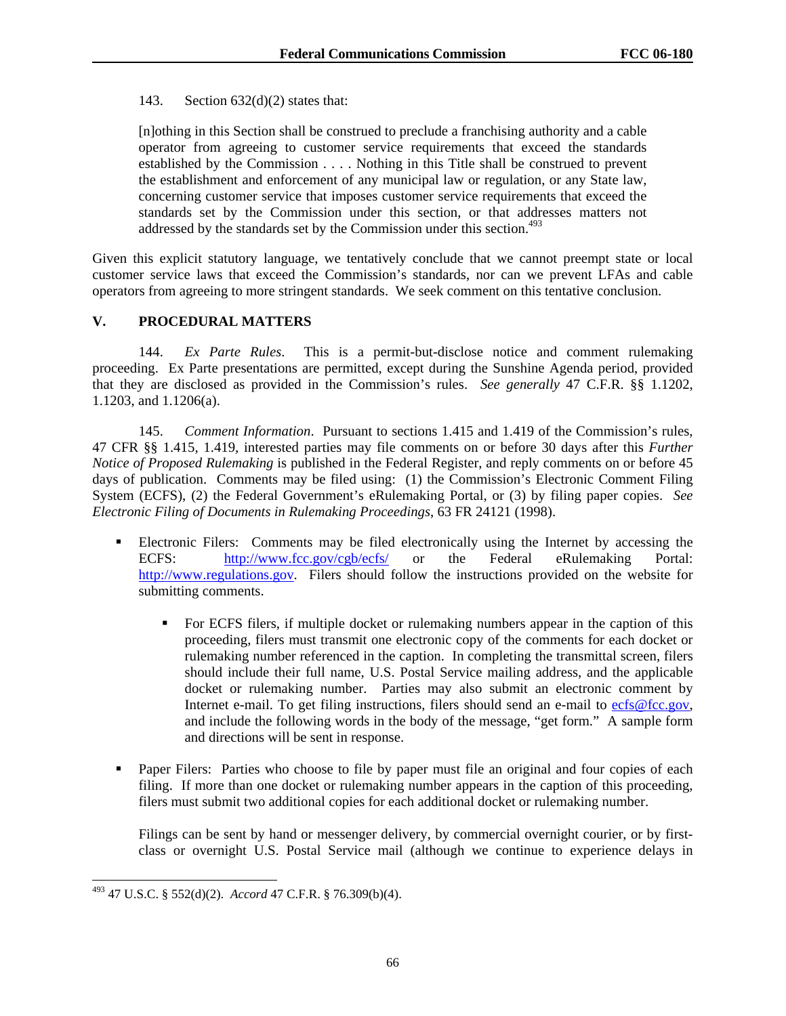## 143. Section  $632(d)(2)$  states that:

[n]othing in this Section shall be construed to preclude a franchising authority and a cable operator from agreeing to customer service requirements that exceed the standards established by the Commission . . . . Nothing in this Title shall be construed to prevent the establishment and enforcement of any municipal law or regulation, or any State law, concerning customer service that imposes customer service requirements that exceed the standards set by the Commission under this section, or that addresses matters not addressed by the standards set by the Commission under this section.<sup>493</sup>

Given this explicit statutory language, we tentatively conclude that we cannot preempt state or local customer service laws that exceed the Commission's standards, nor can we prevent LFAs and cable operators from agreeing to more stringent standards. We seek comment on this tentative conclusion.

# **V. PROCEDURAL MATTERS**

144. *Ex Parte Rules*. This is a permit-but-disclose notice and comment rulemaking proceeding. Ex Parte presentations are permitted, except during the Sunshine Agenda period, provided that they are disclosed as provided in the Commission's rules. *See generally* 47 C.F.R. §§ 1.1202, 1.1203, and 1.1206(a).

145. *Comment Information*. Pursuant to sections 1.415 and 1.419 of the Commission's rules, 47 CFR §§ 1.415, 1.419, interested parties may file comments on or before 30 days after this *Further Notice of Proposed Rulemaking* is published in the Federal Register, and reply comments on or before 45 days of publication. Comments may be filed using: (1) the Commission's Electronic Comment Filing System (ECFS), (2) the Federal Government's eRulemaking Portal, or (3) by filing paper copies. *See Electronic Filing of Documents in Rulemaking Proceedings*, 63 FR 24121 (1998).

- Electronic Filers: Comments may be filed electronically using the Internet by accessing the ECFS: http://www.fcc.gov/cgb/ecfs/ or the Federal eRulemaking Portal: http://www.regulations.gov. Filers should follow the instructions provided on the website for submitting comments.
	- For ECFS filers, if multiple docket or rulemaking numbers appear in the caption of this proceeding, filers must transmit one electronic copy of the comments for each docket or rulemaking number referenced in the caption. In completing the transmittal screen, filers should include their full name, U.S. Postal Service mailing address, and the applicable docket or rulemaking number. Parties may also submit an electronic comment by Internet e-mail. To get filing instructions, filers should send an e-mail to ecfs@fcc.gov, and include the following words in the body of the message, "get form." A sample form and directions will be sent in response.
- **Paper Filers:** Parties who choose to file by paper must file an original and four copies of each filing. If more than one docket or rulemaking number appears in the caption of this proceeding, filers must submit two additional copies for each additional docket or rulemaking number.

Filings can be sent by hand or messenger delivery, by commercial overnight courier, or by firstclass or overnight U.S. Postal Service mail (although we continue to experience delays in

<sup>493 47</sup> U.S.C. § 552(d)(2). *Accord* 47 C.F.R. § 76.309(b)(4).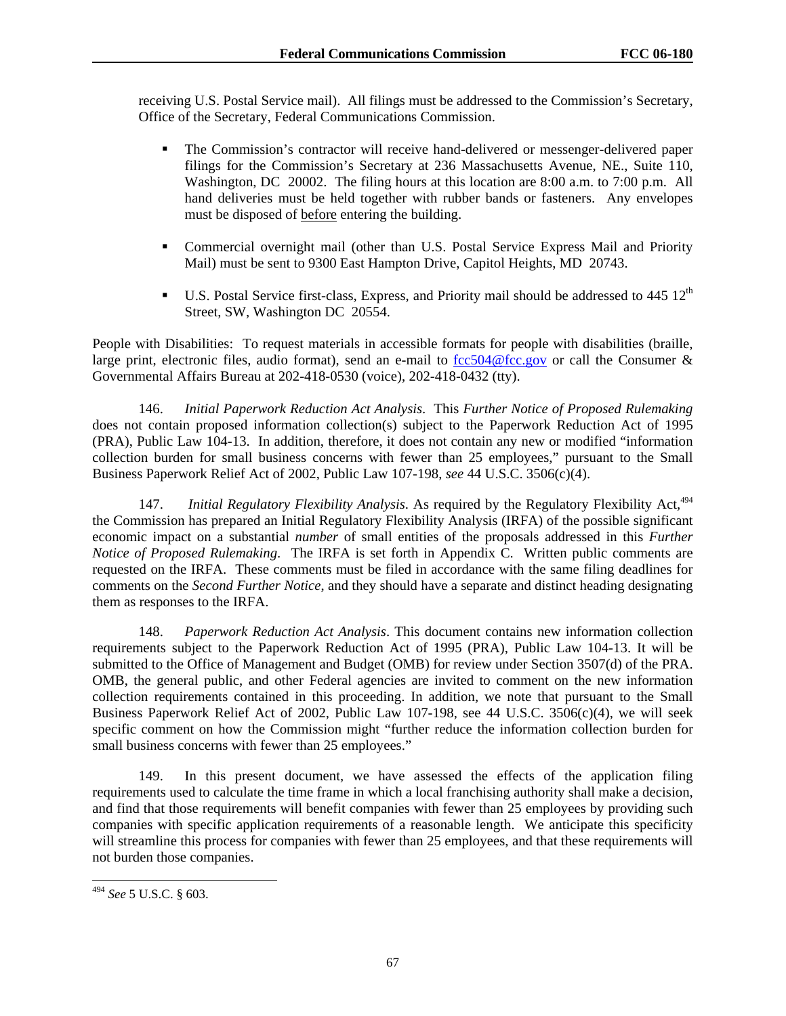receiving U.S. Postal Service mail). All filings must be addressed to the Commission's Secretary, Office of the Secretary, Federal Communications Commission.

- The Commission's contractor will receive hand-delivered or messenger-delivered paper filings for the Commission's Secretary at 236 Massachusetts Avenue, NE., Suite 110, Washington, DC 20002. The filing hours at this location are 8:00 a.m. to 7:00 p.m. All hand deliveries must be held together with rubber bands or fasteners. Any envelopes must be disposed of before entering the building.
- Commercial overnight mail (other than U.S. Postal Service Express Mail and Priority Mail) must be sent to 9300 East Hampton Drive, Capitol Heights, MD 20743.
- $\blacksquare$  U.S. Postal Service first-class, Express, and Priority mail should be addressed to 445 12<sup>th</sup> Street, SW, Washington DC 20554.

People with Disabilities: To request materials in accessible formats for people with disabilities (braille, large print, electronic files, audio format), send an e-mail to  $fcc504@fcc.gov$  or call the Consumer & Governmental Affairs Bureau at 202-418-0530 (voice), 202-418-0432 (tty).

146. *Initial Paperwork Reduction Act Analysis*. This *Further Notice of Proposed Rulemaking* does not contain proposed information collection(s) subject to the Paperwork Reduction Act of 1995 (PRA), Public Law 104-13. In addition, therefore, it does not contain any new or modified "information collection burden for small business concerns with fewer than 25 employees," pursuant to the Small Business Paperwork Relief Act of 2002, Public Law 107-198, *see* 44 U.S.C. 3506(c)(4).

147. *Initial Regulatory Flexibility Analysis*. As required by the Regulatory Flexibility Act,494 the Commission has prepared an Initial Regulatory Flexibility Analysis (IRFA) of the possible significant economic impact on a substantial *number* of small entities of the proposals addressed in this *Further Notice of Proposed Rulemaking*. The IRFA is set forth in Appendix C. Written public comments are requested on the IRFA. These comments must be filed in accordance with the same filing deadlines for comments on the *Second Further Notice*, and they should have a separate and distinct heading designating them as responses to the IRFA.

148. *Paperwork Reduction Act Analysis*. This document contains new information collection requirements subject to the Paperwork Reduction Act of 1995 (PRA), Public Law 104-13. It will be submitted to the Office of Management and Budget (OMB) for review under Section 3507(d) of the PRA. OMB, the general public, and other Federal agencies are invited to comment on the new information collection requirements contained in this proceeding. In addition, we note that pursuant to the Small Business Paperwork Relief Act of 2002, Public Law 107-198, see 44 U.S.C. 3506(c)(4), we will seek specific comment on how the Commission might "further reduce the information collection burden for small business concerns with fewer than 25 employees."

149. In this present document, we have assessed the effects of the application filing requirements used to calculate the time frame in which a local franchising authority shall make a decision, and find that those requirements will benefit companies with fewer than 25 employees by providing such companies with specific application requirements of a reasonable length. We anticipate this specificity will streamline this process for companies with fewer than 25 employees, and that these requirements will not burden those companies.

l

<sup>494</sup> *See* 5 U.S.C. § 603.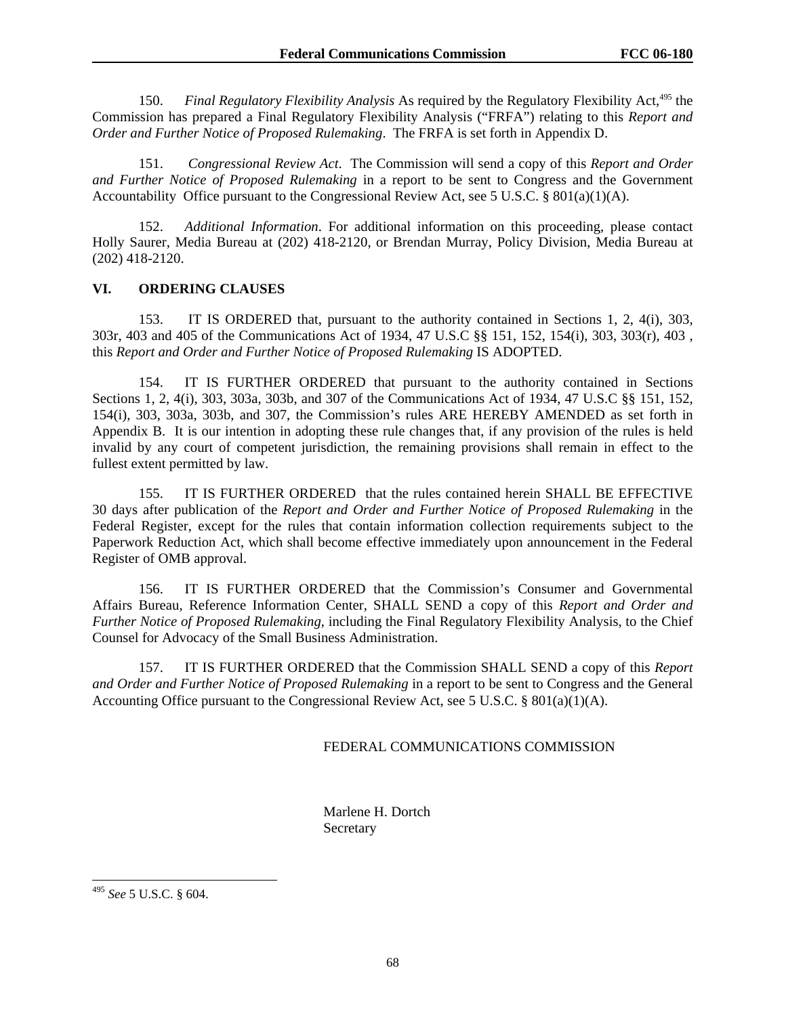150. *Final Regulatory Flexibility Analysis* As required by the Regulatory Flexibility Act,<sup>495</sup> the Commission has prepared a Final Regulatory Flexibility Analysis ("FRFA") relating to this *Report and Order and Further Notice of Proposed Rulemaking*. The FRFA is set forth in Appendix D.

151. *Congressional Review Act*. The Commission will send a copy of this *Report and Order and Further Notice of Proposed Rulemaking* in a report to be sent to Congress and the Government Accountability Office pursuant to the Congressional Review Act, see 5 U.S.C. § 801(a)(1)(A).

152. *Additional Information*. For additional information on this proceeding, please contact Holly Saurer, Media Bureau at (202) 418-2120, or Brendan Murray, Policy Division, Media Bureau at (202) 418-2120.

#### **VI. ORDERING CLAUSES**

153. IT IS ORDERED that, pursuant to the authority contained in Sections 1, 2, 4(i), 303, 303r, 403 and 405 of the Communications Act of 1934, 47 U.S.C §§ 151, 152, 154(i), 303, 303(r), 403 , this *Report and Order and Further Notice of Proposed Rulemaking* IS ADOPTED.

154. IT IS FURTHER ORDERED that pursuant to the authority contained in Sections Sections 1, 2, 4(i), 303, 303a, 303b, and 307 of the Communications Act of 1934, 47 U.S.C §§ 151, 152, 154(i), 303, 303a, 303b, and 307, the Commission's rules ARE HEREBY AMENDED as set forth in Appendix B. It is our intention in adopting these rule changes that, if any provision of the rules is held invalid by any court of competent jurisdiction, the remaining provisions shall remain in effect to the fullest extent permitted by law.

155. IT IS FURTHER ORDERED that the rules contained herein SHALL BE EFFECTIVE 30 days after publication of the *Report and Order and Further Notice of Proposed Rulemaking* in the Federal Register, except for the rules that contain information collection requirements subject to the Paperwork Reduction Act, which shall become effective immediately upon announcement in the Federal Register of OMB approval.

156. IT IS FURTHER ORDERED that the Commission's Consumer and Governmental Affairs Bureau, Reference Information Center, SHALL SEND a copy of this *Report and Order and Further Notice of Proposed Rulemaking*, including the Final Regulatory Flexibility Analysis, to the Chief Counsel for Advocacy of the Small Business Administration.

157. IT IS FURTHER ORDERED that the Commission SHALL SEND a copy of this *Report and Order and Further Notice of Proposed Rulemaking* in a report to be sent to Congress and the General Accounting Office pursuant to the Congressional Review Act, see 5 U.S.C. §  $801(a)(1)(A)$ .

#### FEDERAL COMMUNICATIONS COMMISSION

 Marlene H. Dortch **Secretary** 

l

<sup>495</sup> *See* 5 U.S.C. § 604.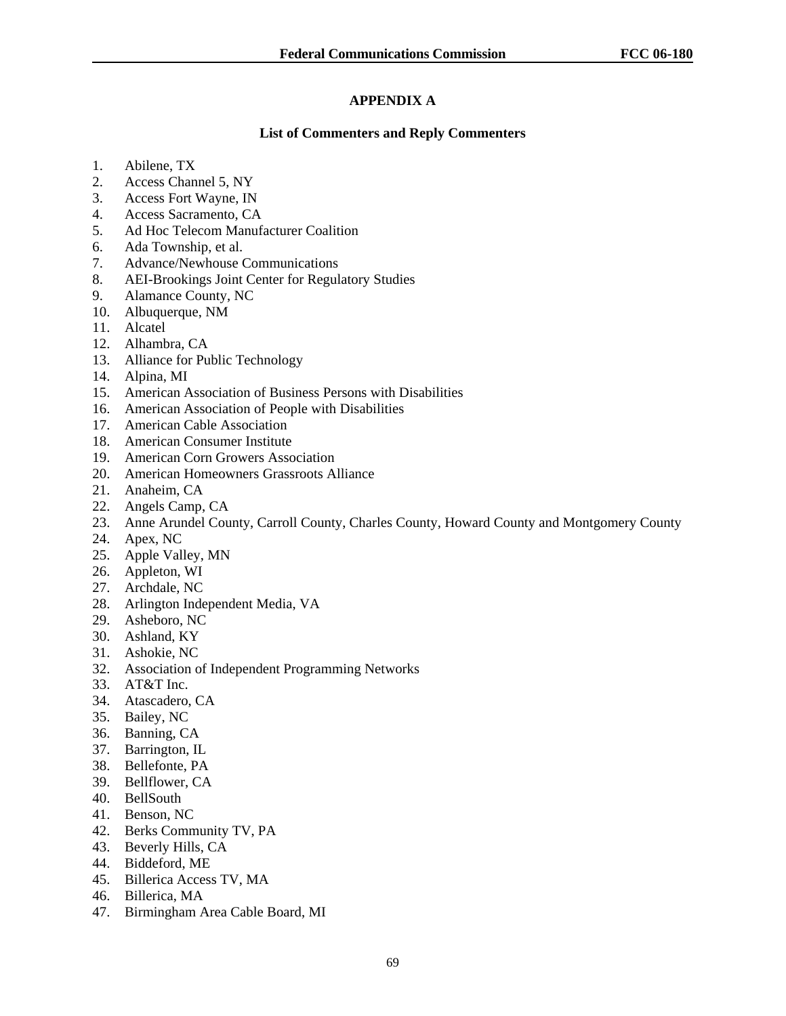# **APPENDIX A**

# **List of Commenters and Reply Commenters**

- 1. Abilene, TX
- 2. Access Channel 5, NY
- 3. Access Fort Wayne, IN
- 4. Access Sacramento, CA
- 5. Ad Hoc Telecom Manufacturer Coalition
- 6. Ada Township, et al.
- 7. Advance/Newhouse Communications
- 8. AEI-Brookings Joint Center for Regulatory Studies
- 9. Alamance County, NC
- 10. Albuquerque, NM
- 11. Alcatel
- 12. Alhambra, CA
- 13. Alliance for Public Technology
- 14. Alpina, MI
- 15. American Association of Business Persons with Disabilities
- 16. American Association of People with Disabilities
- 17. American Cable Association
- 18. American Consumer Institute
- 19. American Corn Growers Association
- 20. American Homeowners Grassroots Alliance
- 21. Anaheim, CA
- 22. Angels Camp, CA
- 23. Anne Arundel County, Carroll County, Charles County, Howard County and Montgomery County
- 24. Apex, NC
- 25. Apple Valley, MN
- 26. Appleton, WI
- 27. Archdale, NC
- 28. Arlington Independent Media, VA
- 29. Asheboro, NC
- 30. Ashland, KY
- 31. Ashokie, NC
- 32. Association of Independent Programming Networks
- 33. AT&T Inc.
- 34. Atascadero, CA
- 35. Bailey, NC
- 36. Banning, CA
- 37. Barrington, IL
- 38. Bellefonte, PA
- 39. Bellflower, CA
- 40. BellSouth
- 41. Benson, NC
- 42. Berks Community TV, PA
- 43. Beverly Hills, CA
- 44. Biddeford, ME
- 45. Billerica Access TV, MA
- 46. Billerica, MA
- 47. Birmingham Area Cable Board, MI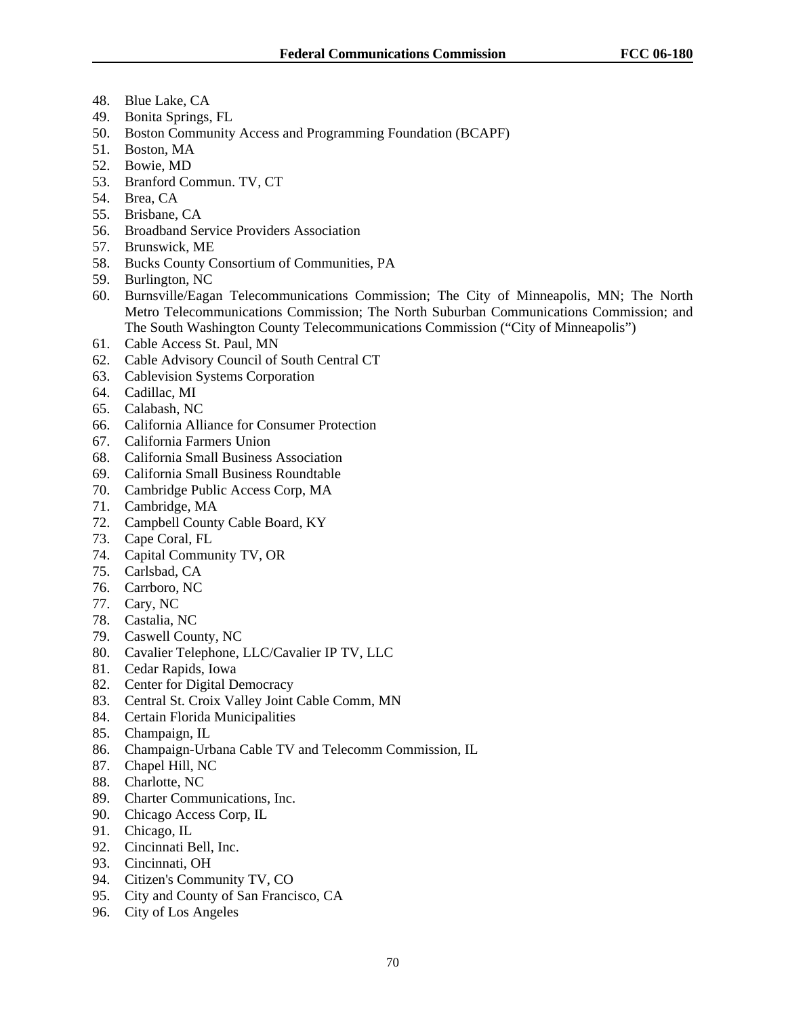- 48. Blue Lake, CA
- 49. Bonita Springs, FL
- 50. Boston Community Access and Programming Foundation (BCAPF)
- 51. Boston, MA
- 52. Bowie, MD
- 53. Branford Commun. TV, CT
- 54. Brea, CA
- 55. Brisbane, CA
- 56. Broadband Service Providers Association
- 57. Brunswick, ME
- 58. Bucks County Consortium of Communities, PA
- 59. Burlington, NC
- 60. Burnsville/Eagan Telecommunications Commission; The City of Minneapolis, MN; The North Metro Telecommunications Commission; The North Suburban Communications Commission; and The South Washington County Telecommunications Commission ("City of Minneapolis")
- 61. Cable Access St. Paul, MN
- 62. Cable Advisory Council of South Central CT
- 63. Cablevision Systems Corporation
- 64. Cadillac, MI
- 65. Calabash, NC
- 66. California Alliance for Consumer Protection
- 67. California Farmers Union
- 68. California Small Business Association
- 69. California Small Business Roundtable
- 70. Cambridge Public Access Corp, MA
- 71. Cambridge, MA
- 72. Campbell County Cable Board, KY
- 73. Cape Coral, FL
- 74. Capital Community TV, OR
- 75. Carlsbad, CA
- 76. Carrboro, NC
- 77. Cary, NC
- 78. Castalia, NC
- 79. Caswell County, NC
- 80. Cavalier Telephone, LLC/Cavalier IP TV, LLC
- 81. Cedar Rapids, Iowa
- 82. Center for Digital Democracy
- 83. Central St. Croix Valley Joint Cable Comm, MN
- 84. Certain Florida Municipalities
- 85. Champaign, IL
- 86. Champaign-Urbana Cable TV and Telecomm Commission, IL
- 87. Chapel Hill, NC
- 88. Charlotte, NC
- 89. Charter Communications, Inc.
- 90. Chicago Access Corp, IL
- 91. Chicago, IL
- 92. Cincinnati Bell, Inc.
- 93. Cincinnati, OH
- 94. Citizen's Community TV, CO
- 95. City and County of San Francisco, CA
- 96. City of Los Angeles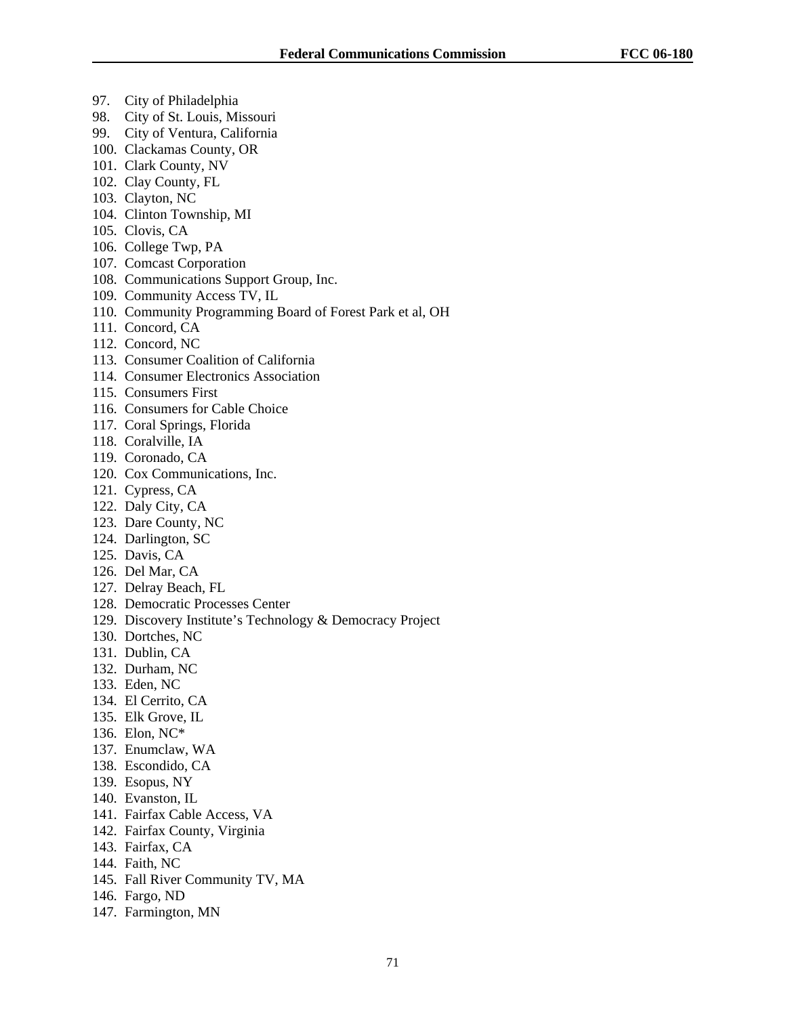- 97. City of Philadelphia
- 98. City of St. Louis, Missouri
- 99. City of Ventura, California
- 100. Clackamas County, OR
- 101. Clark County, NV
- 102. Clay County, FL
- 103. Clayton, NC
- 104. Clinton Township, MI
- 105. Clovis, CA
- 106. College Twp, PA
- 107. Comcast Corporation
- 108. Communications Support Group, Inc.
- 109. Community Access TV, IL
- 110. Community Programming Board of Forest Park et al, OH
- 111. Concord, CA
- 112. Concord, NC
- 113. Consumer Coalition of California
- 114. Consumer Electronics Association
- 115. Consumers First
- 116. Consumers for Cable Choice
- 117. Coral Springs, Florida
- 118. Coralville, IA
- 119. Coronado, CA
- 120. Cox Communications, Inc.
- 121. Cypress, CA
- 122. Daly City, CA
- 123. Dare County, NC
- 124. Darlington, SC
- 125. Davis, CA
- 126. Del Mar, CA
- 127. Delray Beach, FL
- 128. Democratic Processes Center
- 129. Discovery Institute's Technology & Democracy Project
- 130. Dortches, NC
- 131. Dublin, CA
- 132. Durham, NC
- 133. Eden, NC
- 134. El Cerrito, CA
- 135. Elk Grove, IL
- 136. Elon, NC\*
- 137. Enumclaw, WA
- 138. Escondido, CA
- 139. Esopus, NY
- 140. Evanston, IL
- 141. Fairfax Cable Access, VA
- 142. Fairfax County, Virginia
- 143. Fairfax, CA
- 144. Faith, NC
- 145. Fall River Community TV, MA
- 146. Fargo, ND
- 147. Farmington, MN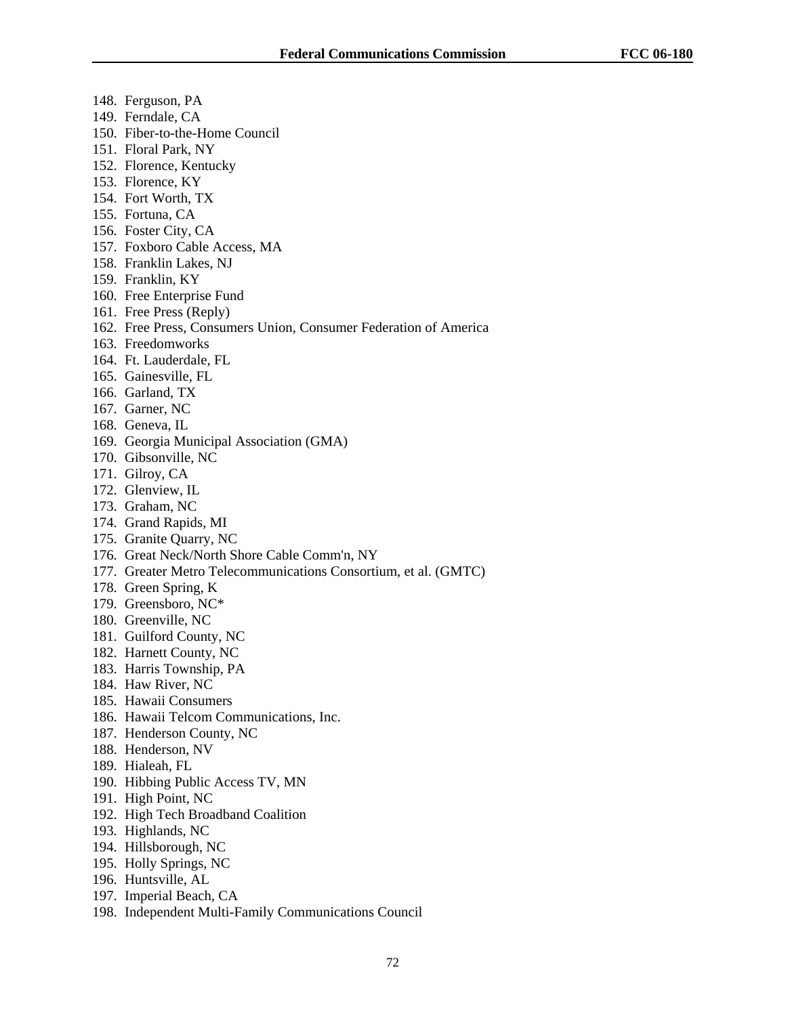- 148. Ferguson, PA
- 149. Ferndale, CA
- 150. Fiber-to-the-Home Council
- 151. Floral Park, NY
- 152. Florence, Kentucky
- 153. Florence, KY
- 154. Fort Worth, TX
- 155. Fortuna, CA
- 156. Foster City, CA
- 157. Foxboro Cable Access, MA
- 158. Franklin Lakes, NJ
- 159. Franklin, KY
- 160. Free Enterprise Fund
- 161. Free Press (Reply)
- 162. Free Press, Consumers Union, Consumer Federation of America
- 163. Freedomworks
- 164. Ft. Lauderdale, FL
- 165. Gainesville, FL
- 166. Garland, TX
- 167. Garner, NC
- 168. Geneva, IL
- 169. Georgia Municipal Association (GMA)
- 170. Gibsonville, NC
- 171. Gilroy, CA
- 172. Glenview, IL
- 173. Graham, NC
- 174. Grand Rapids, MI
- 175. Granite Quarry, NC
- 176. Great Neck/North Shore Cable Comm'n, NY
- 177. Greater Metro Telecommunications Consortium, et al. (GMTC)
- 178. Green Spring, K
- 179. Greensboro, NC\*
- 180. Greenville, NC
- 181. Guilford County, NC
- 182. Harnett County, NC
- 183. Harris Township, PA
- 184. Haw River, NC
- 185. Hawaii Consumers
- 186. Hawaii Telcom Communications, Inc.
- 187. Henderson County, NC
- 188. Henderson, NV
- 189. Hialeah, FL
- 190. Hibbing Public Access TV, MN
- 191. High Point, NC
- 192. High Tech Broadband Coalition
- 193. Highlands, NC
- 194. Hillsborough, NC
- 195. Holly Springs, NC
- 196. Huntsville, AL
- 197. Imperial Beach, CA
- 198. Independent Multi-Family Communications Council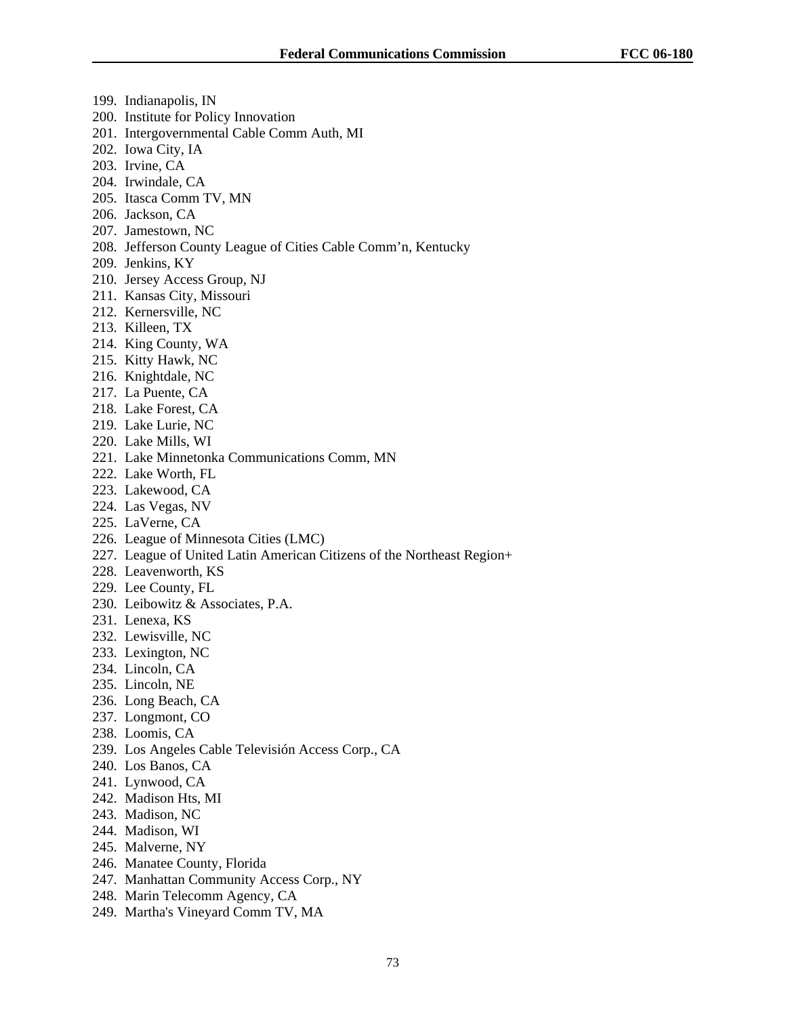- 199. Indianapolis, IN
- 200. Institute for Policy Innovation
- 201. Intergovernmental Cable Comm Auth, MI
- 202. Iowa City, IA
- 203. Irvine, CA
- 204. Irwindale, CA
- 205. Itasca Comm TV, MN
- 206. Jackson, CA
- 207. Jamestown, NC
- 208. Jefferson County League of Cities Cable Comm'n, Kentucky
- 209. Jenkins, KY
- 210. Jersey Access Group, NJ
- 211. Kansas City, Missouri
- 212. Kernersville, NC
- 213. Killeen, TX
- 214. King County, WA
- 215. Kitty Hawk, NC
- 216. Knightdale, NC
- 217. La Puente, CA
- 218. Lake Forest, CA
- 219. Lake Lurie, NC
- 220. Lake Mills, WI
- 221. Lake Minnetonka Communications Comm, MN
- 222. Lake Worth, FL
- 223. Lakewood, CA
- 224. Las Vegas, NV
- 225. LaVerne, CA
- 226. League of Minnesota Cities (LMC)
- 227. League of United Latin American Citizens of the Northeast Region+
- 228. Leavenworth, KS
- 229. Lee County, FL
- 230. Leibowitz & Associates, P.A.
- 231. Lenexa, KS
- 232. Lewisville, NC
- 233. Lexington, NC
- 234. Lincoln, CA
- 235. Lincoln, NE
- 236. Long Beach, CA
- 237. Longmont, CO
- 238. Loomis, CA
- 239. Los Angeles Cable Televisión Access Corp., CA
- 240. Los Banos, CA
- 241. Lynwood, CA
- 242. Madison Hts, MI
- 243. Madison, NC
- 244. Madison, WI
- 245. Malverne, NY
- 246. Manatee County, Florida
- 247. Manhattan Community Access Corp., NY
- 248. Marin Telecomm Agency, CA
- 249. Martha's Vineyard Comm TV, MA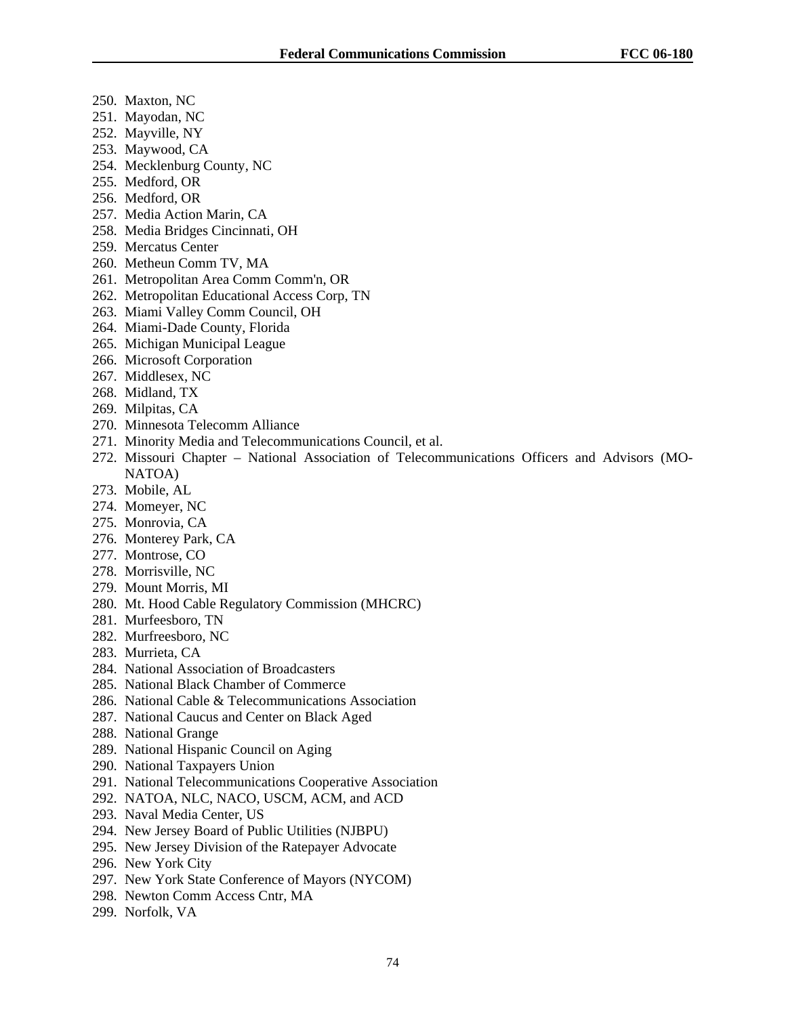- 250. Maxton, NC
- 251. Mayodan, NC
- 252. Mayville, NY
- 253. Maywood, CA
- 254. Mecklenburg County, NC
- 255. Medford, OR
- 256. Medford, OR
- 257. Media Action Marin, CA
- 258. Media Bridges Cincinnati, OH
- 259. Mercatus Center
- 260. Metheun Comm TV, MA
- 261. Metropolitan Area Comm Comm'n, OR
- 262. Metropolitan Educational Access Corp, TN
- 263. Miami Valley Comm Council, OH
- 264. Miami-Dade County, Florida
- 265. Michigan Municipal League
- 266. Microsoft Corporation
- 267. Middlesex, NC
- 268. Midland, TX
- 269. Milpitas, CA
- 270. Minnesota Telecomm Alliance
- 271. Minority Media and Telecommunications Council, et al.
- 272. Missouri Chapter National Association of Telecommunications Officers and Advisors (MO-NATOA)
- 273. Mobile, AL
- 274. Momeyer, NC
- 275. Monrovia, CA
- 276. Monterey Park, CA
- 277. Montrose, CO
- 278. Morrisville, NC
- 279. Mount Morris, MI
- 280. Mt. Hood Cable Regulatory Commission (MHCRC)
- 281. Murfeesboro, TN
- 282. Murfreesboro, NC
- 283. Murrieta, CA
- 284. National Association of Broadcasters
- 285. National Black Chamber of Commerce
- 286. National Cable & Telecommunications Association
- 287. National Caucus and Center on Black Aged
- 288. National Grange
- 289. National Hispanic Council on Aging
- 290. National Taxpayers Union
- 291. National Telecommunications Cooperative Association
- 292. NATOA, NLC, NACO, USCM, ACM, and ACD
- 293. Naval Media Center, US
- 294. New Jersey Board of Public Utilities (NJBPU)
- 295. New Jersey Division of the Ratepayer Advocate
- 296. New York City
- 297. New York State Conference of Mayors (NYCOM)
- 298. Newton Comm Access Cntr, MA
- 299. Norfolk, VA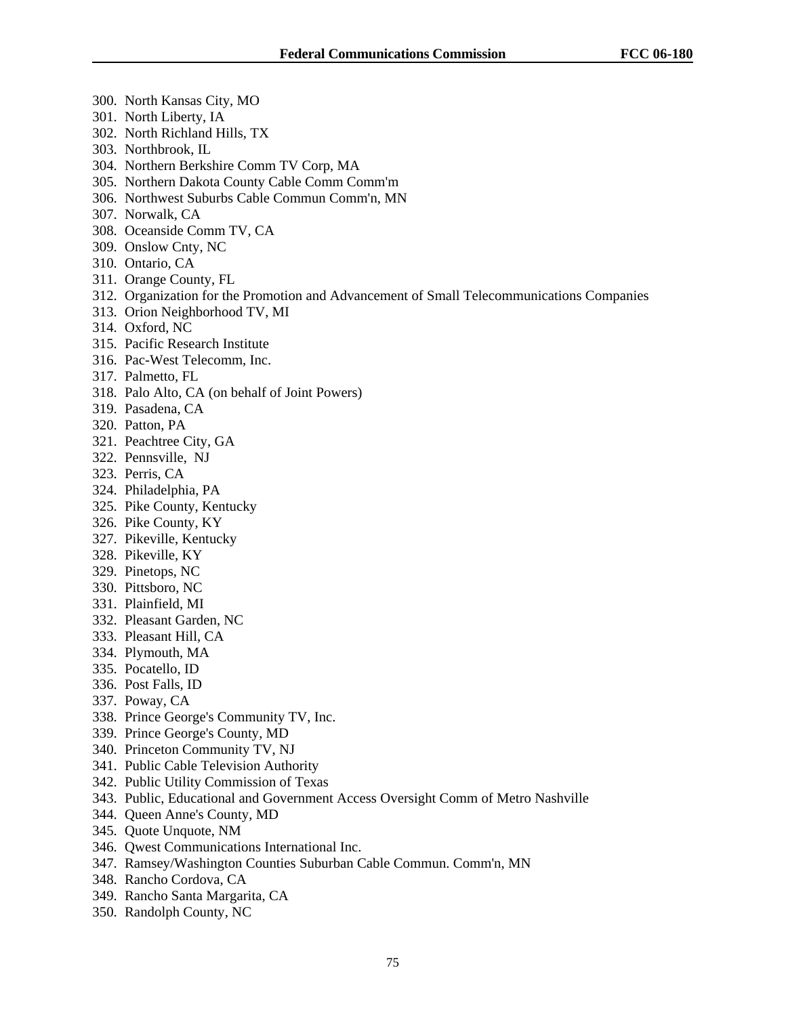- 300. North Kansas City, MO
- 301. North Liberty, IA
- 302. North Richland Hills, TX
- 303. Northbrook, IL
- 304. Northern Berkshire Comm TV Corp, MA
- 305. Northern Dakota County Cable Comm Comm'm
- 306. Northwest Suburbs Cable Commun Comm'n, MN
- 307. Norwalk, CA
- 308. Oceanside Comm TV, CA
- 309. Onslow Cnty, NC
- 310. Ontario, CA
- 311. Orange County, FL
- 312. Organization for the Promotion and Advancement of Small Telecommunications Companies
- 313. Orion Neighborhood TV, MI
- 314. Oxford, NC
- 315. Pacific Research Institute
- 316. Pac-West Telecomm, Inc.
- 317. Palmetto, FL
- 318. Palo Alto, CA (on behalf of Joint Powers)
- 319. Pasadena, CA
- 320. Patton, PA
- 321. Peachtree City, GA
- 322. Pennsville, NJ
- 323. Perris, CA
- 324. Philadelphia, PA
- 325. Pike County, Kentucky
- 326. Pike County, KY
- 327. Pikeville, Kentucky
- 328. Pikeville, KY
- 329. Pinetops, NC
- 330. Pittsboro, NC
- 331. Plainfield, MI
- 332. Pleasant Garden, NC
- 333. Pleasant Hill, CA
- 334. Plymouth, MA
- 335. Pocatello, ID
- 336. Post Falls, ID
- 337. Poway, CA
- 338. Prince George's Community TV, Inc.
- 339. Prince George's County, MD
- 340. Princeton Community TV, NJ
- 341. Public Cable Television Authority
- 342. Public Utility Commission of Texas
- 343. Public, Educational and Government Access Oversight Comm of Metro Nashville
- 344. Queen Anne's County, MD
- 345. Quote Unquote, NM
- 346. Qwest Communications International Inc.
- 347. Ramsey/Washington Counties Suburban Cable Commun. Comm'n, MN
- 348. Rancho Cordova, CA
- 349. Rancho Santa Margarita, CA
- 350. Randolph County, NC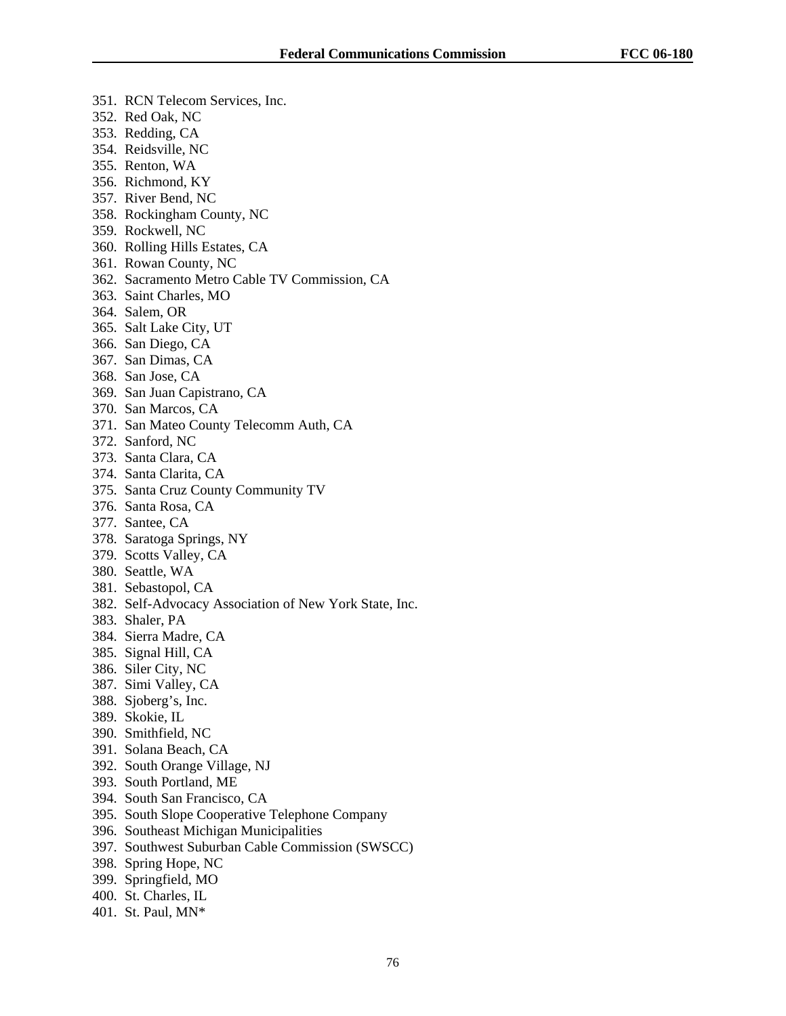- 351. RCN Telecom Services, Inc.
- 352. Red Oak, NC
- 353. Redding, CA
- 354. Reidsville, NC
- 355. Renton, WA
- 356. Richmond, KY
- 357. River Bend, NC
- 358. Rockingham County, NC
- 359. Rockwell, NC
- 360. Rolling Hills Estates, CA
- 361. Rowan County, NC
- 362. Sacramento Metro Cable TV Commission, CA
- 363. Saint Charles, MO
- 364. Salem, OR
- 365. Salt Lake City, UT
- 366. San Diego, CA
- 367. San Dimas, CA
- 368. San Jose, CA
- 369. San Juan Capistrano, CA
- 370. San Marcos, CA
- 371. San Mateo County Telecomm Auth, CA
- 372. Sanford, NC
- 373. Santa Clara, CA
- 374. Santa Clarita, CA
- 375. Santa Cruz County Community TV
- 376. Santa Rosa, CA
- 377. Santee, CA
- 378. Saratoga Springs, NY
- 379. Scotts Valley, CA
- 380. Seattle, WA
- 381. Sebastopol, CA
- 382. Self-Advocacy Association of New York State, Inc.
- 383. Shaler, PA
- 384. Sierra Madre, CA
- 385. Signal Hill, CA
- 386. Siler City, NC
- 387. Simi Valley, CA
- 388. Sjoberg's, Inc.
- 389. Skokie, IL
- 390. Smithfield, NC
- 391. Solana Beach, CA
- 392. South Orange Village, NJ
- 393. South Portland, ME
- 394. South San Francisco, CA
- 395. South Slope Cooperative Telephone Company
- 396. Southeast Michigan Municipalities
- 397. Southwest Suburban Cable Commission (SWSCC)
- 398. Spring Hope, NC
- 399. Springfield, MO
- 400. St. Charles, IL
- 401. St. Paul, MN\*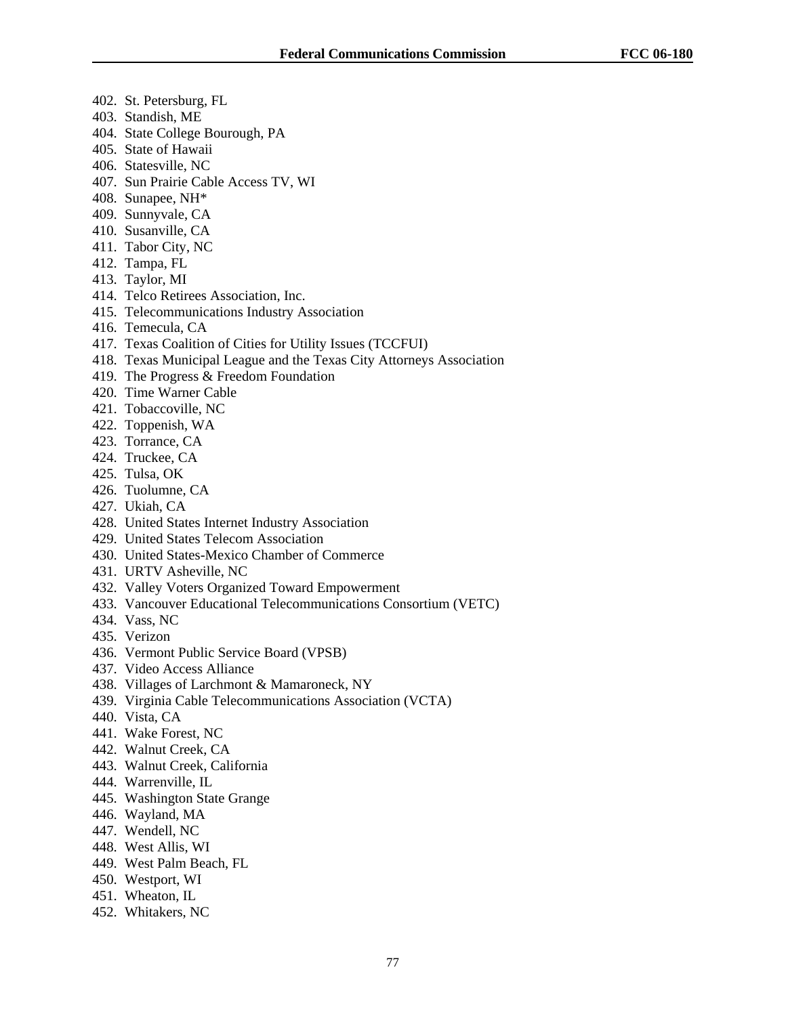- 402. St. Petersburg, FL
- 403. Standish, ME
- 404. State College Bourough, PA
- 405. State of Hawaii
- 406. Statesville, NC
- 407. Sun Prairie Cable Access TV, WI
- 408. Sunapee, NH\*
- 409. Sunnyvale, CA
- 410. Susanville, CA
- 411. Tabor City, NC
- 412. Tampa, FL
- 413. Taylor, MI
- 414. Telco Retirees Association, Inc.
- 415. Telecommunications Industry Association
- 416. Temecula, CA
- 417. Texas Coalition of Cities for Utility Issues (TCCFUI)
- 418. Texas Municipal League and the Texas City Attorneys Association
- 419. The Progress & Freedom Foundation
- 420. Time Warner Cable
- 421. Tobaccoville, NC
- 422. Toppenish, WA
- 423. Torrance, CA
- 424. Truckee, CA
- 425. Tulsa, OK
- 426. Tuolumne, CA
- 427. Ukiah, CA
- 428. United States Internet Industry Association
- 429. United States Telecom Association
- 430. United States-Mexico Chamber of Commerce
- 431. URTV Asheville, NC
- 432. Valley Voters Organized Toward Empowerment
- 433. Vancouver Educational Telecommunications Consortium (VETC)
- 434. Vass, NC
- 435. Verizon
- 436. Vermont Public Service Board (VPSB)
- 437. Video Access Alliance
- 438. Villages of Larchmont & Mamaroneck, NY
- 439. Virginia Cable Telecommunications Association (VCTA)
- 440. Vista, CA
- 441. Wake Forest, NC
- 442. Walnut Creek, CA
- 443. Walnut Creek, California
- 444. Warrenville, IL
- 445. Washington State Grange
- 446. Wayland, MA
- 447. Wendell, NC
- 448. West Allis, WI
- 449. West Palm Beach, FL
- 450. Westport, WI
- 451. Wheaton, IL
- 452. Whitakers, NC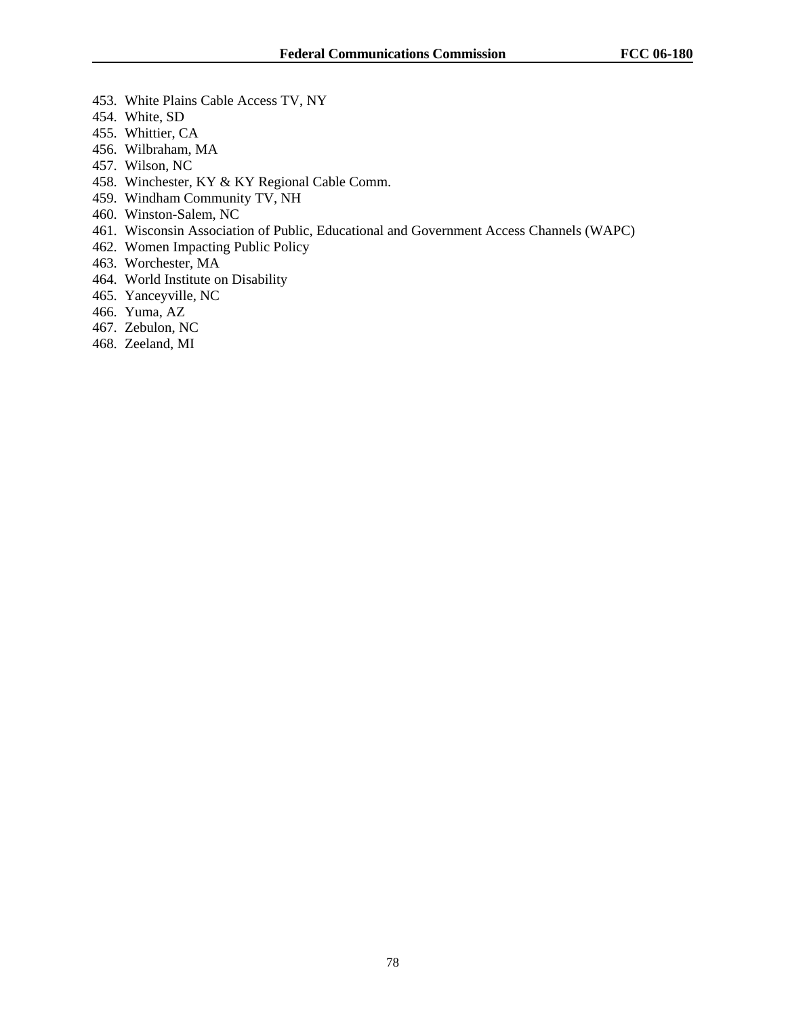- 453. White Plains Cable Access TV, NY
- 454. White, SD
- 455. Whittier, CA
- 456. Wilbraham, MA
- 457. Wilson, NC
- 458. Winchester, KY & KY Regional Cable Comm.
- 459. Windham Community TV, NH
- 460. Winston-Salem, NC
- 461. Wisconsin Association of Public, Educational and Government Access Channels (WAPC)
- 462. Women Impacting Public Policy
- 463. Worchester, MA
- 464. World Institute on Disability
- 465. Yanceyville, NC
- 466. Yuma, AZ
- 467. Zebulon, NC
- 468. Zeeland, MI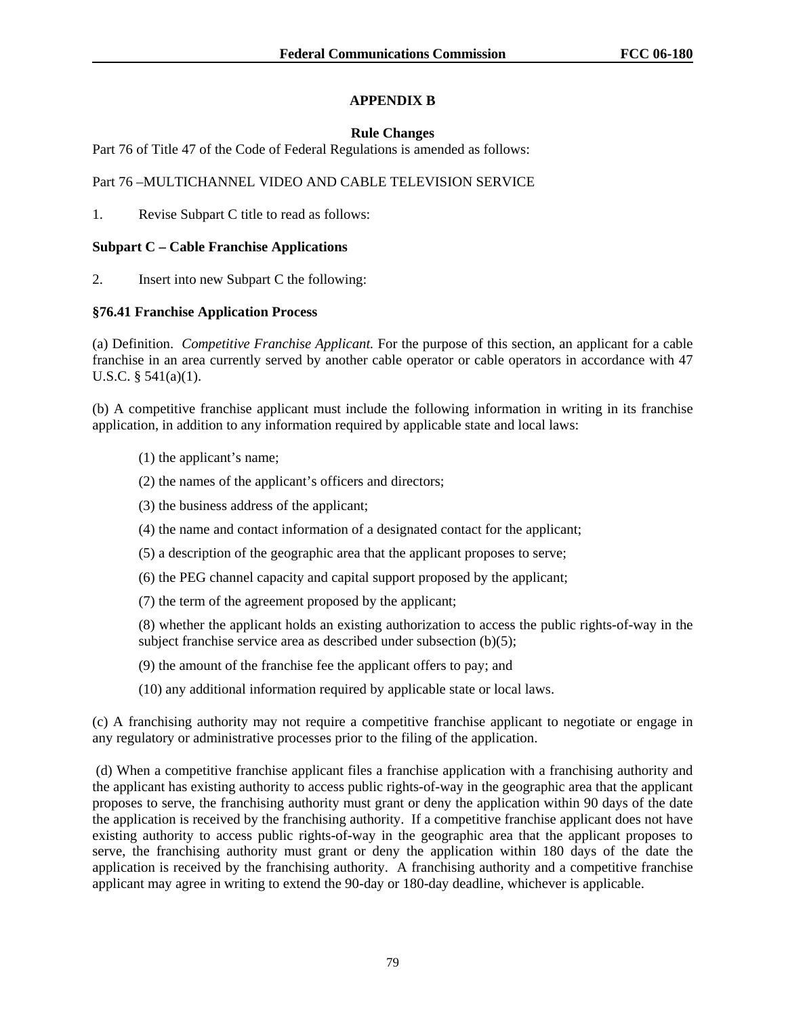# **APPENDIX B**

# **Rule Changes**

Part 76 of Title 47 of the Code of Federal Regulations is amended as follows:

## Part 76 –MULTICHANNEL VIDEO AND CABLE TELEVISION SERVICE

1. Revise Subpart C title to read as follows:

## **Subpart C – Cable Franchise Applications**

2. Insert into new Subpart C the following:

# **§76.41 Franchise Application Process**

(a) Definition. *Competitive Franchise Applicant.* For the purpose of this section, an applicant for a cable franchise in an area currently served by another cable operator or cable operators in accordance with 47 U.S.C. § 541(a)(1).

(b) A competitive franchise applicant must include the following information in writing in its franchise application, in addition to any information required by applicable state and local laws:

- (1) the applicant's name;
- (2) the names of the applicant's officers and directors;
- (3) the business address of the applicant;
- (4) the name and contact information of a designated contact for the applicant;
- (5) a description of the geographic area that the applicant proposes to serve;
- (6) the PEG channel capacity and capital support proposed by the applicant;
- (7) the term of the agreement proposed by the applicant;

(8) whether the applicant holds an existing authorization to access the public rights-of-way in the subject franchise service area as described under subsection (b)(5);

- (9) the amount of the franchise fee the applicant offers to pay; and
- (10) any additional information required by applicable state or local laws.

(c) A franchising authority may not require a competitive franchise applicant to negotiate or engage in any regulatory or administrative processes prior to the filing of the application.

 (d) When a competitive franchise applicant files a franchise application with a franchising authority and the applicant has existing authority to access public rights-of-way in the geographic area that the applicant proposes to serve, the franchising authority must grant or deny the application within 90 days of the date the application is received by the franchising authority. If a competitive franchise applicant does not have existing authority to access public rights-of-way in the geographic area that the applicant proposes to serve, the franchising authority must grant or deny the application within 180 days of the date the application is received by the franchising authority. A franchising authority and a competitive franchise applicant may agree in writing to extend the 90-day or 180-day deadline, whichever is applicable.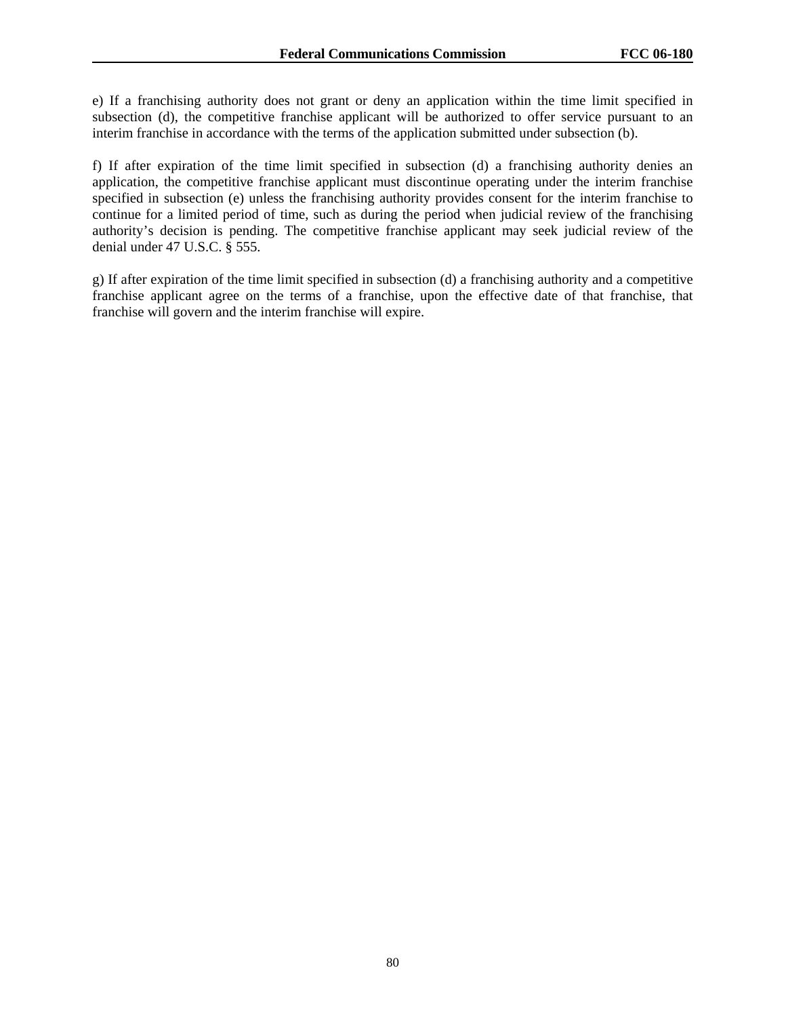e) If a franchising authority does not grant or deny an application within the time limit specified in subsection (d), the competitive franchise applicant will be authorized to offer service pursuant to an interim franchise in accordance with the terms of the application submitted under subsection (b).

f) If after expiration of the time limit specified in subsection (d) a franchising authority denies an application, the competitive franchise applicant must discontinue operating under the interim franchise specified in subsection (e) unless the franchising authority provides consent for the interim franchise to continue for a limited period of time, such as during the period when judicial review of the franchising authority's decision is pending. The competitive franchise applicant may seek judicial review of the denial under 47 U.S.C. § 555.

g) If after expiration of the time limit specified in subsection (d) a franchising authority and a competitive franchise applicant agree on the terms of a franchise, upon the effective date of that franchise, that franchise will govern and the interim franchise will expire.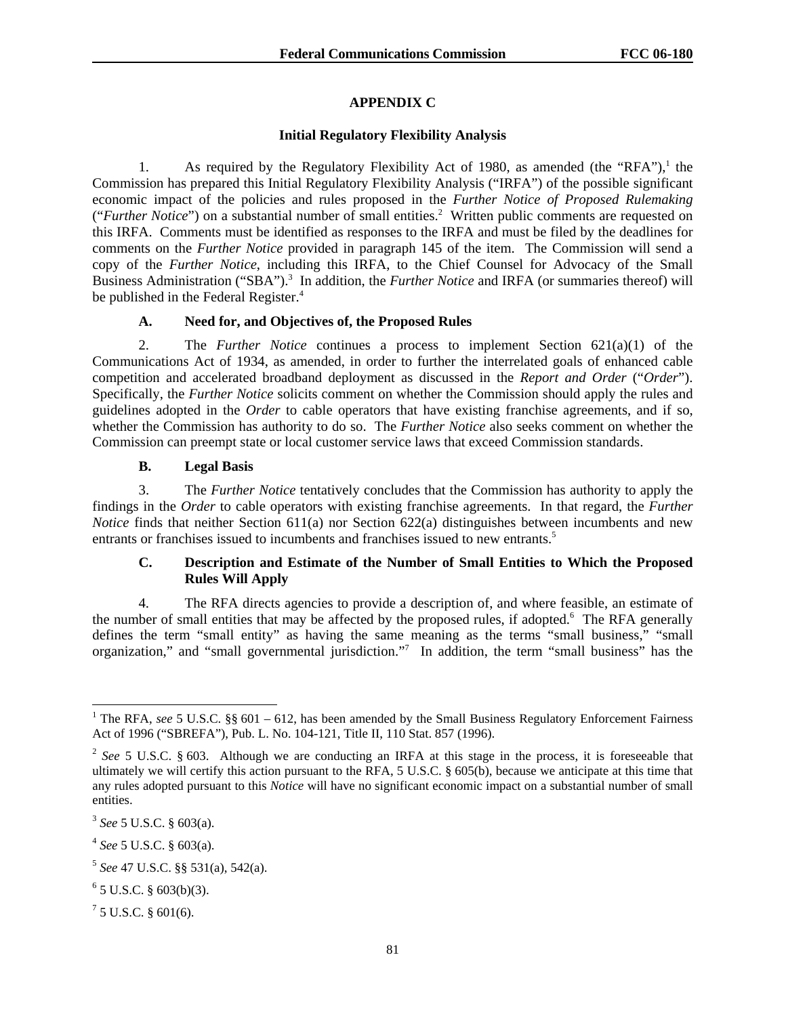# **APPENDIX C**

### **Initial Regulatory Flexibility Analysis**

1. As required by the Regulatory Flexibility Act of 1980, as amended (the "RFA"),<sup>1</sup> the Commission has prepared this Initial Regulatory Flexibility Analysis ("IRFA") of the possible significant economic impact of the policies and rules proposed in the *Further Notice of Proposed Rulemaking* ("*Further Notice*") on a substantial number of small entities.<sup>2</sup> Written public comments are requested on this IRFA. Comments must be identified as responses to the IRFA and must be filed by the deadlines for comments on the *Further Notice* provided in paragraph 145 of the item. The Commission will send a copy of the *Further Notice*, including this IRFA, to the Chief Counsel for Advocacy of the Small Business Administration ("SBA").<sup>3</sup> In addition, the *Further Notice* and IRFA (or summaries thereof) will be published in the Federal Register.<sup>4</sup>

## **A. Need for, and Objectives of, the Proposed Rules**

2. The *Further Notice* continues a process to implement Section 621(a)(1) of the Communications Act of 1934, as amended, in order to further the interrelated goals of enhanced cable competition and accelerated broadband deployment as discussed in the *Report and Order* ("*Order*"). Specifically, the *Further Notice* solicits comment on whether the Commission should apply the rules and guidelines adopted in the *Order* to cable operators that have existing franchise agreements, and if so, whether the Commission has authority to do so. The *Further Notice* also seeks comment on whether the Commission can preempt state or local customer service laws that exceed Commission standards.

## **B. Legal Basis**

3. The *Further Notice* tentatively concludes that the Commission has authority to apply the findings in the *Order* to cable operators with existing franchise agreements. In that regard, the *Further Notice* finds that neither Section 611(a) nor Section 622(a) distinguishes between incumbents and new entrants or franchises issued to incumbents and franchises issued to new entrants.<sup>5</sup>

# **C. Description and Estimate of the Number of Small Entities to Which the Proposed Rules Will Apply**

4. The RFA directs agencies to provide a description of, and where feasible, an estimate of the number of small entities that may be affected by the proposed rules, if adopted.<sup>6</sup> The RFA generally defines the term "small entity" as having the same meaning as the terms "small business," "small organization," and "small governmental jurisdiction."<sup>7</sup> In addition, the term "small business" has the

<sup>&</sup>lt;sup>1</sup> The RFA, see 5 U.S.C. §§ 601 – 612, has been amended by the Small Business Regulatory Enforcement Fairness Act of 1996 ("SBREFA"), Pub. L. No. 104-121, Title II, 110 Stat. 857 (1996).

<sup>&</sup>lt;sup>2</sup> See 5 U.S.C. § 603. Although we are conducting an IRFA at this stage in the process, it is foreseeable that ultimately we will certify this action pursuant to the RFA, 5 U.S.C. § 605(b), because we anticipate at this time that any rules adopted pursuant to this *Notice* will have no significant economic impact on a substantial number of small entities.

<sup>3</sup> *See* 5 U.S.C. § 603(a).

<sup>4</sup> *See* 5 U.S.C. § 603(a).

<sup>5</sup> *See* 47 U.S.C. §§ 531(a), 542(a).

 $6$  5 U.S.C. § 603(b)(3).

 $75$  U.S.C. § 601(6).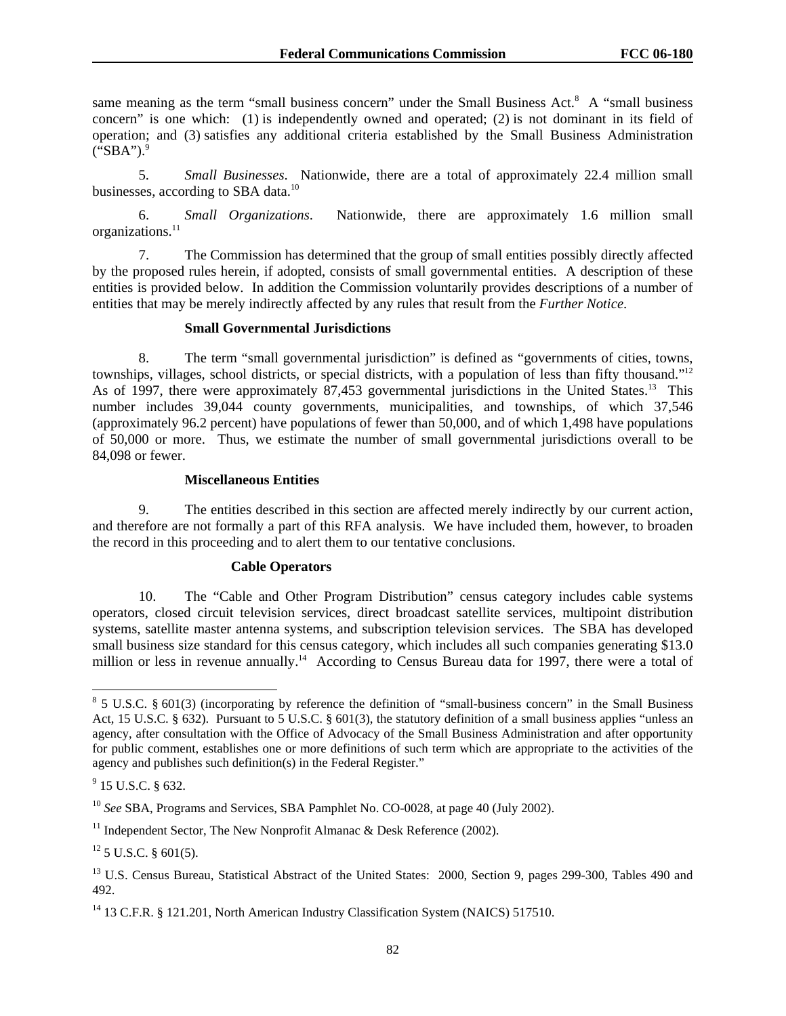same meaning as the term "small business concern" under the Small Business Act.<sup>8</sup> A "small business concern" is one which: (1) is independently owned and operated; (2) is not dominant in its field of operation; and (3) satisfies any additional criteria established by the Small Business Administration  $("SBA")$ .

5. *Small Businesses*. Nationwide, there are a total of approximately 22.4 million small businesses, according to SBA data.<sup>10</sup>

6. *Small Organizations*. Nationwide, there are approximately 1.6 million small organizations.<sup>11</sup>

7. The Commission has determined that the group of small entities possibly directly affected by the proposed rules herein, if adopted, consists of small governmental entities. A description of these entities is provided below. In addition the Commission voluntarily provides descriptions of a number of entities that may be merely indirectly affected by any rules that result from the *Further Notice*.

### **Small Governmental Jurisdictions**

8. The term "small governmental jurisdiction" is defined as "governments of cities, towns, townships, villages, school districts, or special districts, with a population of less than fifty thousand."12 As of 1997, there were approximately 87,453 governmental jurisdictions in the United States.<sup>13</sup> This number includes 39,044 county governments, municipalities, and townships, of which 37,546 (approximately 96.2 percent) have populations of fewer than 50,000, and of which 1,498 have populations of 50,000 or more. Thus, we estimate the number of small governmental jurisdictions overall to be 84,098 or fewer.

### **Miscellaneous Entities**

9. The entities described in this section are affected merely indirectly by our current action, and therefore are not formally a part of this RFA analysis. We have included them, however, to broaden the record in this proceeding and to alert them to our tentative conclusions.

### **Cable Operators**

10. The "Cable and Other Program Distribution" census category includes cable systems operators, closed circuit television services, direct broadcast satellite services, multipoint distribution systems, satellite master antenna systems, and subscription television services. The SBA has developed small business size standard for this census category, which includes all such companies generating \$13.0 million or less in revenue annually.<sup>14</sup> According to Census Bureau data for 1997, there were a total of

<sup>&</sup>lt;sup>8</sup> 5 U.S.C. § 601(3) (incorporating by reference the definition of "small-business concern" in the Small Business Act, 15 U.S.C. § 632). Pursuant to 5 U.S.C. § 601(3), the statutory definition of a small business applies "unless an agency, after consultation with the Office of Advocacy of the Small Business Administration and after opportunity for public comment, establishes one or more definitions of such term which are appropriate to the activities of the agency and publishes such definition(s) in the Federal Register."

 $9^9$  15 U.S.C. § 632.

<sup>10</sup> *See* SBA, Programs and Services, SBA Pamphlet No. CO-0028, at page 40 (July 2002).

<sup>&</sup>lt;sup>11</sup> Independent Sector, The New Nonprofit Almanac  $\&$  Desk Reference (2002).

 $12$  5 U.S.C. § 601(5).

<sup>&</sup>lt;sup>13</sup> U.S. Census Bureau, Statistical Abstract of the United States: 2000, Section 9, pages 299-300, Tables 490 and 492.

<sup>&</sup>lt;sup>14</sup> 13 C.F.R. § 121.201, North American Industry Classification System (NAICS) 517510.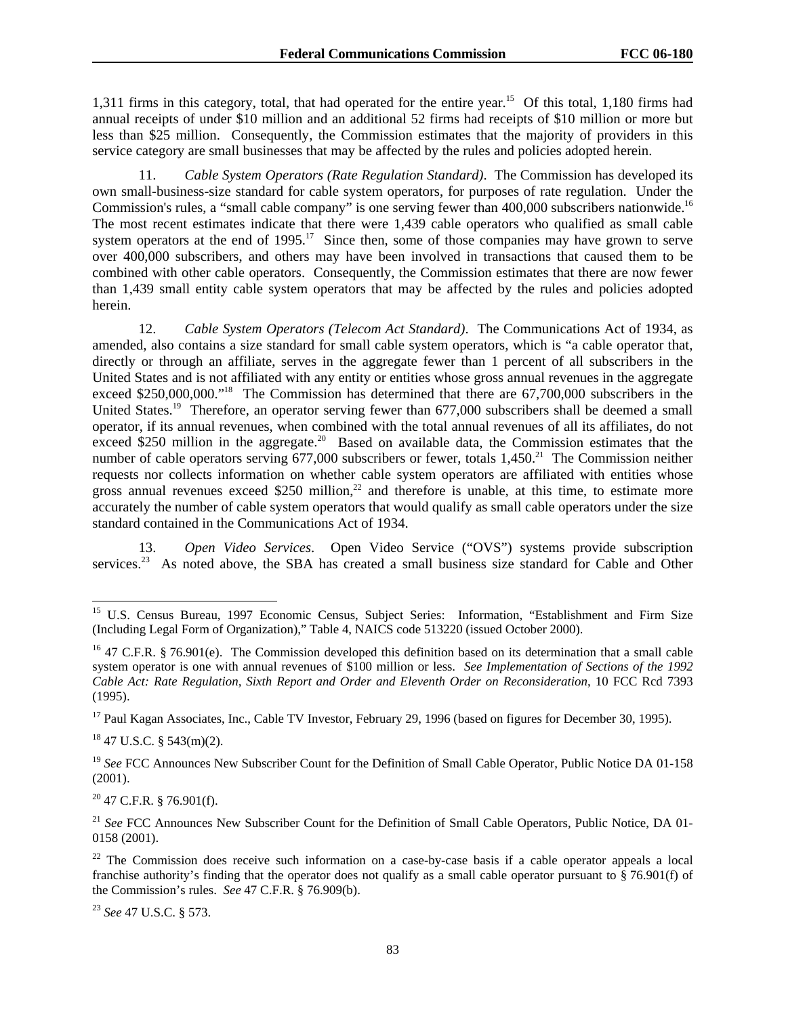1,311 firms in this category, total, that had operated for the entire year.15 Of this total, 1,180 firms had annual receipts of under \$10 million and an additional 52 firms had receipts of \$10 million or more but less than \$25 million. Consequently, the Commission estimates that the majority of providers in this service category are small businesses that may be affected by the rules and policies adopted herein.

11. *Cable System Operators (Rate Regulation Standard)*. The Commission has developed its own small-business-size standard for cable system operators, for purposes of rate regulation. Under the Commission's rules, a "small cable company" is one serving fewer than 400,000 subscribers nationwide.<sup>16</sup> The most recent estimates indicate that there were 1,439 cable operators who qualified as small cable system operators at the end of  $1995$ .<sup>17</sup> Since then, some of those companies may have grown to serve over 400,000 subscribers, and others may have been involved in transactions that caused them to be combined with other cable operators. Consequently, the Commission estimates that there are now fewer than 1,439 small entity cable system operators that may be affected by the rules and policies adopted herein.

12. *Cable System Operators (Telecom Act Standard)*. The Communications Act of 1934, as amended, also contains a size standard for small cable system operators, which is "a cable operator that, directly or through an affiliate, serves in the aggregate fewer than 1 percent of all subscribers in the United States and is not affiliated with any entity or entities whose gross annual revenues in the aggregate exceed \$250,000,000."<sup>18</sup> The Commission has determined that there are 67,700,000 subscribers in the United States.<sup>19</sup> Therefore, an operator serving fewer than 677,000 subscribers shall be deemed a small operator, if its annual revenues, when combined with the total annual revenues of all its affiliates, do not exceed \$250 million in the aggregate.<sup>20</sup> Based on available data, the Commission estimates that the number of cable operators serving  $677,000$  subscribers or fewer, totals  $1,450$ <sup>21</sup> The Commission neither requests nor collects information on whether cable system operators are affiliated with entities whose gross annual revenues exceed \$250 million,<sup>22</sup> and therefore is unable, at this time, to estimate more accurately the number of cable system operators that would qualify as small cable operators under the size standard contained in the Communications Act of 1934.

13. *Open Video Services*. Open Video Service ("OVS") systems provide subscription services.<sup>23</sup> As noted above, the SBA has created a small business size standard for Cable and Other

1

 $20$  47 C.F.R. § 76.901(f).

<sup>&</sup>lt;sup>15</sup> U.S. Census Bureau, 1997 Economic Census, Subject Series: Information, "Establishment and Firm Size (Including Legal Form of Organization)," Table 4, NAICS code 513220 (issued October 2000).

<sup>&</sup>lt;sup>16</sup> 47 C.F.R. § 76.901(e). The Commission developed this definition based on its determination that a small cable system operator is one with annual revenues of \$100 million or less. *See Implementation of Sections of the 1992 Cable Act: Rate Regulation, Sixth Report and Order and Eleventh Order on Reconsideration*, 10 FCC Rcd 7393 (1995).

<sup>&</sup>lt;sup>17</sup> Paul Kagan Associates, Inc., Cable TV Investor, February 29, 1996 (based on figures for December 30, 1995).

 $18$  47 U.S.C. § 543(m)(2).

<sup>&</sup>lt;sup>19</sup> See FCC Announces New Subscriber Count for the Definition of Small Cable Operator, Public Notice DA 01-158 (2001).

<sup>&</sup>lt;sup>21</sup> See FCC Announces New Subscriber Count for the Definition of Small Cable Operators, Public Notice, DA 01-0158 (2001).

 $22$  The Commission does receive such information on a case-by-case basis if a cable operator appeals a local franchise authority's finding that the operator does not qualify as a small cable operator pursuant to § 76.901(f) of the Commission's rules. *See* 47 C.F.R. § 76.909(b).

<sup>23</sup> *See* 47 U.S.C. § 573.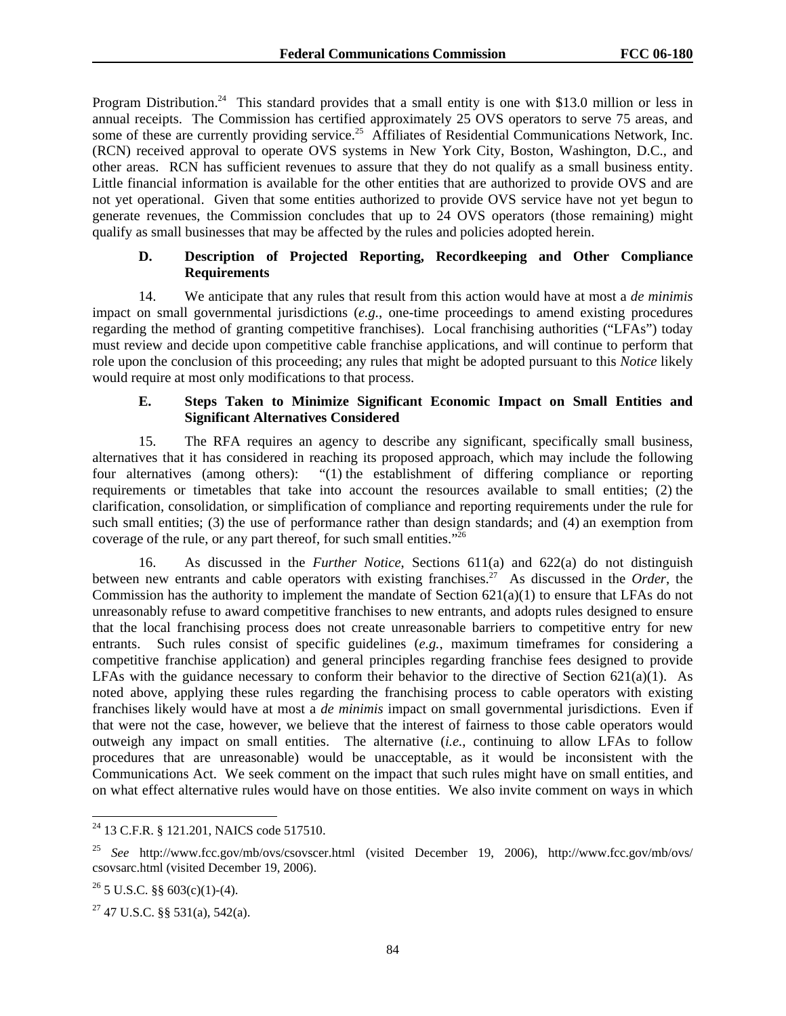Program Distribution.<sup>24</sup> This standard provides that a small entity is one with \$13.0 million or less in annual receipts. The Commission has certified approximately 25 OVS operators to serve 75 areas, and some of these are currently providing service.<sup>25</sup> Affiliates of Residential Communications Network, Inc. (RCN) received approval to operate OVS systems in New York City, Boston, Washington, D.C., and other areas. RCN has sufficient revenues to assure that they do not qualify as a small business entity. Little financial information is available for the other entities that are authorized to provide OVS and are not yet operational. Given that some entities authorized to provide OVS service have not yet begun to generate revenues, the Commission concludes that up to 24 OVS operators (those remaining) might qualify as small businesses that may be affected by the rules and policies adopted herein.

## **D. Description of Projected Reporting, Recordkeeping and Other Compliance Requirements**

14. We anticipate that any rules that result from this action would have at most a *de minimis* impact on small governmental jurisdictions (*e.g.*, one-time proceedings to amend existing procedures regarding the method of granting competitive franchises). Local franchising authorities ("LFAs") today must review and decide upon competitive cable franchise applications, and will continue to perform that role upon the conclusion of this proceeding; any rules that might be adopted pursuant to this *Notice* likely would require at most only modifications to that process.

### **E. Steps Taken to Minimize Significant Economic Impact on Small Entities and Significant Alternatives Considered**

15. The RFA requires an agency to describe any significant, specifically small business, alternatives that it has considered in reaching its proposed approach, which may include the following four alternatives (among others): "(1) the establishment of differing compliance or reporting requirements or timetables that take into account the resources available to small entities; (2) the clarification, consolidation, or simplification of compliance and reporting requirements under the rule for such small entities; (3) the use of performance rather than design standards; and (4) an exemption from coverage of the rule, or any part thereof, for such small entities."26

16. As discussed in the *Further Notice*, Sections 611(a) and 622(a) do not distinguish between new entrants and cable operators with existing franchises.27 As discussed in the *Order*, the Commission has the authority to implement the mandate of Section  $621(a)(1)$  to ensure that LFAs do not unreasonably refuse to award competitive franchises to new entrants, and adopts rules designed to ensure that the local franchising process does not create unreasonable barriers to competitive entry for new entrants. Such rules consist of specific guidelines (*e.g.*, maximum timeframes for considering a competitive franchise application) and general principles regarding franchise fees designed to provide LFAs with the guidance necessary to conform their behavior to the directive of Section  $621(a)(1)$ . As noted above, applying these rules regarding the franchising process to cable operators with existing franchises likely would have at most a *de minimis* impact on small governmental jurisdictions. Even if that were not the case, however, we believe that the interest of fairness to those cable operators would outweigh any impact on small entities. The alternative (*i.e.*, continuing to allow LFAs to follow procedures that are unreasonable) would be unacceptable, as it would be inconsistent with the Communications Act. We seek comment on the impact that such rules might have on small entities, and on what effect alternative rules would have on those entities. We also invite comment on ways in which

1

<sup>&</sup>lt;sup>24</sup> 13 C.F.R. § 121.201, NAICS code 517510.

<sup>25</sup> *See* http://www.fcc.gov/mb/ovs/csovscer.html (visited December 19, 2006), http://www.fcc.gov/mb/ovs/ csovsarc.html (visited December 19, 2006).

 $26$  5 U.S.C. §§ 603(c)(1)-(4).

 $27$  47 U.S.C. §§ 531(a), 542(a).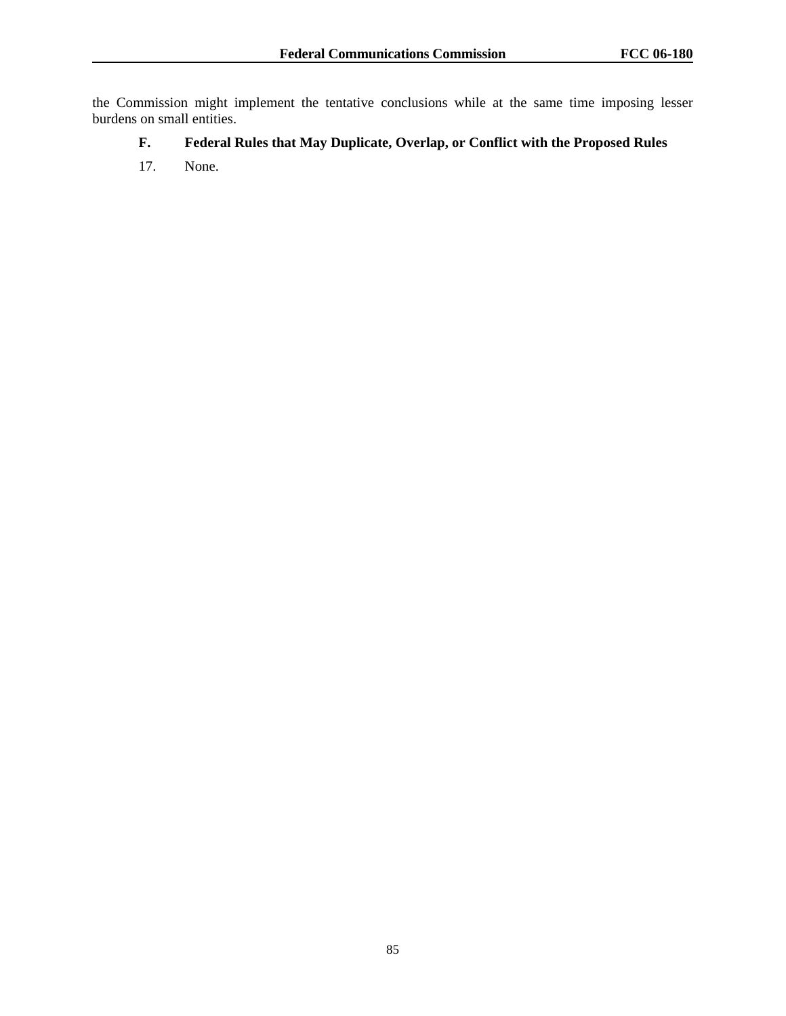the Commission might implement the tentative conclusions while at the same time imposing lesser burdens on small entities.

# **F. Federal Rules that May Duplicate, Overlap, or Conflict with the Proposed Rules**

17. None.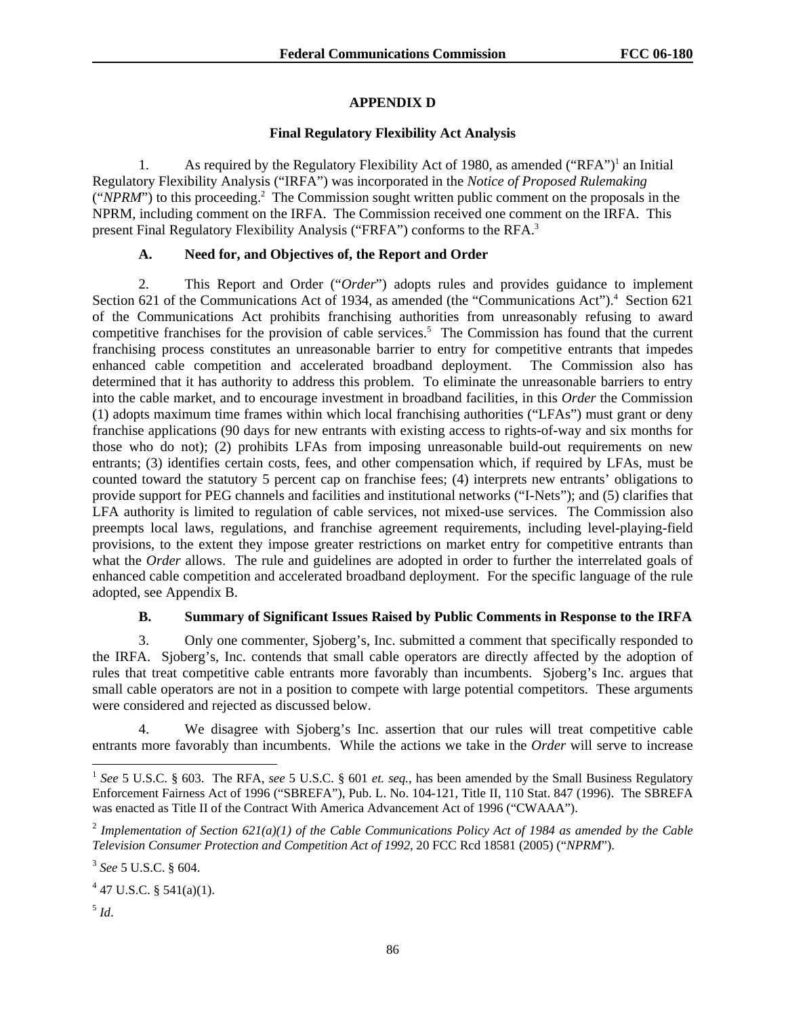# **APPENDIX D**

## **Final Regulatory Flexibility Act Analysis**

1. As required by the Regulatory Flexibility Act of 1980, as amended ("RFA")<sup>1</sup> an Initial Regulatory Flexibility Analysis ("IRFA") was incorporated in the *Notice of Proposed Rulemaking* ("*NPRM*") to this proceeding.<sup>2</sup> The Commission sought written public comment on the proposals in the NPRM, including comment on the IRFA. The Commission received one comment on the IRFA. This present Final Regulatory Flexibility Analysis ("FRFA") conforms to the RFA.<sup>3</sup>

# **A. Need for, and Objectives of, the Report and Order**

2. This Report and Order ("*Order*") adopts rules and provides guidance to implement Section 621 of the Communications Act of 1934, as amended (the "Communications Act").<sup>4</sup> Section 621 of the Communications Act prohibits franchising authorities from unreasonably refusing to award competitive franchises for the provision of cable services.<sup>5</sup> The Commission has found that the current franchising process constitutes an unreasonable barrier to entry for competitive entrants that impedes enhanced cable competition and accelerated broadband deployment. The Commission also has determined that it has authority to address this problem. To eliminate the unreasonable barriers to entry into the cable market, and to encourage investment in broadband facilities, in this *Order* the Commission (1) adopts maximum time frames within which local franchising authorities ("LFAs") must grant or deny franchise applications (90 days for new entrants with existing access to rights-of-way and six months for those who do not); (2) prohibits LFAs from imposing unreasonable build-out requirements on new entrants; (3) identifies certain costs, fees, and other compensation which, if required by LFAs, must be counted toward the statutory 5 percent cap on franchise fees; (4) interprets new entrants' obligations to provide support for PEG channels and facilities and institutional networks ("I-Nets"); and (5) clarifies that LFA authority is limited to regulation of cable services, not mixed-use services. The Commission also preempts local laws, regulations, and franchise agreement requirements, including level-playing-field provisions, to the extent they impose greater restrictions on market entry for competitive entrants than what the *Order* allows. The rule and guidelines are adopted in order to further the interrelated goals of enhanced cable competition and accelerated broadband deployment. For the specific language of the rule adopted, see Appendix B.

# **B. Summary of Significant Issues Raised by Public Comments in Response to the IRFA**

3. Only one commenter, Sjoberg's, Inc. submitted a comment that specifically responded to the IRFA. Sjoberg's, Inc. contends that small cable operators are directly affected by the adoption of rules that treat competitive cable entrants more favorably than incumbents. Sjoberg's Inc. argues that small cable operators are not in a position to compete with large potential competitors. These arguments were considered and rejected as discussed below.

4. We disagree with Sjoberg's Inc. assertion that our rules will treat competitive cable entrants more favorably than incumbents. While the actions we take in the *Order* will serve to increase

 $<sup>5</sup>$  *Id.*</sup>

<sup>1</sup> *See* 5 U.S.C. § 603. The RFA, *see* 5 U.S.C. § 601 *et. seq.*, has been amended by the Small Business Regulatory Enforcement Fairness Act of 1996 ("SBREFA"), Pub. L. No. 104-121, Title II, 110 Stat. 847 (1996). The SBREFA was enacted as Title II of the Contract With America Advancement Act of 1996 ("CWAAA").

<sup>2</sup> *Implementation of Section 621(a)(1) of the Cable Communications Policy Act of 1984 as amended by the Cable Television Consumer Protection and Competition Act of 1992*, 20 FCC Rcd 18581 (2005) ("*NPRM*").

<sup>3</sup> *See* 5 U.S.C. § 604.

 $4$  47 U.S.C. § 541(a)(1).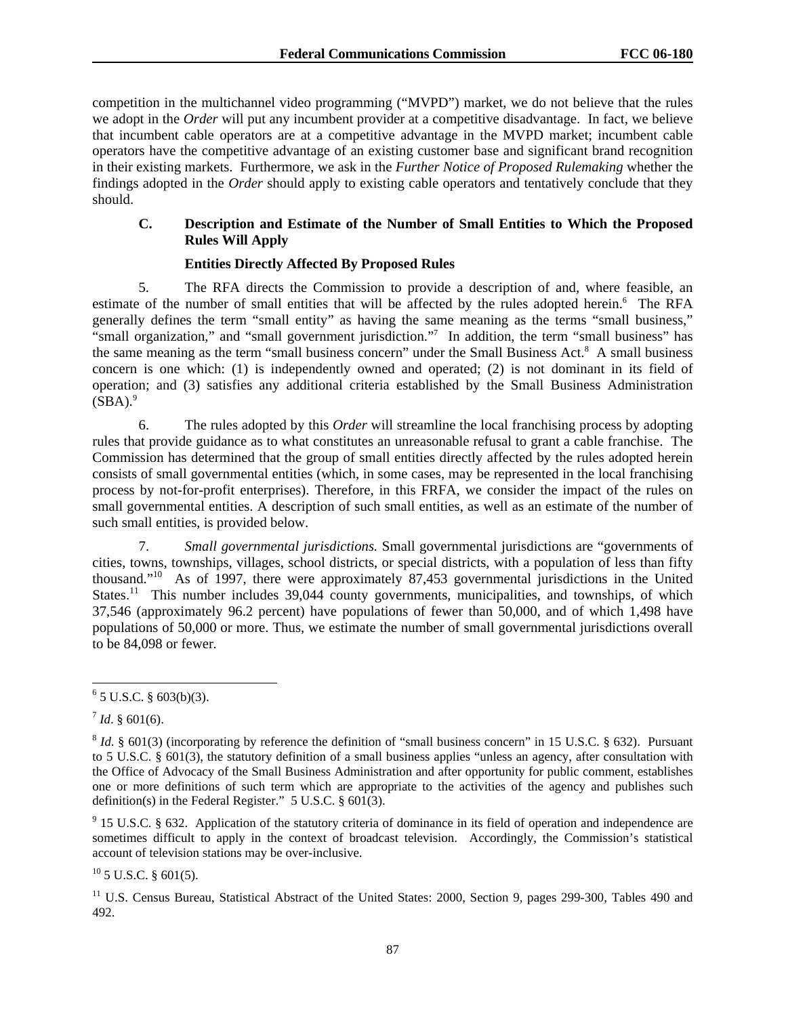competition in the multichannel video programming ("MVPD") market, we do not believe that the rules we adopt in the *Order* will put any incumbent provider at a competitive disadvantage. In fact, we believe that incumbent cable operators are at a competitive advantage in the MVPD market; incumbent cable operators have the competitive advantage of an existing customer base and significant brand recognition in their existing markets. Furthermore, we ask in the *Further Notice of Proposed Rulemaking* whether the findings adopted in the *Order* should apply to existing cable operators and tentatively conclude that they should.

# **C. Description and Estimate of the Number of Small Entities to Which the Proposed Rules Will Apply**

# **Entities Directly Affected By Proposed Rules**

5. The RFA directs the Commission to provide a description of and, where feasible, an estimate of the number of small entities that will be affected by the rules adopted herein.<sup>6</sup> The RFA generally defines the term "small entity" as having the same meaning as the terms "small business," "small organization," and "small government jurisdiction."<sup>7</sup> In addition, the term "small business" has the same meaning as the term "small business concern" under the Small Business Act.<sup>8</sup> A small business concern is one which: (1) is independently owned and operated; (2) is not dominant in its field of operation; and (3) satisfies any additional criteria established by the Small Business Administration  $(SBA).<sup>9</sup>$ 

6. The rules adopted by this *Order* will streamline the local franchising process by adopting rules that provide guidance as to what constitutes an unreasonable refusal to grant a cable franchise. The Commission has determined that the group of small entities directly affected by the rules adopted herein consists of small governmental entities (which, in some cases, may be represented in the local franchising process by not-for-profit enterprises). Therefore, in this FRFA, we consider the impact of the rules on small governmental entities. A description of such small entities, as well as an estimate of the number of such small entities, is provided below.

7. *Small governmental jurisdictions.* Small governmental jurisdictions are "governments of cities, towns, townships, villages, school districts, or special districts, with a population of less than fifty thousand."10 As of 1997, there were approximately 87,453 governmental jurisdictions in the United States.<sup>11</sup> This number includes  $39,044$  county governments, municipalities, and townships, of which 37,546 (approximately 96.2 percent) have populations of fewer than 50,000, and of which 1,498 have populations of 50,000 or more. Thus, we estimate the number of small governmental jurisdictions overall to be 84,098 or fewer*.*

 $10$  5 U.S.C. § 601(5).

l  $6$  5 U.S.C. § 603(b)(3).

 $^7$  *Id.* § 601(6).

<sup>8</sup> *Id*. § 601(3) (incorporating by reference the definition of "small business concern" in 15 U.S.C. § 632). Pursuant to 5 U.S.C. § 601(3), the statutory definition of a small business applies "unless an agency, after consultation with the Office of Advocacy of the Small Business Administration and after opportunity for public comment, establishes one or more definitions of such term which are appropriate to the activities of the agency and publishes such definition(s) in the Federal Register." 5 U.S.C. § 601(3).

 $9$  15 U.S.C. § 632. Application of the statutory criteria of dominance in its field of operation and independence are sometimes difficult to apply in the context of broadcast television. Accordingly, the Commission's statistical account of television stations may be over-inclusive.

<sup>&</sup>lt;sup>11</sup> U.S. Census Bureau, Statistical Abstract of the United States: 2000, Section 9, pages 299-300, Tables 490 and 492.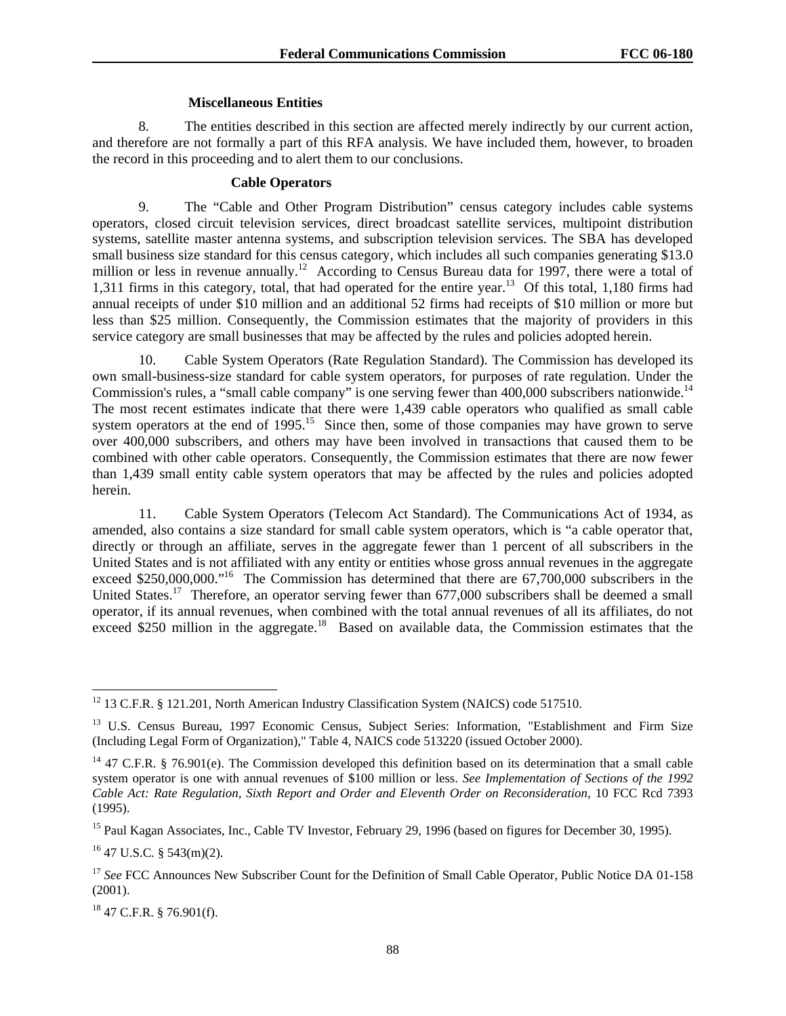### **Miscellaneous Entities**

8. The entities described in this section are affected merely indirectly by our current action, and therefore are not formally a part of this RFA analysis. We have included them, however, to broaden the record in this proceeding and to alert them to our conclusions.

### **Cable Operators**

9. The "Cable and Other Program Distribution" census category includes cable systems operators, closed circuit television services, direct broadcast satellite services, multipoint distribution systems, satellite master antenna systems, and subscription television services. The SBA has developed small business size standard for this census category, which includes all such companies generating \$13.0 million or less in revenue annually.<sup>12</sup> According to Census Bureau data for 1997, there were a total of 1,311 firms in this category, total, that had operated for the entire year.13 Of this total, 1,180 firms had annual receipts of under \$10 million and an additional 52 firms had receipts of \$10 million or more but less than \$25 million. Consequently, the Commission estimates that the majority of providers in this service category are small businesses that may be affected by the rules and policies adopted herein.

10. Cable System Operators (Rate Regulation Standard). The Commission has developed its own small-business-size standard for cable system operators, for purposes of rate regulation. Under the Commission's rules, a "small cable company" is one serving fewer than 400,000 subscribers nationwide.<sup>14</sup> The most recent estimates indicate that there were 1,439 cable operators who qualified as small cable system operators at the end of 1995.<sup>15</sup> Since then, some of those companies may have grown to serve over 400,000 subscribers, and others may have been involved in transactions that caused them to be combined with other cable operators. Consequently, the Commission estimates that there are now fewer than 1,439 small entity cable system operators that may be affected by the rules and policies adopted herein.

11. Cable System Operators (Telecom Act Standard). The Communications Act of 1934, as amended, also contains a size standard for small cable system operators, which is "a cable operator that, directly or through an affiliate, serves in the aggregate fewer than 1 percent of all subscribers in the United States and is not affiliated with any entity or entities whose gross annual revenues in the aggregate exceed \$250,000,000."<sup>16</sup> The Commission has determined that there are 67,700,000 subscribers in the United States.<sup>17</sup> Therefore, an operator serving fewer than 677,000 subscribers shall be deemed a small operator, if its annual revenues, when combined with the total annual revenues of all its affiliates, do not exceed \$250 million in the aggregate.<sup>18</sup> Based on available data, the Commission estimates that the

18 47 C.F.R. § 76.901(f).

<sup>1</sup> <sup>12</sup> 13 C.F.R. § 121.201, North American Industry Classification System (NAICS) code 517510.

<sup>&</sup>lt;sup>13</sup> U.S. Census Bureau, 1997 Economic Census, Subject Series: Information, "Establishment and Firm Size (Including Legal Form of Organization)," Table 4, NAICS code 513220 (issued October 2000).

<sup>&</sup>lt;sup>14</sup> 47 C.F.R. § 76.901(e). The Commission developed this definition based on its determination that a small cable system operator is one with annual revenues of \$100 million or less. *See Implementation of Sections of the 1992 Cable Act: Rate Regulation, Sixth Report and Order and Eleventh Order on Reconsideration*, 10 FCC Rcd 7393 (1995).

<sup>&</sup>lt;sup>15</sup> Paul Kagan Associates, Inc., Cable TV Investor, February 29, 1996 (based on figures for December 30, 1995).

<sup>16 47</sup> U.S.C. § 543(m)(2).

<sup>&</sup>lt;sup>17</sup> See FCC Announces New Subscriber Count for the Definition of Small Cable Operator, Public Notice DA 01-158 (2001).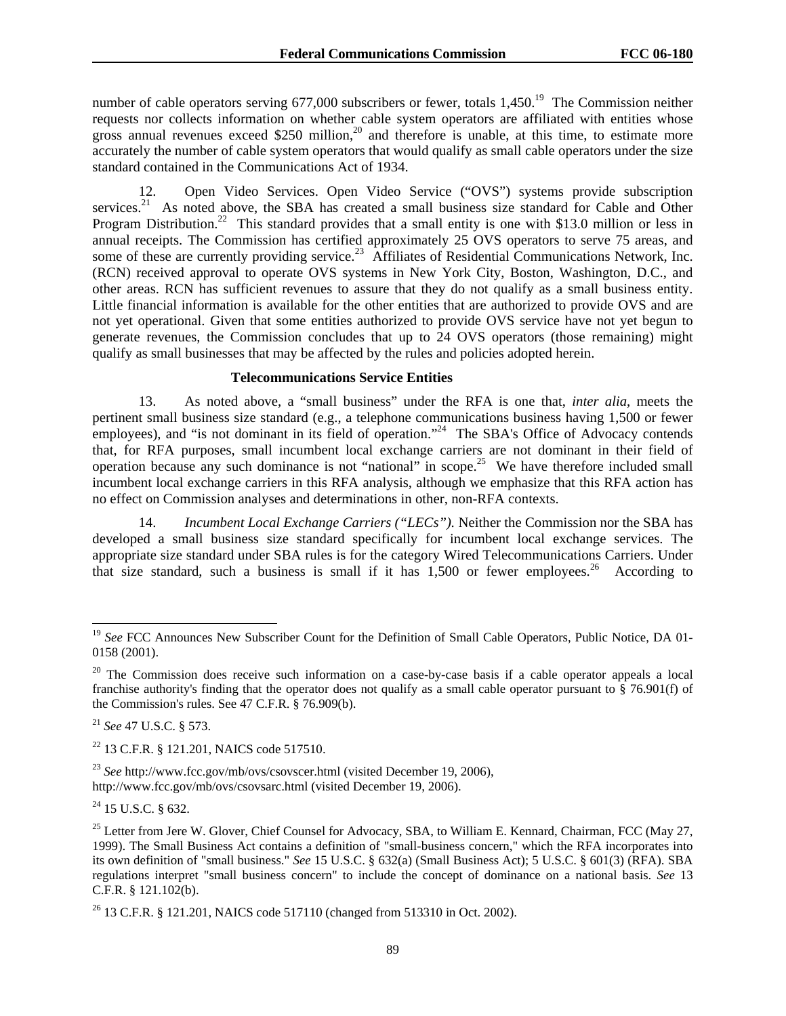number of cable operators serving 677,000 subscribers or fewer, totals  $1.450$ <sup>19</sup>. The Commission neither requests nor collects information on whether cable system operators are affiliated with entities whose gross annual revenues exceed \$250 million,<sup>20</sup> and therefore is unable, at this time, to estimate more accurately the number of cable system operators that would qualify as small cable operators under the size standard contained in the Communications Act of 1934.

12. Open Video Services. Open Video Service ("OVS") systems provide subscription services.<sup>21</sup> As noted above, the SBA has created a small business size standard for Cable and Other Program Distribution.<sup>22</sup> This standard provides that a small entity is one with \$13.0 million or less in annual receipts. The Commission has certified approximately 25 OVS operators to serve 75 areas, and some of these are currently providing service.<sup>23</sup> Affiliates of Residential Communications Network, Inc. (RCN) received approval to operate OVS systems in New York City, Boston, Washington, D.C., and other areas. RCN has sufficient revenues to assure that they do not qualify as a small business entity. Little financial information is available for the other entities that are authorized to provide OVS and are not yet operational. Given that some entities authorized to provide OVS service have not yet begun to generate revenues, the Commission concludes that up to 24 OVS operators (those remaining) might qualify as small businesses that may be affected by the rules and policies adopted herein.

#### **Telecommunications Service Entities**

13. As noted above, a "small business" under the RFA is one that, *inter alia*, meets the pertinent small business size standard (e.g., a telephone communications business having 1,500 or fewer employees), and "is not dominant in its field of operation."<sup>24</sup> The SBA's Office of Advocacy contends that, for RFA purposes, small incumbent local exchange carriers are not dominant in their field of operation because any such dominance is not "national" in scope.25 We have therefore included small incumbent local exchange carriers in this RFA analysis, although we emphasize that this RFA action has no effect on Commission analyses and determinations in other, non-RFA contexts.

14. *Incumbent Local Exchange Carriers ("LECs").* Neither the Commission nor the SBA has developed a small business size standard specifically for incumbent local exchange services. The appropriate size standard under SBA rules is for the category Wired Telecommunications Carriers. Under that size standard, such a business is small if it has  $1,500$  or fewer employees.<sup>26</sup> According to

<sup>21</sup> *See* 47 U.S.C. § 573.

1

<sup>22</sup> 13 C.F.R. § 121.201, NAICS code 517510.

<sup>23</sup> *See* http://www.fcc.gov/mb/ovs/csovscer.html (visited December 19, 2006), http://www.fcc.gov/mb/ovs/csovsarc.html (visited December 19, 2006).

 $24$  15 U.S.C. § 632.

<sup>&</sup>lt;sup>19</sup> See FCC Announces New Subscriber Count for the Definition of Small Cable Operators, Public Notice, DA 01-0158 (2001).

<sup>&</sup>lt;sup>20</sup> The Commission does receive such information on a case-by-case basis if a cable operator appeals a local franchise authority's finding that the operator does not qualify as a small cable operator pursuant to § 76.901(f) of the Commission's rules. See 47 C.F.R. § 76.909(b).

<sup>&</sup>lt;sup>25</sup> Letter from Jere W. Glover, Chief Counsel for Advocacy, SBA, to William E. Kennard, Chairman, FCC (May 27, 1999). The Small Business Act contains a definition of "small-business concern," which the RFA incorporates into its own definition of "small business." *See* 15 U.S.C. § 632(a) (Small Business Act); 5 U.S.C. § 601(3) (RFA). SBA regulations interpret "small business concern" to include the concept of dominance on a national basis. *See* 13 C.F.R. § 121.102(b).

<sup>26 13</sup> C.F.R. § 121.201, NAICS code 517110 (changed from 513310 in Oct. 2002).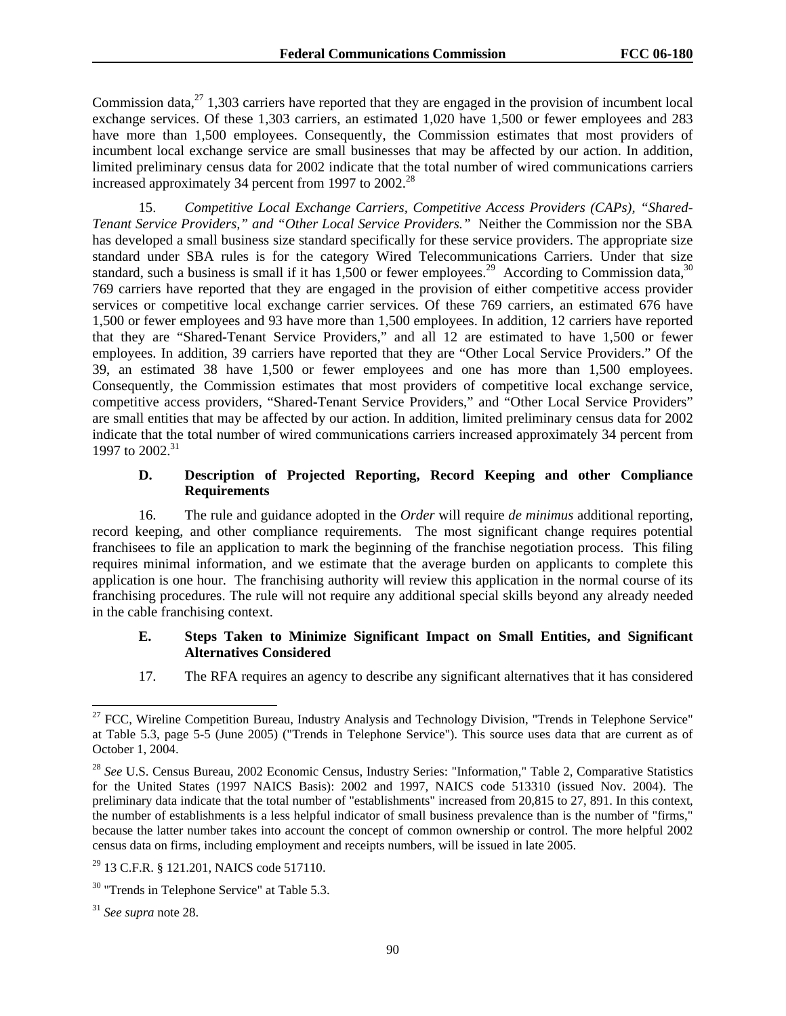Commission data, $^{27}$  1,303 carriers have reported that they are engaged in the provision of incumbent local exchange services. Of these 1,303 carriers, an estimated 1,020 have 1,500 or fewer employees and 283 have more than 1,500 employees. Consequently, the Commission estimates that most providers of incumbent local exchange service are small businesses that may be affected by our action. In addition, limited preliminary census data for 2002 indicate that the total number of wired communications carriers increased approximately 34 percent from 1997 to  $2002.<sup>28</sup>$ 

15. *Competitive Local Exchange Carriers, Competitive Access Providers (CAPs), "Shared-Tenant Service Providers," and "Other Local Service Providers."* Neither the Commission nor the SBA has developed a small business size standard specifically for these service providers. The appropriate size standard under SBA rules is for the category Wired Telecommunications Carriers. Under that size standard, such a business is small if it has  $1,500$  or fewer employees.<sup>29</sup> According to Commission data,<sup>30</sup> 769 carriers have reported that they are engaged in the provision of either competitive access provider services or competitive local exchange carrier services. Of these 769 carriers, an estimated 676 have 1,500 or fewer employees and 93 have more than 1,500 employees. In addition, 12 carriers have reported that they are "Shared-Tenant Service Providers," and all 12 are estimated to have 1,500 or fewer employees. In addition, 39 carriers have reported that they are "Other Local Service Providers." Of the 39, an estimated 38 have 1,500 or fewer employees and one has more than 1,500 employees. Consequently, the Commission estimates that most providers of competitive local exchange service, competitive access providers, "Shared-Tenant Service Providers," and "Other Local Service Providers" are small entities that may be affected by our action. In addition, limited preliminary census data for 2002 indicate that the total number of wired communications carriers increased approximately 34 percent from 1997 to 2002.<sup>31</sup>

## **D. Description of Projected Reporting, Record Keeping and other Compliance Requirements**

16. The rule and guidance adopted in the *Order* will require *de minimus* additional reporting, record keeping, and other compliance requirements. The most significant change requires potential franchisees to file an application to mark the beginning of the franchise negotiation process. This filing requires minimal information, and we estimate that the average burden on applicants to complete this application is one hour. The franchising authority will review this application in the normal course of its franchising procedures. The rule will not require any additional special skills beyond any already needed in the cable franchising context.

## **E. Steps Taken to Minimize Significant Impact on Small Entities, and Significant Alternatives Considered**

17. The RFA requires an agency to describe any significant alternatives that it has considered

<sup>&</sup>lt;sup>27</sup> FCC, Wireline Competition Bureau, Industry Analysis and Technology Division, "Trends in Telephone Service" at Table 5.3, page 5-5 (June 2005) ("Trends in Telephone Service"). This source uses data that are current as of October 1, 2004.

<sup>28</sup> *See* U.S. Census Bureau, 2002 Economic Census, Industry Series: "Information," Table 2, Comparative Statistics for the United States (1997 NAICS Basis): 2002 and 1997, NAICS code 513310 (issued Nov. 2004). The preliminary data indicate that the total number of "establishments" increased from 20,815 to 27, 891. In this context, the number of establishments is a less helpful indicator of small business prevalence than is the number of "firms," because the latter number takes into account the concept of common ownership or control. The more helpful 2002 census data on firms, including employment and receipts numbers, will be issued in late 2005.

<sup>29 13</sup> C.F.R. § 121.201, NAICS code 517110.

<sup>&</sup>lt;sup>30</sup> "Trends in Telephone Service" at Table 5.3.

<sup>31</sup> *See supra* note 28.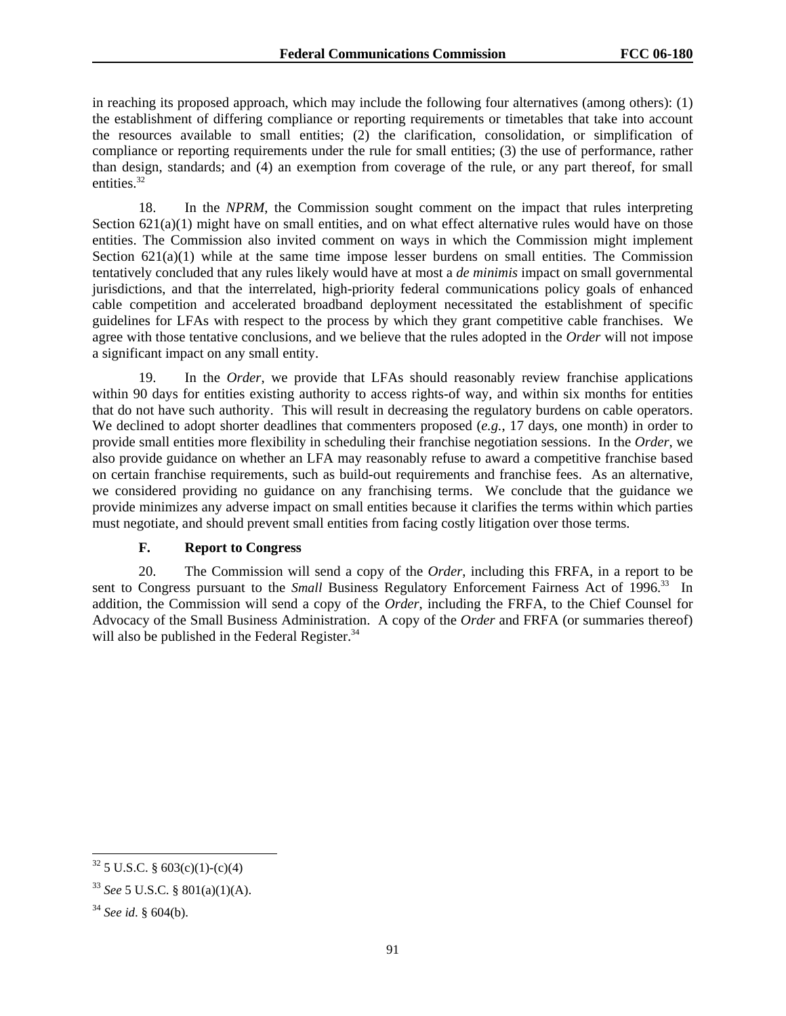in reaching its proposed approach, which may include the following four alternatives (among others): (1) the establishment of differing compliance or reporting requirements or timetables that take into account the resources available to small entities; (2) the clarification, consolidation, or simplification of compliance or reporting requirements under the rule for small entities; (3) the use of performance, rather than design, standards; and (4) an exemption from coverage of the rule, or any part thereof, for small entities.<sup>32</sup>

18. In the *NPRM*, the Commission sought comment on the impact that rules interpreting Section  $621(a)(1)$  might have on small entities, and on what effect alternative rules would have on those entities. The Commission also invited comment on ways in which the Commission might implement Section  $621(a)(1)$  while at the same time impose lesser burdens on small entities. The Commission tentatively concluded that any rules likely would have at most a *de minimis* impact on small governmental jurisdictions, and that the interrelated, high-priority federal communications policy goals of enhanced cable competition and accelerated broadband deployment necessitated the establishment of specific guidelines for LFAs with respect to the process by which they grant competitive cable franchises. We agree with those tentative conclusions, and we believe that the rules adopted in the *Order* will not impose a significant impact on any small entity.

19. In the *Order*, we provide that LFAs should reasonably review franchise applications within 90 days for entities existing authority to access rights-of way, and within six months for entities that do not have such authority. This will result in decreasing the regulatory burdens on cable operators. We declined to adopt shorter deadlines that commenters proposed (*e.g.*, 17 days, one month) in order to provide small entities more flexibility in scheduling their franchise negotiation sessions. In the *Order*, we also provide guidance on whether an LFA may reasonably refuse to award a competitive franchise based on certain franchise requirements, such as build-out requirements and franchise fees. As an alternative, we considered providing no guidance on any franchising terms. We conclude that the guidance we provide minimizes any adverse impact on small entities because it clarifies the terms within which parties must negotiate, and should prevent small entities from facing costly litigation over those terms.

# **F. Report to Congress**

20. The Commission will send a copy of the *Order*, including this FRFA, in a report to be sent to Congress pursuant to the *Small* Business Regulatory Enforcement Fairness Act of 1996.<sup>33</sup> In addition, the Commission will send a copy of the *Order*, including the FRFA, to the Chief Counsel for Advocacy of the Small Business Administration. A copy of the *Order* and FRFA (or summaries thereof) will also be published in the Federal Register.<sup>34</sup>

 $32$  5 U.S.C. § 603(c)(1)-(c)(4)

<sup>33</sup> *See* 5 U.S.C. § 801(a)(1)(A).

<sup>34</sup> *See id*. § 604(b).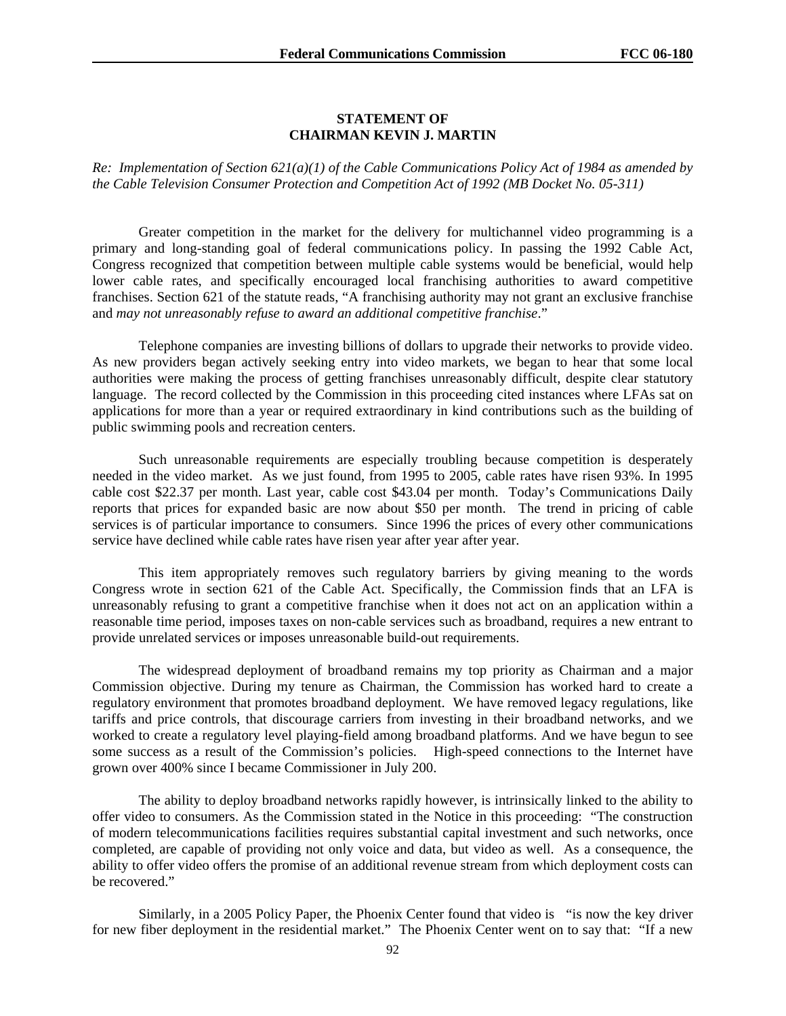### **STATEMENT OF CHAIRMAN KEVIN J. MARTIN**

*Re: Implementation of Section 621(a)(1) of the Cable Communications Policy Act of 1984 as amended by the Cable Television Consumer Protection and Competition Act of 1992 (MB Docket No. 05-311)* 

Greater competition in the market for the delivery for multichannel video programming is a primary and long-standing goal of federal communications policy. In passing the 1992 Cable Act, Congress recognized that competition between multiple cable systems would be beneficial, would help lower cable rates, and specifically encouraged local franchising authorities to award competitive franchises. Section 621 of the statute reads, "A franchising authority may not grant an exclusive franchise and *may not unreasonably refuse to award an additional competitive franchise*."

Telephone companies are investing billions of dollars to upgrade their networks to provide video. As new providers began actively seeking entry into video markets, we began to hear that some local authorities were making the process of getting franchises unreasonably difficult, despite clear statutory language. The record collected by the Commission in this proceeding cited instances where LFAs sat on applications for more than a year or required extraordinary in kind contributions such as the building of public swimming pools and recreation centers.

Such unreasonable requirements are especially troubling because competition is desperately needed in the video market. As we just found, from 1995 to 2005, cable rates have risen 93%. In 1995 cable cost \$22.37 per month. Last year, cable cost \$43.04 per month. Today's Communications Daily reports that prices for expanded basic are now about \$50 per month. The trend in pricing of cable services is of particular importance to consumers. Since 1996 the prices of every other communications service have declined while cable rates have risen year after year after year.

This item appropriately removes such regulatory barriers by giving meaning to the words Congress wrote in section 621 of the Cable Act. Specifically, the Commission finds that an LFA is unreasonably refusing to grant a competitive franchise when it does not act on an application within a reasonable time period, imposes taxes on non-cable services such as broadband, requires a new entrant to provide unrelated services or imposes unreasonable build-out requirements.

The widespread deployment of broadband remains my top priority as Chairman and a major Commission objective. During my tenure as Chairman, the Commission has worked hard to create a regulatory environment that promotes broadband deployment. We have removed legacy regulations, like tariffs and price controls, that discourage carriers from investing in their broadband networks, and we worked to create a regulatory level playing-field among broadband platforms. And we have begun to see some success as a result of the Commission's policies. High-speed connections to the Internet have grown over 400% since I became Commissioner in July 200.

The ability to deploy broadband networks rapidly however, is intrinsically linked to the ability to offer video to consumers. As the Commission stated in the Notice in this proceeding: "The construction of modern telecommunications facilities requires substantial capital investment and such networks, once completed, are capable of providing not only voice and data, but video as well. As a consequence, the ability to offer video offers the promise of an additional revenue stream from which deployment costs can be recovered."

Similarly, in a 2005 Policy Paper, the Phoenix Center found that video is "is now the key driver for new fiber deployment in the residential market." The Phoenix Center went on to say that: "If a new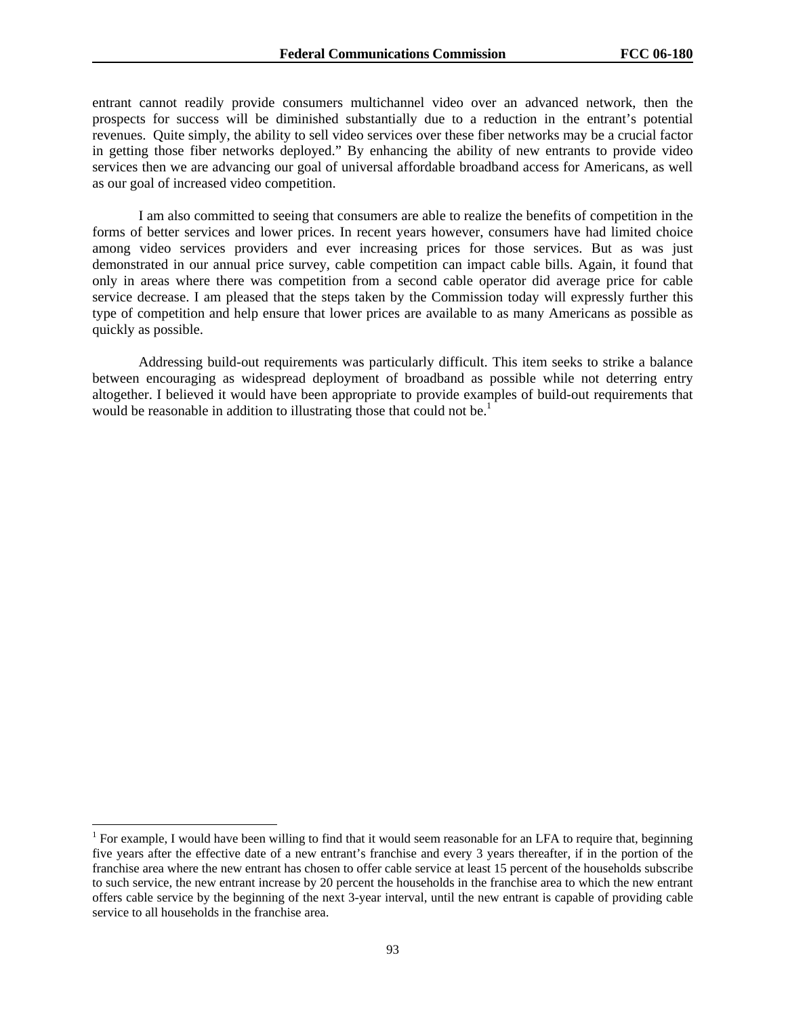entrant cannot readily provide consumers multichannel video over an advanced network, then the prospects for success will be diminished substantially due to a reduction in the entrant's potential revenues. Quite simply, the ability to sell video services over these fiber networks may be a crucial factor in getting those fiber networks deployed." By enhancing the ability of new entrants to provide video services then we are advancing our goal of universal affordable broadband access for Americans, as well as our goal of increased video competition.

I am also committed to seeing that consumers are able to realize the benefits of competition in the forms of better services and lower prices. In recent years however, consumers have had limited choice among video services providers and ever increasing prices for those services. But as was just demonstrated in our annual price survey, cable competition can impact cable bills. Again, it found that only in areas where there was competition from a second cable operator did average price for cable service decrease. I am pleased that the steps taken by the Commission today will expressly further this type of competition and help ensure that lower prices are available to as many Americans as possible as quickly as possible.

Addressing build-out requirements was particularly difficult. This item seeks to strike a balance between encouraging as widespread deployment of broadband as possible while not deterring entry altogether. I believed it would have been appropriate to provide examples of build-out requirements that would be reasonable in addition to illustrating those that could not be.<sup>1</sup>

1

<sup>&</sup>lt;sup>1</sup> For example, I would have been willing to find that it would seem reasonable for an LFA to require that, beginning five years after the effective date of a new entrant's franchise and every 3 years thereafter, if in the portion of the franchise area where the new entrant has chosen to offer cable service at least 15 percent of the households subscribe to such service, the new entrant increase by 20 percent the households in the franchise area to which the new entrant offers cable service by the beginning of the next 3-year interval, until the new entrant is capable of providing cable service to all households in the franchise area.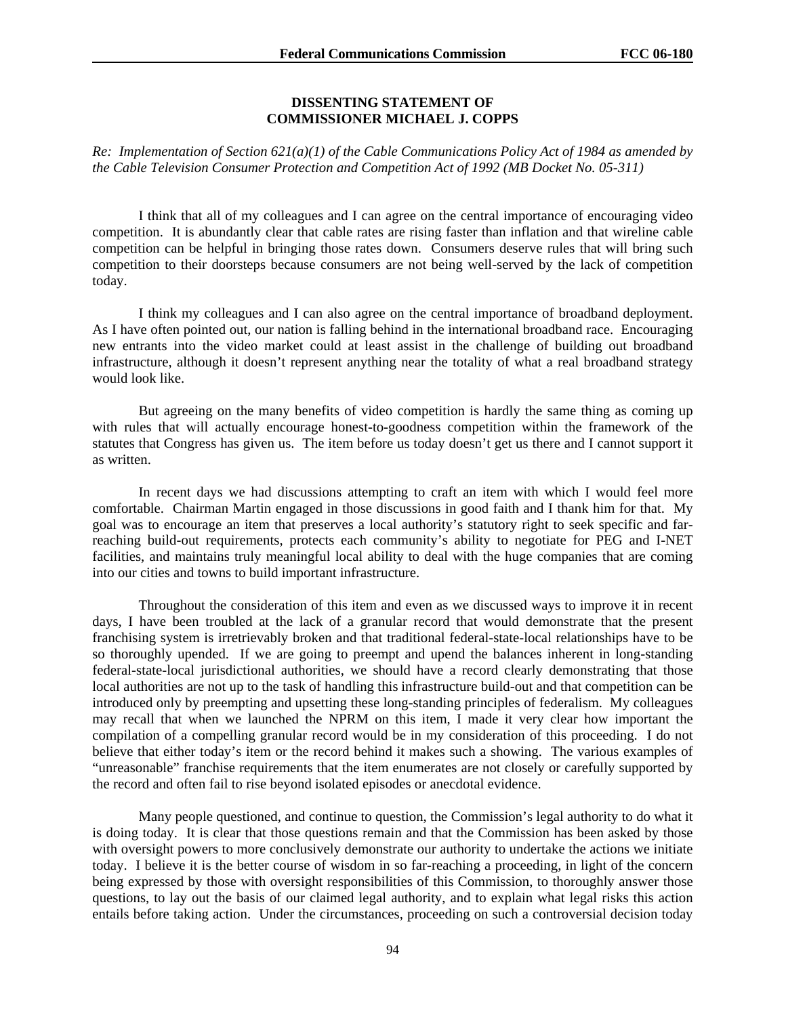#### **DISSENTING STATEMENT OF COMMISSIONER MICHAEL J. COPPS**

*Re: Implementation of Section 621(a)(1) of the Cable Communications Policy Act of 1984 as amended by the Cable Television Consumer Protection and Competition Act of 1992 (MB Docket No. 05-311)* 

 I think that all of my colleagues and I can agree on the central importance of encouraging video competition. It is abundantly clear that cable rates are rising faster than inflation and that wireline cable competition can be helpful in bringing those rates down. Consumers deserve rules that will bring such competition to their doorsteps because consumers are not being well-served by the lack of competition today.

 I think my colleagues and I can also agree on the central importance of broadband deployment. As I have often pointed out, our nation is falling behind in the international broadband race. Encouraging new entrants into the video market could at least assist in the challenge of building out broadband infrastructure, although it doesn't represent anything near the totality of what a real broadband strategy would look like.

 But agreeing on the many benefits of video competition is hardly the same thing as coming up with rules that will actually encourage honest-to-goodness competition within the framework of the statutes that Congress has given us. The item before us today doesn't get us there and I cannot support it as written.

In recent days we had discussions attempting to craft an item with which I would feel more comfortable. Chairman Martin engaged in those discussions in good faith and I thank him for that. My goal was to encourage an item that preserves a local authority's statutory right to seek specific and farreaching build-out requirements, protects each community's ability to negotiate for PEG and I-NET facilities, and maintains truly meaningful local ability to deal with the huge companies that are coming into our cities and towns to build important infrastructure.

Throughout the consideration of this item and even as we discussed ways to improve it in recent days, I have been troubled at the lack of a granular record that would demonstrate that the present franchising system is irretrievably broken and that traditional federal-state-local relationships have to be so thoroughly upended. If we are going to preempt and upend the balances inherent in long-standing federal-state-local jurisdictional authorities, we should have a record clearly demonstrating that those local authorities are not up to the task of handling this infrastructure build-out and that competition can be introduced only by preempting and upsetting these long-standing principles of federalism. My colleagues may recall that when we launched the NPRM on this item, I made it very clear how important the compilation of a compelling granular record would be in my consideration of this proceeding. I do not believe that either today's item or the record behind it makes such a showing. The various examples of "unreasonable" franchise requirements that the item enumerates are not closely or carefully supported by the record and often fail to rise beyond isolated episodes or anecdotal evidence.

Many people questioned, and continue to question, the Commission's legal authority to do what it is doing today. It is clear that those questions remain and that the Commission has been asked by those with oversight powers to more conclusively demonstrate our authority to undertake the actions we initiate today. I believe it is the better course of wisdom in so far-reaching a proceeding, in light of the concern being expressed by those with oversight responsibilities of this Commission, to thoroughly answer those questions, to lay out the basis of our claimed legal authority, and to explain what legal risks this action entails before taking action. Under the circumstances, proceeding on such a controversial decision today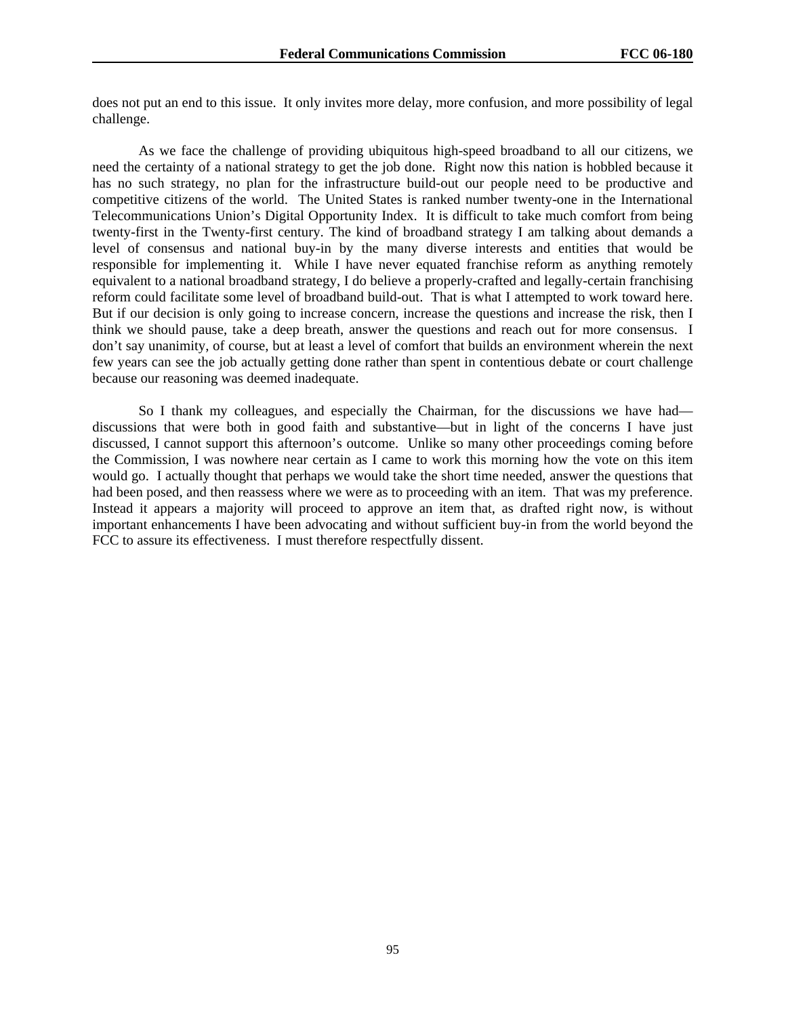does not put an end to this issue. It only invites more delay, more confusion, and more possibility of legal challenge.

As we face the challenge of providing ubiquitous high-speed broadband to all our citizens, we need the certainty of a national strategy to get the job done. Right now this nation is hobbled because it has no such strategy, no plan for the infrastructure build-out our people need to be productive and competitive citizens of the world. The United States is ranked number twenty-one in the International Telecommunications Union's Digital Opportunity Index. It is difficult to take much comfort from being twenty-first in the Twenty-first century. The kind of broadband strategy I am talking about demands a level of consensus and national buy-in by the many diverse interests and entities that would be responsible for implementing it. While I have never equated franchise reform as anything remotely equivalent to a national broadband strategy, I do believe a properly-crafted and legally-certain franchising reform could facilitate some level of broadband build-out. That is what I attempted to work toward here. But if our decision is only going to increase concern, increase the questions and increase the risk, then I think we should pause, take a deep breath, answer the questions and reach out for more consensus. I don't say unanimity, of course, but at least a level of comfort that builds an environment wherein the next few years can see the job actually getting done rather than spent in contentious debate or court challenge because our reasoning was deemed inadequate.

 So I thank my colleagues, and especially the Chairman, for the discussions we have had discussions that were both in good faith and substantive—but in light of the concerns I have just discussed, I cannot support this afternoon's outcome. Unlike so many other proceedings coming before the Commission, I was nowhere near certain as I came to work this morning how the vote on this item would go. I actually thought that perhaps we would take the short time needed, answer the questions that had been posed, and then reassess where we were as to proceeding with an item. That was my preference. Instead it appears a majority will proceed to approve an item that, as drafted right now, is without important enhancements I have been advocating and without sufficient buy-in from the world beyond the FCC to assure its effectiveness. I must therefore respectfully dissent.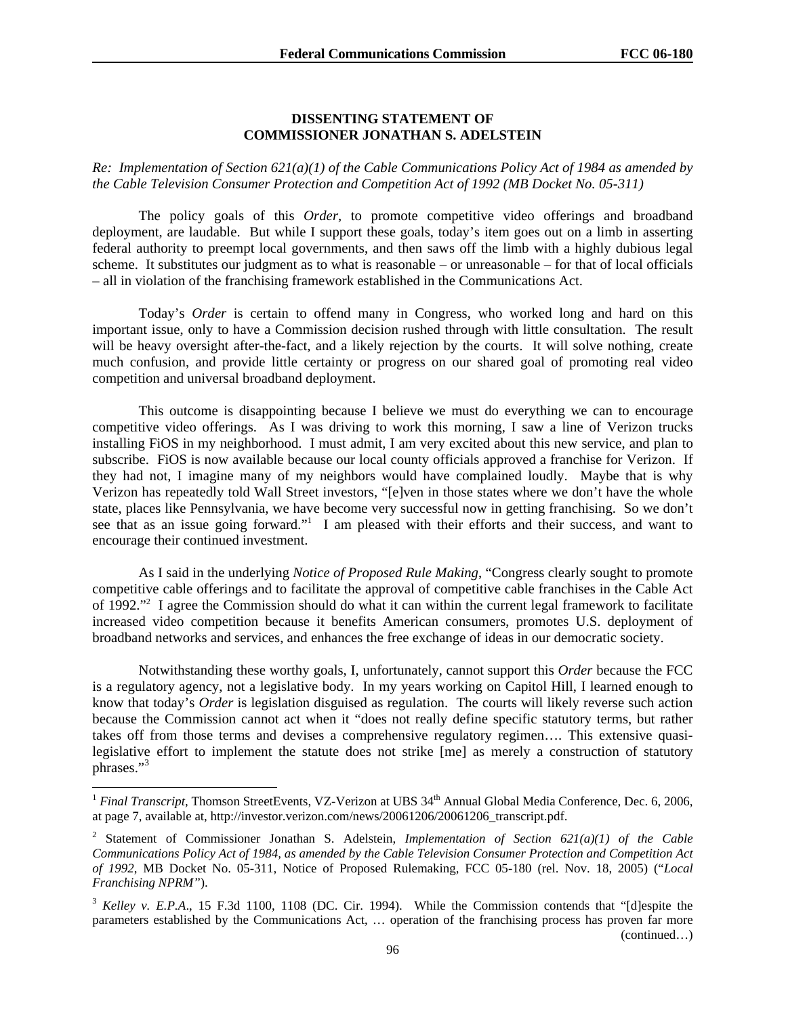#### **DISSENTING STATEMENT OF COMMISSIONER JONATHAN S. ADELSTEIN**

*Re: Implementation of Section 621(a)(1) of the Cable Communications Policy Act of 1984 as amended by the Cable Television Consumer Protection and Competition Act of 1992 (MB Docket No. 05-311)* 

The policy goals of this *Order*, to promote competitive video offerings and broadband deployment, are laudable. But while I support these goals, today's item goes out on a limb in asserting federal authority to preempt local governments, and then saws off the limb with a highly dubious legal scheme. It substitutes our judgment as to what is reasonable – or unreasonable – for that of local officials – all in violation of the franchising framework established in the Communications Act.

 Today's *Order* is certain to offend many in Congress, who worked long and hard on this important issue, only to have a Commission decision rushed through with little consultation. The result will be heavy oversight after-the-fact, and a likely rejection by the courts. It will solve nothing, create much confusion, and provide little certainty or progress on our shared goal of promoting real video competition and universal broadband deployment.

This outcome is disappointing because I believe we must do everything we can to encourage competitive video offerings. As I was driving to work this morning, I saw a line of Verizon trucks installing FiOS in my neighborhood. I must admit, I am very excited about this new service, and plan to subscribe. FiOS is now available because our local county officials approved a franchise for Verizon. If they had not, I imagine many of my neighbors would have complained loudly. Maybe that is why Verizon has repeatedly told Wall Street investors, "[e]ven in those states where we don't have the whole state, places like Pennsylvania, we have become very successful now in getting franchising. So we don't see that as an issue going forward."<sup>1</sup> I am pleased with their efforts and their success, and want to encourage their continued investment.

As I said in the underlying *Notice of Proposed Rule Making*, "Congress clearly sought to promote competitive cable offerings and to facilitate the approval of competitive cable franchises in the Cable Act of 1992."<sup>2</sup> I agree the Commission should do what it can within the current legal framework to facilitate increased video competition because it benefits American consumers, promotes U.S. deployment of broadband networks and services, and enhances the free exchange of ideas in our democratic society.

Notwithstanding these worthy goals, I, unfortunately, cannot support this *Order* because the FCC is a regulatory agency, not a legislative body. In my years working on Capitol Hill, I learned enough to know that today's *Order* is legislation disguised as regulation. The courts will likely reverse such action because the Commission cannot act when it "does not really define specific statutory terms, but rather takes off from those terms and devises a comprehensive regulatory regimen…. This extensive quasilegislative effort to implement the statute does not strike [me] as merely a construction of statutory phrases."<sup>3</sup>

1

<sup>&</sup>lt;sup>1</sup> *Final Transcript*, Thomson StreetEvents, VZ-Verizon at UBS 34<sup>th</sup> Annual Global Media Conference, Dec. 6, 2006, at page 7, available at, http://investor.verizon.com/news/20061206/20061206\_transcript.pdf.

<sup>2</sup> Statement of Commissioner Jonathan S. Adelstein, *Implementation of Section 621(a)(1) of the Cable Communications Policy Act of 1984, as amended by the Cable Television Consumer Protection and Competition Act of 1992*, MB Docket No. 05-311, Notice of Proposed Rulemaking, FCC 05-180 (rel. Nov. 18, 2005) ("*Local Franchising NPRM"*).

<sup>&</sup>lt;sup>3</sup> *Kelley v. E.P.A.*, 15 F.3d 1100, 1108 (DC. Cir. 1994). While the Commission contends that "[d]espite the parameters established by the Communications Act, … operation of the franchising process has proven far more (continued…)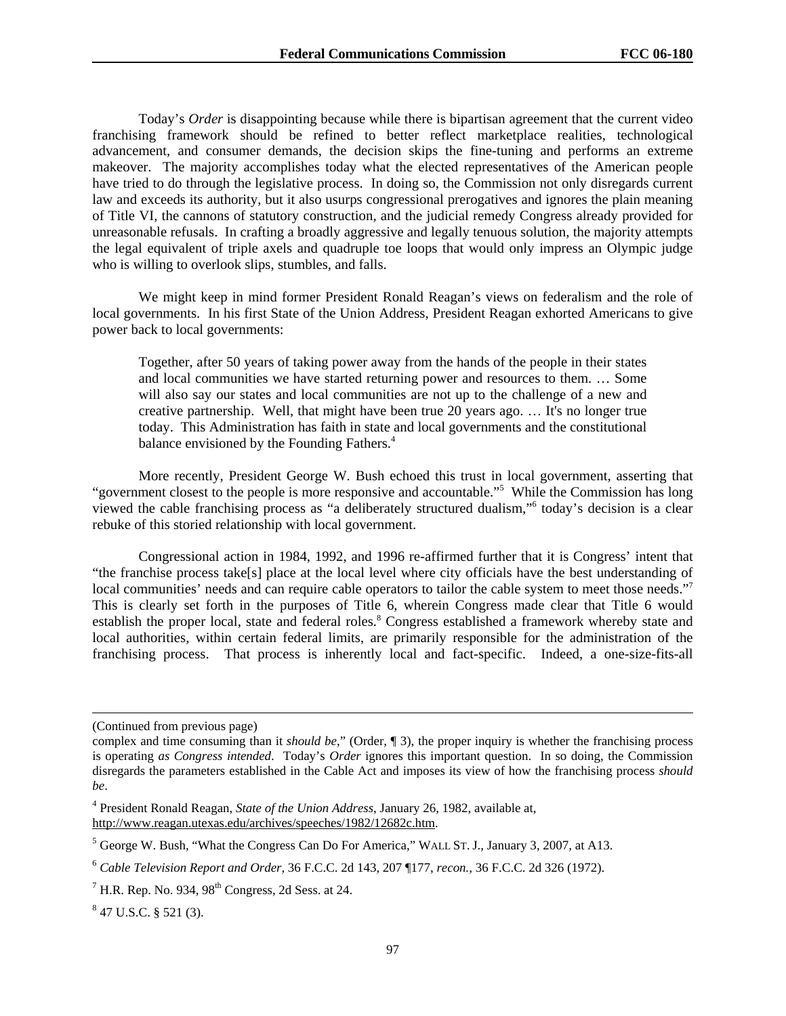Today's *Order* is disappointing because while there is bipartisan agreement that the current video franchising framework should be refined to better reflect marketplace realities, technological advancement, and consumer demands, the decision skips the fine-tuning and performs an extreme makeover. The majority accomplishes today what the elected representatives of the American people have tried to do through the legislative process. In doing so, the Commission not only disregards current law and exceeds its authority, but it also usurps congressional prerogatives and ignores the plain meaning of Title VI, the cannons of statutory construction, and the judicial remedy Congress already provided for unreasonable refusals. In crafting a broadly aggressive and legally tenuous solution, the majority attempts the legal equivalent of triple axels and quadruple toe loops that would only impress an Olympic judge who is willing to overlook slips, stumbles, and falls.

We might keep in mind former President Ronald Reagan's views on federalism and the role of local governments. In his first State of the Union Address, President Reagan exhorted Americans to give power back to local governments:

Together, after 50 years of taking power away from the hands of the people in their states and local communities we have started returning power and resources to them. … Some will also say our states and local communities are not up to the challenge of a new and creative partnership. Well, that might have been true 20 years ago. … It's no longer true today. This Administration has faith in state and local governments and the constitutional balance envisioned by the Founding Fathers.<sup>4</sup>

More recently, President George W. Bush echoed this trust in local government, asserting that "government closest to the people is more responsive and accountable."5 While the Commission has long viewed the cable franchising process as "a deliberately structured dualism,"6 today's decision is a clear rebuke of this storied relationship with local government.

Congressional action in 1984, 1992, and 1996 re-affirmed further that it is Congress' intent that "the franchise process take[s] place at the local level where city officials have the best understanding of local communities' needs and can require cable operators to tailor the cable system to meet those needs."<sup>7</sup> This is clearly set forth in the purposes of Title 6, wherein Congress made clear that Title 6 would establish the proper local, state and federal roles.<sup>8</sup> Congress established a framework whereby state and local authorities, within certain federal limits, are primarily responsible for the administration of the franchising process. That process is inherently local and fact-specific. Indeed, a one-size-fits-all

 $\overline{a}$ 

<sup>(</sup>Continued from previous page)

complex and time consuming than it *should be*," (Order, ¶ 3), the proper inquiry is whether the franchising process is operating *as Congress intended*. Today's *Order* ignores this important question. In so doing, the Commission disregards the parameters established in the Cable Act and imposes its view of how the franchising process *should be*.

<sup>4</sup> President Ronald Reagan, *State of the Union Address*, January 26, 1982, available at, http://www.reagan.utexas.edu/archives/speeches/1982/12682c.htm.

<sup>&</sup>lt;sup>5</sup> George W. Bush, "What the Congress Can Do For America," WALL ST. J., January 3, 2007, at A13.

<sup>6</sup> *Cable Television Report and Order,* 36 F.C.C. 2d 143, 207 ¶177, *recon.,* 36 F.C.C. 2d 326 (1972).

 $^7$  H.R. Rep. No. 934, 98<sup>th</sup> Congress, 2d Sess. at 24.

 $847$  U.S.C. § 521 (3).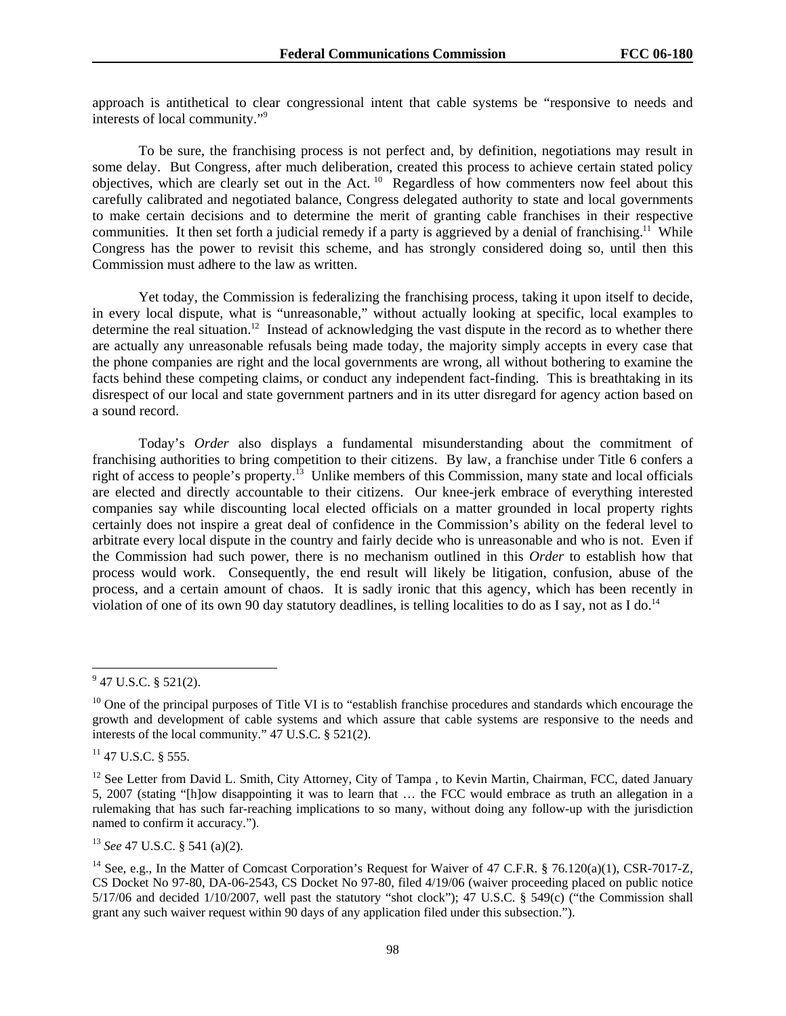approach is antithetical to clear congressional intent that cable systems be "responsive to needs and interests of local community."9

To be sure, the franchising process is not perfect and, by definition, negotiations may result in some delay. But Congress, after much deliberation, created this process to achieve certain stated policy objectives, which are clearly set out in the Act. 10 Regardless of how commenters now feel about this carefully calibrated and negotiated balance, Congress delegated authority to state and local governments to make certain decisions and to determine the merit of granting cable franchises in their respective communities. It then set forth a judicial remedy if a party is aggrieved by a denial of franchising.<sup>11</sup> While Congress has the power to revisit this scheme, and has strongly considered doing so, until then this Commission must adhere to the law as written.

Yet today, the Commission is federalizing the franchising process, taking it upon itself to decide, in every local dispute, what is "unreasonable," without actually looking at specific, local examples to determine the real situation.<sup>12</sup> Instead of acknowledging the vast dispute in the record as to whether there are actually any unreasonable refusals being made today, the majority simply accepts in every case that the phone companies are right and the local governments are wrong, all without bothering to examine the facts behind these competing claims, or conduct any independent fact-finding. This is breathtaking in its disrespect of our local and state government partners and in its utter disregard for agency action based on a sound record.

Today's *Order* also displays a fundamental misunderstanding about the commitment of franchising authorities to bring competition to their citizens. By law, a franchise under Title 6 confers a right of access to people's property.<sup>13</sup> Unlike members of this Commission, many state and local officials are elected and directly accountable to their citizens. Our knee-jerk embrace of everything interested companies say while discounting local elected officials on a matter grounded in local property rights certainly does not inspire a great deal of confidence in the Commission's ability on the federal level to arbitrate every local dispute in the country and fairly decide who is unreasonable and who is not. Even if the Commission had such power, there is no mechanism outlined in this *Order* to establish how that process would work. Consequently, the end result will likely be litigation, confusion, abuse of the process, and a certain amount of chaos. It is sadly ironic that this agency, which has been recently in violation of one of its own 90 day statutory deadlines, is telling localities to do as I say, not as I do.<sup>14</sup>

l

 $11$  47 U.S.C. § 555.

<sup>13</sup> *See* 47 U.S.C. § 541 (a)(2).

 $9$  47 U.S.C. § 521(2).

 $10$  One of the principal purposes of Title VI is to "establish franchise procedures and standards which encourage the growth and development of cable systems and which assure that cable systems are responsive to the needs and interests of the local community." 47 U.S.C. § 521(2).

<sup>&</sup>lt;sup>12</sup> See Letter from David L. Smith, City Attorney, City of Tampa, to Kevin Martin, Chairman, FCC, dated January 5, 2007 (stating "[h]ow disappointing it was to learn that … the FCC would embrace as truth an allegation in a rulemaking that has such far-reaching implications to so many, without doing any follow-up with the jurisdiction named to confirm it accuracy.").

<sup>&</sup>lt;sup>14</sup> See, e.g., In the Matter of Comcast Corporation's Request for Waiver of 47 C.F.R. § 76.120(a)(1), CSR-7017-Z, CS Docket No 97-80, DA-06-2543, CS Docket No 97-80, filed 4/19/06 (waiver proceeding placed on public notice 5/17/06 and decided 1/10/2007, well past the statutory "shot clock"); 47 U.S.C. § 549(c) ("the Commission shall grant any such waiver request within 90 days of any application filed under this subsection.").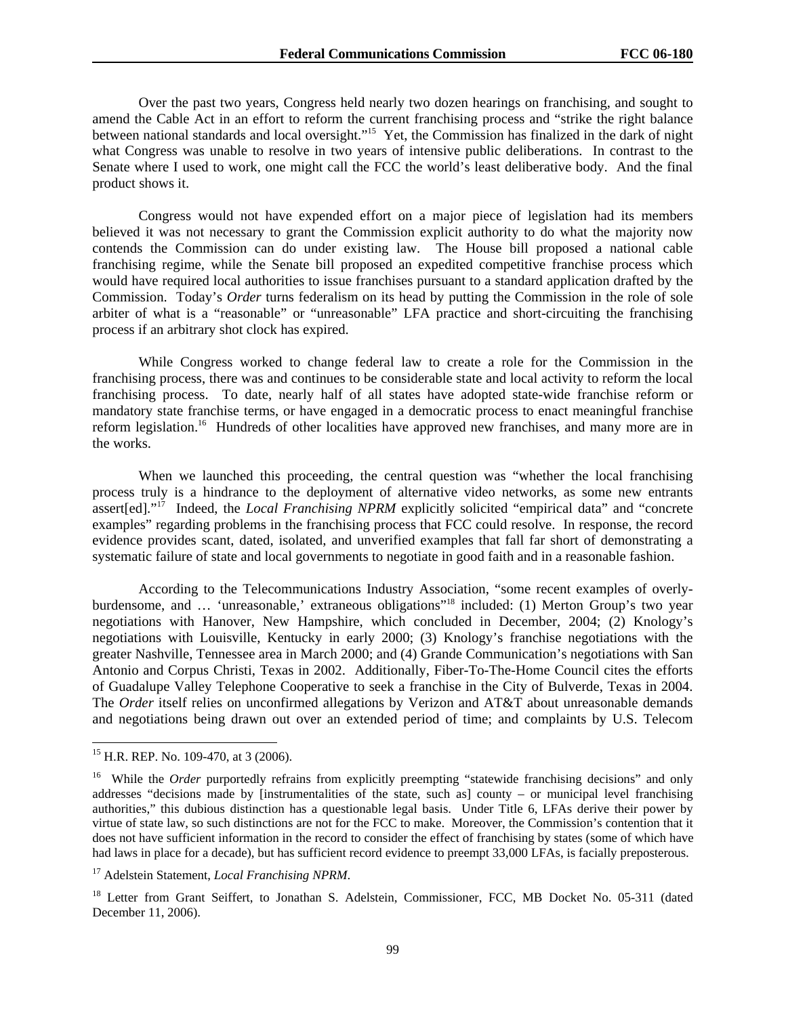Over the past two years, Congress held nearly two dozen hearings on franchising, and sought to amend the Cable Act in an effort to reform the current franchising process and "strike the right balance between national standards and local oversight."<sup>15</sup> Yet, the Commission has finalized in the dark of night what Congress was unable to resolve in two years of intensive public deliberations. In contrast to the Senate where I used to work, one might call the FCC the world's least deliberative body. And the final product shows it.

Congress would not have expended effort on a major piece of legislation had its members believed it was not necessary to grant the Commission explicit authority to do what the majority now contends the Commission can do under existing law. The House bill proposed a national cable franchising regime, while the Senate bill proposed an expedited competitive franchise process which would have required local authorities to issue franchises pursuant to a standard application drafted by the Commission. Today's *Order* turns federalism on its head by putting the Commission in the role of sole arbiter of what is a "reasonable" or "unreasonable" LFA practice and short-circuiting the franchising process if an arbitrary shot clock has expired.

 While Congress worked to change federal law to create a role for the Commission in the franchising process, there was and continues to be considerable state and local activity to reform the local franchising process. To date, nearly half of all states have adopted state-wide franchise reform or mandatory state franchise terms, or have engaged in a democratic process to enact meaningful franchise reform legislation.<sup>16</sup> Hundreds of other localities have approved new franchises, and many more are in the works.

When we launched this proceeding, the central question was "whether the local franchising process truly is a hindrance to the deployment of alternative video networks, as some new entrants assert[ed]."17 Indeed, the *Local Franchising NPRM* explicitly solicited "empirical data" and "concrete examples" regarding problems in the franchising process that FCC could resolve. In response, the record evidence provides scant, dated, isolated, and unverified examples that fall far short of demonstrating a systematic failure of state and local governments to negotiate in good faith and in a reasonable fashion.

According to the Telecommunications Industry Association, "some recent examples of overlyburdensome, and ... 'unreasonable,' extraneous obligations"<sup>18</sup> included: (1) Merton Group's two year negotiations with Hanover, New Hampshire, which concluded in December, 2004; (2) Knology's negotiations with Louisville, Kentucky in early 2000; (3) Knology's franchise negotiations with the greater Nashville, Tennessee area in March 2000; and (4) Grande Communication's negotiations with San Antonio and Corpus Christi, Texas in 2002. Additionally, Fiber-To-The-Home Council cites the efforts of Guadalupe Valley Telephone Cooperative to seek a franchise in the City of Bulverde, Texas in 2004. The *Order* itself relies on unconfirmed allegations by Verizon and AT&T about unreasonable demands and negotiations being drawn out over an extended period of time; and complaints by U.S. Telecom

-

<sup>&</sup>lt;sup>15</sup> H.R. REP. No. 109-470, at 3 (2006).

<sup>&</sup>lt;sup>16</sup> While the *Order* purportedly refrains from explicitly preempting "statewide franchising decisions" and only addresses "decisions made by [instrumentalities of the state, such as] county – or municipal level franchising authorities," this dubious distinction has a questionable legal basis. Under Title 6, LFAs derive their power by virtue of state law, so such distinctions are not for the FCC to make. Moreover, the Commission's contention that it does not have sufficient information in the record to consider the effect of franchising by states (some of which have had laws in place for a decade), but has sufficient record evidence to preempt 33,000 LFAs, is facially preposterous.

<sup>17</sup> Adelstein Statement, *Local Franchising NPRM*.

<sup>&</sup>lt;sup>18</sup> Letter from Grant Seiffert, to Jonathan S. Adelstein, Commissioner, FCC, MB Docket No. 05-311 (dated December 11, 2006).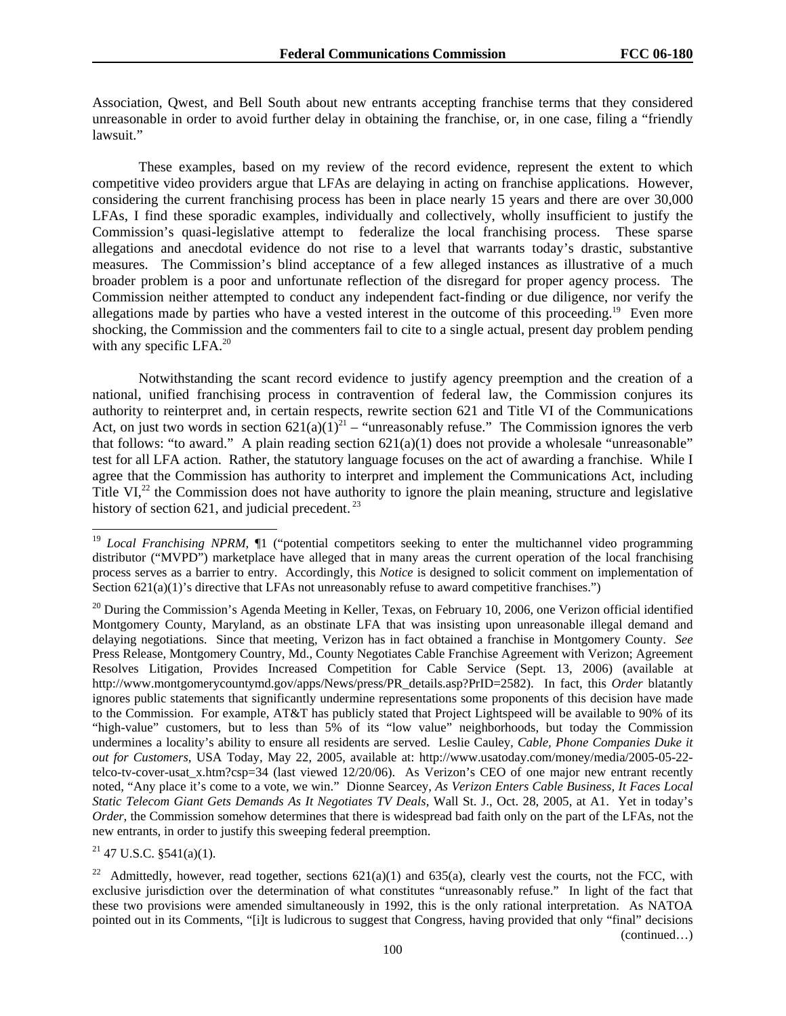Association, Qwest, and Bell South about new entrants accepting franchise terms that they considered unreasonable in order to avoid further delay in obtaining the franchise, or, in one case, filing a "friendly lawsuit."

These examples, based on my review of the record evidence, represent the extent to which competitive video providers argue that LFAs are delaying in acting on franchise applications. However, considering the current franchising process has been in place nearly 15 years and there are over 30,000 LFAs, I find these sporadic examples, individually and collectively, wholly insufficient to justify the Commission's quasi-legislative attempt to federalize the local franchising process. These sparse allegations and anecdotal evidence do not rise to a level that warrants today's drastic, substantive measures. The Commission's blind acceptance of a few alleged instances as illustrative of a much broader problem is a poor and unfortunate reflection of the disregard for proper agency process. The Commission neither attempted to conduct any independent fact-finding or due diligence, nor verify the allegations made by parties who have a vested interest in the outcome of this proceeding.<sup>19</sup> Even more shocking, the Commission and the commenters fail to cite to a single actual, present day problem pending with any specific LFA.<sup>20</sup>

Notwithstanding the scant record evidence to justify agency preemption and the creation of a national, unified franchising process in contravention of federal law, the Commission conjures its authority to reinterpret and, in certain respects, rewrite section 621 and Title VI of the Communications Act, on just two words in section  $621(a)(1)^{21}$  – "unreasonably refuse." The Commission ignores the verb that follows: "to award." A plain reading section  $621(a)(1)$  does not provide a wholesale "unreasonable" test for all LFA action. Rather, the statutory language focuses on the act of awarding a franchise. While I agree that the Commission has authority to interpret and implement the Communications Act, including Title VI $^{22}$ , the Commission does not have authority to ignore the plain meaning, structure and legislative history of section 621, and judicial precedent.  $23$ 

 $21$  47 U.S.C. §541(a)(1).

<sup>&</sup>lt;sup>19</sup> *Local Franchising NPRM*,  $\P$ 1 ("potential competitors seeking to enter the multichannel video programming distributor ("MVPD") marketplace have alleged that in many areas the current operation of the local franchising process serves as a barrier to entry. Accordingly, this *Notice* is designed to solicit comment on implementation of Section 621(a)(1)'s directive that LFAs not unreasonably refuse to award competitive franchises.")

 $20$  During the Commission's Agenda Meeting in Keller, Texas, on February 10, 2006, one Verizon official identified Montgomery County, Maryland, as an obstinate LFA that was insisting upon unreasonable illegal demand and delaying negotiations. Since that meeting, Verizon has in fact obtained a franchise in Montgomery County. *See*  Press Release, Montgomery Country, Md., County Negotiates Cable Franchise Agreement with Verizon; Agreement Resolves Litigation, Provides Increased Competition for Cable Service (Sept. 13, 2006) (available at http://www.montgomerycountymd.gov/apps/News/press/PR\_details.asp?PrID=2582). In fact, this *Order* blatantly ignores public statements that significantly undermine representations some proponents of this decision have made to the Commission. For example, AT&T has publicly stated that Project Lightspeed will be available to 90% of its "high-value" customers, but to less than 5% of its "low value" neighborhoods, but today the Commission undermines a locality's ability to ensure all residents are served. Leslie Cauley*, Cable, Phone Companies Duke it out for Customers*, USA Today, May 22, 2005, available at: http://www.usatoday.com/money/media/2005-05-22 telco-tv-cover-usat\_x.htm?csp=34 (last viewed 12/20/06). As Verizon's CEO of one major new entrant recently noted, "Any place it's come to a vote, we win." Dionne Searcey, *As Verizon Enters Cable Business, It Faces Local Static Telecom Giant Gets Demands As It Negotiates TV Deals*, Wall St. J., Oct. 28, 2005, at A1. Yet in today's *Order*, the Commission somehow determines that there is widespread bad faith only on the part of the LFAs, not the new entrants, in order to justify this sweeping federal preemption.

<sup>&</sup>lt;sup>22</sup> Admittedly, however, read together, sections  $621(a)(1)$  and  $635(a)$ , clearly vest the courts, not the FCC, with exclusive jurisdiction over the determination of what constitutes "unreasonably refuse." In light of the fact that these two provisions were amended simultaneously in 1992, this is the only rational interpretation. As NATOA pointed out in its Comments, "[i]t is ludicrous to suggest that Congress, having provided that only "final" decisions (continued…)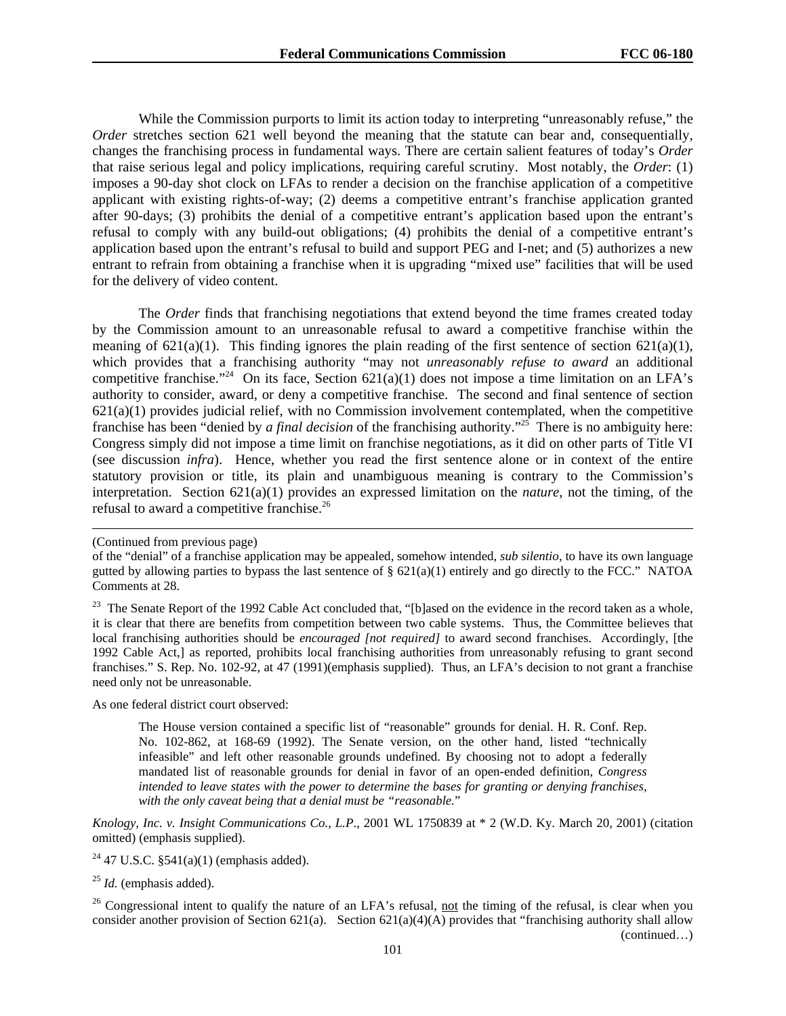While the Commission purports to limit its action today to interpreting "unreasonably refuse," the *Order* stretches section 621 well beyond the meaning that the statute can bear and, consequentially, changes the franchising process in fundamental ways. There are certain salient features of today's *Order* that raise serious legal and policy implications, requiring careful scrutiny. Most notably, the *Order*: (1) imposes a 90-day shot clock on LFAs to render a decision on the franchise application of a competitive applicant with existing rights-of-way; (2) deems a competitive entrant's franchise application granted after 90-days; (3) prohibits the denial of a competitive entrant's application based upon the entrant's refusal to comply with any build-out obligations; (4) prohibits the denial of a competitive entrant's application based upon the entrant's refusal to build and support PEG and I-net; and (5) authorizes a new entrant to refrain from obtaining a franchise when it is upgrading "mixed use" facilities that will be used for the delivery of video content.

 The *Order* finds that franchising negotiations that extend beyond the time frames created today by the Commission amount to an unreasonable refusal to award a competitive franchise within the meaning of  $621(a)(1)$ . This finding ignores the plain reading of the first sentence of section  $621(a)(1)$ , which provides that a franchising authority "may not *unreasonably refuse to award* an additional competitive franchise."<sup>24</sup> On its face, Section  $621(a)(1)$  does not impose a time limitation on an LFA's authority to consider, award, or deny a competitive franchise. The second and final sentence of section  $621(a)(1)$  provides judicial relief, with no Commission involvement contemplated, when the competitive franchise has been "denied by *a final decision* of the franchising authority."25 There is no ambiguity here: Congress simply did not impose a time limit on franchise negotiations, as it did on other parts of Title VI (see discussion *infra*). Hence, whether you read the first sentence alone or in context of the entire statutory provision or title, its plain and unambiguous meaning is contrary to the Commission's interpretation. Section 621(a)(1) provides an expressed limitation on the *nature*, not the timing, of the refusal to award a competitive franchise.26

 $\overline{a}$ 

<sup>23</sup> The Senate Report of the 1992 Cable Act concluded that, "[b]ased on the evidence in the record taken as a whole, it is clear that there are benefits from competition between two cable systems. Thus, the Committee believes that local franchising authorities should be *encouraged [not required]* to award second franchises. Accordingly, [the 1992 Cable Act,] as reported, prohibits local franchising authorities from unreasonably refusing to grant second franchises." S. Rep. No. 102-92, at 47 (1991)(emphasis supplied). Thus, an LFA's decision to not grant a franchise need only not be unreasonable.

As one federal district court observed:

The House version contained a specific list of "reasonable" grounds for denial. H. R. Conf. Rep. No. 102-862, at 168-69 (1992). The Senate version, on the other hand, listed "technically infeasible" and left other reasonable grounds undefined. By choosing not to adopt a federally mandated list of reasonable grounds for denial in favor of an open-ended definition, *Congress intended to leave states with the power to determine the bases for granting or denying franchises, with the only caveat being that a denial must be "reasonable.*"

*Knology, Inc. v. Insight Communications Co., L.P*., 2001 WL 1750839 at \* 2 (W.D. Ky. March 20, 2001) (citation omitted) (emphasis supplied).

<sup>24</sup> 47 U.S.C. §541(a)(1) (emphasis added).

<sup>25</sup> *Id.* (emphasis added).

 $26$  Congressional intent to qualify the nature of an LFA's refusal, not the timing of the refusal, is clear when you consider another provision of Section 621(a). Section 621(a)(4)(A) provides that "franchising authority shall allow (continued…)

<sup>(</sup>Continued from previous page)

of the "denial" of a franchise application may be appealed, somehow intended, *sub silentio*, to have its own language gutted by allowing parties to bypass the last sentence of  $\S 621(a)(1)$  entirely and go directly to the FCC." NATOA Comments at 28.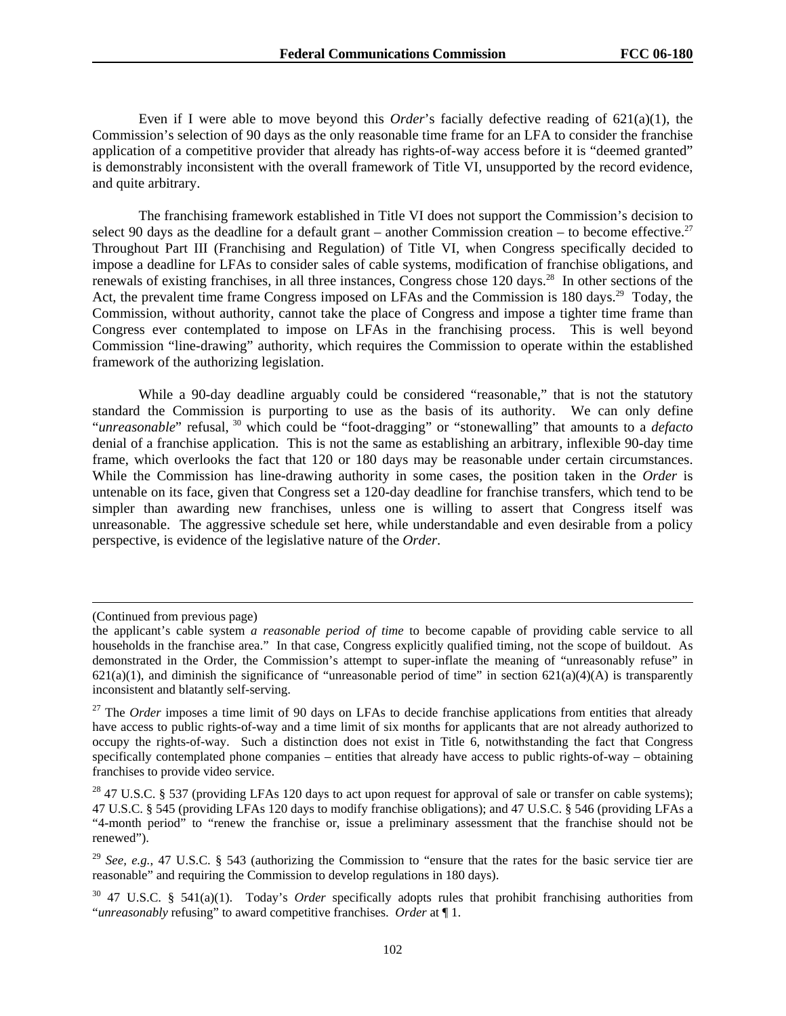Even if I were able to move beyond this *Order*'s facially defective reading of 621(a)(1), the Commission's selection of 90 days as the only reasonable time frame for an LFA to consider the franchise application of a competitive provider that already has rights-of-way access before it is "deemed granted" is demonstrably inconsistent with the overall framework of Title VI, unsupported by the record evidence, and quite arbitrary.

 The franchising framework established in Title VI does not support the Commission's decision to select 90 days as the deadline for a default grant – another Commission creation – to become effective.<sup>27</sup> Throughout Part III (Franchising and Regulation) of Title VI, when Congress specifically decided to impose a deadline for LFAs to consider sales of cable systems, modification of franchise obligations, and renewals of existing franchises, in all three instances, Congress chose 120 days.<sup>28</sup> In other sections of the Act, the prevalent time frame Congress imposed on LFAs and the Commission is 180 days.<sup>29</sup> Today, the Commission, without authority, cannot take the place of Congress and impose a tighter time frame than Congress ever contemplated to impose on LFAs in the franchising process. This is well beyond Commission "line-drawing" authority, which requires the Commission to operate within the established framework of the authorizing legislation.

 While a 90-day deadline arguably could be considered "reasonable," that is not the statutory standard the Commission is purporting to use as the basis of its authority. We can only define "*unreasonable*" refusal, 30 which could be "foot-dragging" or "stonewalling" that amounts to a *defacto* denial of a franchise application. This is not the same as establishing an arbitrary, inflexible 90-day time frame, which overlooks the fact that 120 or 180 days may be reasonable under certain circumstances. While the Commission has line-drawing authority in some cases, the position taken in the *Order* is untenable on its face, given that Congress set a 120-day deadline for franchise transfers, which tend to be simpler than awarding new franchises, unless one is willing to assert that Congress itself was unreasonable. The aggressive schedule set here, while understandable and even desirable from a policy perspective, is evidence of the legislative nature of the *Order*.

 $\overline{a}$ 

<sup>(</sup>Continued from previous page)

the applicant's cable system *a reasonable period of time* to become capable of providing cable service to all households in the franchise area." In that case, Congress explicitly qualified timing, not the scope of buildout. As demonstrated in the Order, the Commission's attempt to super-inflate the meaning of "unreasonably refuse" in  $621(a)(1)$ , and diminish the significance of "unreasonable period of time" in section  $621(a)(4)(A)$  is transparently inconsistent and blatantly self-serving.

<sup>&</sup>lt;sup>27</sup> The *Order* imposes a time limit of 90 days on LFAs to decide franchise applications from entities that already have access to public rights-of-way and a time limit of six months for applicants that are not already authorized to occupy the rights-of-way. Such a distinction does not exist in Title 6, notwithstanding the fact that Congress specifically contemplated phone companies – entities that already have access to public rights-of-way – obtaining franchises to provide video service.

<sup>&</sup>lt;sup>28</sup> 47 U.S.C. § 537 (providing LFAs 120 days to act upon request for approval of sale or transfer on cable systems); 47 U.S.C. § 545 (providing LFAs 120 days to modify franchise obligations); and 47 U.S.C. § 546 (providing LFAs a "4-month period" to "renew the franchise or, issue a preliminary assessment that the franchise should not be renewed").

<sup>29</sup> *See, e.g.*, 47 U.S.C. § 543 (authorizing the Commission to "ensure that the rates for the basic service tier are reasonable" and requiring the Commission to develop regulations in 180 days).

<sup>30 47</sup> U.S.C. § 541(a)(1). Today's *Order* specifically adopts rules that prohibit franchising authorities from "*unreasonably* refusing" to award competitive franchises. *Order* at ¶ 1.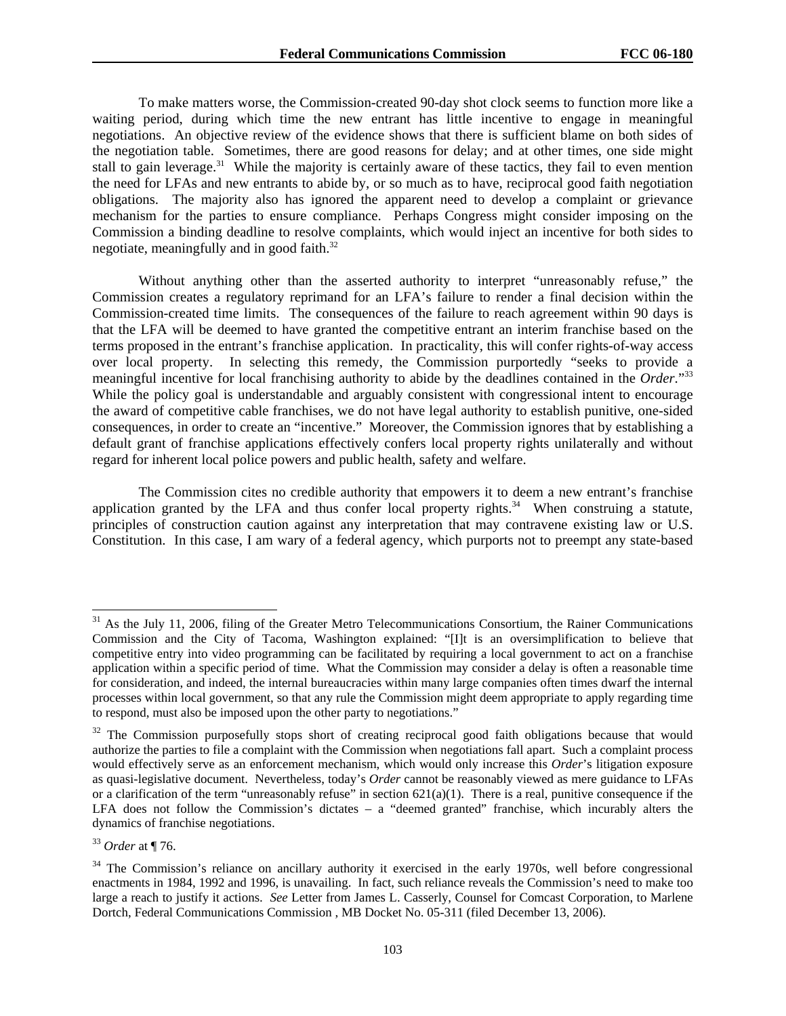To make matters worse, the Commission-created 90-day shot clock seems to function more like a waiting period, during which time the new entrant has little incentive to engage in meaningful negotiations. An objective review of the evidence shows that there is sufficient blame on both sides of the negotiation table. Sometimes, there are good reasons for delay; and at other times, one side might stall to gain leverage.<sup>31</sup> While the majority is certainly aware of these tactics, they fail to even mention the need for LFAs and new entrants to abide by, or so much as to have, reciprocal good faith negotiation obligations. The majority also has ignored the apparent need to develop a complaint or grievance mechanism for the parties to ensure compliance. Perhaps Congress might consider imposing on the Commission a binding deadline to resolve complaints, which would inject an incentive for both sides to negotiate, meaningfully and in good faith.<sup>32</sup>

 Without anything other than the asserted authority to interpret "unreasonably refuse," the Commission creates a regulatory reprimand for an LFA's failure to render a final decision within the Commission-created time limits. The consequences of the failure to reach agreement within 90 days is that the LFA will be deemed to have granted the competitive entrant an interim franchise based on the terms proposed in the entrant's franchise application. In practicality, this will confer rights-of-way access over local property. In selecting this remedy, the Commission purportedly "seeks to provide a meaningful incentive for local franchising authority to abide by the deadlines contained in the *Order*."33 While the policy goal is understandable and arguably consistent with congressional intent to encourage the award of competitive cable franchises, we do not have legal authority to establish punitive, one-sided consequences, in order to create an "incentive." Moreover, the Commission ignores that by establishing a default grant of franchise applications effectively confers local property rights unilaterally and without regard for inherent local police powers and public health, safety and welfare.

 The Commission cites no credible authority that empowers it to deem a new entrant's franchise application granted by the LFA and thus confer local property rights. $34$  When construing a statute, principles of construction caution against any interpretation that may contravene existing law or U.S. Constitution. In this case, I am wary of a federal agency, which purports not to preempt any state-based

 $31$  As the July 11, 2006, filing of the Greater Metro Telecommunications Consortium, the Rainer Communications Commission and the City of Tacoma, Washington explained: "[I]t is an oversimplification to believe that competitive entry into video programming can be facilitated by requiring a local government to act on a franchise application within a specific period of time. What the Commission may consider a delay is often a reasonable time for consideration, and indeed, the internal bureaucracies within many large companies often times dwarf the internal processes within local government, so that any rule the Commission might deem appropriate to apply regarding time to respond, must also be imposed upon the other party to negotiations."

 $32$  The Commission purposefully stops short of creating reciprocal good faith obligations because that would authorize the parties to file a complaint with the Commission when negotiations fall apart. Such a complaint process would effectively serve as an enforcement mechanism, which would only increase this *Order*'s litigation exposure as quasi-legislative document. Nevertheless, today's *Order* cannot be reasonably viewed as mere guidance to LFAs or a clarification of the term "unreasonably refuse" in section  $621(a)(1)$ . There is a real, punitive consequence if the LFA does not follow the Commission's dictates – a "deemed granted" franchise, which incurably alters the dynamics of franchise negotiations.

<sup>33</sup> *Order* at ¶ 76.

<sup>&</sup>lt;sup>34</sup> The Commission's reliance on ancillary authority it exercised in the early 1970s, well before congressional enactments in 1984, 1992 and 1996, is unavailing. In fact, such reliance reveals the Commission's need to make too large a reach to justify it actions. *See* Letter from James L. Casserly, Counsel for Comcast Corporation, to Marlene Dortch, Federal Communications Commission , MB Docket No. 05-311 (filed December 13, 2006).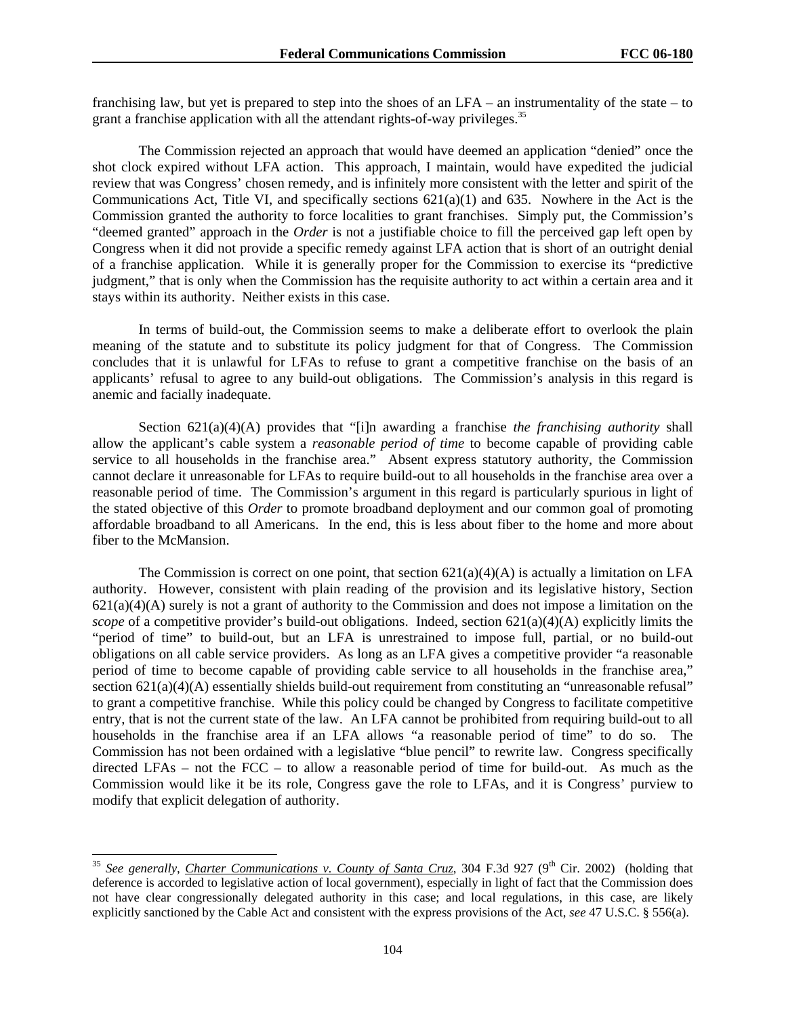franchising law, but yet is prepared to step into the shoes of an LFA – an instrumentality of the state – to grant a franchise application with all the attendant rights-of-way privileges.<sup>35</sup>

The Commission rejected an approach that would have deemed an application "denied" once the shot clock expired without LFA action. This approach, I maintain, would have expedited the judicial review that was Congress' chosen remedy, and is infinitely more consistent with the letter and spirit of the Communications Act, Title VI, and specifically sections  $621(a)(1)$  and  $635$ . Nowhere in the Act is the Commission granted the authority to force localities to grant franchises. Simply put, the Commission's "deemed granted" approach in the *Order* is not a justifiable choice to fill the perceived gap left open by Congress when it did not provide a specific remedy against LFA action that is short of an outright denial of a franchise application. While it is generally proper for the Commission to exercise its "predictive judgment," that is only when the Commission has the requisite authority to act within a certain area and it stays within its authority. Neither exists in this case.

In terms of build-out, the Commission seems to make a deliberate effort to overlook the plain meaning of the statute and to substitute its policy judgment for that of Congress. The Commission concludes that it is unlawful for LFAs to refuse to grant a competitive franchise on the basis of an applicants' refusal to agree to any build-out obligations. The Commission's analysis in this regard is anemic and facially inadequate.

Section 621(a)(4)(A) provides that "[i]n awarding a franchise *the franchising authority* shall allow the applicant's cable system a *reasonable period of time* to become capable of providing cable service to all households in the franchise area." Absent express statutory authority, the Commission cannot declare it unreasonable for LFAs to require build-out to all households in the franchise area over a reasonable period of time. The Commission's argument in this regard is particularly spurious in light of the stated objective of this *Order* to promote broadband deployment and our common goal of promoting affordable broadband to all Americans. In the end, this is less about fiber to the home and more about fiber to the McMansion.

The Commission is correct on one point, that section  $621(a)(4)(A)$  is actually a limitation on LFA authority. However, consistent with plain reading of the provision and its legislative history, Section  $621(a)(4)(A)$  surely is not a grant of authority to the Commission and does not impose a limitation on the *scope* of a competitive provider's build-out obligations. Indeed, section 621(a)(4)(A) explicitly limits the "period of time" to build-out, but an LFA is unrestrained to impose full, partial, or no build-out obligations on all cable service providers. As long as an LFA gives a competitive provider "a reasonable period of time to become capable of providing cable service to all households in the franchise area," section 621(a)(4)(A) essentially shields build-out requirement from constituting an "unreasonable refusal" to grant a competitive franchise. While this policy could be changed by Congress to facilitate competitive entry, that is not the current state of the law. An LFA cannot be prohibited from requiring build-out to all households in the franchise area if an LFA allows "a reasonable period of time" to do so. The Commission has not been ordained with a legislative "blue pencil" to rewrite law. Congress specifically directed LFAs – not the FCC – to allow a reasonable period of time for build-out. As much as the Commission would like it be its role, Congress gave the role to LFAs, and it is Congress' purview to modify that explicit delegation of authority.

<sup>&</sup>lt;sup>35</sup> See generally, *Charter Communications v. County of Santa Cruz*, 304 F.3d 927 (9<sup>th</sup> Cir. 2002) (holding that deference is accorded to legislative action of local government), especially in light of fact that the Commission does not have clear congressionally delegated authority in this case; and local regulations, in this case, are likely explicitly sanctioned by the Cable Act and consistent with the express provisions of the Act, *see* 47 U.S.C. § 556(a).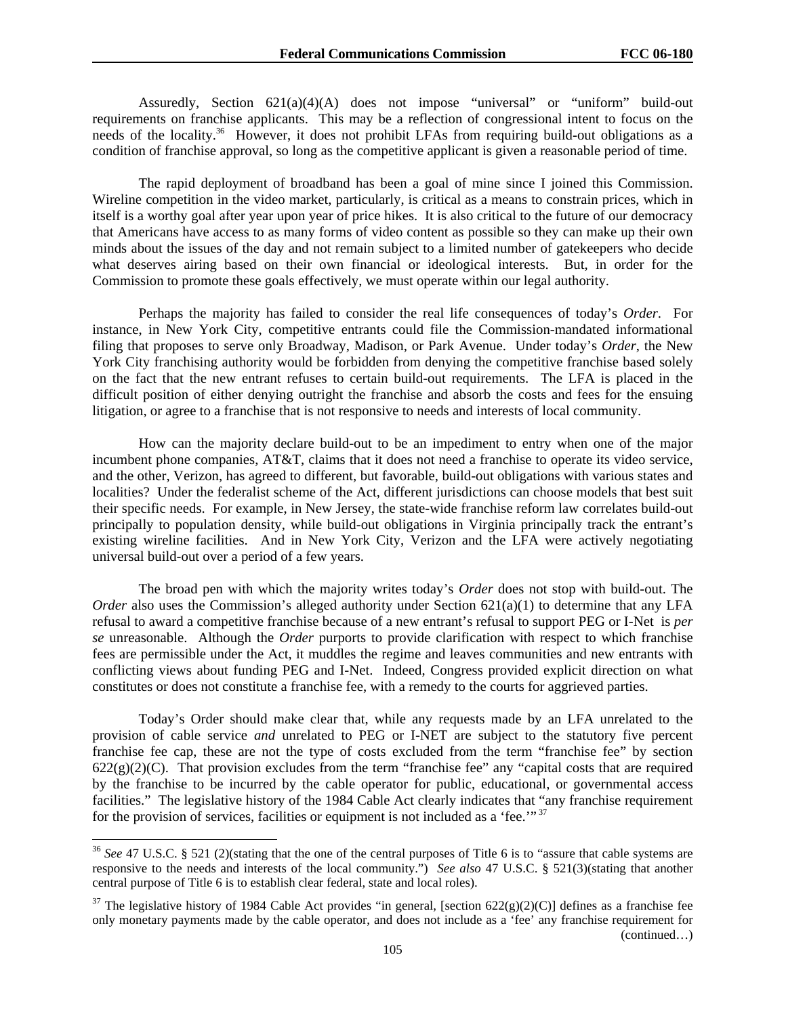Assuredly, Section 621(a)(4)(A) does not impose "universal" or "uniform" build-out requirements on franchise applicants. This may be a reflection of congressional intent to focus on the needs of the locality.<sup>36</sup> However, it does not prohibit LFAs from requiring build-out obligations as a condition of franchise approval, so long as the competitive applicant is given a reasonable period of time.

The rapid deployment of broadband has been a goal of mine since I joined this Commission. Wireline competition in the video market, particularly, is critical as a means to constrain prices, which in itself is a worthy goal after year upon year of price hikes. It is also critical to the future of our democracy that Americans have access to as many forms of video content as possible so they can make up their own minds about the issues of the day and not remain subject to a limited number of gatekeepers who decide what deserves airing based on their own financial or ideological interests. But, in order for the Commission to promote these goals effectively, we must operate within our legal authority.

 Perhaps the majority has failed to consider the real life consequences of today's *Order*. For instance, in New York City, competitive entrants could file the Commission-mandated informational filing that proposes to serve only Broadway, Madison, or Park Avenue. Under today's *Order*, the New York City franchising authority would be forbidden from denying the competitive franchise based solely on the fact that the new entrant refuses to certain build-out requirements. The LFA is placed in the difficult position of either denying outright the franchise and absorb the costs and fees for the ensuing litigation, or agree to a franchise that is not responsive to needs and interests of local community.

 How can the majority declare build-out to be an impediment to entry when one of the major incumbent phone companies, AT&T, claims that it does not need a franchise to operate its video service, and the other, Verizon, has agreed to different, but favorable, build-out obligations with various states and localities? Under the federalist scheme of the Act, different jurisdictions can choose models that best suit their specific needs. For example, in New Jersey, the state-wide franchise reform law correlates build-out principally to population density, while build-out obligations in Virginia principally track the entrant's existing wireline facilities. And in New York City, Verizon and the LFA were actively negotiating universal build-out over a period of a few years.

 The broad pen with which the majority writes today's *Order* does not stop with build-out. The *Order* also uses the Commission's alleged authority under Section  $621(a)(1)$  to determine that any LFA refusal to award a competitive franchise because of a new entrant's refusal to support PEG or I-Net is *per se* unreasonable. Although the *Order* purports to provide clarification with respect to which franchise fees are permissible under the Act, it muddles the regime and leaves communities and new entrants with conflicting views about funding PEG and I-Net. Indeed, Congress provided explicit direction on what constitutes or does not constitute a franchise fee, with a remedy to the courts for aggrieved parties.

 Today's Order should make clear that, while any requests made by an LFA unrelated to the provision of cable service *and* unrelated to PEG or I-NET are subject to the statutory five percent franchise fee cap, these are not the type of costs excluded from the term "franchise fee" by section  $622(g)(2)(C)$ . That provision excludes from the term "franchise fee" any "capital costs that are required by the franchise to be incurred by the cable operator for public, educational, or governmental access facilities." The legislative history of the 1984 Cable Act clearly indicates that "any franchise requirement for the provision of services, facilities or equipment is not included as a 'fee.'" 37

1

<sup>36</sup> *See* 47 U.S.C. § 521 (2)(stating that the one of the central purposes of Title 6 is to "assure that cable systems are responsive to the needs and interests of the local community.") *See also* 47 U.S.C. § 521(3)(stating that another central purpose of Title 6 is to establish clear federal, state and local roles).

<sup>&</sup>lt;sup>37</sup> The legislative history of 1984 Cable Act provides "in general, [section 622(g)(2)(C)] defines as a franchise fee only monetary payments made by the cable operator, and does not include as a 'fee' any franchise requirement for (continued…)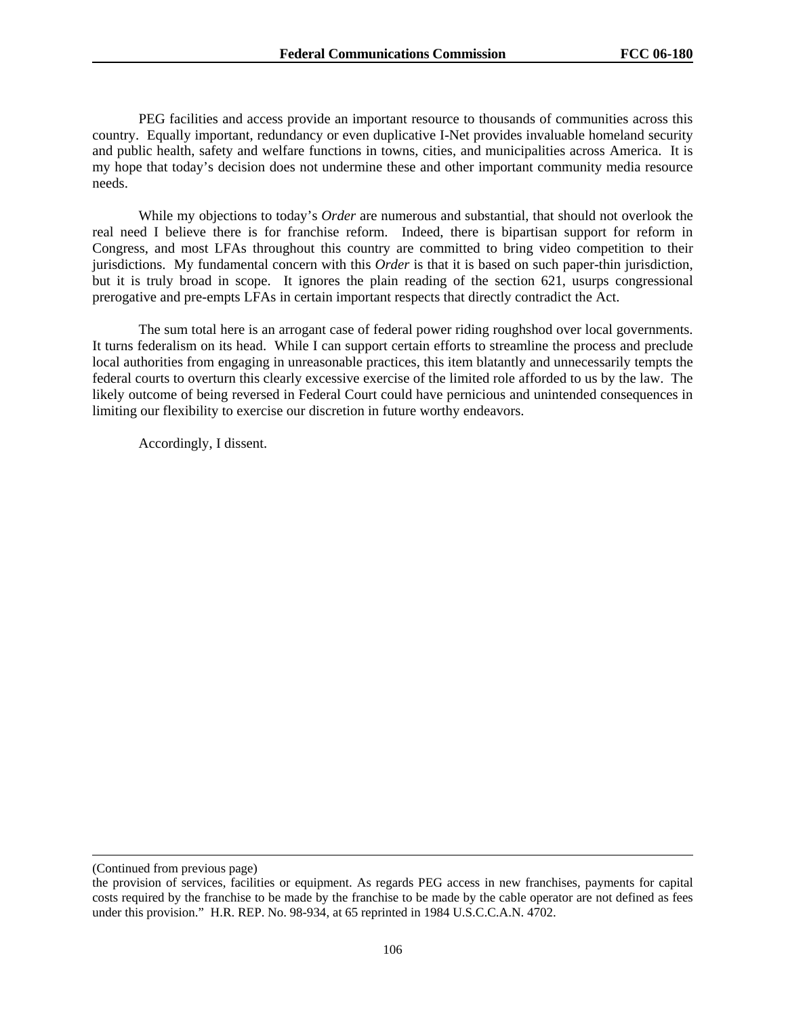PEG facilities and access provide an important resource to thousands of communities across this country. Equally important, redundancy or even duplicative I-Net provides invaluable homeland security and public health, safety and welfare functions in towns, cities, and municipalities across America. It is my hope that today's decision does not undermine these and other important community media resource needs.

 While my objections to today's *Order* are numerous and substantial, that should not overlook the real need I believe there is for franchise reform. Indeed, there is bipartisan support for reform in Congress, and most LFAs throughout this country are committed to bring video competition to their jurisdictions. My fundamental concern with this *Order* is that it is based on such paper-thin jurisdiction, but it is truly broad in scope. It ignores the plain reading of the section 621, usurps congressional prerogative and pre-empts LFAs in certain important respects that directly contradict the Act.

The sum total here is an arrogant case of federal power riding roughshod over local governments. It turns federalism on its head. While I can support certain efforts to streamline the process and preclude local authorities from engaging in unreasonable practices, this item blatantly and unnecessarily tempts the federal courts to overturn this clearly excessive exercise of the limited role afforded to us by the law. The likely outcome of being reversed in Federal Court could have pernicious and unintended consequences in limiting our flexibility to exercise our discretion in future worthy endeavors.

Accordingly, I dissent.

 $\overline{a}$ 

<sup>(</sup>Continued from previous page)

the provision of services, facilities or equipment. As regards PEG access in new franchises, payments for capital costs required by the franchise to be made by the franchise to be made by the cable operator are not defined as fees under this provision." H.R. REP. No. 98-934, at 65 reprinted in 1984 U.S.C.C.A.N. 4702.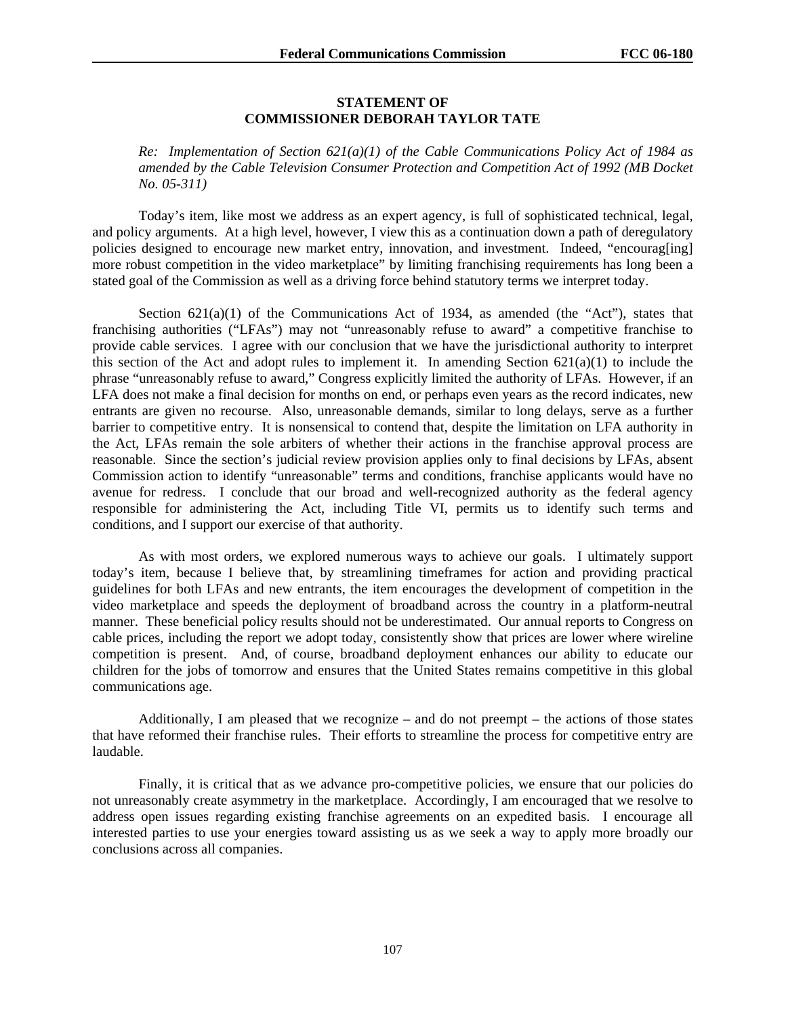### **STATEMENT OF COMMISSIONER DEBORAH TAYLOR TATE**

*Re: Implementation of Section 621(a)(1) of the Cable Communications Policy Act of 1984 as amended by the Cable Television Consumer Protection and Competition Act of 1992 (MB Docket No. 05-311)* 

Today's item, like most we address as an expert agency, is full of sophisticated technical, legal, and policy arguments. At a high level, however, I view this as a continuation down a path of deregulatory policies designed to encourage new market entry, innovation, and investment. Indeed, "encourag[ing] more robust competition in the video marketplace" by limiting franchising requirements has long been a stated goal of the Commission as well as a driving force behind statutory terms we interpret today.

Section  $621(a)(1)$  of the Communications Act of 1934, as amended (the "Act"), states that franchising authorities ("LFAs") may not "unreasonably refuse to award" a competitive franchise to provide cable services. I agree with our conclusion that we have the jurisdictional authority to interpret this section of the Act and adopt rules to implement it. In amending Section  $621(a)(1)$  to include the phrase "unreasonably refuse to award," Congress explicitly limited the authority of LFAs. However, if an LFA does not make a final decision for months on end, or perhaps even years as the record indicates, new entrants are given no recourse. Also, unreasonable demands, similar to long delays, serve as a further barrier to competitive entry. It is nonsensical to contend that, despite the limitation on LFA authority in the Act, LFAs remain the sole arbiters of whether their actions in the franchise approval process are reasonable. Since the section's judicial review provision applies only to final decisions by LFAs, absent Commission action to identify "unreasonable" terms and conditions, franchise applicants would have no avenue for redress. I conclude that our broad and well-recognized authority as the federal agency responsible for administering the Act, including Title VI, permits us to identify such terms and conditions, and I support our exercise of that authority.

As with most orders, we explored numerous ways to achieve our goals. I ultimately support today's item, because I believe that, by streamlining timeframes for action and providing practical guidelines for both LFAs and new entrants, the item encourages the development of competition in the video marketplace and speeds the deployment of broadband across the country in a platform-neutral manner. These beneficial policy results should not be underestimated. Our annual reports to Congress on cable prices, including the report we adopt today, consistently show that prices are lower where wireline competition is present. And, of course, broadband deployment enhances our ability to educate our children for the jobs of tomorrow and ensures that the United States remains competitive in this global communications age.

Additionally, I am pleased that we recognize – and do not preempt – the actions of those states that have reformed their franchise rules. Their efforts to streamline the process for competitive entry are laudable.

Finally, it is critical that as we advance pro-competitive policies, we ensure that our policies do not unreasonably create asymmetry in the marketplace. Accordingly, I am encouraged that we resolve to address open issues regarding existing franchise agreements on an expedited basis. I encourage all interested parties to use your energies toward assisting us as we seek a way to apply more broadly our conclusions across all companies.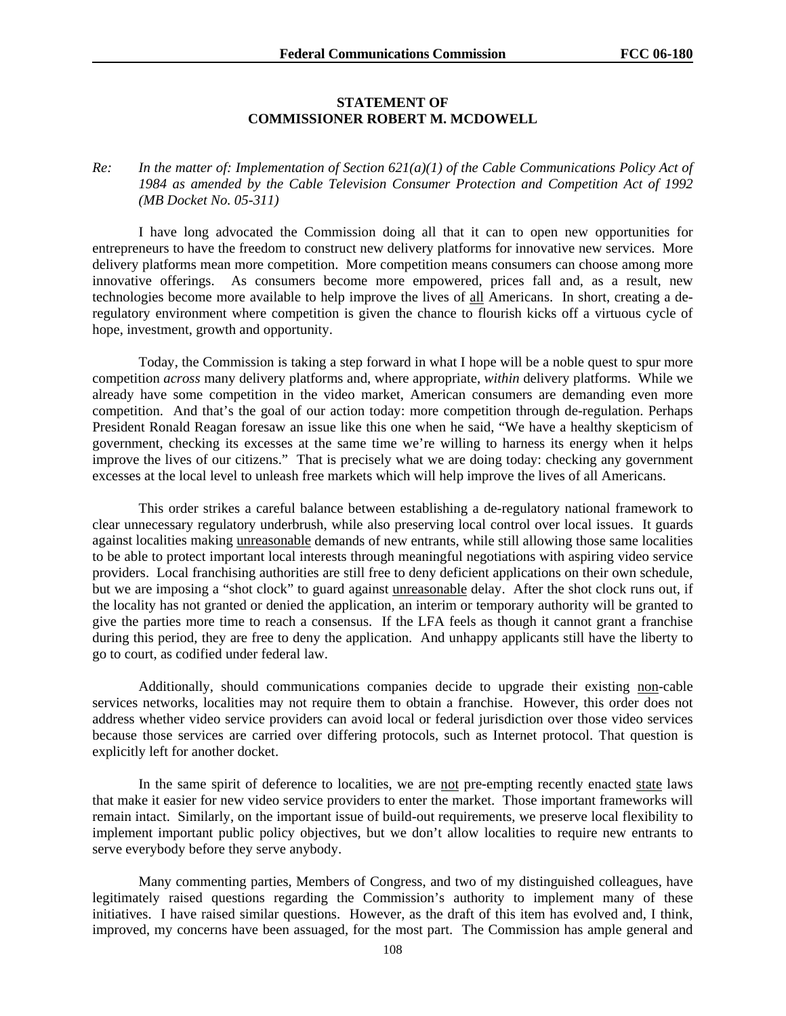#### **STATEMENT OF COMMISSIONER ROBERT M. MCDOWELL**

### *Re: In the matter of: Implementation of Section 621(a)(1) of the Cable Communications Policy Act of 1984 as amended by the Cable Television Consumer Protection and Competition Act of 1992 (MB Docket No. 05-311)*

I have long advocated the Commission doing all that it can to open new opportunities for entrepreneurs to have the freedom to construct new delivery platforms for innovative new services. More delivery platforms mean more competition. More competition means consumers can choose among more innovative offerings. As consumers become more empowered, prices fall and, as a result, new technologies become more available to help improve the lives of all Americans. In short, creating a deregulatory environment where competition is given the chance to flourish kicks off a virtuous cycle of hope, investment, growth and opportunity.

Today, the Commission is taking a step forward in what I hope will be a noble quest to spur more competition *across* many delivery platforms and, where appropriate, *within* delivery platforms. While we already have some competition in the video market, American consumers are demanding even more competition. And that's the goal of our action today: more competition through de-regulation. Perhaps President Ronald Reagan foresaw an issue like this one when he said, "We have a healthy skepticism of government, checking its excesses at the same time we're willing to harness its energy when it helps improve the lives of our citizens." That is precisely what we are doing today: checking any government excesses at the local level to unleash free markets which will help improve the lives of all Americans.

This order strikes a careful balance between establishing a de-regulatory national framework to clear unnecessary regulatory underbrush, while also preserving local control over local issues. It guards against localities making unreasonable demands of new entrants, while still allowing those same localities to be able to protect important local interests through meaningful negotiations with aspiring video service providers. Local franchising authorities are still free to deny deficient applications on their own schedule, but we are imposing a "shot clock" to guard against unreasonable delay. After the shot clock runs out, if the locality has not granted or denied the application, an interim or temporary authority will be granted to give the parties more time to reach a consensus. If the LFA feels as though it cannot grant a franchise during this period, they are free to deny the application. And unhappy applicants still have the liberty to go to court, as codified under federal law.

Additionally, should communications companies decide to upgrade their existing non-cable services networks, localities may not require them to obtain a franchise. However, this order does not address whether video service providers can avoid local or federal jurisdiction over those video services because those services are carried over differing protocols, such as Internet protocol. That question is explicitly left for another docket.

In the same spirit of deference to localities, we are not pre-empting recently enacted state laws that make it easier for new video service providers to enter the market. Those important frameworks will remain intact. Similarly, on the important issue of build-out requirements, we preserve local flexibility to implement important public policy objectives, but we don't allow localities to require new entrants to serve everybody before they serve anybody.

Many commenting parties, Members of Congress, and two of my distinguished colleagues, have legitimately raised questions regarding the Commission's authority to implement many of these initiatives. I have raised similar questions. However, as the draft of this item has evolved and, I think, improved, my concerns have been assuaged, for the most part. The Commission has ample general and